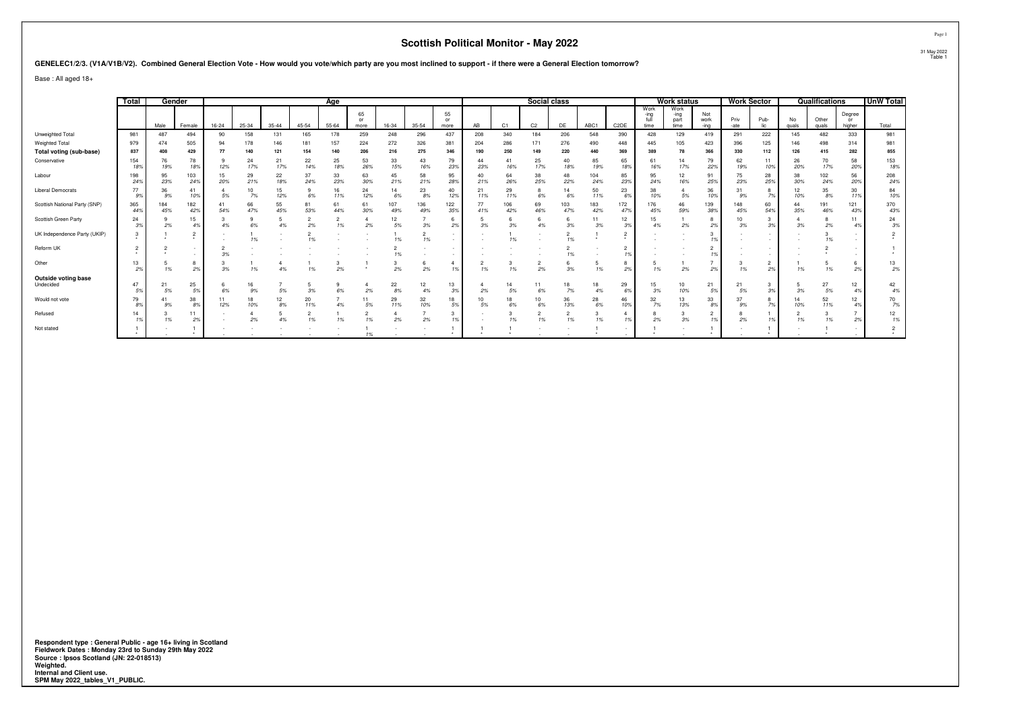**GENELEC1/2/3. (V1A/V1B/V2). Combined General Election Vote - How would you vote/which party are you most inclined to support - if there were a General Election tomorrow?**

Base : All aged 18+

|                               | <b>Total</b> |            | Gender         |           |           |           |              | Aae       |                  |            |            |                  |           |            | Social class   |            |            |                          |                              | <b>Work status</b>           |                     | <b>Work Sector</b> |                      |             | Qualifications |                                   | <b>UnW Total</b> |
|-------------------------------|--------------|------------|----------------|-----------|-----------|-----------|--------------|-----------|------------------|------------|------------|------------------|-----------|------------|----------------|------------|------------|--------------------------|------------------------------|------------------------------|---------------------|--------------------|----------------------|-------------|----------------|-----------------------------------|------------------|
|                               |              | Male       | Female         | $16 - 24$ | 25-34     | $35 - 44$ | 45-54        | $55 - 64$ | 65<br>or<br>more | 16-34      | 35-54      | 55<br>or<br>more | AB        | C1         | C <sub>2</sub> | DE         | ABC1       | C <sub>2</sub> DE        | Work<br>-ina<br>full<br>time | Work<br>-ing<br>part<br>time | Not<br>work<br>-ina | Priv<br>-ate       | Pub-                 | No<br>quals | Other<br>quals | Degree<br>or<br>higher            | Total            |
| Unweighted Total              | 981          | 487        | 494            | 90        | 158       | 131       | 165          | 178       | 259              | 248        | 296        | 437              | 208       | 340        | 184            | 206        | 548        | 390                      | 428                          | 129                          | 419                 | 291                | 222                  | 145         | 482            | 333                               | 981              |
| Weighted Total                | 979          | 474        | 505            | 94        | 178       | 146       | 181          | 157       | 224              | 272        | 326        | 381              | 204       | 286        | 171            | 276        | 490        | 448                      | 445                          | 105                          | 423                 | 396                | 125                  | 146         | 498            | 314                               | 981              |
| Total voting (sub-base)       | 837          | 408        | 429            | 77        | 140       | 121       | 154          | 140       | 206              | 216        | 275        | 346              | 190       | 250        | 149            | 220        | 440        | 369                      | 389                          | 78                           | 366                 | 330                | 112                  | 126         | 415            | 282                               | 855              |
| Conservative                  | 154<br>18%   | 76<br>19%  | 78<br>18%      | 12%       | 24<br>17% | 21<br>17% | 22<br>14%    | 25<br>18% | 53<br>26%        | 33<br>15%  | 43<br>16%  | 79<br>23%        | 44<br>23% | 41<br>16%  | 25<br>17%      | 40<br>18%  | 85<br>19%  | 65<br>189                | 61<br>16%                    | 17%                          | 79<br>22%           | 62<br>19%          | 11<br>10%            | 26<br>20%   | 70<br>17%      | 58<br>20%                         | 153<br>18%       |
| Labour                        | 198<br>24%   | 95<br>23%  | 103<br>24%     | 20%       | 29<br>21% | 22<br>18% | 37<br>24%    | 33<br>23% | 63<br>30%        | 45<br>21%  | 58<br>21%  | 95<br>28%        | 40<br>21% | 64<br>26%  | 38<br>25%      | 48<br>22%  | 104<br>24% | 85<br>239                | 95<br>24%                    | 12<br>16%                    | 91<br>25%           | 75<br>23%          | 28<br>25%            | 38<br>30%   | 102<br>24%     | 56<br>20%                         | 208<br>24%       |
| <b>Liberal Democrats</b>      | 77<br>9%     | 36<br>9%   | 41<br>10%      | 5%        | 10<br>7%  | 15<br>12% | 6%           | 16<br>11% | 24<br>12%        | 14<br>6%   | 23<br>8%   | 40<br>12%        | 21<br>11% | 29<br>11%  | 6%             | 14<br>6%   | 50<br>11%  | 23<br>69                 | 38<br>10%                    | 5%                           | 36<br>10%           | 9%                 | 7%                   | 12<br>10%   | 35<br>8%       | 30<br>119                         | 84<br>10%        |
| Scottish National Party (SNP) | 365<br>44%   | 184<br>45% | 182<br>42%     | 54%       | 66<br>47% | 55<br>45% | 81<br>53%    | 61<br>44% | 61<br>30%        | 107<br>49% | 136<br>49% | 122<br>35%       | 77<br>41% | 106<br>42% | 69<br>46%      | 103<br>47% | 183<br>42% | 172<br>479               | 176<br>45%                   | 46<br>59%                    | 139<br>38%          | 148<br>45%         | 60<br>54%            | 44<br>35%   | 191<br>46%     | 121<br>43%                        | 370<br>43%       |
| Scottish Green Party          | 24<br>3%     | 2%         | 15<br>4%       | 4%        | 9<br>6%   | 4%        | ∠<br>2%      | 1%        | 2%               | 12<br>5%   | 3%         | 6<br>2%          | 3%        | 3%         | 4%             | 3%         | 11<br>3%   | 12<br>39                 | 15<br>4%                     | 2%                           | 2%                  | 3%                 | 3<br>3%              | 3%          | 8<br>2%        |                                   | 24<br>3%         |
| UK Independence Party (UKIP)  |              |            | $\overline{2}$ |           | 1%        |           | $\sim$<br>1% |           |                  | 1%         | 1%         |                  |           | 1%         |                | 1%         |            | $\overline{a}$           |                              |                              | 1%                  |                    |                      |             | 1%             |                                   |                  |
| Reform UK                     |              |            |                | 3%        |           |           |              |           |                  | 1%         |            |                  |           |            |                | 1%         |            |                          |                              |                              |                     |                    |                      |             |                |                                   |                  |
| Other                         | 13<br>2%     | 1%         | 8<br>2%        | 3%        | 1%        | 4%        | 1%           | 2%        |                  | 2%         | b<br>2%    | 1%               | ∠<br>1%   | 1%         | 2%             | 3%         | 5<br>1%    | ŏ<br>2%                  | 1%                           | 2%                           | 2%                  | 1%                 | $\overline{2}$<br>2% | 1%          | 1%             | 2%                                | 13<br>2%         |
| Outside voting base           |              |            |                |           |           |           |              |           |                  |            |            |                  |           |            |                |            |            |                          |                              |                              |                     |                    |                      |             |                |                                   |                  |
| Undecided                     | 47<br>5%     | 21<br>5%   | 25<br>5%       | 6%        | 16<br>9%  | 5%        | 3%           |           | 2%               | 22<br>8%   | 12<br>4%   | 13<br>3%         | 2%        | 14<br>5%   | 6%             | 18<br>7%   | 18<br>4%   | 29<br>69                 | 15<br>3%                     | 10<br>10%                    | 21<br>5%            | 21<br>5%           | 3%                   | 3%          | 27<br>$5\%$    | 12<br>4 <sup>c</sup>              | 42<br>4%         |
| Would not vote                | 79<br>8%     | 41<br>9%   | 38<br>8%       | 12%       | 18<br>10% | 12<br>8%  | 20<br>11%    | 4%        | 5%               | 29<br>11%  | 32<br>10%  | 18<br>5%         | 10<br>5%  | 18<br>6%   | 10<br>6%       | 36<br>13%  | 28<br>6%   | 46<br>10%                | 32<br>7%                     | 13%                          | 33<br>8%            | 37<br>9%           |                      | 10%         | 52<br>11%      | 12 <sup>2</sup><br>4 <sup>°</sup> | 70<br>7%         |
| Refused                       | 14           | 1%         | 11<br>2%       |           | 2%        | 4%        | ∠<br>1%      | 1%        | 1%               | 2%         | 2%         |                  |           | 1%         | 1%             | -<br>1%    | 1%         |                          | 2%                           | 3%                           |                     | 2%                 |                      | 1%          | 3<br>1%        | 2%                                | 12<br>1%         |
| Not stated                    |              |            |                |           |           |           |              |           | 1%               |            |            |                  | $\cdot$   |            |                |            |            | $\overline{\phantom{a}}$ |                              |                              |                     |                    |                      |             |                |                                   | $\cdot$          |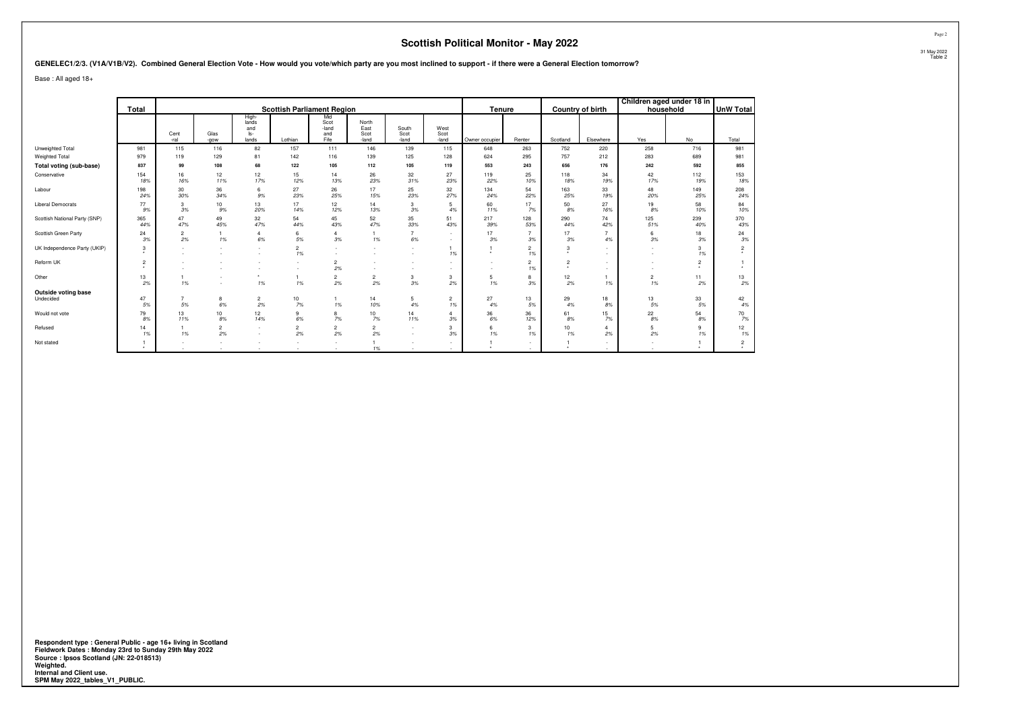**GENELEC1/2/3. (V1A/V1B/V2). Combined General Election Vote - How would you vote/which party are you most inclined to support - if there were a General Election tomorrow?**

Base : All aged 18+

|                                  | Total               |                      |                      |                                       |                               | <b>Scottish Parliament Region</b>   |                                |                        |                       | Tenure         |                      |                                        | Country of birth | household            | Children aged under 18 in | <b>UnW Total</b> |
|----------------------------------|---------------------|----------------------|----------------------|---------------------------------------|-------------------------------|-------------------------------------|--------------------------------|------------------------|-----------------------|----------------|----------------------|----------------------------------------|------------------|----------------------|---------------------------|------------------|
|                                  |                     | Cent<br>-ral         | Glas<br>-gow         | High-<br>lands<br>and<br>ls-<br>lands | Lothian                       | Mid<br>Scot<br>-land<br>and<br>Fife | North<br>East<br>Scot<br>-land | South<br>Scot<br>-land | West<br>Scot<br>-land | Owner occupier | Renter               | Scotland                               | Elsewhere        | Yes                  | No                        | Total            |
| Unweighted Total                 | 981                 | 115                  | 116                  | 82                                    | 157                           | 111                                 | 146                            | 139                    | 115                   | 648            | 263                  | 752                                    | 220              | 258                  | 716                       | 981              |
| Weighted Total                   | 979                 | 119                  | 129                  | 81                                    | 142                           | 116                                 | 139                            | 125                    | 128                   | 624            | 295                  | 757                                    | 212              | 283                  | 689                       | 981              |
| Total voting (sub-base)          | 837                 | 99                   | 108                  | 68                                    | 122                           | 105                                 | 112                            | 105                    | 119                   | 553            | 243                  | 656                                    | 176              | 242                  | 592                       | 855              |
| Conservative                     | 154<br>18%          | 16<br>16%            | 12<br>11%            | 12<br>17%                             | 15<br>12%                     | 14<br>13%                           | 26<br>23%                      | 32<br>31%              | 27<br>23%             | 119<br>22%     | 25<br>10%            | 118<br>18%                             | 34<br>19%        | 42<br>17%            | 112<br>19%                | 153<br>18%       |
| Labour                           | 198<br>24%          | 30<br>30%            | 36<br>34%            | 6<br>9%                               | 27<br>23%                     | 26<br>25%                           | 17<br>15%                      | 25<br>23%              | 32<br>27%             | 134<br>24%     | 54<br>22%            | 163<br>25%                             | 33<br>19%        | 48<br>20%            | 149<br>25%                | 208<br>24%       |
| <b>Liberal Democrats</b>         | 77<br>9%            | 3<br>3%              | 10<br>9%             | 13<br>20%                             | 17<br>14%                     | 12<br>12%                           | 14<br>13%                      | 3<br>3%                | 5<br>4%               | 60<br>11%      | 17<br>7%             | 50<br>8%                               | 27<br>16%        | 19<br>8%             | 58<br>10%                 | 84<br>10%        |
| Scottish National Party (SNP)    | 365<br>44%          | 47<br>47%            | 49<br>45%            | 32<br>47%                             | 54<br>44%                     | 45<br>43%                           | 52<br>47%                      | 35<br>33%              | 51<br>43%             | 217<br>39%     | 128<br>53%           | 290<br>44%                             | 74<br>42%        | 125<br>51%           | 239<br>40%                | 370<br>43%       |
| Scottish Green Party             | 24<br>3%            | $\overline{2}$<br>2% | 1%                   | $\overline{a}$<br>6%                  | 6<br>5%                       | 3%                                  | 1%                             | 6%                     | $\sim$<br>$\sim$      | 17<br>3%       | 3%                   | 17<br>3%                               | 4%               | 6<br>3%              | 18<br>3%                  | 24<br>3%         |
| UK Independence Party (UKIP)     | 3                   |                      | $\sim$               |                                       | $\overline{2}$<br>1%          | $\overline{\phantom{a}}$            | $\sim$                         | $\sim$                 | 1%                    | $\star$        | $\overline{2}$<br>1% | 3<br>٠.                                | $\sim$<br>$\sim$ |                      | 3<br>1%                   | $\overline{2}$   |
| Reform UK                        | $\overline{2}$<br>۰ |                      |                      |                                       |                               | $\overline{2}$<br>2%                | ٠.<br>$\sim$                   | $\sim$                 | . .<br>$\sim$         | $\sim$         | $\overline{2}$<br>1% | $\overline{2}$<br>$\ddot{\phantom{1}}$ |                  |                      | 2<br>$\ddot{\phantom{1}}$ |                  |
| Other                            | 13<br>2%            | 1%                   | $\sim$<br>$\sim$     | $\cdot$<br>1%                         | 1%                            | $\overline{\mathbf{c}}$<br>2%       | $\overline{c}$<br>2%           | 3<br>3%                | 3<br>2%               | 5<br>1%        | 8<br>3%              | 12<br>2%                               | 1%               | $\overline{2}$<br>1% | 11<br>2%                  | 13<br>2%         |
| Outside voting base<br>Undecided | 47<br>5%            | $\overline{7}$<br>5% | 8<br>6%              | $\overline{c}$<br>2%                  | 10<br>7%                      | 1%                                  | 14<br>10%                      | 5<br>4%                | $\overline{2}$<br>1%  | 27<br>4%       | 13<br>5%             | 29<br>4%                               | 18<br>8%         | 13<br>5%             | 33<br>5%                  | 42<br>4%         |
| Would not vote                   | 79<br>8%            | 13<br>11%            | 10<br>8%             | 12<br>14%                             | 9<br>6%                       | 8<br>7%                             | 10<br>7%                       | 14<br>11%              | 3%                    | 36<br>6%       | 36<br>12%            | 61<br>8%                               | 15<br>7%         | 22<br>8%             | 54<br>8%                  | 70<br>7%         |
| Refused                          | 14<br>1%            | 1%                   | $\overline{2}$<br>2% | $\sim$                                | $\overline{\mathbf{c}}$<br>2% | $\overline{\mathbf{c}}$<br>2%       | $\overline{c}$<br>2%           | $\sim$<br>$\sim$       | 3<br>3%               | 6<br>1%        | 3<br>1%              | 10<br>1%                               | 2%               | 5<br>2%              | 9<br>1%                   | 12<br>1%         |
| Not stated                       | ٠                   | a.                   |                      |                                       |                               | $\overline{\phantom{a}}$<br>$\sim$  | 1%                             | $\sim$                 | $\sim$                | $\star$        | $\sim$               | $\star$                                | $\sim$           |                      | $\ddot{\phantom{1}}$      | $\overline{2}$   |

**Respondent type : General Public - age 16+ living in Scotland Fieldwork Dates : Monday 23rd to Sunday 29th May 2022 Source : Ipsos Scotland (JN: 22-018513) Weighted. Internal and Client use. SPM May 2022\_tables\_V1\_PUBLIC.**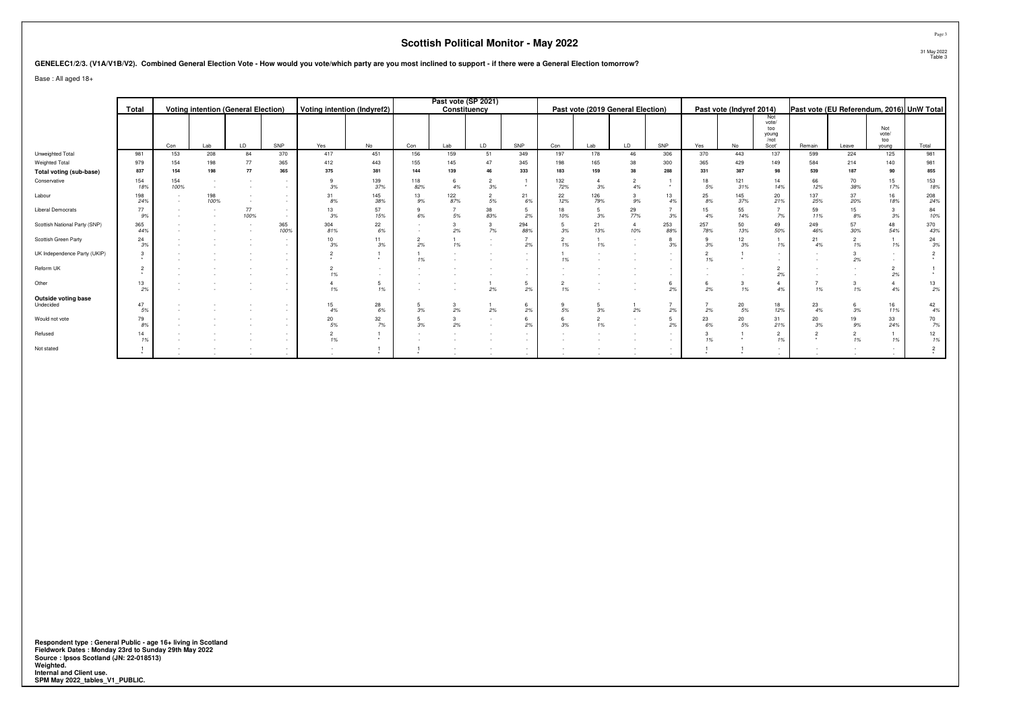#### **GENELEC1/2/3. (V1A/V1B/V2). Combined General Election Vote - How would you vote/which party are you most inclined to support - if there were a General Election tomorrow?**

Base : All aged 18+

|                                  |            |             |                                            |            |             |                             |                                    |            | Past vote (SP 2021) |           |                      |                      |                      |                                   |                      |            |                                          |                                      |            |           |                     |                                           |
|----------------------------------|------------|-------------|--------------------------------------------|------------|-------------|-----------------------------|------------------------------------|------------|---------------------|-----------|----------------------|----------------------|----------------------|-----------------------------------|----------------------|------------|------------------------------------------|--------------------------------------|------------|-----------|---------------------|-------------------------------------------|
|                                  | Total      |             | <b>Voting intention (General Election)</b> |            |             | Voting intention (Indyref2) |                                    |            | Constituency        |           |                      |                      |                      | Past vote (2019 General Election) |                      |            | Past vote (Indyref 2014)                 |                                      |            |           |                     | Past vote (EU Referendum, 2016) UnW Total |
|                                  |            |             |                                            |            |             |                             |                                    |            |                     |           |                      |                      |                      |                                   |                      |            |                                          | Not<br>vote/<br>too<br>young<br>/not |            |           | Not<br>vote/<br>too |                                           |
|                                  |            | Con         | Lab                                        | LD         | SNP         | Yes                         | No                                 | Con        | Lab                 | LD.       | SNP                  | Con                  | Lab                  | <b>LD</b>                         | SNP                  | Yes        | No                                       | Scot'                                | Remain     | Leave     | young               | Total                                     |
| Unweighted Total                 | 981        | 153         | 208                                        | 84         | 370         | 417                         | 451                                | 156        | 159                 | 51        | 349                  | 197                  | 178                  | 46                                | 306                  | 370        | 443                                      | 137                                  | 599        | 224       | 125                 | 981                                       |
| Weighted Total                   | 979        | 154         | 198                                        | 77         | 365         | 412                         | 443                                | 155        | 145                 |           | 345                  | 198                  | 165                  | 38                                | 300                  | 365        | 429                                      | 149                                  | 584        | 214       | 140                 | 981                                       |
| Total voting (sub-base)          | 837        | 154         | 198                                        | 77         | 365         | 375                         | 381                                | 144        | 139                 |           | 333                  | 183                  | 159                  |                                   | 288                  | 331        | 387                                      | 98                                   | 539        | 187       | 90                  | 855                                       |
| Conservative                     | 154<br>18% | 154<br>100% |                                            |            |             | 3%                          | 139<br>37%                         | 118<br>82% | 4%                  | 3%        | $\star$              | 132<br>72%           | 3%                   | 4%                                | $\star$              | 18<br>5%   | 121<br>31%                               | 14<br>14%                            | 66<br>12%  | 70<br>38% | 15<br>17%           | 153<br>18%                                |
| Labour                           | 198<br>24% |             | 198<br>100%                                |            |             | 31<br>8%                    | 145<br>38%                         | 13<br>9%   | 122<br>87%          | 5%        | 21<br>6%             | 22<br>12%            | 126<br>79%           | 9%                                | 13<br>4%             | 25<br>$8%$ | 145<br>37%                               | 20<br>21%                            | 137<br>25% | 37<br>20% | 16<br>18%           | 208<br>24%                                |
| <b>Liberal Democrats</b>         | 77<br>9%   |             |                                            | 77<br>100% |             | 13<br>3%                    | 57<br>15%                          | 6%         | 5%                  | 38<br>83% | 5<br>2%              | 10%                  | 5<br>3%              | 29<br>77%                         | 3%                   | 15<br>4%   | 55<br>14%                                | 7%                                   | 59<br>11%  | 15<br>8%  | 3<br>3%             | 84<br>10%                                 |
| Scottish National Party (SNP)    | 365<br>44% |             |                                            |            | 365<br>100% | 304<br>81%                  | 22<br>$6\%$                        |            | 2%                  | 7%        | 294<br>88%           | 3%                   | 21<br>13%            | 10%                               | 253<br>88%           | 257<br>78% | 50<br>13%                                | 49<br>50%                            | 249<br>46% | 57<br>30% | 48<br>54%           | 370<br>43%                                |
| Scottish Green Party             | 24<br>3%   |             |                                            |            |             | 10<br>3%                    | 11<br>3%                           | 2%         | 1%                  |           | $\overline{7}$<br>2% | $\overline{2}$<br>1% | 1%                   |                                   | 8<br>3%              | 3%         | 12<br>$3\%$                              | 1%                                   | 21<br>4%   | 1%        | 1%                  | 24<br>$3\%$                               |
| UK Independence Party (UKIP)     |            |             |                                            |            | $\sim$      | $\star$                     | $\star$                            | 19         |                     |           | $\sim$               | 1%                   |                      |                                   | $\sim$               | 1%         | $\star$                                  |                                      |            | 2%        |                     |                                           |
| Reform UK                        |            |             |                                            |            | $\sim$      | 1%                          | $\sim$<br>$\overline{\phantom{a}}$ |            |                     |           | $\sim$<br><b>.</b>   |                      |                      |                                   | $\sim$               |            |                                          | 2%                                   |            |           | 2%                  |                                           |
| Other                            | 13<br>2%   |             |                                            |            |             | 1%                          | 5<br>1%                            |            |                     | 2%        | 5<br>2%              | $\overline{c}$<br>1% |                      |                                   | 6<br>2%              | 2%         | 3<br>1%                                  | 4%                                   | 1%         | 1%        | 4<br>4%             | 13<br>2%                                  |
| Outside voting base<br>Undecided | 47<br>5%   |             |                                            |            |             | 15<br>4%                    | 28<br>$6\%$                        | 3%         | 2%                  | 2%        | 6<br>2%              | 5%                   | 5<br>$3\%$           | 2%                                | $\overline{7}$<br>2% | 2%         | 20<br>$5\%$                              | 18<br>12%                            | 23<br>4%   | 3%        | 16<br>11%           | 42<br>4%                                  |
| Would not vote                   | 79<br>8%   |             |                                            |            |             | 20<br>5%                    | 32<br>7%                           | 3%         | 3<br>2%             |           | 6<br>2%              | 3%                   | $\overline{2}$<br>1% |                                   | 5 <sup>5</sup><br>2% | 23<br>6%   | $\begin{array}{c} 20 \\ 5\% \end{array}$ | 31<br>21%                            | 20<br>3%   | 19        | 33<br>24%           | 70<br>7%                                  |
| Refused                          |            |             |                                            |            |             | 1%                          | $\star$                            |            |                     |           | <b>.</b><br>$\sim$   |                      |                      |                                   | $\sim$               | 1%         |                                          | $\overline{2}$<br>1%                 |            | 1%        | 1%                  | 12<br>1%                                  |
| Not stated                       |            |             |                                            |            | $\sim$      |                             |                                    |            |                     |           | $\sim$<br>$\sim$     |                      |                      |                                   | $\sim$               |            |                                          |                                      |            |           |                     |                                           |

**Respondent type : General Public - age 16+ living in Scotland Fieldwork Dates : Monday 23rd to Sunday 29th May 2022 Source : Ipsos Scotland (JN: 22-018513) Weighted. Internal and Client use. SPM May 2022\_tables\_V1\_PUBLIC.**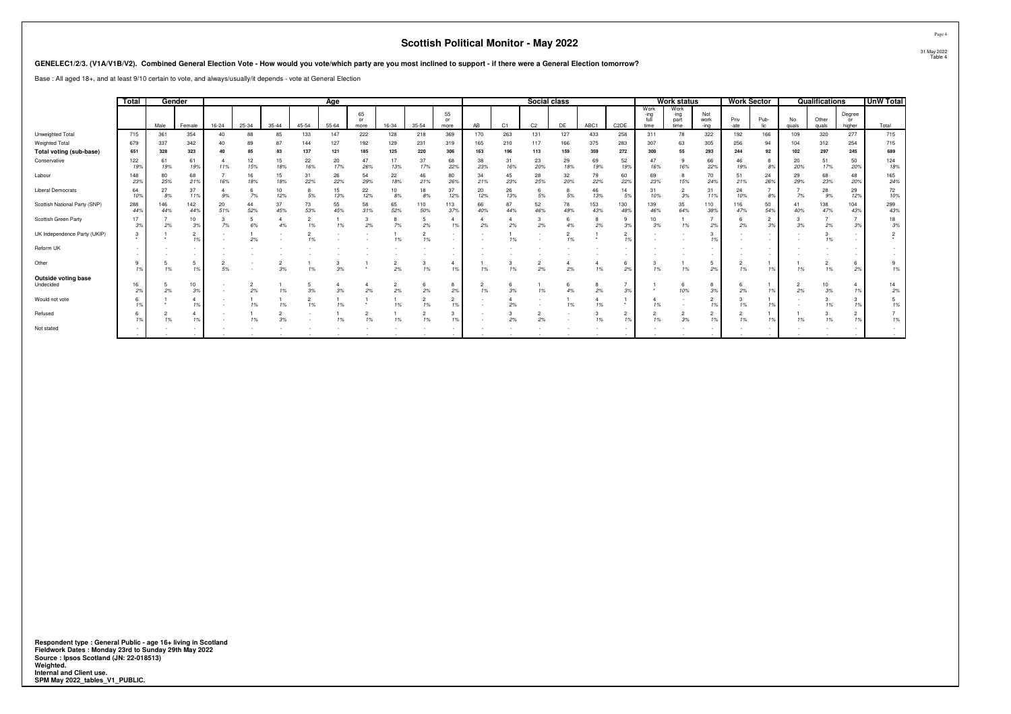#### **GENELEC1/2/3. (V1A/V1B/V2). Combined General Election Vote - How would you vote/which party are you most inclined to support - if there were a General Election tomorrow?**

|                                                                                                                                                                           |            |                                                                                                                                                                                                                                                                                                                                                                                                                                                                                    |                               |           |                      |                      |            |                      |                      |            |                      |                      | <b>Scottish Political Monitor - May 2022</b> |                      |                      |            |                      |                                  |                        |                      |                      |                      |                      |                      |                      |                      |                  | Page 4                 |
|---------------------------------------------------------------------------------------------------------------------------------------------------------------------------|------------|------------------------------------------------------------------------------------------------------------------------------------------------------------------------------------------------------------------------------------------------------------------------------------------------------------------------------------------------------------------------------------------------------------------------------------------------------------------------------------|-------------------------------|-----------|----------------------|----------------------|------------|----------------------|----------------------|------------|----------------------|----------------------|----------------------------------------------|----------------------|----------------------|------------|----------------------|----------------------------------|------------------------|----------------------|----------------------|----------------------|----------------------|----------------------|----------------------|----------------------|------------------|------------------------|
| GENELEC1/2/3. (V1A/V1B/V2). Combined General Election Vote - How would you vote/which party are you most inclined to support - if there were a General Election tomorrow? |            |                                                                                                                                                                                                                                                                                                                                                                                                                                                                                    |                               |           |                      |                      |            |                      |                      |            |                      |                      |                                              |                      |                      |            |                      |                                  |                        |                      |                      |                      |                      |                      |                      |                      |                  | 31 May 2022<br>Table 4 |
| Base: All aged 18+, and at least 9/10 certain to vote, and always/usually/it depends - vote at General Election                                                           |            |                                                                                                                                                                                                                                                                                                                                                                                                                                                                                    |                               |           |                      |                      |            |                      |                      |            |                      |                      |                                              |                      |                      |            |                      |                                  |                        |                      |                      |                      |                      |                      |                      |                      |                  |                        |
|                                                                                                                                                                           | Total      | Gender                                                                                                                                                                                                                                                                                                                                                                                                                                                                             |                               |           |                      |                      |            | Age                  |                      |            |                      |                      |                                              |                      | Social class         |            |                      |                                  |                        | <b>Work status</b>   |                      | <b>Work Sector</b>   |                      |                      | Qualifications       |                      | <b>UnW Total</b> |                        |
|                                                                                                                                                                           |            | Work<br>Work<br>55<br>65<br>Not<br>-ing<br>-ing<br>full<br>Priv<br>Pub-<br>work<br>or<br>or<br>part<br>35-44<br>45-54<br>C <sub>1</sub><br>C <sub>2</sub><br>DE<br>Male<br>16-24<br>25-34<br>$55 - 64$<br>16-34<br>AB<br>ABC1<br>C <sub>2</sub> DE<br>Female<br>35-54<br>time<br>time<br>-ing<br>-ate<br>lic<br>more<br>more<br>354<br>133<br>147<br>222<br>369<br>263<br>131<br>127<br>258<br>322<br>166<br>361<br>88<br>85<br>128<br>218<br>170<br>433<br>311<br>78<br>192<br>40 |                               |           |                      |                      |            |                      |                      |            |                      |                      |                                              |                      |                      |            | No<br>quals          | Other<br>quals                   | Degree<br>or<br>higher | Total                |                      |                      |                      |                      |                      |                      |                  |                        |
| Unweighted Total                                                                                                                                                          | 715        |                                                                                                                                                                                                                                                                                                                                                                                                                                                                                    |                               |           |                      |                      |            |                      |                      |            |                      |                      |                                              |                      |                      |            | 109                  | 320                              | 277                    | 715                  |                      |                      |                      |                      |                      |                      |                  |                        |
| Weighted Total<br>Total voting (sub-base)                                                                                                                                 | 679<br>651 | 337<br>328                                                                                                                                                                                                                                                                                                                                                                                                                                                                         | 342<br>323                    | 40<br>40  | 89<br>85             | 87<br>83             | 144<br>137 | 127<br>121           | 192<br>185           | 129<br>125 | 231<br>220           | 319<br>306           | 165<br>163                                   | 210<br>196           | 117<br>113           | 166<br>159 | 375<br>359           | 283<br>272                       | 307<br>300             | 63<br>55             | 305<br>293           | 256<br>244           | 94<br>92             | 104<br>102           | 312<br>297           | 254<br>245           | 715<br>689       |                        |
| Conservative                                                                                                                                                              | 122<br>19% | 61<br>19%                                                                                                                                                                                                                                                                                                                                                                                                                                                                          | 61<br>19%                     | 11%       | 12<br>15%            | 15<br>18%            | 22<br>16%  | 20<br>17%            | 47<br>26%            | 17<br>13%  | 37<br>17%            | 68<br>22%            | 38<br>23%                                    | 31<br>16%            | 23<br>20%            | 29<br>18%  | 69<br>19%            | 52<br>19%                        | 47<br>16%              | 16%                  | 66<br>22%            | 46<br>19%            | 8%                   | 20<br>20%            | 51<br>17%            | 50<br>20%            | 124<br>18%       |                        |
| Labour                                                                                                                                                                    | 148<br>23% | 80<br>25%                                                                                                                                                                                                                                                                                                                                                                                                                                                                          | 68<br>21%                     | 16%       | 16<br>18%            | 15<br>18%            | 31<br>22%  | 26<br>22%            | 54<br>29%            | 22<br>18%  | 46<br>21%            | 80<br>26%            | 34<br>21%                                    | 45<br>23%            | 28<br>25%            | 32<br>20%  | 79<br>22%            | 60<br>22%                        | 69<br>23%              | 15%                  | 70<br>24%            | 51<br>21%            | 24<br>26%            | 29<br>29%            | 68<br>23%            | 48<br>20%            | 165<br>24%       |                        |
| <b>Liberal Democrats</b>                                                                                                                                                  | 64<br>10%  | 27<br>$8%$                                                                                                                                                                                                                                                                                                                                                                                                                                                                         | 37<br>11%                     | 9%        | 6<br>7%              | 10<br>12%            | 5%         | 15<br>13%            | 22<br>12%            | 10<br>8%   | 18<br>8%             | 37<br>12%            | 20<br>12%                                    | 26<br>13%            | 5%                   | 5%         | 46<br>13%            | 14<br>5%                         | 31<br>10%              | $\overline{2}$<br>3% | 31<br>11%            | 24<br>10%            | $\overline{7}$<br>8% | 7%                   | 28<br>9%             | 29<br>12%            | 72<br>10%        |                        |
| Scottish National Party (SNP)                                                                                                                                             | 288<br>44% | 146<br>44%                                                                                                                                                                                                                                                                                                                                                                                                                                                                         | 142<br>44%                    | 20<br>51% | 44<br>52%            | 37<br>45%            | 73<br>53%  | 55<br>45%            | 58<br>31%            | 65<br>52%  | 110<br>50%           | 113<br>37%           | 66<br>40%                                    | 87<br>44%            | 52<br>46%            | 78<br>49%  | 153<br>43%           | 130<br>48%                       | 139<br>46%             | 35<br>64%            | 110<br>389           | 116<br>47%           | 50<br>54%            | 41<br>40%            | 138<br>47%           | 104<br>43%           | 299<br>43%       |                        |
| Scottish Green Party                                                                                                                                                      | 17<br>3%   | 2%                                                                                                                                                                                                                                                                                                                                                                                                                                                                                 | 10<br>3%                      | 7%        | 5<br>6%              | 4<br>4%              | 2<br>1%    | 1%                   | 2%                   | 8<br>7%    | 5<br>2%              | 1%                   | 2%                                           | $\overline{4}$<br>2% | 2%                   | 6<br>4%    | 2%                   | 9<br>3%                          | 10<br>3%               | 1%                   | 2%                   | -6<br>2%             | $\overline{2}$<br>3% | 3%                   | 2%                   | 3%                   | 18<br>3%         |                        |
| UK Independence Party (UKIP)                                                                                                                                              |            |                                                                                                                                                                                                                                                                                                                                                                                                                                                                                    | $\overline{\mathbf{c}}$<br>1% |           | 2%                   |                      | 1%         |                      |                      | 1%         | $\overline{2}$<br>1% |                      |                                              | 1%                   |                      | 2<br>1%    |                      | $\overline{c}$<br>1 <sup>1</sup> |                        |                      |                      |                      | $\sim$<br>$\sim$     |                      | 1%                   | $\sim$<br>$\sim$     | $\overline{2}$   |                        |
| Reform UK                                                                                                                                                                 |            |                                                                                                                                                                                                                                                                                                                                                                                                                                                                                    | $\sim$<br>$\sim$              |           |                      |                      |            |                      |                      |            |                      |                      |                                              |                      |                      |            |                      |                                  |                        |                      |                      |                      | $\sim$<br>۰.         |                      |                      |                      |                  |                        |
| Other                                                                                                                                                                     | 1%         | 5<br>1%                                                                                                                                                                                                                                                                                                                                                                                                                                                                            | 5<br>1%                       | 5%        |                      | 3%                   | 1%         | 3%                   |                      | 2<br>2%    | 3<br>1%              | -4<br>19             | 1%                                           | 3<br>1%              | 2%                   | 2%         | 1%                   | -6<br>2%                         | 3<br>1%                | 1%                   | 5<br>2%              | $\overline{2}$<br>1% | 1%                   | 1%                   | $\overline{2}$<br>1% | 6<br>2%              | 9<br>1%          |                        |
| Outside voting base<br>Undecided                                                                                                                                          | 16<br>2%   | 5<br>2%                                                                                                                                                                                                                                                                                                                                                                                                                                                                            | 10<br>3%                      |           | $\overline{2}$<br>2% | 1%                   | 3%         | $\overline{4}$<br>3% | -4<br>2%             | 2<br>2%    | 6<br>2%              | 8<br>2%              | 2<br>1%                                      | 6<br>3%              | 1%                   | 6<br>4%    | 8<br>2%              | 3%                               | $\ddot{\phantom{1}}$   | 10%                  | 8<br>3%              | 6<br>2%              | 1%                   | $\overline{2}$<br>2% | 10<br>3%             | $\overline{4}$<br>1% | 14<br>2%         |                        |
| Would not vote                                                                                                                                                            | 1%         |                                                                                                                                                                                                                                                                                                                                                                                                                                                                                    | $\overline{4}$<br>1%          |           | 1%                   | 1%                   | 1%         | 1%                   |                      | 1%         | $\overline{2}$<br>1% | $\overline{2}$<br>1% |                                              | 2%                   |                      | 1%         | $\overline{4}$<br>1% | $\star$                          | 1%                     |                      | 2<br>1%              | 3<br>1%              | 1%                   |                      | 3<br>1%              | 3<br>1%              | 5<br>1%          |                        |
| Refused                                                                                                                                                                   | 1%         | 2<br>1%                                                                                                                                                                                                                                                                                                                                                                                                                                                                            | $\overline{4}$<br>1%          |           | 1%                   | $\overline{2}$<br>3% | $\sim$     | 1%                   | $\overline{2}$<br>1% | 1%         | $\overline{2}$<br>1% | 1%                   | $\sim$<br>$\sim$                             | 3<br>2%              | $\overline{2}$<br>2% | $\sim$     | 3<br>1%              | $\overline{2}$<br>1%             | $\overline{2}$<br>1%   | 3%                   | $\overline{2}$<br>1% | $\overline{2}$<br>1% | 1%                   | 1%                   | 3<br>1%              | $\overline{2}$<br>1% | 1%               |                        |
| Not stated                                                                                                                                                                |            |                                                                                                                                                                                                                                                                                                                                                                                                                                                                                    |                               |           |                      |                      |            |                      |                      |            |                      |                      |                                              |                      |                      |            |                      |                                  |                        |                      |                      |                      |                      |                      |                      | $\sim$               |                  |                        |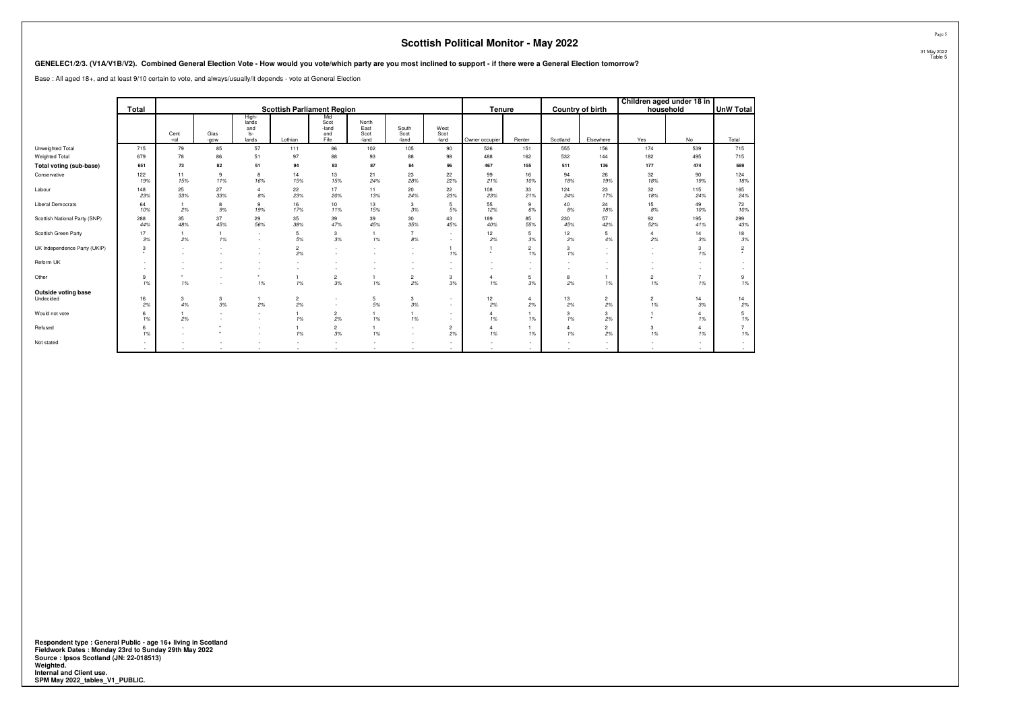|                                                                                                                                                                           |                    |                    |              |                                       |                                   |                                     |                                |                        |                       | <b>Scottish Political Monitor - May 2022</b> |                      |                      |                      |                      |                           |                      |                        |
|---------------------------------------------------------------------------------------------------------------------------------------------------------------------------|--------------------|--------------------|--------------|---------------------------------------|-----------------------------------|-------------------------------------|--------------------------------|------------------------|-----------------------|----------------------------------------------|----------------------|----------------------|----------------------|----------------------|---------------------------|----------------------|------------------------|
| GENELEC1/2/3. (V1A/V1B/V2). Combined General Election Vote - How would you vote/which party are you most inclined to support - if there were a General Election tomorrow? |                    |                    |              |                                       |                                   |                                     |                                |                        |                       |                                              |                      |                      |                      |                      |                           |                      | 31 May 2022<br>Table 5 |
| Base: All aged 18+, and at least 9/10 certain to vote, and always/usually/it depends - vote at General Election                                                           |                    |                    |              |                                       |                                   |                                     |                                |                        |                       |                                              |                      |                      |                      |                      |                           |                      |                        |
|                                                                                                                                                                           | Total              |                    |              |                                       | <b>Scottish Parliament Region</b> |                                     |                                |                        |                       | Tenure                                       |                      |                      | Country of birth     | household            | Children aged under 18 in | <b>UnW Total</b>     |                        |
|                                                                                                                                                                           |                    | Cent<br>-ral       | Glas<br>-gow | High-<br>lands<br>and<br>ls-<br>lands | Lothian                           | Mid<br>Scot<br>-land<br>and<br>Fife | North<br>East<br>Scot<br>-land | South<br>Scot<br>-land | West<br>Scot<br>-land | Owner occupier                               | Renter               | Scotland             | Elsewhere            | Yes                  | No                        | Total                |                        |
| Unweighted Total                                                                                                                                                          | 715                | 79                 | 85           | 57                                    | 111                               | 86                                  | 102                            | 105                    | 90                    | 526                                          | 151                  | 555                  | 156                  | 174                  | 539                       | 715                  |                        |
| Weighted Total                                                                                                                                                            | 679                | 78                 | 86           | 51                                    | 97                                | 88                                  | 93                             | 88                     | 98                    | 488                                          | 162                  | 532                  | 144                  | 182                  | 495                       | 715                  |                        |
| Total voting (sub-base)                                                                                                                                                   | 651                | 73                 | 82           | 51                                    | 94                                | 83                                  | 87                             | 84                     | 96                    | 467                                          | 155                  | 511                  | 136                  | 177                  | 474                       | 689                  |                        |
| Conservative                                                                                                                                                              | 122<br>19%         | 11<br>15%          | 9<br>11%     | -8<br>16%                             | 14<br>15%                         | 13<br>15%                           | 21<br>24%                      | 23<br>28%              | 22<br>22%             | 99<br>21%                                    | 16<br>10%            | 94<br>18%            | 26<br>19%            | 32<br>18%            | 90<br>19%                 | 124<br>18%           |                        |
| Labour                                                                                                                                                                    | 148<br>23%         | 25<br>33%          | 27<br>33%    | $\overline{4}$<br>8%                  | 22<br>23%                         | 17<br>20%                           | 11<br>13%                      | 20<br>24%              | 22<br>23%             | 108<br>23%                                   | 33<br>21%            | 124<br>24%           | 23<br>17%            | 32<br>18%            | 115<br>24%                | 165<br>24%           |                        |
| Liberal Democrats                                                                                                                                                         | 64<br>10%          | 2%                 | 9%           | -9<br>19%                             | 16<br>17%                         | 10<br>11%                           | 13<br>15%                      | 3<br>3%                | 5<br>5%               | 55<br>12%                                    | 9<br>6%              | 40<br>8%             | 24<br>18%            | 15<br>8%             | 49<br>10%                 | 72<br>10%            |                        |
| Scottish National Party (SNP)                                                                                                                                             | 288<br>44%         | 35<br>48%          | 37<br>45%    | 29<br>56%                             | 35<br>38%                         | 39<br>47%                           | 39<br>45%                      | 30<br>35%              | 43<br>45%             | 189<br>40%                                   | 85<br>55%            | 230<br>45%           | 57<br>42%            | 92<br>52%            | 195<br>41%                | 299<br>43%           |                        |
| Scottish Green Party                                                                                                                                                      | 17<br>3%           | 2%                 | 1%           | $\sim$                                | 5<br>5%                           | 3<br>3%                             | 1%                             | $\overline{7}$<br>8%   | $\sim$<br>$\sim$      | 12<br>2%                                     | 5<br>3%              | 12<br>2%             | 5<br>4%              | $\overline{4}$<br>2% | 14<br>3%                  | 18<br>3%             |                        |
| UK Independence Party (UKIP)                                                                                                                                              | 3                  | $\sim$             |              |                                       | 2%                                |                                     |                                |                        | $\mathbf{1}$<br>1%    | $\cdot$                                      | $\overline{2}$<br>1% | 3<br>1%              |                      |                      | 3<br>1%                   | $\overline{2}$       |                        |
| Reform UK                                                                                                                                                                 | $\sim$             |                    |              |                                       |                                   |                                     |                                |                        | $\sim$<br>$\sim$      |                                              |                      |                      |                      |                      |                           | $\sim$               |                        |
| Other                                                                                                                                                                     | 9<br>1%            | 1%                 | $\sim$       | 1%                                    | 1%                                | $\frac{2}{3\%}$                     | $\overline{1}$<br>1%           | $\overline{2}$<br>2%   | $\mathbf{3}$<br>3%    | $\overline{4}$<br>1%                         | 5<br>$3\%$           | 8<br>2%              | 1%                   | $\overline{2}$<br>1% | $\overline{7}$<br>1%      | 9<br>1%              |                        |
| Outside voting base<br>Undecided                                                                                                                                          | 16<br>2%           | 3<br>4%            | 3<br>3%      | 2%                                    | $\overline{2}$<br>2%              | $\sim$                              | 5<br>$5\%$                     | 3<br>3%                | $\sim$<br>$\sim$      | 12<br>2%                                     | $\overline{4}$<br>2% | 13<br>2%             | $\overline{2}$<br>2% | $\overline{2}$<br>1% | 14<br>3%                  | 14<br>2%             |                        |
| Would not vote                                                                                                                                                            | 6<br>1%            | $\mathbf{1}$<br>2% |              |                                       | 1%                                | $\overline{2}$<br>2%                | $\mathbf{1}$<br>1%             | $\overline{1}$<br>1%   | $\sim$<br>$\sim$      | 1%                                           | 1%                   | 3<br>1%              | 3<br>2%              |                      | $\overline{4}$<br>1%      | 5<br>1%              |                        |
| Refused                                                                                                                                                                   | 6<br>1%            |                    |              |                                       | 1%                                | $\overline{c}$<br>3%                | $\mathbf{1}$<br>1%             |                        | $\overline{2}$<br>2%  | 1%                                           | 1%                   | $\overline{4}$<br>1% | $\overline{2}$<br>2% | 3<br>1%              | $\overline{4}$<br>1%      | $\overline{7}$<br>1% |                        |
| Not stated                                                                                                                                                                | $\sim$<br><b>A</b> |                    |              |                                       |                                   |                                     |                                |                        | $\sim$<br>$\sim$      |                                              | $\sim$               | $\sim$               |                      |                      |                           | $\sim$               |                        |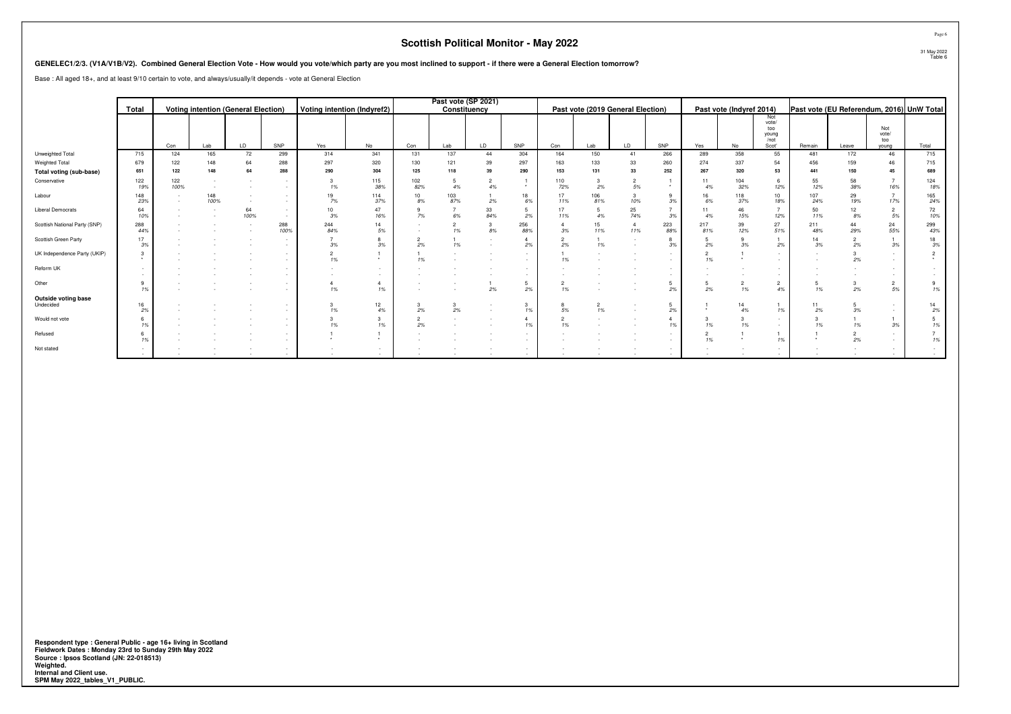|                                                                                                                                                                           |            |             |             |                                            |                  |                             |                      |            |                      | <b>Scottish Political Monitor - May 2022</b> |                      |                      |                      |                                                      |                                    |                      |                          |                                               |            |                                           |                              | Page 6                 |
|---------------------------------------------------------------------------------------------------------------------------------------------------------------------------|------------|-------------|-------------|--------------------------------------------|------------------|-----------------------------|----------------------|------------|----------------------|----------------------------------------------|----------------------|----------------------|----------------------|------------------------------------------------------|------------------------------------|----------------------|--------------------------|-----------------------------------------------|------------|-------------------------------------------|------------------------------|------------------------|
| GENELEC1/2/3. (V1A/V1B/V2). Combined General Election Vote - How would you vote/which party are you most inclined to support - if there were a General Election tomorrow? |            |             |             |                                            |                  |                             |                      |            |                      |                                              |                      |                      |                      |                                                      |                                    |                      |                          |                                               |            |                                           |                              | 31 May 2022<br>Table 6 |
| Base : All aged 18+, and at least 9/10 certain to vote, and always/usually/it depends - vote at General Election                                                          |            |             |             |                                            |                  |                             |                      |            |                      |                                              |                      |                      |                      |                                                      |                                    |                      |                          |                                               |            |                                           |                              |                        |
|                                                                                                                                                                           |            |             |             |                                            |                  |                             |                      |            | Past vote (SP 2021)  |                                              |                      |                      |                      |                                                      |                                    |                      |                          |                                               |            |                                           |                              |                        |
|                                                                                                                                                                           | Total      |             |             | <b>Voting intention (General Election)</b> |                  | Voting intention (Indyref2) |                      |            | Constituency         |                                              |                      |                      |                      | Past vote (2019 General Election)                    |                                    |                      | Past vote (Indyref 2014) |                                               |            | Past vote (EU Referendum, 2016) UnW Total |                              |                        |
|                                                                                                                                                                           |            | Con         | Lab         | LD                                         | SNP              | Yes                         | No                   | Con        | Lab                  | LD.                                          | SNP                  | Con                  | Lab                  | LD                                                   | SNP                                | Yes                  | No                       | Not<br>vote/<br>too<br>young<br>/not<br>Scot' | Remain     | Leave                                     | Not<br>vote/<br>too<br>young | Total                  |
| Unweighted Total                                                                                                                                                          | 715        | 124         | 165         | 72                                         | 299              | 314                         | 341                  | 131        | 137                  | 44                                           | 304                  | 164                  | 150                  | 41                                                   | 266                                | 289                  | 358                      | 55                                            | 481        | 172                                       | 46                           | 715                    |
| Weighted Total                                                                                                                                                            | 679        | 122         | 148         | 64                                         | 288              | 297                         | 320                  | 130        | 121                  | 39                                           | 297                  | 163                  | 133                  | 33                                                   | 260                                | 274                  | 337                      | 54                                            | 456        | 159                                       | 46                           | 715                    |
| Total voting (sub-base)<br>Conservative                                                                                                                                   | 651        | 122         | 148         | 64                                         | 288              | 290<br>3                    | 304<br>115           | 125<br>102 | 118                  | 39                                           | 290                  | 153                  | 131                  | 33                                                   | 252                                | 267<br>11            | 320                      | 53<br>6                                       | 441<br>55  | 150<br>58                                 | 45<br>$\overline{7}$         | 689<br>124             |
|                                                                                                                                                                           | 122<br>19% | 122<br>100% | $\sim$      |                                            | $\sim$           | 1%                          | 38%                  | 82%        | 5<br>4%              | 2<br>4%                                      | $\star$              | 110<br>72%           | 3<br>2%              | 2<br>5%                                              | $\star$                            | 4%                   | 104<br>32%               | 12%                                           | 12%        | 38%                                       | 16%                          | 18%                    |
| Labour                                                                                                                                                                    | 148<br>23% |             | 148<br>100% | $\sim$                                     | $\sim$           | 19<br>7%                    | 114<br>37%           | 10<br>8%   | 103<br>87%           | 2%                                           | 18<br>6%             | 17<br>11%            | 106<br>81%           | 3<br>10%                                             | 9<br>3%                            | 16<br>6%             | 118<br>37%               | 10<br>18%                                     | 107<br>24% | 29<br>19%                                 | 7<br>17%                     | 165<br>24%             |
| <b>Liberal Democrats</b>                                                                                                                                                  | 64<br>10%  |             |             | 64<br>100%                                 |                  | 10<br>3%                    | 47<br>16%            | 7%         | $\overline{7}$<br>6% | 33<br>84%                                    | 5<br>2%              | 17<br>11%            | 5<br>4%              | 25<br>74%                                            | $7^{\circ}$<br>3%                  | 11<br>4%             | 46<br>15%                | $\overline{7}$<br>12%                         | 50<br>11%  | 12<br>8%                                  | 2<br>5%                      | 72<br>10%              |
| Scottish National Party (SNP)                                                                                                                                             | 288<br>44% |             |             |                                            | 288<br>100%      | 244<br>84%                  | 14<br>5%             |            | $\overline{2}$<br>1% | 3<br>8%                                      | 256<br>88%           | 3%                   | 15<br>11%            | $\overline{4}$<br>11%                                | 223<br>88%                         | 217<br>81%           | 39<br>12%                | 27<br>51%                                     | 211<br>48% | 44<br>29%                                 | 24<br>55%                    | 299<br>43%             |
| Scottish Green Party                                                                                                                                                      | 17<br>3%   |             |             |                                            | $\sim$           | 3%                          | 8<br>3%              | 2%         | 1%                   | $\sim$<br>$\sim$                             | $\overline{4}$<br>2% | 2%                   | $\overline{1}$<br>1% | $\overline{\phantom{a}}$<br>$\overline{\phantom{a}}$ | 8<br>3%                            | 5<br>2%              | 9<br>3%                  | 2%                                            | 14<br>3%   | 2%                                        | $\overline{1}$<br>3%         | 18<br>3%               |
| UK Independence Party (UKIP)                                                                                                                                              |            |             |             |                                            | $\sim$           | $\overline{c}$<br>1%        | $\star$              | 1%         |                      |                                              | $\sim$<br>$\sim$     | 1%                   |                      |                                                      | $\overline{\phantom{a}}$<br>$\sim$ | 1%                   | $\star$                  | $\overline{\phantom{a}}$                      |            | 2%                                        | $\sim$                       | $\overline{c}$         |
| Reform UK                                                                                                                                                                 |            |             |             |                                            | $\sim$           |                             | $\sim$<br>$\sim$     |            |                      |                                              | $\sim$<br>$\sim$     |                      |                      |                                                      | $\overline{\phantom{a}}$<br>$\sim$ |                      |                          |                                               |            |                                           | $\sim$<br>$\sim$             |                        |
| Other                                                                                                                                                                     | 9<br>1%    |             |             |                                            | $\sim$           | $\overline{4}$<br>1%        | $\overline{4}$<br>1% |            |                      | 2%                                           | 5<br>2%              | $\overline{2}$<br>1% |                      |                                                      | 5<br>2%                            | 5<br>2%              | $\overline{2}$<br>1%     | 2<br>4%                                       | 5<br>1%    | $\mathcal{R}$<br>2%                       | $\overline{2}$<br>5%         | 9<br>1%                |
| <b>Outside voting base</b><br>Undecided                                                                                                                                   | 16<br>2%   |             |             |                                            |                  | 3<br>1%                     | 12<br>$4\%$          | 2%         | 3<br>2%              | $\sim$<br>$\sim$                             | 3<br>1%              | 5%                   | $\overline{2}$<br>1% |                                                      | 5<br>2%                            |                      | 14<br>4%                 | 1%                                            | 11<br>2%   | 3%                                        | $\sim$<br>$\sim$             | 14<br>2%               |
| Would not vote                                                                                                                                                            |            |             |             |                                            | $\sim$           | 3<br>1%                     | 3<br>1%              | 2%         |                      |                                              | $\overline{4}$<br>1% | 1%                   |                      |                                                      | $\overline{4}$<br>1%               | 3<br>1%              | 3<br>1%                  | $\sim$                                        | 3<br>1%    | 1%                                        | 3%                           | -5<br>1%               |
| Refused                                                                                                                                                                   |            |             |             |                                            | $\sim$           | $\star$                     | $\star$              |            |                      |                                              | $\sim$<br>$\sim$     |                      |                      |                                                      | $\sim$<br>$\sim$                   | $\overline{2}$<br>1% | $\star$                  | 1%                                            | $\bullet$  | 2%                                        | $\sim$<br>$\sim$             | 1%                     |
| Not stated                                                                                                                                                                | <b>COL</b> |             |             |                                            | $\sim$<br>$\sim$ |                             | $\sim$<br>$\sim$     |            |                      |                                              | $\sim$<br>$\sim$     |                      |                      |                                                      | $\sim$<br>$\sim$                   |                      |                          |                                               |            |                                           | $\sim$<br>$\sim$             |                        |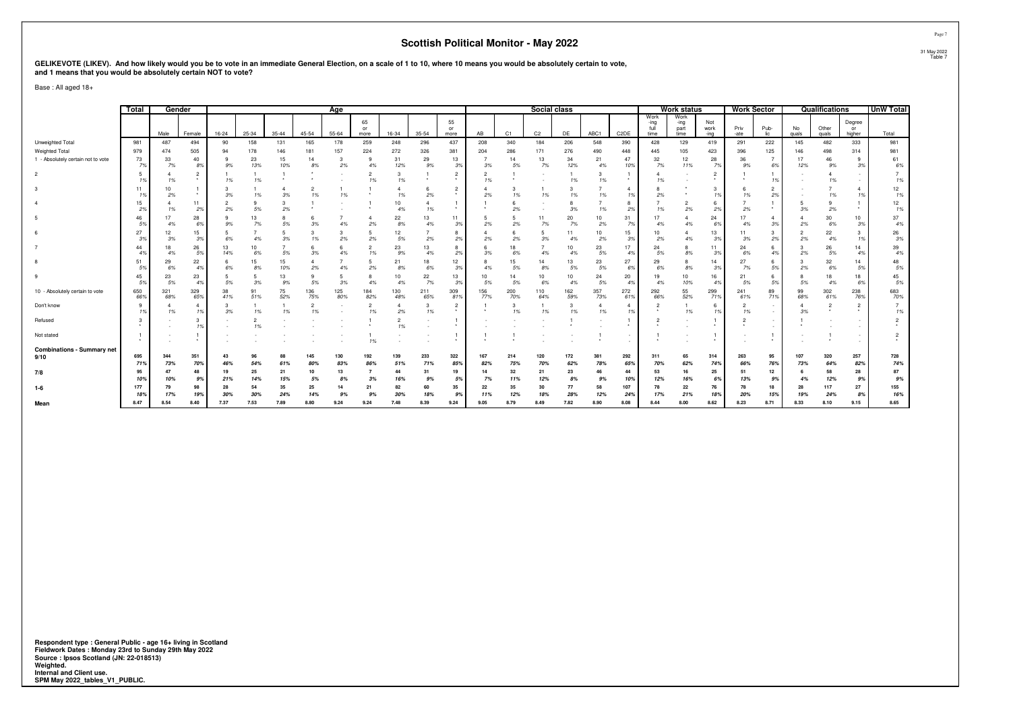# GELIKEVOTE (LIKEV). And how likely would you be to vote in an immediate General Election, on a scale of 1 to 10, where 10 means you would be absolutely certain to vote,<br>and 1 means that you would be absolutely certain NOT

Base : All aged 18+

|                                           | Total      | Gender     |            |           |           |           |                      | Age        |                      |                      |            |                      |            |            | Social class   |            |            |                   |                              | <b>Work status</b>           |                     | <b>Work Sector</b> |                      |             | <b>Qualifications</b> |                        | <b>UnW Total</b> |
|-------------------------------------------|------------|------------|------------|-----------|-----------|-----------|----------------------|------------|----------------------|----------------------|------------|----------------------|------------|------------|----------------|------------|------------|-------------------|------------------------------|------------------------------|---------------------|--------------------|----------------------|-------------|-----------------------|------------------------|------------------|
|                                           |            | Male       | Female     | $16 - 24$ | 25-34     | $35 - 44$ | 45-54                | $55 - 64$  | 65<br>or<br>more     | 16-34                | 35-54      | 55<br>or<br>more     | AB         | C1         | C <sub>2</sub> | DF         | ABC1       | C <sub>2</sub> DE | Work<br>-ing<br>full<br>time | Work<br>-ing<br>part<br>time | Not<br>work<br>-ing | Priv<br>-ate       | Pub-<br>lic.         | No<br>quals | Other<br>quals        | Degree<br>or<br>higher | Total            |
| Unweighted Total                          | 981        | 487        | 494        | 90        | 158       | 131       | 165                  | 178        | 259                  | 248                  | 296        | 437                  | 208        | 340        | 184            | 206        | 548        | 390               | 428                          | 129                          | 419                 | 291                | 222                  | 145         | 482                   | 333                    | 981              |
| <b>Weighted Total</b>                     | 979        | 474        | 505        | 94        | 178       | 146       | 181                  | 157        | 224                  | 272                  | 326        | 381                  | 204        | 286        | 171            | 276        | 490        | 448               | 445                          | 105                          | 423                 | 396                | 125                  | 146         | 498                   | 314                    | 981              |
| 1 - Absolutely certain not to vote        | 73<br>7%   | 33<br>7%   | 40<br>8%   | 9%        | 23<br>13% | 15<br>10% | 14<br>8%             | -3<br>2%   | 9<br>4%              | 31<br>12%            | 29<br>9%   | 13<br>3%             | 3%         | 14<br>5%   | 13<br>7%       | 34<br>12%  | 21<br>4%   | 47<br>10%         | 32<br>7%                     | 12<br>11%                    | 28<br>7%            | 36<br>9%           | $\overline{7}$<br>6% | 17<br>12%   | 46<br>9%              | 9<br>3%                | 61<br>6%         |
|                                           | 19         | 1%         | 2<br>۰.    | 1%        | 1%        |           |                      |            | 1%                   | 1%                   |            | $\overline{2}$<br>۰. | 1%         |            |                | 1%         | 1%         | $\star$           | 1%                           |                              | $\overline{2}$      |                    | 1%                   |             | 4<br>1%               |                        | 1%               |
|                                           | 11         | 10<br>2%   |            | 3%        | 1%        | 3%        | 1%                   | 1%         |                      |                      | 2%         | $\overline{2}$       | 2%         | 3<br>1%    | 1%             | 3<br>1%    | 1%         | -4<br>1%          | 8<br>2%                      |                              | 3<br>1%             | 1%                 | $\overline{2}$<br>2% |             | 1%                    |                        | 12<br>1%         |
|                                           | 15<br>2%   | 1%         | 11<br>2%   | 2%        | 5%        | 3<br>2%   |                      |            |                      | 10<br>4%             | 1%         |                      |            | 6<br>2%    |                | 8<br>3%    | 1%         | 8<br>2%           | 1%                           | 2%                           | 6<br>2%             | 2%                 |                      | 3%          | 9<br>2%               |                        | 12<br>1%         |
|                                           | 46<br>5%   | 4%         | 28<br>6%   | 9%        | 13<br>7%  | 5%        | 3%                   | 4%         | 2%                   | 22<br>8%             | 13<br>4%   | 11<br>3%             | 2%         | 2%         | 11<br>7%       | 20<br>7%   | 10<br>2%   | 31<br>7%          | 4%                           | 4%                           | 24<br>6%            | 4%                 | $\Delta$<br>3%       | 2%          | 30<br>6%              | 10<br>3%               | 37<br>4%         |
|                                           | 27<br>39   | 12<br>3%   | 15<br>3%   | 6%        | 4%        | 5<br>3%   | 3<br>1%              | 3<br>2%    | 2%                   | 12<br>5%             | 2%         | 8<br>2%              | 2%         | 2%         | 5<br>3%        | 11<br>4%   | 10<br>2%   | 15<br>3%          | 10<br>2%                     | 4%                           | 13<br>3%            | 11<br>3%           | 3<br>2%              | 2%          | 22<br>4%              |                        | 26<br>3%         |
|                                           | 44<br>49   | 18<br>4%   | 26<br>5%   | 13<br>14% | 10<br>6%  | 5%        | 3%                   | 4%         | 1%                   | 23<br>9%             | 13<br>4%   | 8<br>2%              | 3%         | 18<br>6%   | 4%             | 10<br>4%   | 23<br>5%   | 17<br>4%          | 24<br>5%                     | 8%                           | 11<br>3%            | 24<br>6%           | 6<br>4%              | 2%          | 26<br>5%              | 14<br>4%               | 39<br>4%         |
|                                           | 51<br>5%   | 29<br>6%   | 22<br>4%   | 6%        | 15<br>8%  | 15<br>10% | 4<br>2%              | 4%         | 2%                   | 21<br>8%             | 18<br>6%   | 12<br>3%             | 4%         | 15<br>5%   | 14<br>8%       | 13<br>5%   | 23<br>5%   | 27<br>6%          | 29<br>6%                     | 8%                           | 14<br>3%            | 27<br>7%           | 6<br>5%              | 2%          | 32<br>6%              | 14<br>5%               | 48<br>5%         |
|                                           | 45<br>5%   | 23<br>5%   | 23<br>4%   | 5%        | -5<br>3%  | 13<br>9%  | q<br>5%              | 3%         | 4%                   | 10<br>4%             | 22<br>7%   | 13<br>3%             | 5%         | 14<br>5%   | 10<br>6%       | 10<br>4%   | 24<br>5%   | 20<br>4%          | 19<br>4%                     | 10<br>10%                    | 16<br>4%            | 21<br>5%           | -6<br>5%             | 5%          | 18<br>4%              | 18<br>6%               | 45<br>5%         |
| 10 - Absolutely certain to vote           | 650<br>66% | 321<br>68% | 329<br>65% | 38<br>41% | 91<br>51% | 75<br>52% | 136<br>75%           | 125<br>80% | 184<br>82%           | 130<br>48%           | 211<br>65% | 309<br>81%           | 156<br>77% | 200<br>70% | 110<br>64%     | 162<br>59% | 357<br>73% | 272<br>61%        | 292<br>66%                   | 55<br>52%                    | 299<br>71%          | 241<br>61%         | 89<br>71%            | 99<br>68%   | 302<br>61%            | 238<br>76%             | 683<br>70%       |
| Don't know                                | 9<br>19    | 1%         | 4<br>1%    | 3%        | 1%        | 1%        | $\overline{2}$<br>1% |            | 1%                   | 2%                   | 3<br>1%    | 2                    |            | 3<br>1%    | 1%             | 3<br>1%    | 1%         | -4<br>1%          | $\overline{2}$               | 1%                           | 6<br>1%             | 1%                 |                      | 3%          |                       |                        | 1%               |
| Refused                                   |            |            | 3<br>1%    |           | 1%        |           |                      |            |                      | $\overline{2}$<br>1% |            | $\ddot{\phantom{1}}$ |            |            |                |            |            |                   |                              |                              |                     |                    |                      |             |                       |                        |                  |
| Not stated                                |            |            | $\star$    |           |           |           |                      |            | 1%                   |                      |            | $\ddot{\phantom{1}}$ |            |            |                |            |            |                   |                              |                              |                     |                    |                      |             |                       |                        | $\overline{2}$   |
| <b>Combinations - Summary net</b><br>9/10 | 695<br>71% | 344<br>73% | 351<br>70% | 43<br>46% | 96<br>54% | 61%       | 145<br>80%           | 130<br>83% | 192<br>86%           | 139<br>51%           | 233<br>71% | 322<br>85%           | 167<br>82% | 214<br>75% | 120<br>70%     | 172<br>62% | 381<br>78% | 292<br>659        | 311<br>70%                   | 65<br>62%                    | 314<br>74%          | 263<br>66%         | 95<br>76%            | 107<br>73%  | 320<br>64%            | 257<br>82%             | 728<br>74%       |
| 7/8                                       | 95<br>10%  | 47<br>10%  | 48<br>9%   | 19<br>21% | 25<br>14% | 21<br>15% | 10<br>5%             | 13<br>8%   | $\overline{7}$<br>3% | 44<br>16%            | 31<br>9%   | 19<br>5%             | 14<br>7%   | 32<br>11%  | 21<br>12%      | 23<br>8%   | 46<br>9%   | 44<br>10%         | 53<br>12%                    | 16<br>16%                    | 25<br>6%            | 51<br>13%          | 12<br>9%             | 4%          | 58<br>12%             | 28<br>9%               | 87<br>9%         |
| $1-6$                                     | 177<br>189 | 79<br>17%  | 98<br>19%  | 28<br>30% | 54<br>30% | 35<br>24% | 25<br>14%            | 14         | 21<br>9%             | 82<br>30%            | 60<br>18%  | 35<br>9%             | 22<br>11%  | 35<br>12%  | 30<br>18%      | 77<br>28%  | 58<br>12%  | 107<br>24%        | 78<br>17%                    | 22<br>21%                    | 76<br>18%           | 20%                | 18<br>15%            | 28<br>19%   | 117<br>24%            | 27<br>8%               | 155<br>16%       |
| Mean                                      | 8.47       | 8.54       | 8.40       | 7.37      | 7.53      | 7.89      | 8.80                 | 9.24       | 9.24                 | 7.48                 | 8.39       | 9.24                 | 9.05       | 8.79       | 8.49           | 7.82       | 8.90       | 8.08              | 8.44                         | 8.00                         | 8.62                | 8.23               | 8.71                 | 8.33        | 8.10                  | 9.15                   | 8.65             |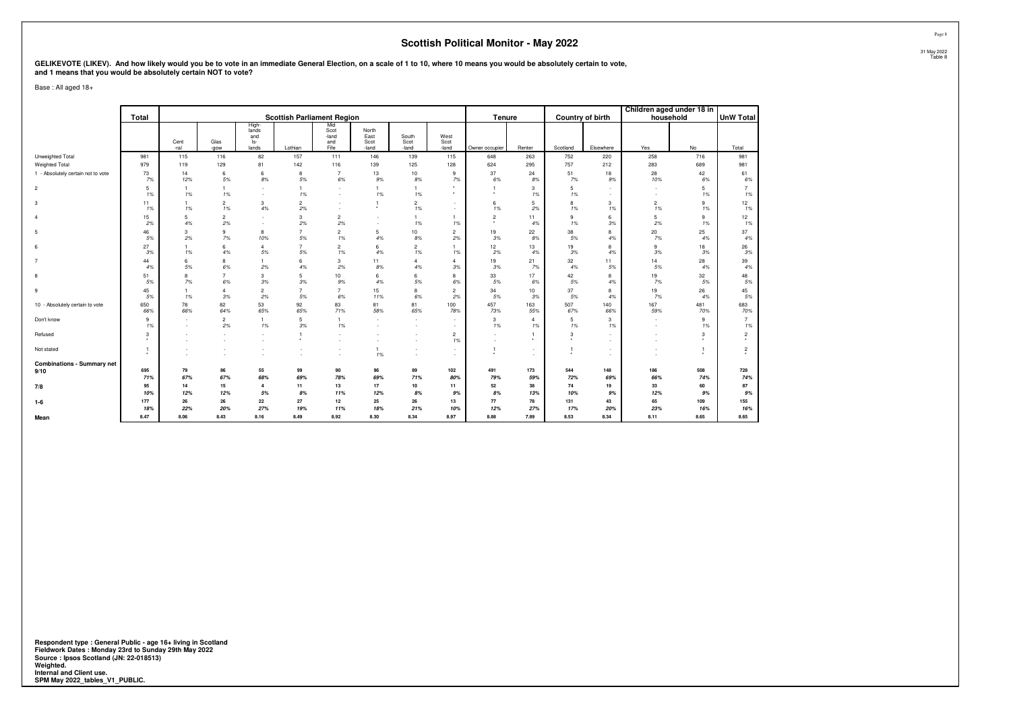# GELIKEVOTE (LIKEV). And how likely would you be to vote in an immediate General Election, on a scale of 1 to 10, where 10 means you would be absolutely certain to vote,<br>and 1 means that you would be absolutely certain NOT

Base : All aged 18+

|                                    |                                      |                      |                      |                                       |                                   |                                     |                                |                               |                       |                           |                         |                           |                  |                          | Children aged under 18 in              |                         |
|------------------------------------|--------------------------------------|----------------------|----------------------|---------------------------------------|-----------------------------------|-------------------------------------|--------------------------------|-------------------------------|-----------------------|---------------------------|-------------------------|---------------------------|------------------|--------------------------|----------------------------------------|-------------------------|
|                                    | Total                                |                      |                      |                                       | <b>Scottish Parliament Region</b> |                                     |                                |                               |                       | Tenure                    |                         |                           | Country of birth | household                |                                        | UnW Total               |
|                                    |                                      | Cent<br>-ral         | Glas<br>-gow         | High-<br>lands<br>and<br>ls-<br>lands | Lothian                           | Mid<br>Scot<br>-land<br>and<br>Fife | North<br>East<br>Scot<br>-land | South<br>Scot<br>-land        | West<br>Scot<br>-land | Owner occupier            | Renter                  | Scotland                  | Elsewhere        | Yes                      | No                                     | Total                   |
| Unweighted Total                   | 981                                  | 115                  | 116                  | 82                                    | 157                               | 111                                 | 146                            | 139                           | 115                   | 648                       | 263                     | 752                       | 220              | 258                      | 716                                    | 981                     |
| Weighted Total                     | 979                                  | 119                  | 129                  | 81                                    | 142                               | 116                                 | 139                            | 125                           | 128                   | 624                       | 295                     | 757                       | 212              | 283                      | 689                                    | 981                     |
| 1 - Absolutely certain not to vote | 73<br>7%                             | 14<br>12%            | 6<br>5%              | 6<br>$8\%$                            | 8<br>5%                           | $\overline{7}$<br>6%                | 13<br>9%                       | 10<br>8%                      | 9<br>7%               | 37<br>6%                  | 24<br>8%                | 51<br>7%                  | 18<br>9%         | 28<br>10%                | 42<br>6%                               | 61<br>6%                |
| $\overline{2}$                     | 5<br>1%                              | $\mathbf{1}$<br>1%   | $\mathbf{1}$<br>1%   | $\sim$<br>$\sim$                      | 1%                                | ÷                                   | 1%                             | $\overline{1}$<br>1%          |                       | $\star$                   | 3<br>1%                 | 5<br>1%                   | $\sim$           | $\overline{\phantom{a}}$ | 5<br>1%                                | $\overline{7}$<br>1%    |
| 3                                  | 11<br>1%                             | $\mathbf{1}$<br>1%   | $\overline{2}$<br>1% | 3<br>4%                               | $\overline{2}$<br>2%              |                                     | $\star$                        | $\overline{2}$<br>1%          | $\sim$<br>$\sim$      | 6<br>1%                   | 5<br>2%                 | 8<br>1%                   | 3<br>1%          | $\overline{c}$<br>1%     | 9<br>1%                                | 12<br>1%                |
| $\overline{4}$                     | 15<br>2%                             | 5<br>4%              | $\overline{2}$<br>2% | . п.<br>$\sim$                        | 3<br>2%                           | $\overline{2}$<br>2%                |                                | $\mathbf{1}$<br>1%            | $\mathbf{1}$<br>1%    | $\overline{2}$<br>$\star$ | 11<br>4%                | 9<br>1%                   | 6<br>3%          | 5<br>2%                  | 9<br>1%                                | 12<br>1%                |
| 5                                  | 46<br>5%                             | 3<br>2%              | 9<br>7%              | 8<br>10%                              | $\overline{7}$<br>5%              | $\overline{2}$<br>1%                | 5<br>4%                        | 10<br>8%                      | $\overline{2}$<br>2%  | 19<br>3%                  | 22<br>8%                | 38<br>5%                  | 8<br>4%          | 20<br>7%                 | 25<br>4%                               | 37<br>4%                |
| 6                                  | 27<br>3%                             | $\overline{1}$<br>1% | 6<br>4%              | $\overline{4}$<br>5%                  | $\overline{7}$<br>5%              | $\overline{2}$<br>1%                | $6 \,$<br>4%                   | $\overline{2}$<br>1%          | 1%                    | 12<br>2%                  | 13<br>4%                | 19<br>3%                  | 8<br>4%          | 9<br>3%                  | 18<br>3%                               | 26<br>$3\%$             |
| $\overline{7}$                     | 44<br>4%                             | 6<br>5%              | 8<br>6%              | $\mathbf{1}$<br>2%                    | 6<br>4%                           | 3<br>2%                             | 11<br>8%                       | $\overline{4}$<br>4%          | $\overline{4}$<br>3%  | 19<br>3%                  | 21<br>7%                | 32<br>4%                  | 11<br>5%         | 14<br>5%                 | 28<br>4%                               | 39<br>4%                |
| 8                                  | 51<br>5%                             | 8<br>7%              | $\overline{7}$<br>6% | 3<br>3%                               | 5<br>3%                           | 10<br>9%                            | 6<br>4%                        | 6<br>5%                       | 8<br>$6\%$            | 33<br>5%                  | 17<br>6%                | 42<br>5%                  | 8<br>4%          | 19<br>7%                 | 32<br>5%                               | 48<br>5%                |
| 9                                  | 45<br>5%                             | $\overline{1}$<br>1% | $\overline{4}$<br>3% | $\overline{2}$<br>2%                  | $\overline{7}$<br>5%              | $\overline{7}$<br>6%                | 15<br>11%                      | 8<br>6%                       | $\overline{2}$<br>2%  | 34<br>5%                  | 10<br>3%                | 37<br>5%                  | 8<br>4%          | 19<br>7%                 | 26<br>4%                               | 45<br>$5\%$             |
| 10 - Absolutely certain to vote    | 650<br>66%                           | 78<br>66%            | 82<br>64%            | 53<br>65%                             | 92<br>65%                         | 83<br>71%                           | 81<br>58%                      | 81<br>65%                     | 100<br>78%            | 457<br>73%                | 163<br>55%              | 507<br>67%                | 140<br>66%       | 167<br>59%               | 481<br>70%                             | 683<br>70%              |
| Don't know                         | 9<br>1%                              | ٠.<br>. п.           | $\overline{2}$<br>2% | $\mathbf{1}$<br>1%                    | 5<br>3%                           | $\mathbf{1}$<br>1%                  |                                | ٠<br>$\sim$                   | $\sim$<br>$\sim$      | 3<br>1%                   | $\overline{4}$<br>1%    | 5<br>1%                   | 3<br>1%          | $\sim$                   | 9<br>1%                                | $\overline{7}$<br>$1\%$ |
| Refused                            | 3                                    |                      |                      |                                       | $\mathbf{1}$                      |                                     |                                |                               | $\overline{2}$<br>1%  | $\sim$                    | $\mathbf{1}$<br>$\star$ | 3<br>$\ddot{\phantom{1}}$ | $\sim$           |                          | 3                                      | $\overline{2}$          |
| Not stated                         | $\mathbf{1}$<br>$\ddot{\phantom{1}}$ |                      |                      |                                       |                                   |                                     | 1%                             | $\overline{\phantom{a}}$<br>٠ | $\sim$<br>$\sim$      | $\star$                   | $\sim$<br>$\sim$        | $\ddot{\phantom{1}}$      | $\sim$           |                          | $\overline{1}$<br>$\ddot{\phantom{1}}$ | 2                       |
| <b>Combinations - Summary net</b>  | 695                                  |                      | 86                   |                                       |                                   |                                     |                                | 89                            |                       | 491                       | 173                     | 544                       | 148              |                          | 508                                    |                         |
| 9/10                               | 71%                                  | 79<br>67%            | 67%                  | 55<br>68%                             | 99<br>69%                         | 90<br>78%                           | 96<br>69%                      | 71%                           | 102<br>80%            | 79%                       | 59%                     | 72%                       | 69%              | 186<br>66%               | 74%                                    | 728<br>74%              |
| 7/8                                | 95<br>10%                            | 14<br>12%            | 15<br>12%            | $\overline{4}$<br>5%                  | 11<br>8%                          | 13<br>11%                           | 17<br>12%                      | $10\,$<br>8%                  | 11<br>9%              | 52<br>8%                  | 38<br>13%               | 74<br>10%                 | 19<br>9%         | 33<br>12%                | 60<br>9%                               | 87<br>9%                |
| $1 - 6$                            | 177<br>18%                           | 26<br>22%            | 26<br>20%            | 22<br>27%                             | 27<br>19%                         | 12<br>11%                           | 25<br>18%                      | 26<br>21%                     | 13<br>10%             | 77<br>12%                 | 78<br>27%               | 131<br>17%                | 43<br>20%        | 65<br>23%                | 109<br>16%                             | 155<br>16%              |
| Mean                               | 8.47                                 | 8.06                 | 8.43                 | 8.16                                  | 8.49                              | 8.92                                | 8.30                           | 8.34                          | 8.97                  | 8.88                      | 7.89                    | 8.53                      | 8.34             | 8.11                     | 8.65                                   | 8.65                    |

**Respondent type : General Public - age 16+ living in Scotland Fieldwork Dates : Monday 23rd to Sunday 29th May 2022 Source : Ipsos Scotland (JN: 22-018513) Weighted. Internal and Client use. SPM May 2022\_tables\_V1\_PUBLIC.**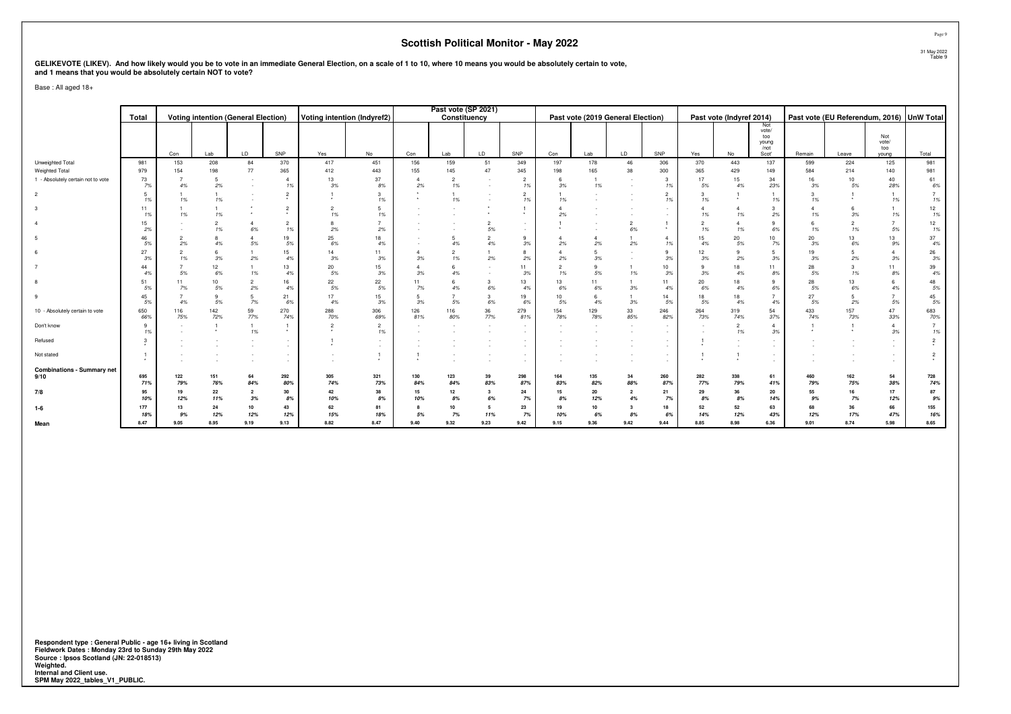# GELIKEVOTE (LIKEV). And how likely would you be to vote in an immediate General Election, on a scale of 1 to 10, where 10 means you would be absolutely certain to vote,<br>and 1 means that you would be absolutely certain NOT

Base : All aged 18+

|                                           | Total       |                       |                    | <b>Voting intention (General Election)</b> |                      | Voting intention (Indyref2) |                       |                      | Past vote (SP 2021)<br>Constituency |                                    |                      |             |                      | Past vote (2019 General Election) |                                    |             | Past vote (Indyref 2014) |                      |             |             | Past vote (EU Referendum, 2016) UnW Total |             |
|-------------------------------------------|-------------|-----------------------|--------------------|--------------------------------------------|----------------------|-----------------------------|-----------------------|----------------------|-------------------------------------|------------------------------------|----------------------|-------------|----------------------|-----------------------------------|------------------------------------|-------------|--------------------------|----------------------|-------------|-------------|-------------------------------------------|-------------|
|                                           |             |                       |                    |                                            |                      |                             |                       |                      |                                     |                                    |                      |             |                      |                                   |                                    |             |                          | Not<br>vote/         |             |             |                                           |             |
|                                           |             |                       |                    |                                            |                      |                             |                       |                      |                                     |                                    |                      |             |                      |                                   |                                    |             |                          | too<br>young<br>/not |             |             | Not<br>vote/<br>too                       |             |
|                                           |             | Con                   | Lab                | LD                                         | SNP                  | Yes                         | No                    | Con                  | Lab                                 | LD.                                | SNP                  | Con         | Lab                  | LD                                | SNP                                | Yes         | No                       | Scot'                | Remain      | Leave       | vouna                                     | Total       |
| Unweighted Total                          | 981         | 153                   | 208                | 84                                         | 370                  | 417                         | 451                   | 156                  | 159                                 | 51                                 | 349                  | 197         | 178                  | 46                                | 306                                | 370         | 443                      | 137                  | 599         | 224         | 125                                       | 981         |
| Weighted Total                            | 979         | 154<br>$\overline{7}$ | 198                | 77                                         | 365                  | 412                         | 443                   | 155                  | 145                                 | 47                                 | 345                  | 198         | 165                  | 38                                | 300                                | 365         | 429                      | 149                  | 584         | 214         | 140                                       | 981         |
| 1 - Absolutely certain not to vote        | 73<br>7%    | 4%                    | 5<br>2%            | $\sim$                                     | $\overline{4}$<br>1% | 13<br>3%                    | 37<br>8%              | $\overline{4}$<br>2% | $\overline{2}$<br>1%                | $\overline{\phantom{a}}$<br>$\sim$ | $\overline{2}$<br>1% | -6<br>3%    | $\overline{1}$<br>1% |                                   | 3<br>1%                            | 17<br>5%    | 15<br>4%                 | 34<br>23%            | 16<br>3%    | 10<br>5%    | 40<br>28%                                 | 61<br>6%    |
| $\overline{2}$                            | 5<br>1%     | 1%                    | 1%                 |                                            | $\overline{2}$       |                             | $\mathbf{3}$<br>1%    |                      | 1%                                  |                                    | $\overline{2}$<br>1% | 1%          |                      |                                   | $\overline{c}$<br>1%               | 1%          |                          | 1%                   | 1%          |             | 1%                                        | 1%          |
|                                           | 11<br>1%    | 1%                    | 1%                 |                                            | $\overline{2}$       | $\overline{2}$<br>1%        | $5\phantom{.0}$<br>1% |                      |                                     |                                    |                      | 2%          |                      |                                   |                                    | 1%          | $\overline{4}$<br>1%     | 3<br>2%              | 1%          | 3%          | 1%                                        | 12<br>1%    |
|                                           | 15<br>2%    |                       | 1%                 | $\overline{4}$<br>6%                       | $\overline{2}$<br>1% | 8<br>2%                     | $\overline{7}$<br>2%  |                      |                                     | 5%                                 | $\sim$<br>$\sim$     |             |                      | $\overline{2}$<br>6%              | $\star$                            | 1%          | $\overline{4}$<br>1%     | 9<br>6%              | 1%          | 1%          | $\overline{7}$<br>5%                      | 12<br>1%    |
| -5                                        | 46<br>5%    | 2%                    | 4%                 | $5\%$                                      | 19<br>5%             | 25<br>6%                    | 18<br>4%              |                      | 4%                                  | 4%                                 | 9<br>3%              | 2%          | $2\%$                | 2%                                | 4<br>1%                            | 15<br>4%    | 20<br>5%                 | 10<br>7%             | 20<br>3%    | 6%          | 13<br>9%                                  | 37<br>4%    |
|                                           | 27<br>3%    | 1%                    | 3%                 | 2%                                         | 15<br>4%             | 14<br>3%                    | 11<br>3%              | 3%                   | $\overline{2}$<br>1%                | 2%                                 | 8<br>$2\%$           | 2%          | 5<br>3%              |                                   | 9<br>3%                            | 12<br>3%    | 9<br>2%                  | 5<br>3%              | 19<br>3%    | 2%          | $\overline{4}$<br>3%                      | 26<br>3%    |
|                                           | 44<br>4%    | 5%                    | 12<br>6%           | 1%                                         | 13<br>4%             | 20<br>5%                    | 15<br>3%              | $\Delta$<br>3%       | 4%                                  |                                    | 11<br>3%             | 1%          | 9<br>5%              | 1%                                | 10<br>3%                           | 3%          | 18<br>4%                 | 11<br>8%             | 28<br>5%    | 1%          | 11<br>8%                                  | 39<br>4%    |
|                                           | 51<br>5%    | 11<br>7%              | 10<br>5%           | $\overline{2}$<br>2%                       | 16<br>4%             | 22<br>5%                    | 22<br>$5\%$           | 11<br>7%             | 4%                                  | 6%                                 | 13<br>4%             | 13<br>$6\%$ | 11<br>6%             | 3%                                | 11<br>4%                           | 20<br>6%    | 18<br>4%                 | 9<br>6%              | 28<br>5%    | 13<br>6%    | 6<br>4%                                   | 48<br>5%    |
|                                           | 45<br>5%    | 4%                    | $\mathbf{q}$<br>5% | 5 <sup>5</sup><br>7%                       | 21<br>6%             | 17<br>4%                    | 15<br>3%              | 5<br>3%              | $\overline{7}$<br>5%                | 3<br>6%                            | 19<br>6%             | 10<br>5%    | 6<br>4%              | 3%                                | 14<br>5%                           | 18<br>5%    | 18<br>4%                 | $\overline{7}$<br>4% | 27<br>5%    | 2%          | $\overline{7}$<br>5%                      | 45<br>5%    |
| 10 - Absolutely certain to vote           | 650<br>66%  | 116<br>75%            | 142<br>72%         | 59<br>77%                                  | 270<br>74%           | 288<br>70%                  | 306<br>69%            | 126<br>81%           | 116<br>80%                          | 36<br>77%                          | 279<br>81%           | 154<br>78%  | 129<br>78%           | 33<br>85%                         | 246<br>82%                         | 264<br>73%  | 319<br>74%               | 54<br>37%            | 433<br>74%  | 157<br>73%  | 47<br>33%                                 | 683<br>70%  |
| Don't know                                | 9<br>1%     |                       |                    | $\mathbf{1}$<br>1%                         |                      | $\overline{2}$              | $\overline{2}$<br>1%  |                      |                                     |                                    | $\sim$<br>$\sim$     |             |                      |                                   | $\sim$<br>$\sim$                   |             | $\overline{2}$<br>1%     | $\overline{4}$<br>3% |             |             | $\overline{4}$<br>3%                      | 1%          |
| Refused                                   | 3           |                       |                    |                                            |                      |                             | $\sim$                |                      |                                     |                                    |                      |             |                      |                                   | $\sim$                             |             |                          |                      |             |             | $\sim$                                    |             |
| Not stated                                |             |                       |                    |                                            |                      |                             | $\ddot{\phantom{1}}$  |                      |                                     |                                    | $\sim$               |             |                      |                                   | $\overline{\phantom{a}}$<br>$\sim$ |             |                          |                      |             |             | $\sim$                                    |             |
| <b>Combinations - Summary net</b><br>9/10 | 695         | 122                   | 151                | 64                                         | 292                  | 305                         | 321                   | 130                  | 123                                 | 39                                 | 298                  | 164         | 135                  | 34                                | 260                                | 282         | 338                      | 61                   | 460         | 162         | 54                                        | 728         |
|                                           | 71%         | 79%                   | 76%                | 84%                                        | 80%                  | 74%                         | 73%                   | 84%                  | 84%                                 | 83%                                | 87%                  | 83%         | 82%                  | 88%                               | 87%                                | 77%         | 79%                      | 41%                  | 79%         | 75%         | 38%                                       | 74%         |
| 7/8                                       | 95<br>10%   | 19<br>12%             | 22<br>11%          | $\overline{2}$<br>3%                       | 30<br>8%             | 42<br>10%                   | 38<br>$8\%$           | 15<br>10%            | 12<br>8%                            | 3<br>6%                            | 24<br>7%             | 15<br>8%    | 20<br>12%            | $\overline{2}$<br>4%              | 21<br>7%                           | 29<br>8%    | 36<br>8%                 | 20<br>14%            | 55<br>9%    | 16<br>7%    | 17<br>12%                                 | 87<br>$9\%$ |
| $1-6$                                     | 177         | 13                    | 24                 | 10                                         | 43                   | 62                          | 81                    |                      | 10                                  | 5                                  | 23                   | 19          | 10                   | -3                                | 18                                 | 52          | 52                       | 63                   | 68          | 36          | 66                                        | 155         |
| Mean                                      | 18%<br>8.47 | 9%<br>9.05            | 12%<br>8.95        | 12%<br>9.19                                | 12%<br>9.13          | 15%<br>8.82                 | 18%<br>8.47           | 5%<br>9.40           | 7%<br>9.32                          | 11%<br>9.23                        | 7%<br>9.42           | 10%<br>9.15 | 6%<br>9.36           | 9.42                              | 6%<br>9.44                         | 14%<br>8.85 | 12%<br>8.98              | 43%<br>6.36          | 12%<br>9.01 | 17%<br>8.74 | 47%<br>5.98                               | 16%<br>8.65 |
|                                           |             |                       |                    |                                            |                      |                             |                       |                      |                                     |                                    |                      |             |                      |                                   |                                    |             |                          |                      |             |             |                                           |             |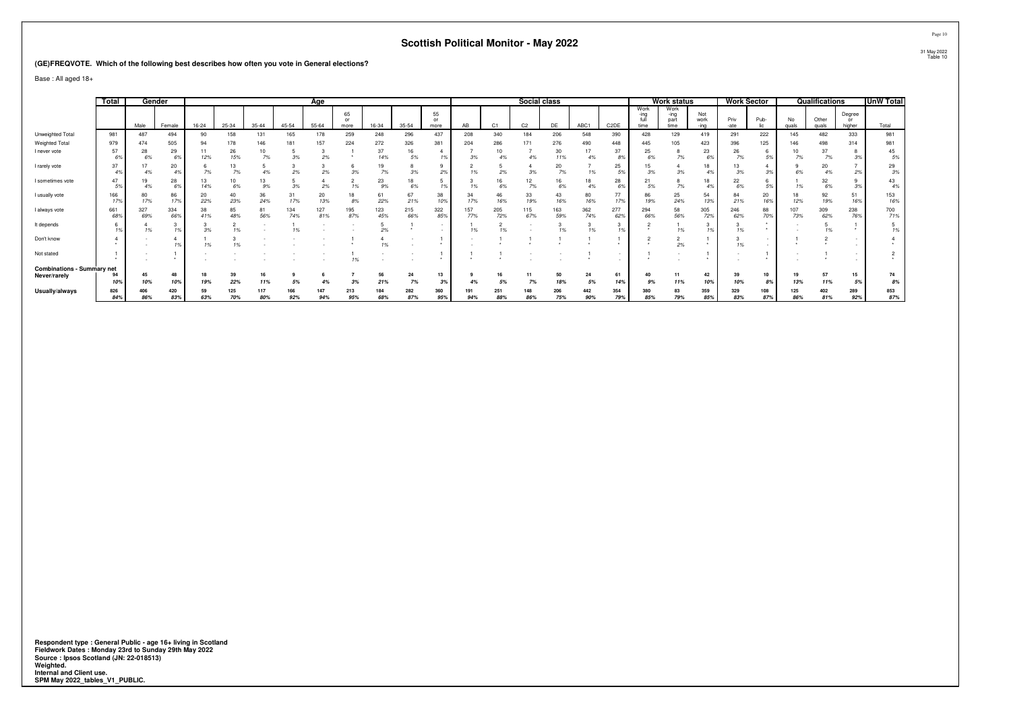#### **(GE)FREQVOTE. Which of the following best describes how often you vote in General elections?**

Base : All aged 18+

|                                   | Total      |            | Gender     |           |           |           |            | Age        |                  |            |             |                  |            |                | Social class   |            |            |                   |                              | Work status                  |                     | <b>Work Sector</b> |           |             | Qualifications |                        | UnW Total  |
|-----------------------------------|------------|------------|------------|-----------|-----------|-----------|------------|------------|------------------|------------|-------------|------------------|------------|----------------|----------------|------------|------------|-------------------|------------------------------|------------------------------|---------------------|--------------------|-----------|-------------|----------------|------------------------|------------|
|                                   |            | Male       | Female     | $16 - 24$ | 25-34     | $35 - 44$ | $45 - 54$  | $55 - 64$  | 65<br>or<br>more | 16-34      | 35-54       | 55<br>or<br>more | AB         | C <sub>1</sub> | C <sub>2</sub> | DE         | ABC1       | C <sub>2</sub> DE | Work<br>-ing<br>full<br>time | Work<br>-ing<br>part<br>time | Not<br>work<br>-ino | Priv<br>-ate       | Pub-      | No<br>quals | Other<br>quals | Degree<br>or<br>higher | Total      |
| Unweighted Total                  | 981        | 487        | 494        |           | 158       | 131       | 165        | 178        | 259              | 248        | 296         | 437              | 208        | 340            | 184            | 206        | 548        | 390               | 428                          | 129                          | 419                 | 291                | 222       | 145         | 482            | 333                    | 981        |
| Weighted Total                    | 979        | 474        | 505        |           | 178       | 146       | 181        | 157        | 224              | 272        | 326         | 381              | 204        | 286            | 171            | 276        | 490        | 448               | 445                          | 105                          | 423                 | 396                | 125       | 146         | 498            | 314                    | 981        |
| I never vote                      | 57<br>6%   | 28<br>6%   | 29<br>6%   | 12%       | 26<br>15% | 10<br>7%  | 3%         | 2%         |                  | 37<br>14%  | 16<br>5%    | 1%               | 3%         | 10<br>4%       | 4%             | 30<br>11%  | 4%         | 37<br>8%          | 25<br>6%                     | 7%                           | 23<br>6%            | 26<br>7%           | 5%        | 7%          | 37<br>7%       |                        | 45<br>5%   |
| I rarely vote                     | 37<br>4%   |            | 20<br>4%   | 7%        | 13<br>7%  | 4%        | 2%         | 2%         | 3%               | 19<br>7%   | 3%          | 2%               |            | 2%             | 3%             | 20<br>7%   |            | 25<br>5%          | 15<br>3%                     | 3%                           | 18                  | 13<br>3%           | 3%        |             | 20<br>4%       | 2%                     | 29<br>3%   |
| I sometimes vote                  | 47<br>.5%  | 19<br>4%   | 28<br>6%   | 13<br>14% | 10<br>6%  | 13<br>9%  | 3%         | 2%         |                  | 23<br>9%   | 18<br>$6\%$ | 1%               |            | 16<br>6%       | 7%             | 16<br>6%   |            | 28                | 21<br>5%                     | 7%                           | 18                  | 22<br>6%           |           |             | 32<br>$6\%$    | .3%                    | 43<br>4%   |
| I usually vote                    | 166<br>17% | 80<br>17%  | 86<br>17%  | 20<br>22% | 40<br>23% | 36<br>24% | 31<br>17%  | 20<br>13%  | 18<br>8%         | 61<br>22%  | 67<br>21%   | 38<br>10%        | 34<br>17%  | 46<br>16%      | 33<br>19%      | 43<br>16%  | 80<br>16%  | 77<br>17%         | 86<br>19%                    | 25<br>24%                    | 54<br>13%           | 84<br>21%          | 20<br>16% | 18<br>12%   | 92<br>19%      | 51<br>16%              | 153<br>16% |
| I always vote                     | 661<br>68% | 327<br>69% | 334<br>66% | 38<br>41% | 85<br>48% | 81<br>56% | 134<br>74% | 127<br>81% | 195<br>87%       | 123<br>45% | 215<br>66%  | 322<br>85%       | 157<br>77% | 205<br>72%     | 115<br>67%     | 163<br>59% | 362<br>74% | 277<br>62%        | 294<br>66%                   | 58<br>56%                    | 305<br>72%          | 246<br>62%         | 88<br>70% | 107<br>73%  | 309<br>62%     | 238<br>76%             | 700<br>71% |
| It depends                        |            | 1%         |            | 3%        |           |           |            |            |                  | 2%         |             |                  |            |                |                |            | 1%         |                   |                              | 1%                           |                     |                    |           |             | 1%             |                        |            |
| Don't know                        |            |            |            | 1%        |           |           |            |            |                  | 1%         |             |                  |            |                |                |            |            |                   |                              | $\sim$<br>∠<br>2%            |                     | 1%                 |           |             |                |                        |            |
| Not stated                        |            |            |            |           |           |           |            |            |                  |            |             |                  |            |                |                |            |            |                   |                              |                              |                     |                    |           |             |                |                        |            |
| <b>Combinations - Summary net</b> |            |            |            |           |           |           |            |            |                  |            |             |                  |            |                |                |            |            |                   |                              |                              |                     |                    |           |             |                |                        |            |
| Never/rarely                      | 10%        | 45<br>10%  | 48<br>10%  | 19%       | 39<br>22% | 11%       | 5%         |            |                  | 56<br>21%  | 24<br>7%    | 13<br>3%         |            | 5%             | 7%             | 50<br>18%  | 5%         | 61<br>14%         | 9%                           | 11<br>11%                    | 42<br>10%           | 39<br>10%          | 10<br>8%  | 19<br>13%   | 57<br>11%      | 15<br>5%               | 74<br>8%   |
| Usually/always                    | 826        | 406        | 420        | 59        | 125       | 117       | 166        | 147        | 213              | 184        | 282         | 360              | 191        | 251            | 148            | 206        | 442        | 354               | 380                          | 83                           | 359                 | 329                | 108       | 125         | 402            | 289                    | 853        |
|                                   | 84%        | 86%        | 83%        | 63%       | 70%       | 80%       | 92%        | 94%        | 95%              | 68%        | 87%         | 95%              | 94%        | 88%            | 86%            | 75%        | 90%        | 79%               | 85%                          | 79%                          | 85%                 | 83%                | 87%       | 86%         | 81%            | 92%                    | 87%        |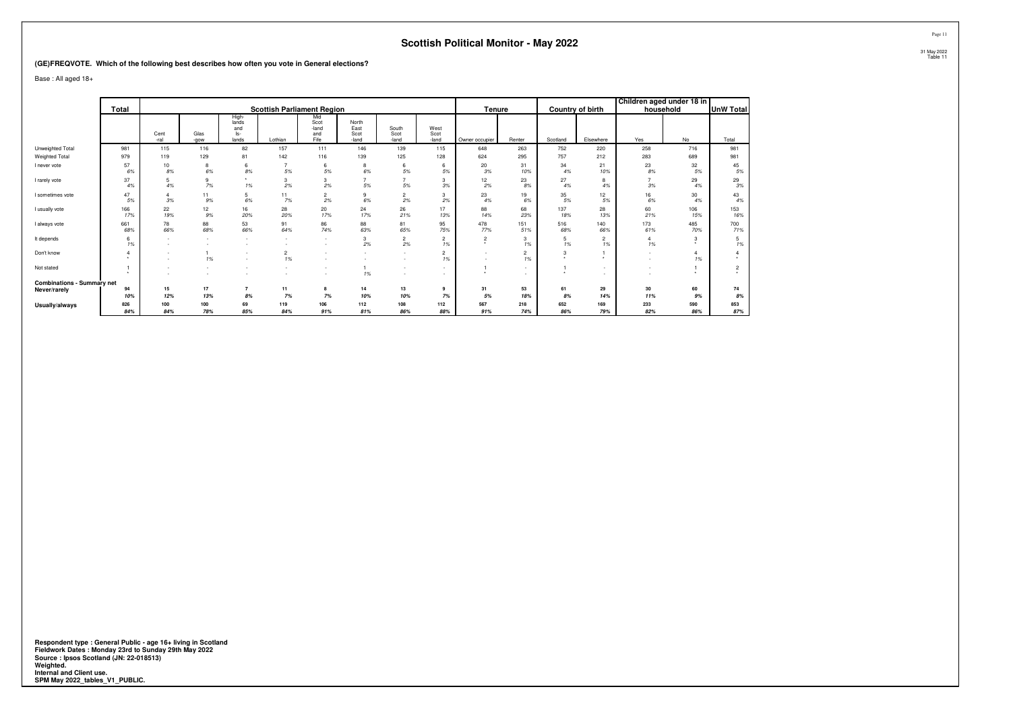**(GE)FREQVOTE. Which of the following best describes how often you vote in General elections?**

Base : All aged 18+

|                                   |            |           |           |                              |                                   |                             |                       |                               |                      |                |                      |            |                      | Children aged under 18 in |            |                  |
|-----------------------------------|------------|-----------|-----------|------------------------------|-----------------------------------|-----------------------------|-----------------------|-------------------------------|----------------------|----------------|----------------------|------------|----------------------|---------------------------|------------|------------------|
|                                   | Total      |           |           |                              | <b>Scottish Parliament Region</b> |                             |                       |                               |                      | Tenure         |                      |            | Country of birth     | household                 |            | <b>UnW Total</b> |
|                                   |            | Cent      | Glas      | High-<br>lands<br>and<br>ls- |                                   | Mid<br>Scot<br>-land<br>and | North<br>East<br>Scot | South<br>Scot                 | West<br>Scot         |                |                      |            |                      |                           |            |                  |
|                                   |            | -ral      | -gow      | lands                        | Lothian                           | Fife                        | -land                 | -land                         | -land                | Owner occupier | Renter               | Scotland   | Elsewhere            | Yes                       | No         | Total            |
| Unweighted Total                  | 981        | 115       | 116       | 82                           | 157                               | 111                         | 146                   | 139                           | 115                  | 648            | 263                  | 752        | 220                  | 258                       | 716        | 981              |
| Weighted Total                    | 979        | 119       | 129       | 81                           | 142                               | 116                         | 139                   | 125                           | 128                  | 624            | 295                  | 757        | 212                  | 283                       | 689        | 981              |
| I never vote                      | 57<br>6%   | 10<br>8%  | 8<br>6%   | 6<br>8%                      | $\overline{7}$<br>5%              | 6<br>5%                     | 8<br>6%               | 6<br>5%                       | 5%                   | 20<br>3%       | 31<br>10%            | 34<br>4%   | 21<br>10%            | 23<br>8%                  | 32<br>5%   | 45<br>5%         |
| I rarely vote                     | 37<br>4%   | 5<br>4%   | 9<br>7%   | 1%                           | 3<br>2%                           | 3<br>2%                     | $\rightarrow$<br>5%   | 5%                            | 3<br>3%              | 12<br>2%       | 23<br>8%             | 27<br>4%   | 8<br>4%              | $\overline{7}$<br>3%      | 29<br>4%   | 29<br>3%         |
| I sometimes vote                  | 47<br>5%   | 3%        | 11<br>9%  | 5<br>6%                      | 11<br>7%                          | $\overline{c}$<br>2%        | 9<br>6%               | $\overline{\mathbf{c}}$<br>2% | 3<br>2%              | 23<br>4%       | 19<br>6%             | 35<br>5%   | 12<br>5%             | 16<br>6%                  | 30<br>4%   | 43<br>4%         |
| I usually vote                    | 166<br>17% | 22<br>19% | 12<br>9%  | 16<br>20%                    | 28<br>20%                         | 20<br>17%                   | 24<br>17%             | 26<br>21%                     | 17<br>13%            | 88<br>14%      | 68<br>23%            | 137<br>18% | 28<br>13%            | 60<br>21%                 | 106<br>15% | 153<br>16%       |
| I always vote                     | 661<br>68% | 78<br>66% | 88<br>68% | 53<br>66%                    | 91<br>64%                         | 86<br>74%                   | 88<br>63%             | 81<br>65%                     | 95<br>75%            | 478<br>77%     | 151<br>51%           | 516<br>68% | 140<br>66%           | 173<br>61%                | 485<br>70% | 700<br>71%       |
| It depends                        | 6<br>1%    |           | $\sim$    | $\sim$                       |                                   |                             | 3<br>2%               | $\overline{2}$<br>2%          | $\overline{2}$<br>1% | $\sim$         | 3<br>1%              | 5<br>1%    | $\overline{2}$<br>1% | 4<br>1%                   | 3          | 1%               |
| Don't know                        | ٠          |           | 1%        | ٠                            | $\overline{\mathbf{c}}$<br>1%     |                             |                       |                               | $\overline{2}$<br>1% |                | $\overline{2}$<br>1% | 3          |                      |                           | 1%         |                  |
| Not stated                        |            |           |           | $\sim$                       |                                   |                             | 1%                    |                               |                      |                | $\sim$               |            | $\sim$               |                           |            | $\overline{2}$   |
| <b>Combinations - Summary net</b> |            |           |           |                              |                                   |                             |                       |                               |                      |                |                      |            |                      |                           |            |                  |
| Never/rarely                      | 94         | 15        | 17        | $\overline{7}$               | 11                                | 8                           | 14                    | 13                            | 9                    | 31             | 53                   | 61         | 29                   | 30                        | 60         | 74               |
|                                   | 10%        | 12%       | 13%       | 8%                           | 7%                                | 7%                          | 10%                   | 10%                           | 7%                   | 5%             | 18%                  | 8%         | 14%                  | 11%                       | 9%         | 8%               |
| Usually/always                    | 826        | 100       | 100       | 69                           | 119                               | 106                         | 112                   | 108                           | 112                  | 567            | 218                  | 652        | 169                  | 233                       | 590        | 853              |
|                                   | 84%        | 84%       | 78%       | 85%                          | 84%                               | 91%                         | 81%                   | 86%                           | 88%                  | 91%            | 74%                  | 86%        | 79%                  | 82%                       | 86%        | 87%              |

Respondent type : General Public - age 16+ living in Scotland<br>Fieldwork Dates : Monday 23rd to Sunday 29th May 2022<br>Source : Ipsos Scotland (JN: 22-018513)<br>Weighted.<br>Internal and Client use.<br>SPM May 2022\_tables\_V1\_PUBLIC.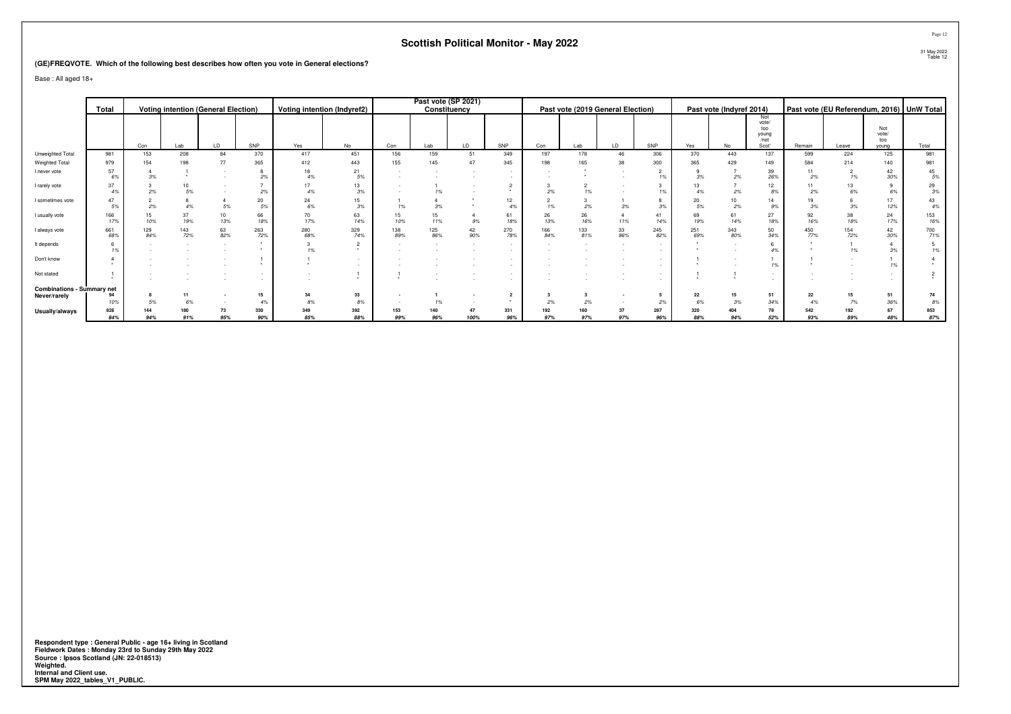**(GE)FREQVOTE. Which of the following best describes how often you vote in General elections?**

Base : All aged 18+

|                                   | Total      |            |            | <b>Voting intention (General Election)</b> |            |            | Voting intention (Indyref2) |            | Past vote (SP 2021) | Constituency                |            |            |            | Past vote (2019 General Election) |            |            | Past vote (Indyref 2014) |                                               |            |            |                              | Past vote (EU Referendum, 2016) UnW Total |
|-----------------------------------|------------|------------|------------|--------------------------------------------|------------|------------|-----------------------------|------------|---------------------|-----------------------------|------------|------------|------------|-----------------------------------|------------|------------|--------------------------|-----------------------------------------------|------------|------------|------------------------------|-------------------------------------------|
|                                   |            |            |            |                                            |            |            |                             |            |                     |                             |            |            |            |                                   |            |            |                          |                                               |            |            |                              |                                           |
|                                   |            | Con        | Lab        | LD                                         | SNP        | Yes        | No                          | Con        | Lab                 | LD                          | SNP        | Con        | Lab        | LD                                | SNP        | Yes        | No                       | Not<br>vote/<br>too<br>young<br>/not<br>Scot' | Remain     | Leave      | Not<br>vote/<br>too<br>vouna | Total                                     |
| Unweighted Total                  | 981        | 153        | 208        | 84                                         | 370        | 417        | 451                         | 156        | 159                 | 51                          | 349        | 197        | 178        | 46                                | 306        | 370        | 443                      | 137                                           | 599        | 224        | 125                          | 981                                       |
| Weighted Total                    | 979        | 154        | 198        | 77                                         | 365        | 412        | 443                         | 155        | 145                 | 47                          | 345        | 198        |            | 38                                | 300        | 365        | 429                      | 149                                           | 584        | 214        | 140                          | 981                                       |
| I never vote                      | 57<br>6%   | 3%         |            |                                            | 29         | 18<br>4%   | 21<br>5%                    |            |                     |                             |            |            |            |                                   |            | 3%         | 2%                       | 39<br>26%                                     | 2%         |            | 42<br>30%                    | 45<br>5%                                  |
| I rarely vote                     | 37<br>4%   | 2%         | 5%         |                                            |            | 17<br>4%   | 13<br>3%                    |            | 1%                  |                             |            | 2%         |            |                                   |            | 13<br>4%   | 2%                       | 12<br>8%                                      | 2%         | 6%         | 6%                           | 29<br>3%                                  |
| I sometimes vote                  | 47<br>5%   | 2%         |            | 5%                                         | 20<br>5%   | 24<br>6%   | 15<br>3%                    | 1%         | 3%                  |                             | 12<br>4%   | 1%         | 2%         | 3%                                |            | 20<br>5%   | 2%                       | 9%                                            | 3%         |            | 17<br>12%                    | 43<br>$4\%$                               |
| I usually vote                    | 166<br>17% | 15<br>10%  | 37<br>19%  | 10<br>13%                                  | 66<br>189  | 70<br>17%  | 63<br>14%                   | 15<br>10%  | 15<br>11%           | $9\%$                       | 61<br>18%  | 26<br>13%  | 26<br>16%  | $\overline{4}$<br>11%             | 41<br>14%  | 69<br>19%  | 61<br>14%                | 27<br>18%                                     | 92<br>16%  | 38<br>18%  | 24<br>17%                    | 153<br>16%                                |
| I always vote                     | 661<br>68% | 129<br>84% | 143<br>72% | 63<br>82%                                  | 263<br>72% | 280<br>68% | 329<br>74%                  | 138<br>89% | 125<br>86%          | $^{42}_{\scriptstyle 90\%}$ | 270<br>78% | 166<br>84% | 133<br>81% | $\frac{33}{86\%}$                 | 245<br>82% | 251<br>69% | 343<br>80%               | 50<br>34%                                     | 450<br>77% | 154<br>72% | 42<br>30%                    | 700<br>71%                                |
| It depends                        | 1%         |            |            |                                            |            | 1%         |                             |            |                     |                             | $\sim$     |            |            | $\sim$                            |            |            |                          | 4%                                            |            |            | 3%                           | 1%                                        |
| Don't know                        |            |            |            |                                            |            |            |                             |            |                     |                             |            |            |            |                                   |            |            |                          | 1%                                            |            |            | 1%                           |                                           |
| Not stated                        |            |            |            |                                            |            |            |                             |            |                     |                             |            |            |            |                                   |            |            |                          |                                               |            |            |                              |                                           |
| <b>Combinations - Summary net</b> |            |            |            |                                            |            |            |                             |            |                     |                             |            |            |            |                                   |            |            |                          |                                               |            |            |                              |                                           |
| Never/rarely                      | 94         |            |            |                                            | 15         | 34         | 33                          |            |                     |                             |            |            |            |                                   |            | 22         |                          | 51                                            | 22         |            | 51                           | 74                                        |
|                                   | 10%        | 5%         | 6%         |                                            |            | 8%         | 8%                          |            |                     |                             |            | 2%         |            |                                   |            | 6%         | 3%                       | 34%                                           | 4%         | 7%         | 36%                          | 8%                                        |
| Usually/always                    | 826<br>84% | 144<br>94% | 180<br>91% | 73<br>95%                                  | 330<br>90% | 349<br>85% | 392<br>88%                  | 153<br>99% | 140<br>96%          | 47<br>100%                  | 331<br>96% | 192<br>97% | 97%        | 37<br>97%                         | 287<br>96% | 320<br>88% | 94%                      | 78<br>52%                                     | 542<br>93% | 192<br>89% | 67<br>48%                    | 853<br>87%                                |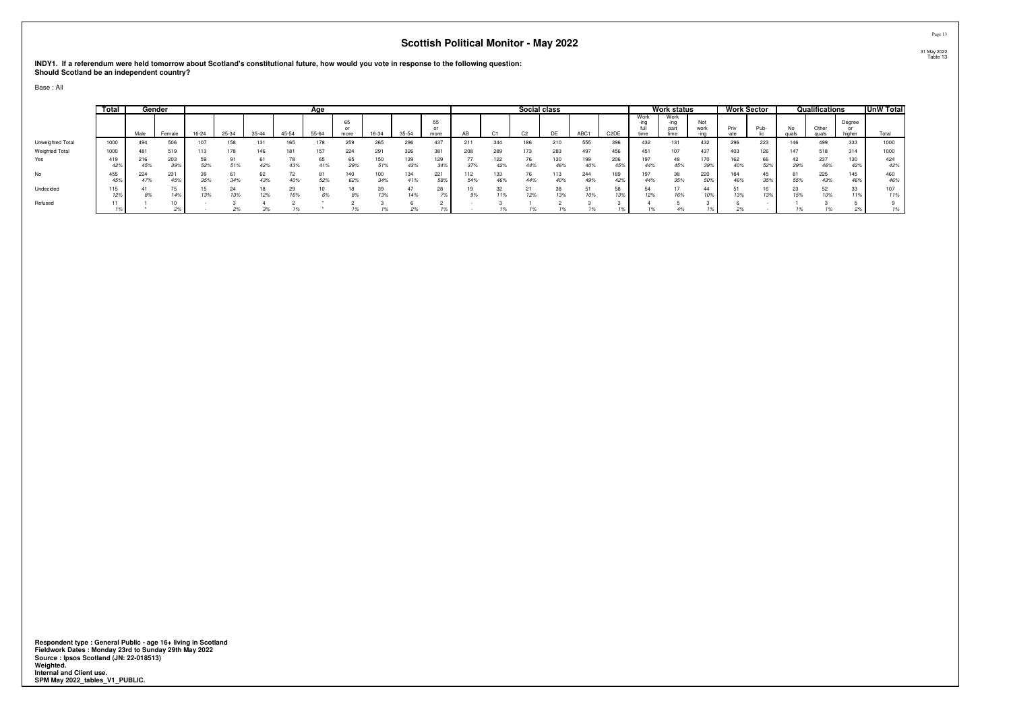**INDY1. If a referendum were held tomorrow about Scotland's constitutional future, how would you vote in response to the following question: Should Scotland be an independent country?**

Base : All

|                  | Total      |      | Gender     |           |       |           |       | Age       |            |            |            |            |            |            | Social class   |            |                                |                               |                         | <b>Work status</b>           |             |              | <b>Work Sector</b> |           | Qualifications |                  | <b>UnW Total</b> |
|------------------|------------|------|------------|-----------|-------|-----------|-------|-----------|------------|------------|------------|------------|------------|------------|----------------|------------|--------------------------------|-------------------------------|-------------------------|------------------------------|-------------|--------------|--------------------|-----------|----------------|------------------|------------------|
|                  |            | Male | Female     | $16 - 24$ | 25-34 | $35 - 44$ | 45-54 | $55 - 64$ | 65<br>more | 16-34      | $35 - 54$  | 55<br>more |            |            | C <sub>2</sub> | DE         | ADC <sub>3</sub><br><b>ABU</b> | C <sub>2</sub> D <sub>E</sub> | Work<br>$-$ ing<br>time | Work<br>-ina<br>part<br>time | Not<br>work | Priv<br>-ate | Pub                | No.       | Other<br>quals | Degree<br>higher |                  |
| Unweighted Total | 1000       |      | 506        | 107       | 158   | 131       | 165   | 178       | 259        | 265        | 296        | 437        | 211        | 344        | 186            |            | 555                            | nne.                          | 432                     | 131                          | 432         | 296          | 223                | 146       | 499            | 333              | 1000             |
| Weighted Total   | 1000       |      | 519        |           | 178   | 146       | 181   | 157       | 224        | 291        | 326        | 381        | 208        | 289        |                | 283        | 497                            |                               | $45^\circ$              | 107                          | 437         | 403          | 126                | 147       | 518            | 314              | 1000             |
| Yes              | 419<br>42% | 45%  | 203<br>39% | 52%       | 51%   | 42%       | 43%   | 65<br>41% | 65<br>29%  | 150<br>51% | 139<br>43% | 129<br>34% |            | 122<br>42% | 44%            | 130<br>46% | 199<br>40%                     | 206<br>45%                    | 44%                     | 48<br>45%                    | 170         | 162<br>40%   | 66<br>52%          | 29%       | 237<br>46%     | 130<br>42%       | 424<br>42%       |
| No               | 455<br>45% | 4/%  | 231<br>45% | 35%       | 34%   | 43%       |       | 52%       | 140<br>62% | 100<br>34% | 134<br>41% | 221<br>58% | 112<br>54% | 133<br>46% | 44%            | 40%        | 244<br>49%                     | 42%                           | 44%                     | 38<br>35%                    | 220         | 184<br>46%   |                    | 55%       | 225<br>43%     | 145<br>46%       | 460<br>46%       |
| Undecided        | 115<br>127 | 8%   | 14%        | 13%       | 13%   | 12%       | 16%   | 6%        | 18<br>oo   | າດ<br>13%  | 14%        | 28         | 9%         | 11%        | 12%            | 38<br>13%  | 10%                            | co.<br>13%                    | 12%                     | 16%                          | 44          | 13%          | 13%                | 23<br>15% | co.<br>10%     | $\mathcal{A}$    | 107<br>11%       |
| Refused          | 11         |      | 2%         |           |       |           |       |           |            |            | 2%         |            |            |            |                |            |                                |                               |                         |                              |             |              |                    |           |                | $\epsilon$ /0    | 1%               |

**Respondent type : General Public - age 16+ living in Scotland Fieldwork Dates : Monday 23rd to Sunday 29th May 2022 Source : Ipsos Scotland (JN: 22-018513) Weighted. Internal and Client use. SPM May 2022\_tables\_V1\_PUBLIC.**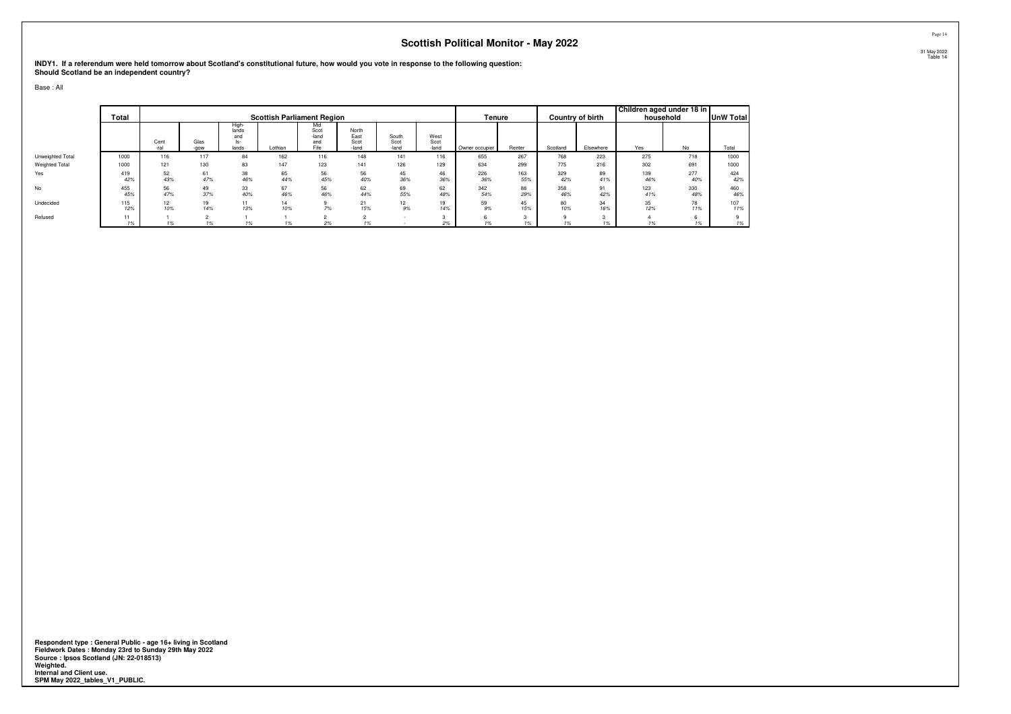**INDY1. If a referendum were held tomorrow about Scotland's constitutional future, how would you vote in response to the following question: Should Scotland be an independent country?**

Base : All

|                       | Total      |               |              |                                       | <b>Scottish Parliament Region</b> |                                     |                                |                        |                       | Tenure         |            |            | Country of birth | Children aged under 18 in | household  | <b>UnW Total</b> |
|-----------------------|------------|---------------|--------------|---------------------------------------|-----------------------------------|-------------------------------------|--------------------------------|------------------------|-----------------------|----------------|------------|------------|------------------|---------------------------|------------|------------------|
|                       |            | Cent<br>-ral  | Glas<br>-gow | High-<br>lands<br>and<br>ls-<br>lands | Lothian                           | MIO<br>Scot<br>-land<br>and<br>Fife | North<br>East<br>Scot<br>-land | South<br>Scot<br>-land | West<br>Scot<br>-land | Owner occupier | Renter     | Scotland   | Elsewhere        | Yes                       | No         | Total            |
| Unweighted Total      | 1000       | 116           | 117          | 84                                    | 162                               | 116                                 | 148                            | 141                    | 116                   | 655            | 267        | 768        | 223              | 275                       | 718        | 1000             |
| <b>Weighted Total</b> | 1000       | 121           | 130          | 83                                    | 147                               | 123                                 | 141                            | 126                    | 129                   | 634            | 299        | 775        | 216              | 302                       | 691        | 1000             |
| Yes                   | 419<br>42% | 52<br>43%     | 61<br>47%    | 38<br>46%                             | 65<br>44%                         | 56<br>45%                           | 56<br>40%                      | 45<br>36%              | 46<br>36%             | 226<br>36%     | 163<br>55% | 329<br>42% | 89<br>41%        | 139<br>46%                | 277<br>40% | 424<br>42%       |
| <b>No</b>             | 455<br>45% | 56<br>47%     | 49<br>37%    | 33<br>40%                             | 67<br>46%                         | 56<br>46%                           | 62<br>44%                      | 69<br>55%              | 62<br>48%             | 342<br>54%     | 88<br>29%  | 358<br>46% | 91<br>42%        | 123<br>41%                | 330<br>48% | 460<br>46%       |
| Undecided             | 115<br>12% | 12<br>10%     | 19<br>14%    | 11<br>13%                             | 14<br>10%                         | 7%                                  | 21<br>15%                      | 12 <sup>2</sup><br>9%  | 19<br>14%             | 59<br>9%       | 45<br>15%  | 80<br>10%  | 34<br>16%        | 35<br>12%                 | 78<br>11%  | 107<br>11%       |
| Refused               | 11<br>1%   | $\frac{9}{6}$ |              |                                       |                                   | 2%                                  |                                |                        |                       |                |            | $\Omega$   |                  |                           |            | 1%               |

**Respondent type : General Public - age 16+ living in Scotland Fieldwork Dates : Monday 23rd to Sunday 29th May 2022 Source : Ipsos Scotland (JN: 22-018513) Weighted. Internal and Client use. SPM May 2022\_tables\_V1\_PUBLIC.**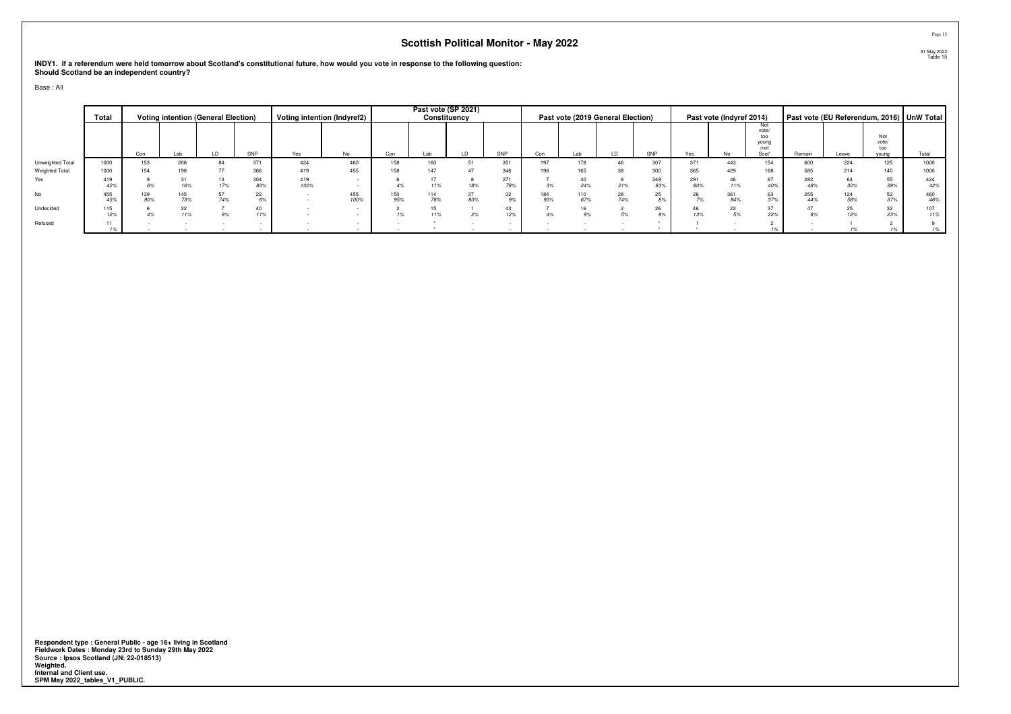**INDY1. If a referendum were held tomorrow about Scotland's constitutional future, how would you vote in response to the following question: Should Scotland be an independent country?**

Base : All

|                  | Total      |     |            | <b>Voting intention (General Election)</b> |            |             | Voting intention (Indyref2) |            |     | Past vote (SP 2021)<br>Constituency |            |            | Past vote (2019 General Election) |           |            |            | Past vote (Indyref 2014) |                                      |            |            |                     | Past vote (EU Referendum, 2016)   UnW Total |
|------------------|------------|-----|------------|--------------------------------------------|------------|-------------|-----------------------------|------------|-----|-------------------------------------|------------|------------|-----------------------------------|-----------|------------|------------|--------------------------|--------------------------------------|------------|------------|---------------------|---------------------------------------------|
|                  |            |     |            |                                            |            |             |                             |            |     |                                     |            |            |                                   |           |            |            |                          | Not<br>vote/<br>too<br>young<br>/not |            |            | Not<br>vote/<br>too |                                             |
|                  |            | Con | Lab        | LD.                                        | SNP        | Yes         | No.                         | Con        | Lab |                                     | SNP        | Con        | Lab                               |           | SNP        | Yes        | No                       | Scot'                                | Remain     | Leave      | vouna               | Total                                       |
| Unweighted Total | 1000       | 153 | 208        | 84                                         | 371        | 424         | 460                         | 158        | 160 | 51                                  | 351        | 197        | 178                               |           | 307        | 371        | 443                      | 154                                  | 600        | 224        | 125                 | 1000                                        |
| Weighted Total   | 1000       | 154 | 198        |                                            | 366        | 419         | 455                         | 158        |     |                                     | 346        | 198        |                                   |           | 300        | 365        | 429                      | 168                                  | 585        | 214        | 140                 | 1000                                        |
| Yes              | 419<br>42% |     | 16%        | 17%                                        | 304<br>83% | 419<br>100% |                             |            |     | 18%                                 | 271<br>78% |            | 24%                               | 21%       | 249<br>83% | 291<br>80% | 46<br>11%                | 67<br>40%                            | 282<br>48% |            | 55<br>39%           | 424<br>42%                                  |
| No               | 455<br>45% | 90% | 145<br>73% | 74%                                        | 22         |             | 455<br>100%                 | 150<br>95% | 78% | 37<br>80%                           |            | 184<br>93% | 110<br>67%                        | 28<br>74% | 25<br>8%   | 26<br>7%   | 361<br>84%               | 63<br>37%                            | 255<br>44% | 124<br>58% | 52<br>37%           | 460<br>46%                                  |
| Undecided        | 115<br>12% |     | 11%        | 9%                                         | 40         |             |                             |            |     | 2%                                  |            | 4%         |                                   |           | 26         | 46<br>13%  | 22                       | 37<br>22%                            |            |            | 32<br>23%           | 107<br>11%                                  |
| Refused          | 11<br>1%   |     |            |                                            |            |             |                             |            |     |                                     |            |            |                                   |           |            |            |                          |                                      |            |            |                     | 1%                                          |

**Respondent type : General Public - age 16+ living in Scotland Fieldwork Dates : Monday 23rd to Sunday 29th May 2022 Source : Ipsos Scotland (JN: 22-018513) Weighted. Internal and Client use. SPM May 2022\_tables\_V1\_PUBLIC.**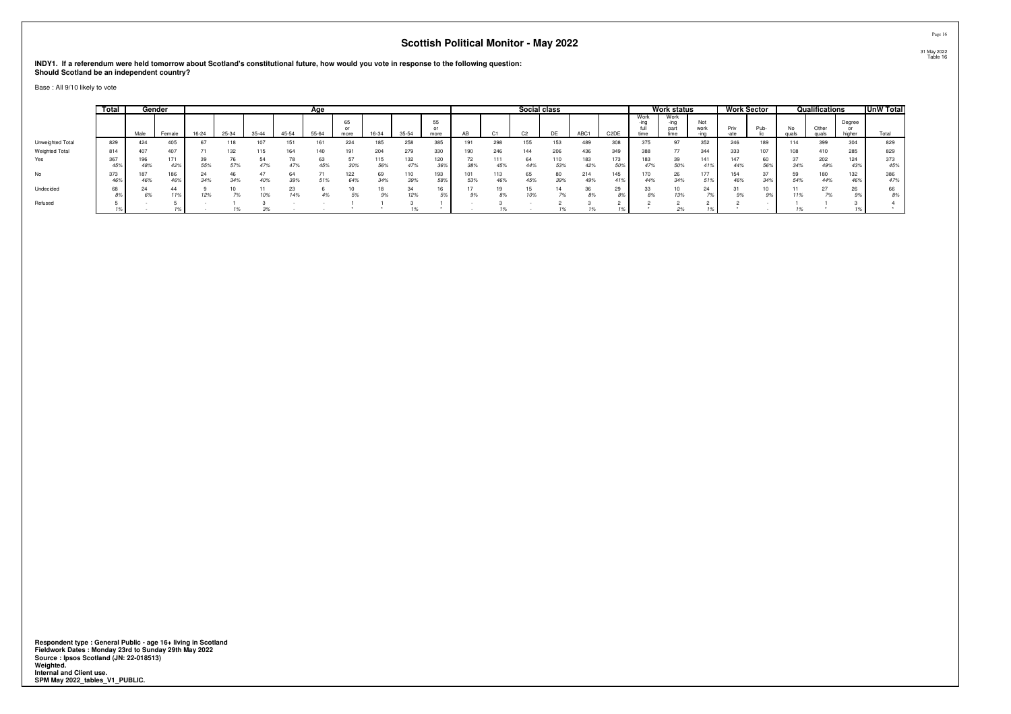**INDY1. If a referendum were held tomorrow about Scotland's constitutional future, how would you vote in response to the following question:Should Scotland be an independent country?**

Base : All 9/10 likely to vote

|                  | Total      |            | Gender                 |       |       |           |       | Age       |            |           |            |            |            |            | Social class   |            |            |                   |                      | <b>Work status</b>           |             |            | <b>Work Sector</b> |             | Qualifications |                  | <b>UnW Total</b> |
|------------------|------------|------------|------------------------|-------|-------|-----------|-------|-----------|------------|-----------|------------|------------|------------|------------|----------------|------------|------------|-------------------|----------------------|------------------------------|-------------|------------|--------------------|-------------|----------------|------------------|------------------|
|                  |            | Male       | Female                 | 16-24 | 25-34 | $35 - 44$ | 45-54 | 55-64     | 65<br>more | 16-34     | 35-54      | 55<br>more |            |            | C <sub>2</sub> | <b>DE</b>  | ABC1       | C <sub>2</sub> DE | Work<br>-ina<br>time | Work<br>-ina<br>part<br>time | Not<br>work | Priv       | Pub-               | No<br>quals | Other<br>quals | Degree<br>higher | Total            |
| Unweighted Total | 829        | 424        | 405                    |       | 118   | 107       | 151   |           | 224        | 185       | 258        | 385        | 191        | 298        | 155            | 153        | 489        | 308               | 375                  | 97                           | 352         | 246        | 189                | 114         | 399            | 304              | 829              |
| Weighted Total   | 814        | 407        | 407                    |       | 132   | 115       | 164   |           |            | 204       | 279        | 330        | 190        | 246        | 144            | 206        | 436        | 349               |                      | 77                           | 344         | 333        | 107                | 108         | 410            | 285              | 829              |
| Yes              | 367        | 48%        | 171<br>447             | 55%   | 57%   | 47%       | 47%   | 63<br>45% | 30%        | 56%       | 132<br>47% | 120<br>36% | 38%        | 111<br>45% | 64<br>44%      | 110<br>53% | 183        | 173<br>50%        | 183<br>47%           | 39<br>50%                    | 141         | 147<br>44% | 56%                | 34%         | 202<br>49%     | 124<br>439       | 373<br>45%       |
| No               | 373<br>46% | 187<br>46% | 186<br>46 <sup>s</sup> | 34%   | 34%   | 40%       | 39%   | 51%       | 122<br>64% | 69<br>34% | 110<br>39% | 193<br>58% | 101<br>53% | 113<br>46% | 65<br>45%      | 80<br>39%  | 214<br>49% | 41%               | 44%                  | 26<br>34%                    | 177         | 154<br>46% | 34%                | 50<br>54%   | 180<br>44%     | 132              | 386<br>47%       |
| Undecided        | 68         |            | 44                     | 12%   |       | 10%       | 14%   |           |            |           | 24<br>12%  |            | 9%         | 8%         |                | 14         |            | 29<br>8%          |                      | 13%                          |             |            |                    |             |                |                  | 66<br>8%         |
| Refused          |            |            |                        |       |       |           |       |           |            |           |            |            |            |            |                |            |            |                   |                      |                              |             |            |                    |             |                |                  |                  |

**Respondent type : General Public - age 16+ living in Scotland Fieldwork Dates : Monday 23rd to Sunday 29th May 2022 Source : Ipsos Scotland (JN: 22-018513) Weighted. Internal and Client use. SPM May 2022\_tables\_V1\_PUBLIC.**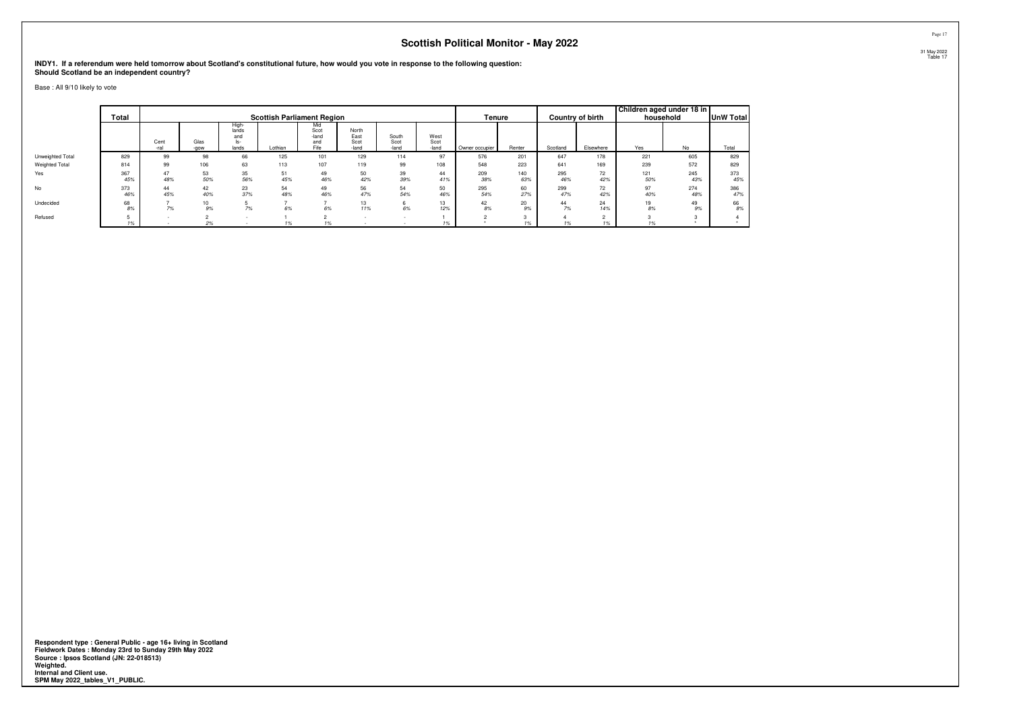**INDY1. If a referendum were held tomorrow about Scotland's constitutional future, how would you vote in response to the following question:Should Scotland be an independent country?**

Base : All 9/10 likely to vote

|                  | Total      |              |                        |                                       | <b>Scottish Parliament Region</b> |                                     |                                |                        |                       | Tenure         |            |            | Country of birth | Children aged under 18 in | household  | <b>UnW Total</b> |
|------------------|------------|--------------|------------------------|---------------------------------------|-----------------------------------|-------------------------------------|--------------------------------|------------------------|-----------------------|----------------|------------|------------|------------------|---------------------------|------------|------------------|
|                  |            | Cent<br>-ral | Glas<br>-gow           | High-<br>lands<br>and<br>ls-<br>lands | Lothian                           | Mid<br>Scot<br>-land<br>and<br>Fife | North<br>East<br>Scot<br>-land | South<br>Scot<br>-land | West<br>Scot<br>-land | Owner occupier | Renter     | Scotland   | Elsewhere        | Yes                       | No         | Total            |
| Unweighted Total | 829        | 99           | 98                     | 66                                    | 125                               | 101                                 | 129                            | 114                    | 97                    | 576            | 201        | 647        | 178              | 221                       | 605        | 829              |
| Weighted Total   | 814        | 99           | 106                    | 63                                    | 113                               | 107                                 | 119                            | 99                     | 108                   | 548            | 223        | 641        | 169              | 239                       | 572        | 829              |
| Yes              | 367<br>45% | 47<br>48%    | 53<br>50%              | 35<br>56%                             | 51<br>45%                         | 49<br>46%                           | 50<br>42%                      | 39<br>39%              | 44<br>41%             | 209<br>38%     | 140<br>63% | 295<br>46% | 72<br>42%        | 121<br>50%                | 245<br>43% | 373<br>45%       |
| <b>No</b>        | 373<br>46% | 44<br>45%    | 42<br>40%              | 23<br>37%                             | 54<br>48%                         | 49<br>46%                           | 56<br>47%                      | 54<br>54%              | 50<br>46%             | 295<br>54%     | 60<br>27%  | 299<br>47% | 72<br>42%        | 97<br>40%                 | 274<br>48% | 386<br>47%       |
| Undecided        | 68<br>8%   | 7%           | 10 <sup>10</sup><br>9% | 7%                                    | 6%                                | 6%                                  | 13<br>11%                      | 6%                     | 13<br>12%             | 42<br>8%       | 20<br>9%   | 44<br>7%   | 24<br>14%        | 19<br>8%                  | 49<br>9%   | 66<br>8%         |
| Refused          | 1%         |              | 2%                     |                                       |                                   |                                     |                                |                        |                       |                |            |            |                  |                           |            |                  |

**Respondent type : General Public - age 16+ living in Scotland Fieldwork Dates : Monday 23rd to Sunday 29th May 2022 Source : Ipsos Scotland (JN: 22-018513) Weighted. Internal and Client use. SPM May 2022\_tables\_V1\_PUBLIC.**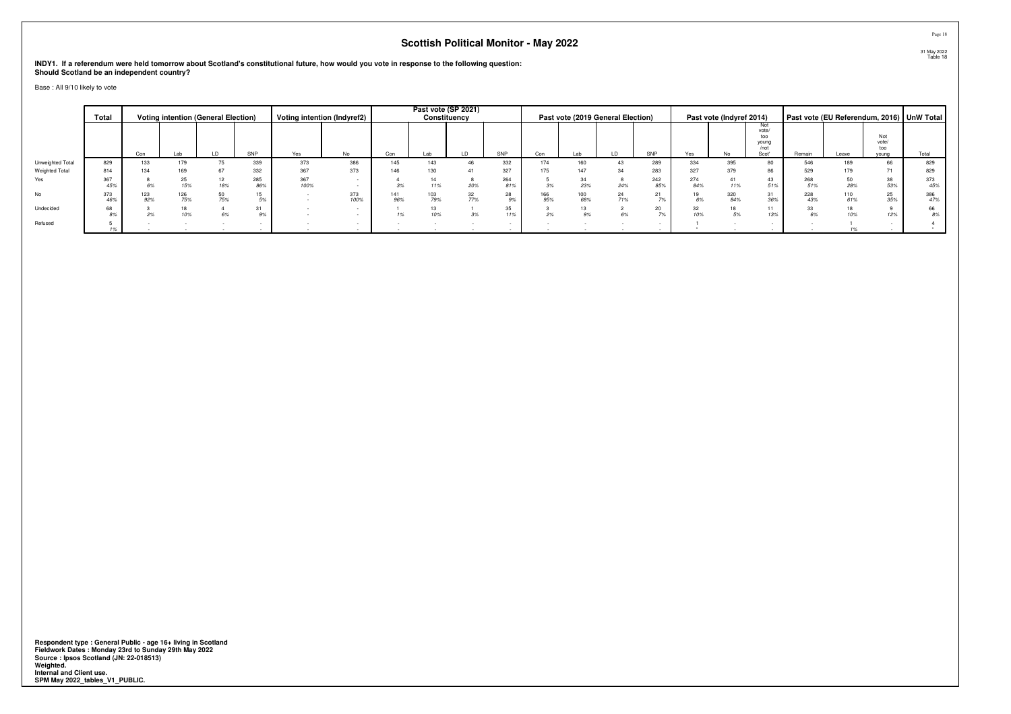**INDY1. If a referendum were held tomorrow about Scotland's constitutional future, how would you vote in response to the following question:Should Scotland be an independent country?**

Base : All 9/10 likely to vote

|                  | Total      |           |            | <b>Voting intention (General Election)</b> |            |             | Voting intention (Indyref2) |            | Constituency | Past vote (SP 2021) |            |            |            | Past vote (2019 General Election) |            |            | Past vote (Indyref 2014) |                                               |            |             |                              | Past vote (EU Referendum, 2016)   UnW Total |
|------------------|------------|-----------|------------|--------------------------------------------|------------|-------------|-----------------------------|------------|--------------|---------------------|------------|------------|------------|-----------------------------------|------------|------------|--------------------------|-----------------------------------------------|------------|-------------|------------------------------|---------------------------------------------|
|                  |            | Con       | Lab        | LD                                         | SNP        | Yes         | No                          | Con        | Lab          | ID                  | SNP        | Con        | Lab        | LD                                | SNP        | Yes        | No                       | Not<br>vote/<br>too<br>young<br>/not<br>Scot' | Remain     | Leave       | Not<br>vote/<br>too<br>vouna | Total                                       |
| Unweighted Total | 829        | 133       | 179        |                                            | 339        | 373         | 386                         | 145        | 143          |                     | 332        | 174        | 160        | 43                                | 289        | 334        | 395                      | 80                                            | 546        | 189         | 66                           | 829                                         |
| Weighted Total   | 814        | 134       | 169        | 67                                         | 332        | 367         | 373                         | 146        | 130          |                     | 327        | 175        | 147        | 34                                | 283        | 327        | 379                      | 86                                            | 529        | 179         | $\prime$ 1                   | 829                                         |
| Yes              | 367<br>45% |           | 15%        | 18%                                        | 285<br>86% | 367<br>100% |                             |            | 11%          | 20%                 | 264<br>81% | 3%         | 23%        | 24%                               | 242<br>85% | 274<br>84% | 11%                      | 43<br>51%                                     | 268<br>51% | 28%         | 38<br>53%                    | 373<br>45%                                  |
| No               | 373<br>46% | 23<br>92% | 126<br>75% | 50<br>75%                                  |            |             | 373<br>100%                 | 141<br>96% | 103<br>79%   | 32<br>77%           | 28<br>9%   | 166<br>95% | 100<br>68% | 24<br>71%                         | 70.        | 19<br>6%   | 320<br>84%               | 31<br>36%                                     | 228<br>43% | 110<br>C10/ | 25<br>35%                    | 386<br>47%                                  |
| Undecided        | 68<br>8%   |           |            |                                            | 31         |             |                             |            |              | 3%                  | 35<br>11%  |            |            |                                   | 20         | 32<br>10%  |                          | 11<br>13%                                     | 6%         |             | 12%                          | 66<br>8%                                    |
| Refused          |            |           |            |                                            |            |             |                             |            |              |                     |            |            |            |                                   |            |            |                          |                                               |            |             |                              |                                             |

Page 1831 May 2022 Table 18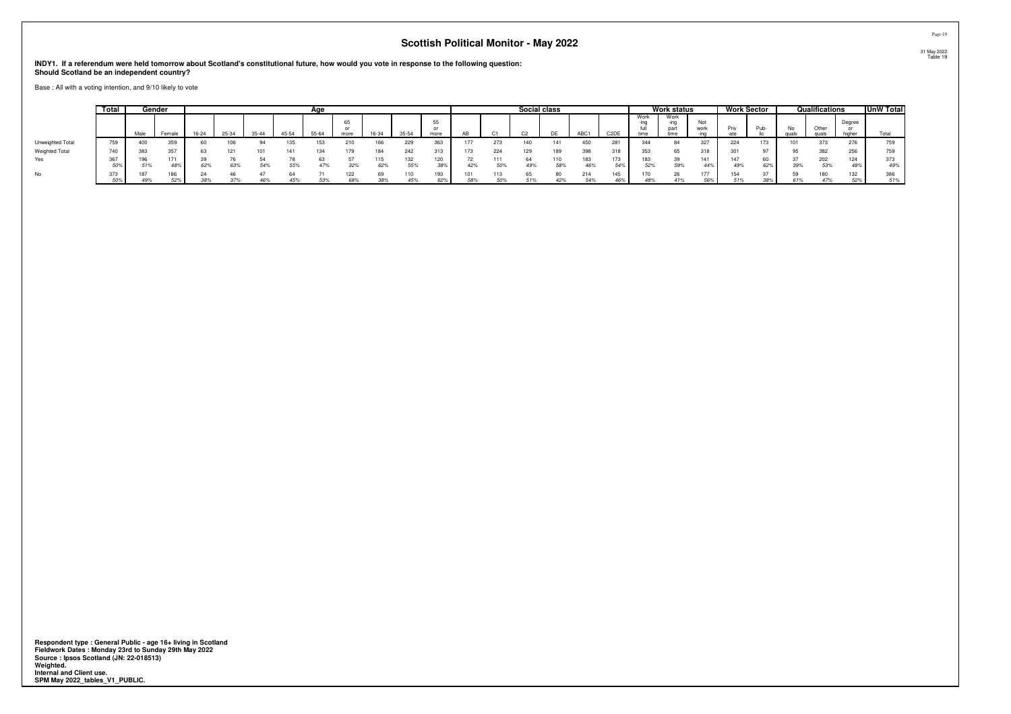**INDY1. If a referendum were held tomorrow about Scotland's constitutional future, how would you vote in response to the following question:Should Scotland be an independent country?**

Base : All with a voting intention, and 9/10 likely to vote

|                  | Total |            | Gender     |       |       |           |       | Age   |      |            |            |      |     |     | Social class |     |      |                   |                      | Work status                  |                   | <b>Work Sector</b> |            |              | Qualifications  |                  | <b>UnW Total</b> |
|------------------|-------|------------|------------|-------|-------|-----------|-------|-------|------|------------|------------|------|-----|-----|--------------|-----|------|-------------------|----------------------|------------------------------|-------------------|--------------------|------------|--------------|-----------------|------------------|------------------|
|                  |       | Male       | Female     | 16-24 | 25-34 | $35 - 44$ | 45-54 | 55-64 | more | 16-34      | 35-54      | more | AB  |     |              | DE  | ABC1 | C <sub>2</sub> DE | Work<br>-ina<br>time | Nork<br>-ina<br>part<br>time | Not<br>work       | Priv<br>-ate       | <b>PUD</b> | No.<br>quals | $\sim$<br>quals | Dearee<br>higher |                  |
| Unweighted Total | 759   | 400        | 359        |       | 106   |           |       |       |      | 166        | 229        | ັບບ  |     |     | 140          |     |      | 281               | 344                  | 84                           | 327               | 224                |            | 101          |                 | 276              | 759              |
| Weighted Total   | 740   | 383        | 357        |       |       |           |       | 34.   | 179  | 184        | 242        | 313  |     | 224 | 129          | 189 |      | 318               | 353                  | 65                           | 318               | 301                |            | 95           | 382             | 256              | 759              |
| Yes              | 5U7   | 196<br>51% | 171<br>489 | 62%   | 63%   | 54%       | 55%   | 47%   | 32%  | 115<br>62% | 139<br>55% | 38%  | 42% | 50% | 49%          | 58% | 46%  | 173<br>54%        | 52%                  | 39<br>59%                    | 141               | 147<br>49%         | 62%        | 39%          | 202<br>53%      | 124              | 373<br>49%       |
| No               |       | 49%        | 186<br>52% | 38%   |       |           | 45%   | 53%   | 68%  | 38%        | 45%        | 62%  | 58% | 50% | 51%          | 42% | 54%  | 46%               | 48%                  | 26<br>41%                    | 477<br>569<br>30/ | 51%                | 38%        | EС<br>61%    | 180             | JZ.              | 386<br>51%       |

**Respondent type : General Public - age 16+ living in Scotland Fieldwork Dates : Monday 23rd to Sunday 29th May 2022 Source : Ipsos Scotland (JN: 22-018513) Weighted. Internal and Client use. SPM May 2022\_tables\_V1\_PUBLIC.**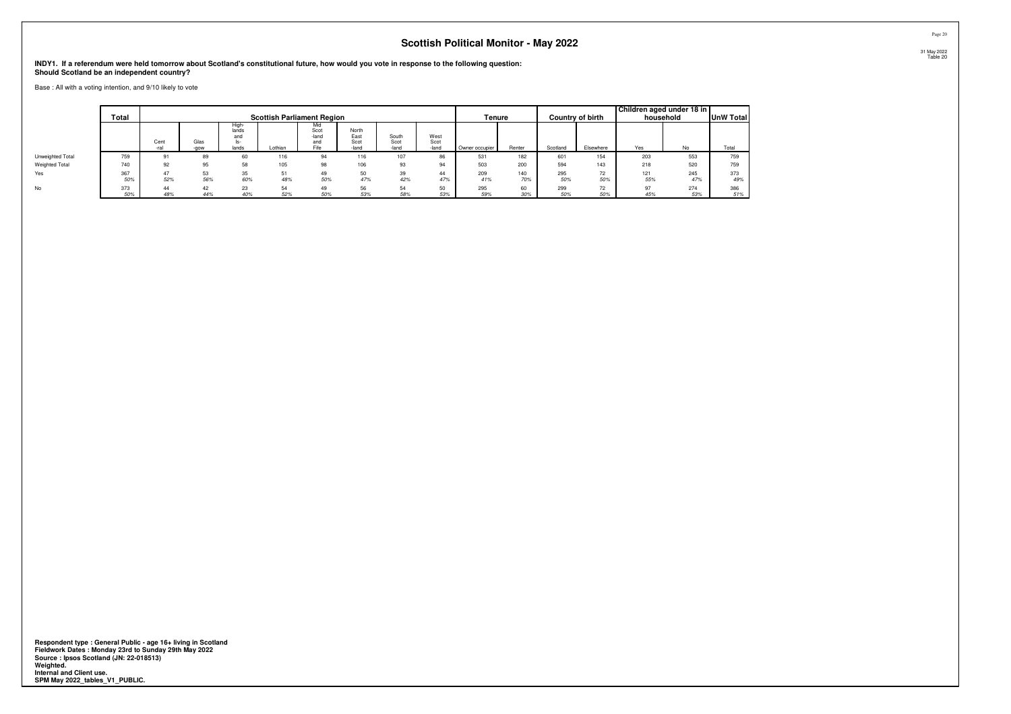**INDY1. If a referendum were held tomorrow about Scotland's constitutional future, how would you vote in response to the following question:Should Scotland be an independent country?**

Base : All with a voting intention, and 9/10 likely to vote

|                       | <b>Total</b> |              |              |                                       |           | <b>Scottish Parliament Region</b>   |                                |                        |                       | Tenure         |            |            | <b>Country of birth</b> |            | Children aged under 18 in<br>household | UnW Total  |
|-----------------------|--------------|--------------|--------------|---------------------------------------|-----------|-------------------------------------|--------------------------------|------------------------|-----------------------|----------------|------------|------------|-------------------------|------------|----------------------------------------|------------|
|                       |              | Cent<br>-ral | Glas<br>-gow | High-<br>lands<br>and<br>ls-<br>lands | Lothian   | Mid<br>Scot<br>-land<br>and<br>Fife | North<br>East<br>Scot<br>-land | South<br>Scot<br>-land | West<br>Scot<br>-land | Owner occupier | Renter     | Scotland   | Elsewhere               | Yes        | No                                     | Total      |
| Unweighted Total      | 759          |              | 89           | 60                                    | 116       | 94                                  | 116                            | 107                    | 86                    | 531            | 182        | 601        | 154                     | 203        | 553                                    | 759        |
| <b>Weighted Total</b> | 740          | 92           | 95           | 58                                    | 105       | 98                                  | 106                            | 93                     | 94                    | 503            | 200        | 594        | 143                     | 218        | 520                                    | 759        |
| Yes                   | 367<br>50%   | 47<br>52%    | 53<br>56%    | 35<br>60%                             | 51<br>48% | 49<br>50%                           | 50<br>47%                      | 39<br>42%              | 44<br>47%             | 209<br>41%     | 140<br>70% | 295<br>50% | 72<br>50%               | 121<br>55% | 245<br>47%                             | 373<br>49% |
| No                    | 373<br>50%   | 44<br>48%    | 42<br>44%    | 23<br>40%                             | 54<br>52% | 49<br>50%                           | 56<br>53%                      | 54<br>58%              | 50<br>53%             | 295<br>59%     | 60<br>30%  | 299<br>50% | 72<br>50%               | 97<br>45%  | 274<br>53%                             | 386<br>51% |

**Respondent type : General Public - age 16+ living in Scotland Fieldwork Dates : Monday 23rd to Sunday 29th May 2022 Source : Ipsos Scotland (JN: 22-018513) Weighted. Internal and Client use. SPM May 2022\_tables\_V1\_PUBLIC.**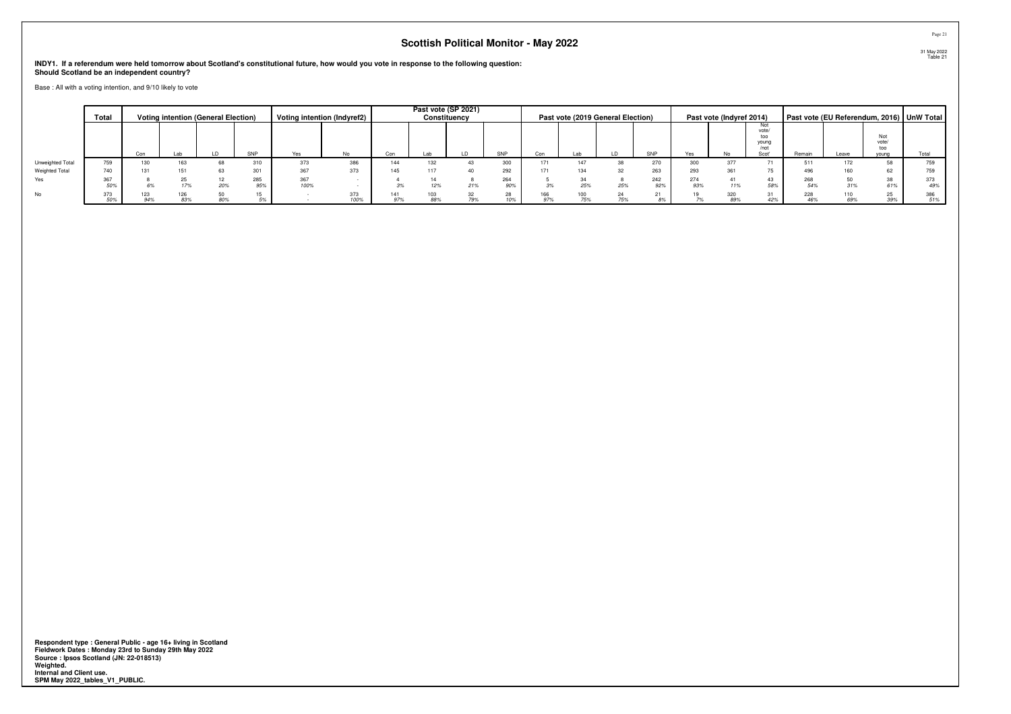**INDY1. If a referendum were held tomorrow about Scotland's constitutional future, how would you vote in response to the following question:Should Scotland be an independent country?**

Base : All with a voting intention, and 9/10 likely to vote

|                  | Total      |     |            | <b>Voting intention (General Election)</b> |                        | Voting intention (Indyref2) |             |     | Past vote (SP 2021)<br>Constituency |           |            |            |            | Past vote (2019 General Election) |            |            | Past vote (Indyref 2014) |                                               |        |         |                              | Past vote (EU Referendum, 2016) UnW Total |
|------------------|------------|-----|------------|--------------------------------------------|------------------------|-----------------------------|-------------|-----|-------------------------------------|-----------|------------|------------|------------|-----------------------------------|------------|------------|--------------------------|-----------------------------------------------|--------|---------|------------------------------|-------------------------------------------|
|                  |            | Con | Lab        |                                            | SNP                    | Yes                         | <b>No</b>   | Con |                                     | ID        | SNP        | Con        | Lab        |                                   | SNP        | Yes        | No                       | Not<br>vote/<br>too<br>young<br>/not<br>Scot' | Remain | Leave   | Not<br>vote/<br>too<br>voung | Total                                     |
| Unweighted Total | 759        | 130 | 163        |                                            | 0.10<br>3 I U          | 373                         | 386         | 144 | 132                                 |           | 300        | 171        | 147        |                                   | 270        | 300        |                          |                                               | 511    |         |                              | 759                                       |
| Weighted Total   | 740        | 131 | 151        |                                            | 00 <sup>4</sup><br>JU. | 367                         | 373         | 145 |                                     |           | 292        |            |            |                                   | 263        | 293        |                          | --                                            | 496    |         |                              | 759                                       |
| Yes              | 367<br>50% |     |            | 20%                                        | 285<br>95%             | 367<br>100%                 |             |     | 12%                                 | 21%       | 264<br>90% |            | 25%        | 25%                               | 242<br>92% | 274<br>93% | 11%                      | 43<br>58%                                     | 54%    | $0 + 0$ | ပပ<br>61%                    | 373<br>49%                                |
| No               | 373<br>50% | 94% | 126<br>83% | 80%                                        |                        |                             | 373<br>100% | 97% | 88%                                 | 32<br>79% | 10%        | 166<br>97% | 100<br>75% | 75%                               |            |            | 89%                      | 31<br>42%                                     | 46%    | 69%     | 25<br>39%                    | 386<br>51%                                |

**Respondent type : General Public - age 16+ living in Scotland Fieldwork Dates : Monday 23rd to Sunday 29th May 2022 Source : Ipsos Scotland (JN: 22-018513) Weighted. Internal and Client use. SPM May 2022\_tables\_V1\_PUBLIC.**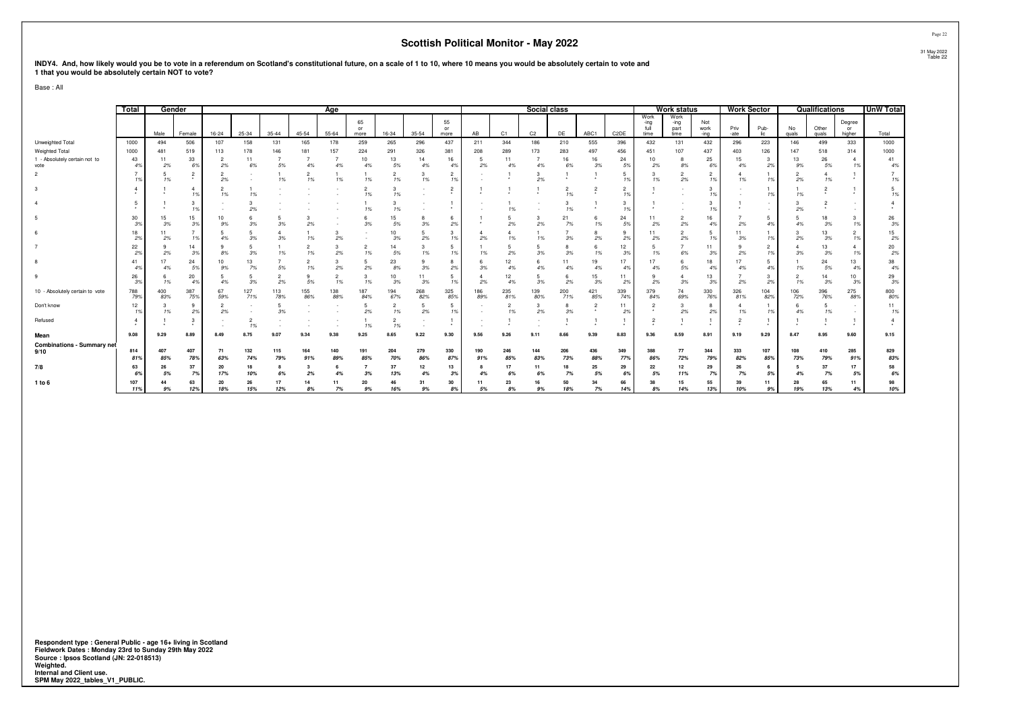| INDY4. And, how likely would you be to vote in a referendum on Scotland's constitutional future, on a scale of 1 to 10, where 10 means you would be absolutely certain to vote and |
|------------------------------------------------------------------------------------------------------------------------------------------------------------------------------------|
| 1 that you would be absolutely certain NOT to vote?                                                                                                                                |

Base : All

|                                           | Total           | Gender     |                           |           |            |            |            | Age        |                  |                      |            |                      |            |                      | Social class   |            |            |                      |                              | <b>Work status</b>           |                     | <b>Work Sector</b> |                               |             | Qualifications |                        | <b>UnW Total</b> |
|-------------------------------------------|-----------------|------------|---------------------------|-----------|------------|------------|------------|------------|------------------|----------------------|------------|----------------------|------------|----------------------|----------------|------------|------------|----------------------|------------------------------|------------------------------|---------------------|--------------------|-------------------------------|-------------|----------------|------------------------|------------------|
|                                           |                 | Male       | Female                    | $16 - 24$ | $25 - 34$  | $35 - 44$  | $45 - 54$  | $55 - 64$  | 65<br>or<br>more | 16-34                | 35-54      | 55<br>or<br>more     | AB         | C1                   | C <sub>2</sub> | DE         | ABC1       | C <sub>2</sub> DE    | Work<br>-ing<br>full<br>time | Work<br>-ing<br>part<br>time | Not<br>work<br>-ing | Priv<br>-ate       | Pub-<br>lic                   | No<br>quals | Other<br>quals | Degree<br>or<br>higher | Total            |
| Unweighted Total                          | 1000            | 494        | 506                       | 107       | 158        | 131        | 165        | 178        | 259              | 265                  | 296        | 437                  | 211        | 344                  | 186            | 210        | 555        | 396                  | 432                          | 131                          | 432                 | 296                | 223                           | 146         | 499            | 333                    | 1000             |
| Weighted Total                            | 1000            | 481        | 519                       | 113       | 178        | 146        | 181        | 157        | 224              | 291                  | 326        | 381                  | 208        | 289                  | 173            | 283        | 497        | 456                  | 451                          | 107                          | 437                 | 403                | 126                           | 147         | 518            | 314                    | 1000             |
| 1 - Absolutely certain not to<br>vote     | 43<br>4%        | 11<br>2%   | 33<br>6%                  | 2<br>2%   | 11<br>6%   | 5%         |            | 4%         | 10<br>4%         | 13<br>5%             | 14<br>4%   | 16<br>4%             | 5<br>2%    | 11<br>4%             | 4%             | 16<br>6%   | 16<br>3%   | 24<br>5%             | 10<br>2%                     | 8<br>8%                      | 25<br>6%            | 15<br>4%           | 3<br>2%                       | 13<br>9%    | 26<br>5%       | 1%                     | 41<br>4%         |
|                                           |                 | 1%         | $\overline{2}$<br>$\star$ | 2%        |            | 1%         | 1%         | 1%         | 1%               | $\overline{2}$<br>1% | 1%         | $\overline{2}$<br>19 |            |                      | 3<br>2%        |            |            | 5<br>1%              | з<br>1%                      | $\overline{2}$<br>2%         | $\overline{2}$      | 1%                 | 1%                            | 2%          | 1%             |                        | 1%               |
|                                           |                 |            |                           | 1%        | 1%         |            |            |            |                  | 3<br>1%              |            | $\overline{2}$       |            |                      |                | 1%         |            | $\overline{2}$<br>1% |                              |                              |                     |                    | 1%                            | 1%          |                |                        | 1%               |
|                                           |                 |            | 3                         |           | 2%         |            |            |            | 1%               | 3<br>1%              |            |                      |            |                      |                | 1%         |            | 3<br>1%              |                              |                              |                     |                    |                               | 2%          |                |                        |                  |
|                                           | 30<br>3%        | 15<br>3%   | 15<br>3%                  | 10<br>9%  | 3%         | 3%         | 2%         |            | 3%               | 15<br>5%             | 3%         | 6<br>2%              |            | 2%                   | 2%             | 21<br>7%   | 1%         | 24<br>5%             | 2%                           | 2%                           | 16<br>4%            | 2%                 | 5<br>4%                       | 4%          | 3%             | 1%                     | 26<br>3%         |
|                                           | 18<br>2%        | 2%         | 1%                        | 4%        | 3%         | 3%         | 1%         | 2%         |                  | 10<br>3%             | 2%         | 3<br>1%              | 2%         | 1%                   | 1%             | 3%         | 2%         | 9<br>2%              | 11<br>2%                     | $\overline{c}$<br>$2\%$      |                     | 3%                 | 1%                            | 2%          | 13<br>3%       | $\overline{2}$<br>1%   | 15<br>2%         |
|                                           | 22<br>2%        | -9<br>2%   | 14<br>3%                  | 8%        | 3%         | 1%         | 1%         | 3<br>2%    | 1%               | 14<br>5%             | 1%         | -5<br>19             | 1%         | 2%                   | 3%             | 3%         | 1%         | 12<br>3%             | 1%                           | 6%                           | 39                  | 2%                 | $\overline{\mathbf{2}}$<br>1% | 3%          | 3%             | 1%                     | 20<br>2%         |
|                                           | 41              | 17<br>4%   | 24<br>59                  | 10<br>9%  | 13<br>7%   | 5%         | 1%         | 3<br>2%    | 2%               | 23<br>8%             | 3%         | 8<br>2%              | 3%         | 12<br>4%             | 4%             | 4%         | 19<br>4%   | 17<br>4%             | 17<br>4%                     | 6<br>5%                      | 18                  | 17<br>4%           | 5<br>4%                       | 1%          | 24<br>5%       | 13<br>4%               | 38<br>4%         |
|                                           | 26<br>3%        | -6<br>1%   | 20<br>4 <sup>°</sup>      | 4%        | 3%         | 2%         | 9<br>5%    | 1%         | 1%               | 10<br>3%             | 11<br>3%   | 5<br>19.             | 2%         | 12<br>4%             | 3%             | 2%         | 15<br>3%   | 11<br>2%             | 9<br>2%                      | Δ<br>3%                      | 13<br>3%            | 2%                 | 3<br>2%                       | 1%          | 14<br>3%       | 10<br>3%               | 29<br>3%         |
| 10 - Absolutely certain to vote           | 788<br>79%      | 400<br>83% | 387<br>75%                | 67<br>59% | 127<br>71% | 113<br>78% | 155<br>86% | 138<br>88% | 187<br>84%       | 194<br>67%           | 268<br>82% | 325<br>85%           | 186<br>89% | 235<br>81%           | 139<br>80%     | 200<br>71% | 421<br>85% | 339<br>74%           | 379<br>84%                   | 74<br>69%                    | 330<br>76%          | 326<br>81%         | 104<br>82%                    | 106<br>72%  | 396<br>76%     | 275<br>88%             | 800<br>80%       |
| Don't know                                | 12 <sub>2</sub> | 1%         | 9<br>29                   | 2%        |            | 3%         |            |            | 2%               | $\overline{2}$<br>1% | 2%         | -5<br>19             |            | $\overline{2}$<br>1% | 3<br>2%        | 3%         |            | 11<br>2%             | 2                            | 3<br>2%                      | 29                  | 1%                 | 19                            | 4%          | 1%             |                        | 11<br>1%         |
| Refused                                   |                 |            | 3                         |           | 1%         |            |            |            | 1%               | 1%                   |            |                      |            |                      |                |            |            |                      |                              |                              |                     |                    |                               |             |                | $\ddot{\phantom{1}}$   |                  |
| Mean                                      | 9.08            | 9.29       | 8.89                      | 8.49      | 8.75       | 9.07       | 9.34       | 9.38       | 9.25             | 8.65                 | 9.22       | 9.30                 | 9.56       | 9.26                 | 9.1            | 8.66       | 9.39       | 8.83                 | 9.36                         | 8.59                         | 8.91                | 9.19               | 9.29                          | 8.47        | 8.95           | 9.60                   | 9.15             |
| <b>Combinations - Summary net</b><br>9/10 | 814<br>81%      | 407<br>85% | 407<br>789                | 71<br>63% | 132<br>74% | 115<br>79% | 164<br>91% | 140<br>89% | 191<br>85%       | 204<br>70%           | 279<br>86% | 330<br>879           | 190<br>91% | 246<br>85%           | 144<br>83%     | 206<br>73% | 436<br>88% | 349<br>77%           | 388<br>86%                   | 77<br>72%                    | 344<br>79%          | 333<br>82%         | 107<br>85%                    | 108<br>73%  | 410<br>79%     | 285<br>91%             | 829<br>83%       |
| 7/8                                       | 63              | 26         | 37                        | 20        | 18         |            |            |            |                  | 37                   | 12         | 13                   |            |                      | 11             |            | 25         | 29                   | 22                           | 12                           | 29                  | 26                 | 6                             |             | 37             | 17                     | 58               |
|                                           |                 | 5%<br>44   | 7%                        | 17%<br>20 | 10%<br>26  | 6%<br>17   | 2%<br>14   | 11         | 3%               | 13%<br>46            | 4%<br>31   | 3%                   | 4%<br>11   | 6%                   | 6%             | 7%<br>50   | 5%<br>34   | 6%                   | 5%                           | 11%<br>15                    | 7%                  | 7%<br>39           | 5%                            | 4%<br>28    | 7%             | 5%                     | 6%               |
| 1 to 6                                    | 107<br>11%      | 9%         | 63<br>12%                 | 18%       | 15%        | 12%        | 8%         | 7%         | 20<br>9%         | 16%                  | 9%         | 30<br>8%             | 5%         | 23<br>8%             | 9%             | 18%        | 7%         | 66<br>14%            | 38<br>8%                     | 14%                          | 55<br>13%           | 10%                | 11<br>9%                      | 19%         | 65<br>13%      | 11<br>4%               | 98<br>10%        |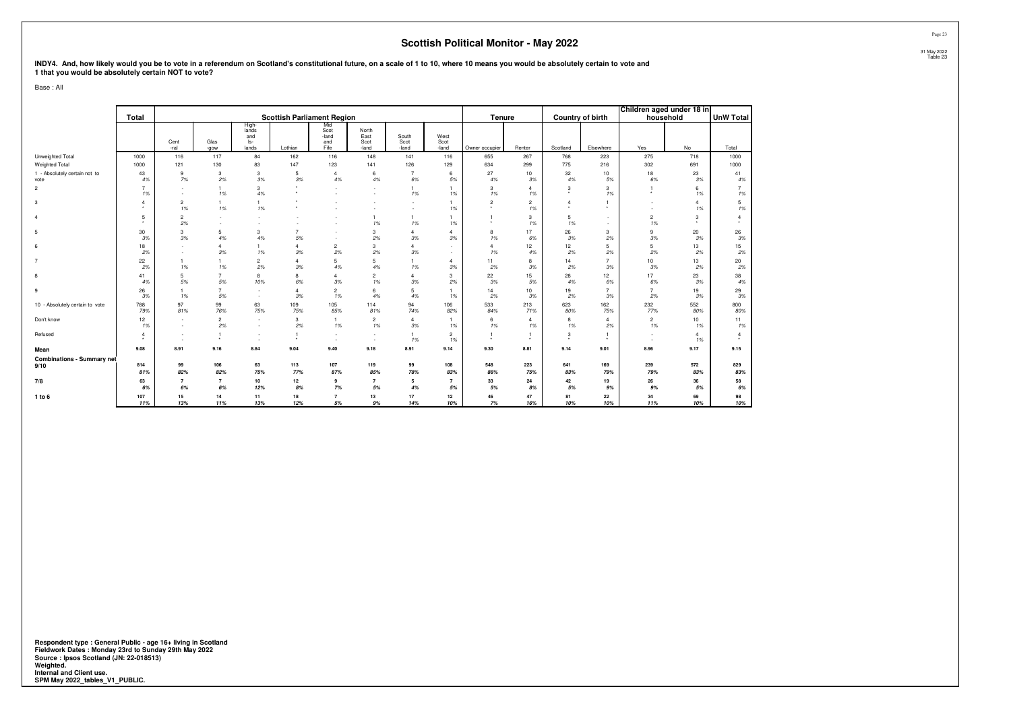INDY4. And, how likely would you be to vote in a referendum on Scotland's constitutional future, on a scale of 1 to 10, where 10 means you would be absolutely certain to vote and<br>1 that you would be absolutely certain NOT

Base : All

|                                       |                      |                      |                      |                                       |                                   |                                     |                                |                        |                       |                      |                      |                           |                      | Children aged under 18 in |                      |                         |
|---------------------------------------|----------------------|----------------------|----------------------|---------------------------------------|-----------------------------------|-------------------------------------|--------------------------------|------------------------|-----------------------|----------------------|----------------------|---------------------------|----------------------|---------------------------|----------------------|-------------------------|
|                                       | <b>Total</b>         |                      |                      |                                       | <b>Scottish Parliament Region</b> |                                     |                                |                        |                       | Tenure               |                      | <b>Country of birth</b>   |                      | household                 |                      | <b>UnW Total</b>        |
|                                       |                      | Cent<br>-ral         | Glas<br>-gow         | High-<br>lands<br>and<br>ls-<br>lands | Lothian                           | Mid<br>Scot<br>-land<br>and<br>Fife | North<br>East<br>Scot<br>-land | South<br>Scot<br>-land | West<br>Scot<br>-land | Owner occupier       | Renter               | Scotland                  | Elsewhere            | Yes                       | No                   | Total                   |
| Unweighted Total                      | 1000                 | 116                  | 117                  | 84                                    | 162                               | 116                                 | 148                            | 141                    | 116                   | 655                  | 267                  | 768                       | 223                  | 275                       | 718                  | 1000                    |
| Weighted Total                        | 1000                 | 121                  | 130                  | 83                                    | 147                               | 123                                 | 141                            | 126                    | 129                   | 634                  | 299                  | 775                       | 216                  | 302                       | 691                  | 1000                    |
| 1 - Absolutely certain not to<br>vote | 43<br>4%             | 9<br>7%              | 3<br>2%              | 3<br>3%                               | 5<br>3%                           | $\overline{4}$<br>4%                | 6<br>4%                        | $\overline{7}$<br>6%   | 6<br>5%               | 27<br>4%             | 10<br>3%             | 32<br>4%                  | 10<br>5%             | 18<br>6%                  | 23<br>3%             | 41<br>4%                |
| $\overline{2}$                        | $\overline{7}$<br>1% |                      | $\overline{1}$<br>1% | 3<br>4%                               | $\star$<br>$\star$                | ۰.                                  | и.                             | $\mathbf{1}$<br>1%     | $\mathbf{1}$<br>1%    | 3<br>1%              | $\overline{4}$<br>1% | 3<br>۰                    | 3<br>1%              | $\star$                   | 6<br>1%              | $\overline{7}$<br>$1\%$ |
| 3                                     | $\overline{4}$       | $\overline{2}$<br>1% | $\mathbf{1}$<br>1%   | 1<br>1%                               | $\cdot$<br>$\star$                |                                     |                                |                        | $\overline{1}$<br>1%  | $\overline{2}$       | $\overline{2}$<br>1% | $\overline{4}$<br>$\star$ | $\ddot{\phantom{1}}$ | $\sim$                    | $\overline{4}$<br>1% | 5<br>1%                 |
| $\Delta$                              | 5                    | $\overline{2}$<br>2% |                      |                                       |                                   |                                     | $\mathbf{1}$<br>1%             | $\mathbf{1}$<br>1%     | $\overline{1}$<br>1%  | $\star$              | 3<br>1%              | 5<br>1%                   | ٠                    | $\overline{c}$<br>1%      | 3                    | $\overline{4}$          |
| 5                                     | 30<br>3%             | 3<br>3%              | 5<br>4%              | 3<br>4%                               | $\overline{7}$<br>5%              |                                     | 3<br>2%                        | $\overline{4}$<br>3%   | $\overline{4}$<br>3%  | 8<br>1%              | 17<br>6%             | 26<br>3%                  | 3<br>2%              | 9<br>3%                   | 20<br>3%             | 26<br>3%                |
|                                       | 18<br>2%             | a.                   | $\overline{4}$<br>3% | 1<br>1%                               | $\overline{4}$<br>3%              | $\overline{2}$<br>2%                | 3<br>2%                        | $\overline{4}$<br>3%   | $\sim$<br>a.          | $\overline{4}$<br>1% | 12<br>4%             | 12<br>2%                  | 5<br>2%              | 5<br>2%                   | 13<br>2%             | 15<br>2%                |
| $\overline{7}$                        | 22<br>2%             | $\mathbf{1}$<br>1%   | $\mathbf{1}$<br>1%   | $\overline{c}$<br>2%                  | $\overline{4}$<br>3%              | 5<br>4%                             | 5<br>4%                        | $\mathbf{1}$<br>1%     | $\overline{4}$<br>3%  | 11<br>2%             | 8<br>3%              | 14<br>2%                  | $\overline{7}$<br>3% | 10<br>3%                  | 13<br>2%             | 20<br>2%                |
| 8                                     | 41<br>4%             | 5<br>5%              | $\overline{7}$<br>5% | 8<br>10%                              | 8<br>6%                           | $\overline{4}$<br>3%                | $\overline{2}$<br>1%           | $\overline{4}$<br>3%   | 3<br>2%               | 22<br>3%             | 15<br>5%             | 28<br>4%                  | 12<br>6%             | 17<br>6%                  | 23<br>3%             | 38<br>4%                |
| 9                                     | 26<br>3%             | $\mathbf{1}$<br>1%   | $\overline{7}$<br>5% | $\sim$<br>$\sim$                      | $\overline{4}$<br>3%              | $\overline{2}$<br>1%                | 6<br>4%                        | 5<br>4%                | 1%                    | 14<br>2%             | 10<br>3%             | 19<br>2%                  | $\overline{z}$<br>3% | $\overline{7}$<br>2%      | 19<br>3%             | 29<br>$3\%$             |
| 10 - Absolutely certain to vote       | 788<br>79%           | 97<br>81%            | 99<br>76%            | 63<br>75%                             | 109<br>75%                        | 105<br>85%                          | 114<br>81%                     | 94<br>74%              | 106<br>82%            | 533<br>84%           | 213<br>71%           | 623<br>80%                | 162<br>75%           | 232<br>77%                | 552<br>80%           | 800<br>80%              |
| Don't know                            | 12<br>1%             | a.                   | $\overline{2}$<br>2% | $\sim$                                | 3<br>2%                           | $\overline{1}$<br>1%                | $\overline{2}$<br>1%           | $\overline{4}$<br>3%   | $\overline{1}$<br>1%  | 6<br>1%              | $\overline{4}$<br>1% | 8<br>1%                   | $\overline{4}$<br>2% | $\overline{2}$<br>1%      | 10<br>1%             | 11<br>1%                |
| Refused                               | $\overline{4}$       | . .<br>. п.          | $\overline{1}$<br>٠  | $\sim$<br>. п.                        | -1<br>$\star$                     | $\sim$<br>۰.                        | $\sim$<br>и.                   | $\mathbf{1}$<br>1%     | $\overline{2}$<br>1%  | $\star$              | $\star$              | 3<br>$\cdot$              |                      | $\sim$<br>$\sim$          | $\overline{4}$<br>1% | $\overline{4}$          |
| Mean                                  | 9.08                 | 8.91                 | 9.16                 | 8.84                                  | 9.04                              | 9.40                                | 9.18                           | 8.91                   | 9.14                  | 9.30                 | 8.81                 | 9.14                      | 9.01                 | 8.96                      | 9.17                 | 9.15                    |
| <b>Combinations - Summary net</b>     |                      |                      |                      |                                       |                                   |                                     |                                |                        |                       |                      |                      |                           |                      |                           |                      |                         |
| 9/10                                  | 814<br>81%           | 99<br>82%            | 106<br>82%           | 63<br>75%                             | 113<br>77%                        | 107<br>87%                          | 119<br>85%                     | 99<br>78%              | 108<br>83%            | 548<br>86%           | 223<br>75%           | 641<br>83%                | 169<br>79%           | 239<br>79%                | 572<br>83%           | 829<br>83%              |
| 7/8                                   | 63                   | $\overline{7}$       | $\overline{7}$       | 10                                    | 12                                | 9                                   | $\overline{7}$                 | 5                      | $\overline{7}$        | 33                   | 24                   | 42                        | 19                   | 26                        | 36                   | 58                      |
|                                       | 6%                   | 6%                   | 6%                   | 12%                                   | 8%                                | 7%                                  | 5%                             | 4%                     | 5%                    | 5%                   | 8%                   | 5%                        | 9%                   | 9%                        | 5%                   | $6\%$                   |
| 1 to 6                                | 107<br>11%           | 15<br>13%            | 14<br>11%            | 11<br>13%                             | 18<br>12%                         | $\overline{7}$<br>5%                | 13<br>9%                       | 17<br>14%              | 12<br>10%             | 46<br>7%             | 47<br>16%            | 81<br>10%                 | 22<br>10%            | 34<br>11%                 | 69<br>10%            | 98<br>10%               |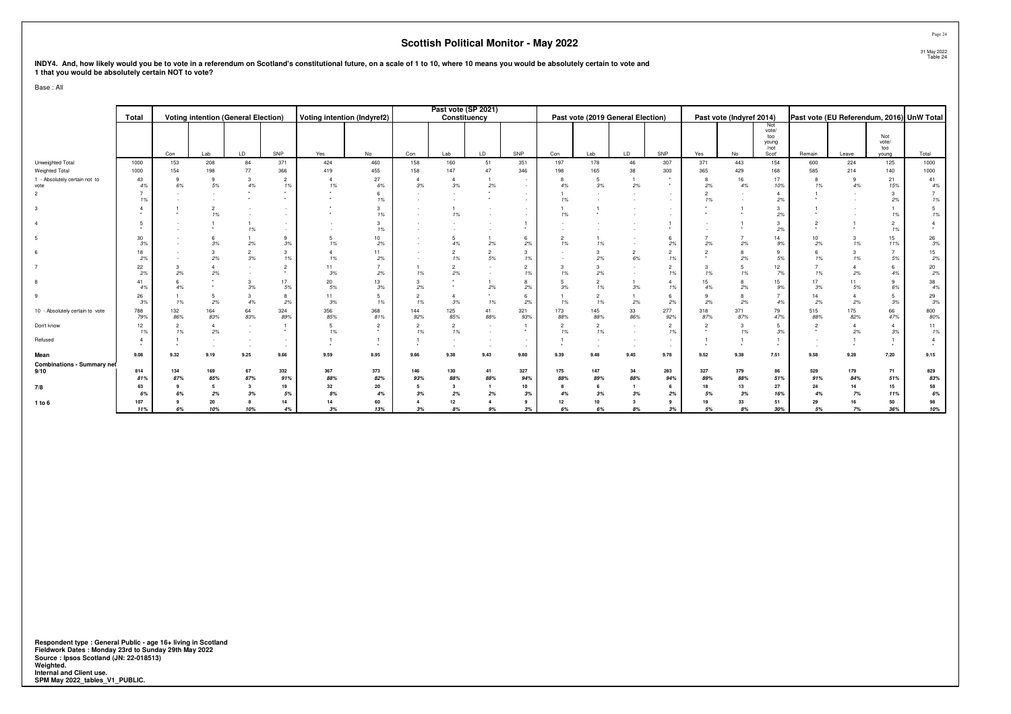# INDY4. And, how likely would you be to vote in a referendum on Scotland's constitutional future, on a scale of 1 to 10, where 10 means you would be absolutely certain to vote and<br>1 that you would be absolutely certain NOT

Base : All

|                                       | Total      |                     |                      | <b>Voting intention (General Election)</b> |                      |                      | <b>Voting intention (Indyref2)</b> |                      | Past vote (SP 2021)  | Constituency         |                      |                      |                                            | Past vote (2019 General Election) |                                 |                    | Past vote (Indyref 2014) |                                               |                           |            | Past vote (EU Referendum, 2016) UnW Total |                  |
|---------------------------------------|------------|---------------------|----------------------|--------------------------------------------|----------------------|----------------------|------------------------------------|----------------------|----------------------|----------------------|----------------------|----------------------|--------------------------------------------|-----------------------------------|---------------------------------|--------------------|--------------------------|-----------------------------------------------|---------------------------|------------|-------------------------------------------|------------------|
|                                       |            | Con                 | Lab                  | LD                                         | SNP                  | Yes                  | No                                 | Con                  | Lab                  | LD.                  | SNP                  | Con                  | Lab                                        | LD                                | SNP                             | Yes                | No                       | Not<br>vote/<br>too<br>young<br>/not<br>Scot' | Remain                    | Leave      | Not<br>vote/<br>too<br>young              | Total            |
| Unweighted Total                      | 1000       | 153                 | 208                  | 84                                         | 371                  | 424                  | 460                                | 158                  | 160                  | 51                   | 351                  | 197                  | 178                                        | 46                                | 307                             | 371                | 443                      | 154                                           | 600                       | 224        | 125                                       | 1000             |
| Weighted Total                        | 1000       | 154                 | 198                  | 77                                         | 366                  | 419                  | 455                                | 158                  | 147                  | 47                   | 346                  | 198                  | 165                                        | 38                                | 300                             | 365                | 429                      | 168                                           | 585                       | 214        | 140                                       | 1000             |
| 1 - Absolutely certain not to<br>vote | 43<br>4%   | 9<br>6%             | 9<br>5%              | 3<br>4%                                    | $\overline{2}$<br>1% | $\overline{4}$<br>1% | 27<br>6%                           | 3%                   | $\frac{4}{3%}$       | 2%                   | $\sim$               | 8<br>4%              | 5<br>3%                                    | 2%                                | $\ddot{\phantom{1}}$<br>$\star$ | 8<br>2%            | 16<br>4%                 | 17<br>10%                                     | 8<br>1%                   | 9<br>4%    | 21<br>15%                                 | 41<br>4%         |
|                                       |            |                     |                      |                                            |                      |                      | 6<br>1%                            |                      |                      |                      | ٠.<br>×.             | 1%                   |                                            |                                   |                                 | 1%                 |                          | $\overline{4}$<br>2%                          |                           |            | 3<br>2%                                   | 1%               |
|                                       |            |                     | 1%                   |                                            |                      |                      | 3<br>1%                            |                      | 1%                   |                      | $\sim$               | 1%                   |                                            |                                   |                                 |                    |                          | 3<br>2%                                       |                           |            | 1%                                        | 1%               |
|                                       |            |                     |                      | 1%                                         |                      |                      | 3<br>1%                            |                      |                      |                      |                      |                      |                                            |                                   |                                 |                    |                          | 3<br>2%                                       |                           |            | $\overline{2}$<br>1%                      |                  |
|                                       | 30<br>.3%  |                     | 3%                   | 2%                                         | 9<br>3%              | 5<br>1%              | 10<br>2%                           |                      | 5<br>4%              | 2%                   | 6<br>2%              | 1%                   | 1%                                         |                                   | 2%                              | 2%                 | 2%                       | 14<br>9%                                      | 10<br>2%                  | 1%         | 15<br>11%                                 | ${\bf 26}$<br>3% |
|                                       | 18<br>2%   |                     | 3<br>2%              | $\overline{2}$<br>3%                       | 3<br>1%              | 1%                   | 11<br>2%                           |                      | $\overline{2}$<br>1% | $\overline{2}$<br>5% | 3<br>1%              |                      | 2%                                         | $\overline{2}$<br>6%              | $\overline{2}$<br>1%            |                    | 2%                       | 9<br>5%                                       | 6<br>1%                   | 1%         | $\overline{7}$<br>5%                      | 15<br>2%         |
|                                       | 22<br>2%   | 2%                  | 2%                   |                                            | $\overline{2}$       | 11<br>3%             | 2%                                 | 1%                   | $\overline{2}$<br>2% |                      | $\overline{2}$<br>1% | 1%                   | 2%                                         |                                   | 1%                              | 1%                 | 1%                       | 12<br>7%                                      | 1%                        | 2%         | 6<br>4%                                   | $\frac{20}{2\%}$ |
|                                       |            | 4%                  |                      | 3%                                         | 17<br>5%             | 20<br>5%             | 13<br>3%                           | 2%                   |                      | 2%                   | 8<br>2%              | 3%                   | 1%                                         | $3\%$                             | 1%                              | 15<br>4%           | 2%                       | 15<br>9%                                      | 17<br>3%                  | 11<br>5%   | 9<br>6%                                   | 38<br>4%         |
|                                       | 26<br>3%   | 1%                  | 5<br>2%              | 4%                                         | 8<br>2%              | 11<br>3%             | 5<br>1%                            | $\overline{2}$<br>1% | $\overline{4}$<br>3% | 1%                   | 6<br>2%              | 1%                   | $\overline{2}$<br>1%                       | 2%                                | 6<br>2%                         | 9<br>2%            | 8<br>2%                  | 4%                                            | 14<br>2%                  | 2%         | 5<br>3%                                   | 29<br>3%         |
| 10 - Absolutely certain to vote       | 788<br>79% | 132<br>86%          | 164<br>83%           | 64<br>83%                                  | 324<br>89%           | 356<br>85%           | 368<br>81%                         | 144<br>92%           | 125<br>85%           | 41<br>88%            | 321<br>93%           | 173<br>88%           | $\begin{array}{l} 145 \\ 88\% \end{array}$ | 33<br>86%                         | 277<br>92%                      | $\frac{318}{87\%}$ | 371<br>87%               | 79<br>47%                                     | $\frac{515}{88\%}$        | 175<br>82% | 66<br>47%                                 | 800<br>80%       |
| Don't know                            | 12<br>1%   | $\mathcal{P}$<br>1% | $\overline{a}$<br>2% |                                            |                      | 5<br>1%              | $\overline{2}$<br>$\cdot$          | $\overline{2}$<br>1% | $\overline{2}$<br>1% |                      | $\star$              | $\mathfrak{p}$<br>1% | $\overline{2}$<br>1%                       |                                   | $\overline{2}$<br>1%            | $\overline{2}$     | 3<br>1%                  | 5 <sub>5</sub><br>3%                          | $\overline{2}$<br>$\cdot$ | 2%         | $\overline{4}$<br>3%                      | 11<br>1%         |
| Refused                               |            |                     |                      |                                            |                      |                      |                                    |                      |                      |                      | $\sim$               |                      |                                            |                                   |                                 |                    |                          |                                               |                           |            | ۰                                         |                  |
| Mean                                  | 9.08       | 9.32                | 9.19                 | 9.25                                       | 9.66                 | 9.59                 | 8.95                               | 9.66                 | 9.38                 | 9.43                 | 9.80                 | 9.39                 | 9.48                                       | 9.45                              | 9.78                            | 9.52               | 9.38                     | 7.51                                          | 9.58                      | 9.28       | 7.20                                      | 9.15             |
| <b>Combinations - Summary net</b>     |            |                     |                      |                                            |                      |                      |                                    |                      |                      |                      |                      |                      |                                            |                                   |                                 |                    |                          |                                               |                           |            |                                           |                  |
| 9/10                                  | 814<br>81% | 134<br>87%          | 169<br>85%           | 67<br>87%                                  | 332<br>91%           | 367<br>88%           | 373<br>82%                         | 146<br>93%           | 130<br>88%           | 41<br>88%            | 327<br>94%           | 175<br>88%           | 147<br>89%                                 | 34<br>88%                         | 283<br>94%                      | 327<br>89%         | 379<br>88%               | 86<br>51%                                     | 529<br>91%                | 179<br>84% | 71<br>51%                                 | 829<br>83%       |
| 7/8                                   | 63         |                     | 5                    |                                            | 19                   | 32                   | 20                                 |                      | $\mathbf{3}$         |                      | 10                   |                      |                                            |                                   | 6                               | 18                 | 13                       | 27                                            | 24                        | 14         | 15                                        | 58               |
|                                       |            |                     | 2%                   | 3%                                         | 5%                   | 8%                   | 4%                                 | 3%                   | 2%                   | 2%                   | 3%                   | 4%                   | 3%                                         | 3%                                | 2%                              | 5%                 | 3%                       | 16%                                           | 4%                        |            | 11%                                       | 6%               |
| 1 to 6                                | 107<br>11% | 6%                  | 20<br>10%            | 10%                                        | 14<br>4%             | 14<br>3%             | 60<br>13%                          | 3%                   | 12<br>R%             | 9%                   | 9<br>3%              | 12<br>6%             | 10<br>6%                                   | 8%                                | 9<br>3%                         | 19<br>5%           | 33<br>8%                 | 51<br>30%                                     | 29<br>5%                  | 16<br>7%   | 50<br>36%                                 | 98<br>10%        |

**Respondent type : General Public - age 16+ living in Scotland Fieldwork Dates : Monday 23rd to Sunday 29th May 2022 Source : Ipsos Scotland (JN: 22-018513) Weighted. Internal and Client use. SPM May 2022\_tables\_V1\_PUBLIC.**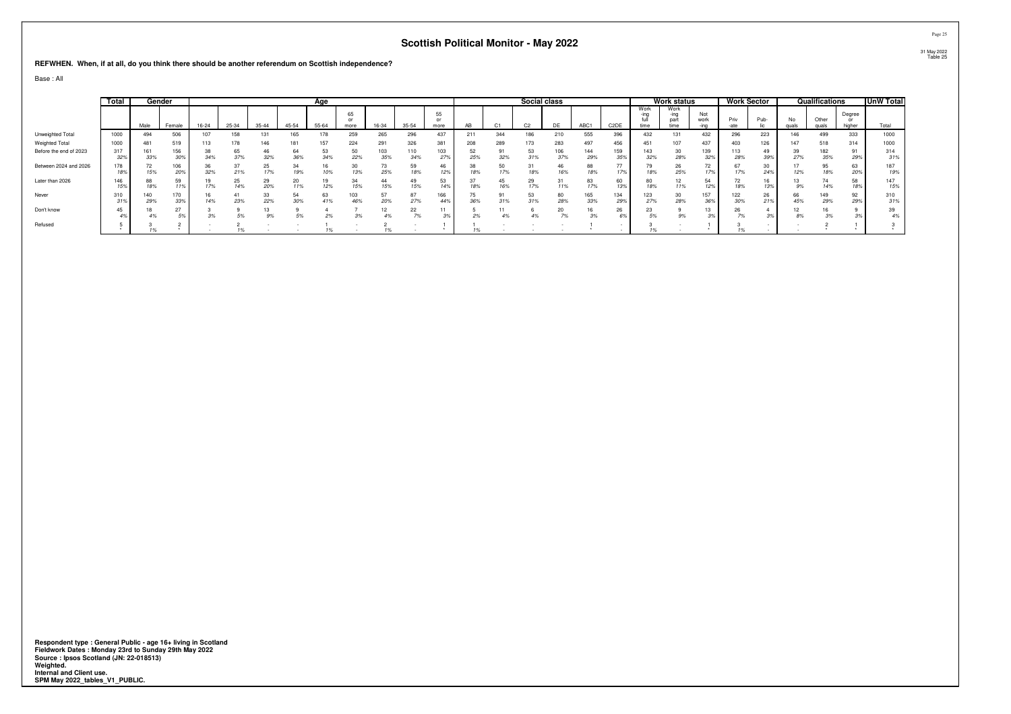**REFWHEN. When, if at all, do you think there should be another referendum on Scottish independence?**

Base : All

|                        | Total      |            | Gender     |           |           |           |           | Age       |                  |            |            |                  |           |                | Social class   |            |            |                   |              | Work status                  |                       |            | Work Sector |             | Qualifications |                  | UnW Total  |
|------------------------|------------|------------|------------|-----------|-----------|-----------|-----------|-----------|------------------|------------|------------|------------------|-----------|----------------|----------------|------------|------------|-------------------|--------------|------------------------------|-----------------------|------------|-------------|-------------|----------------|------------------|------------|
|                        |            | Male       | Female     | $16 - 24$ | 25-34     | $35 - 44$ | 45-54     | $55 - 64$ | 65<br>or<br>more | 16-34      | 35-54      | 55<br>or<br>more | AB        | C <sub>1</sub> | C <sub>2</sub> | DE         | ABC1       | C <sub>2</sub> DE | Work<br>time | Work<br>-ing<br>part<br>time | Not<br>work<br>$-imn$ | Priv       | Pub-        | No<br>quals | Other<br>quals | Degree<br>higher | Total      |
| Unweighted Total       | 1000       | 494        | 506        | 107       | 158       |           |           |           | 259              | 265        | 296        | 437              | 211       | 344            | 186            | 210        | 555        | 396               | 432          | 131                          | 432                   | 296        | 223         | 146         | 499            | 333              | 1000       |
| <b>Weighted Total</b>  | 1000       | 481        | 519        | 113       | 178       | 146       | 181       | 157       | 224              | 291        | 326        | 381              | 208       | 289            | 173            | 283        | 497        | 456               | 451          | 107                          | 437                   | 403        | 126         | 147         | 518            | 314              | 1000       |
| Before the end of 2023 | 317<br>32% | 161<br>33% | 156<br>30% | 38<br>34% | 65<br>37% | 46<br>32% | 64<br>36% | 53<br>34% | 50<br>22%        | 103<br>35% | 110<br>34% | 103<br>27%       | 52<br>25% | 91<br>32%      | 53             | 106<br>37% | 144<br>29% | 159<br>35%        | 143<br>32%   | 30<br>28%                    | 139<br>32%            | 113<br>28% | 49<br>39%   | 39<br>27%   | 182<br>35%     | 29%              | 314<br>31% |
| Between 2024 and 2026  | 178        | 72<br>15%  | 106<br>20% | 36<br>32% | 21%       | 25<br>17% | 19%       | 10%       | 30<br>13%        | 73<br>25%  | 59<br>18%  | 46<br>12%        | 38<br>18% | 50<br>17%      | 18%            | 46<br>16%  | 88<br>18%  | --                | 18%          | 26<br>25%                    | 72<br>17%             |            | 24%         | 12%         | 95<br>18%      | 63<br>20%        | 187<br>19% |
| Later than 2026        | 146<br>15% | 88<br>18%  | 59<br>11%  | 17%       | 25<br>14% | 29<br>20% | 20<br>11% | 19<br>12% | 34<br>15%        | 44<br>15%  | 15%        | 53<br>14%        | 18%       | 45<br>16%      | 29<br>17%      | 11%        | 83<br>17%  | 60<br>13%         | 80<br>18%    | 11%                          | 54<br>12%             | 18%        | 13%         | 9%          | 74<br>14%      | 58<br>18%        | 147<br>15% |
| Never                  | 310        | 140<br>29% | 170<br>33% | 16<br>14% | 23%       | 33<br>22% | 54<br>30% | 63<br>41% | 103<br>46%       | 57<br>20%  | 87<br>27%  | 166<br>449       | 75<br>36% | 91<br>31%      | 53<br>31%      | 80<br>28%  | 165<br>33% | 134<br>29%        | 123<br>27%   | 30<br>28%                    | 157<br>36%            | 122<br>30% | 26<br>21%   | 66<br>45%   | 149<br>29%     | 92<br>29%        | 310<br>31% |
| Don't know             |            | 4%         | 27<br>5%   |           | 5%        |           |           |           |                  |            | 22         | 11               |           |                |                | 20         | 16<br>3%   | 26                | 23           |                              |                       |            |             |             | 3%             |                  | 39<br>4%   |
| Refused                |            |            |            |           |           |           |           |           |                  |            |            |                  | 1%        |                |                |            |            |                   |              |                              |                       |            |             |             |                |                  |            |

Respondent type : General Public - age 16+ living in Scotland<br>Fieldwork Dates : Monday 23rd to Sunday 29th May 2022<br>Source : Ipsos Scotland (JN: 22-018513)<br>Weighted.<br>Internal and Client use.<br>SPM May 2022\_tables\_V1\_PUBLIC.

Page 2531 May 2022 Table 25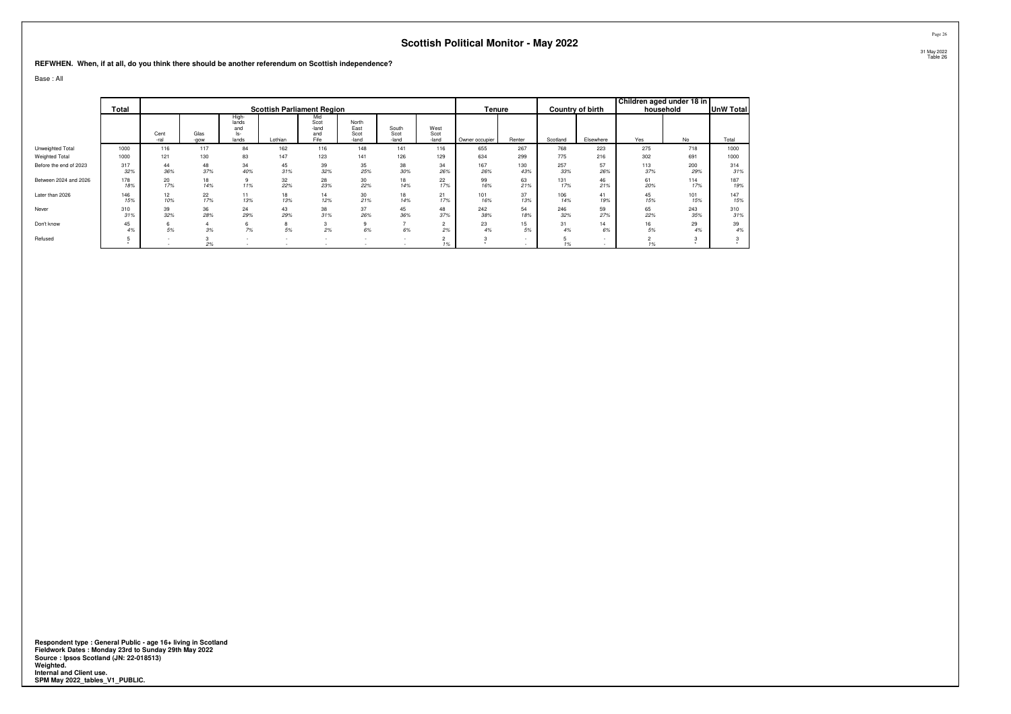**REFWHEN. When, if at all, do you think there should be another referendum on Scottish independence?**

Base : All

|                        | <b>Total</b> |                        |              |                                       |           | <b>Scottish Parliament Region</b>   |                                |                        |                       | Tenure         |            |            | <b>Country of birth</b> | Children aged under 18 in | household  | <b>UnW Total</b> |
|------------------------|--------------|------------------------|--------------|---------------------------------------|-----------|-------------------------------------|--------------------------------|------------------------|-----------------------|----------------|------------|------------|-------------------------|---------------------------|------------|------------------|
|                        |              | Cent<br>-ral           | Glas<br>-gow | High-<br>lands<br>and<br>ls-<br>lands | Lothian   | Mid<br>Scot<br>-land<br>and<br>Fife | North<br>East<br>Scot<br>-land | South<br>Scot<br>-land | West<br>Scot<br>-land | Owner occupier | Renter     | Scotland   | Elsewhere               | Yes                       | No         | Total            |
| Unweighted Total       | 1000         | 116                    | 117          | 84                                    | 162       | 116                                 | 148                            | 141                    | 116                   | 655            | 267        | 768        | 223                     | 275                       | 718        | 1000             |
| Weighted Total         | 1000         | 121                    | 130          | 83                                    | 147       | 123                                 | 141                            | 126                    | 129                   | 634            | 299        | 775        | 216                     | 302                       | 691        | 1000             |
| Before the end of 2023 | 317<br>32%   | 44<br>36%              | 48<br>37%    | 34<br>40%                             | 45<br>31% | 39<br>32%                           | 35<br>25%                      | 38<br>30%              | 34<br>26%             | 167<br>26%     | 130<br>43% | 257<br>33% | 57<br>26%               | 113<br>37%                | 200<br>29% | 314<br>31%       |
| Between 2024 and 2026  | 178<br>18%   | 20<br>17%              | 18<br>14%    | 9<br>11%                              | 32<br>22% | 28<br>23%                           | 30<br>22%                      | 18<br>14%              | 22<br>17%             | 99<br>16%      | 63<br>21%  | 131<br>17% | 46<br>21%               | 61<br>20%                 | 114<br>17% | 187<br>19%       |
| Later than 2026        | 146<br>15%   | 12 <sup>°</sup><br>10% | 22<br>17%    | 11<br>13%                             | 18<br>13% | 14<br>12%                           | 30<br>21%                      | 18<br>14%              | 21<br>17%             | 101<br>16%     | 37<br>13%  | 106<br>14% | 41<br>19%               | 45<br>15%                 | 101<br>15% | 147<br>15%       |
| Never                  | 310<br>31%   | 39<br>32%              | 36<br>28%    | 24<br>29%                             | 43<br>29% | 38<br>31%                           | 37<br>26%                      | 45<br>36%              | 48<br>37%             | 242<br>38%     | 54<br>18%  | 246<br>32% | 59<br>27%               | 65<br>22%                 | 243<br>35% | 310<br>31%       |
| Don't know             | 45<br>4%     | 6<br>5%                | 3%           | 7%                                    | 8<br>5%   | 3<br>2%                             | 9<br>6%                        | 6%                     | $\sim$<br>2%          | 23<br>4%       | 15<br>5%   | 31<br>4%   | 14<br>6%                | 16<br>5%                  | 29<br>4%   | 39<br>4%         |
| Refused                |              |                        | 2%           |                                       |           |                                     |                                |                        | $\sim$<br>1%          |                |            |            |                         | 1%                        |            |                  |

Respondent type : General Public - age 16+ living in Scotland<br>Fieldwork Dates : Monday 23rd to Sunday 29th May 2022<br>Source : Ipsos Scotland (JN: 22-018513)<br>Weighted.<br>Internal and Client use.<br>SPM May 2022\_tables\_V1\_PUBLIC.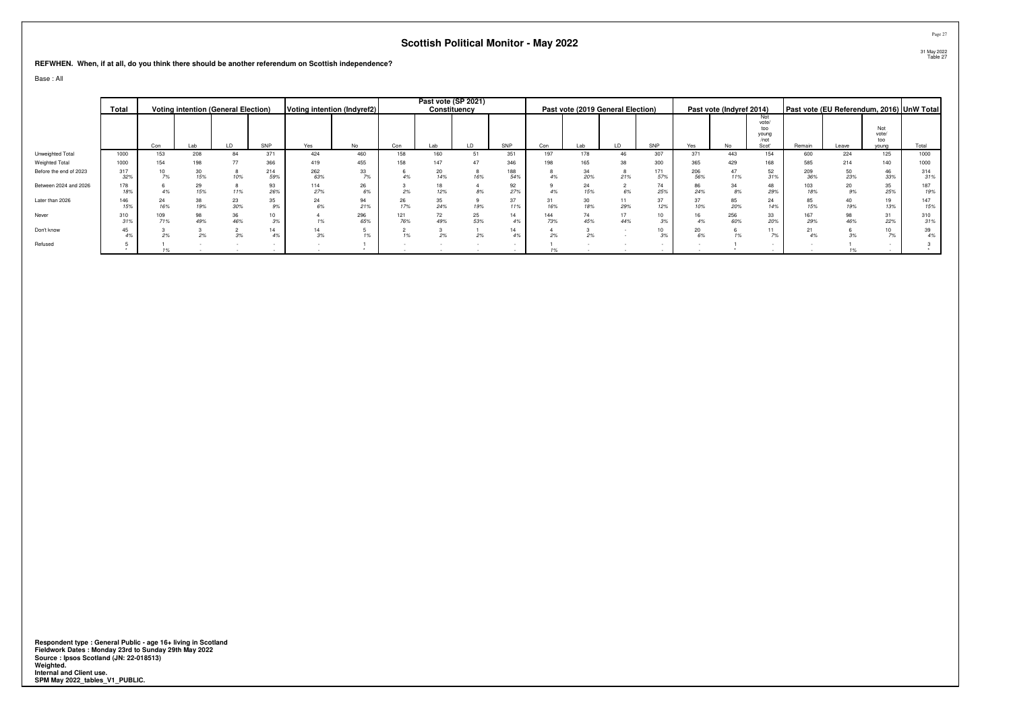**REFWHEN. When, if at all, do you think there should be another referendum on Scottish independence?**

Base : All

|                        | Total      |            | <b>Voting intention (General Election)</b> |           |            |            | Voting intention (Indyref2) |            | Past vote (SP 2021) | Constituency |            |            | Past vote (2019 General Election) |     |            |            | Past vote (Indyref 2014) |                                               | Past vote (EU Referendum, 2016) UnW Total |       |                              |            |
|------------------------|------------|------------|--------------------------------------------|-----------|------------|------------|-----------------------------|------------|---------------------|--------------|------------|------------|-----------------------------------|-----|------------|------------|--------------------------|-----------------------------------------------|-------------------------------------------|-------|------------------------------|------------|
|                        |            | Con        | Lab                                        | LD        | SNP        | Yes        | <b>No</b>                   | Con        | Lab                 | LD           | SNP        | Con        | Lab                               | LD  | SNP        | Yes        | No.                      | Not<br>vote/<br>too<br>young<br>/not<br>Scot' | Remain                                    | Leave | Not<br>vote/<br>too<br>young | Total      |
| Unweighted Total       | 1000       | 153        | 208                                        | 84        | 371        | 424        | 460                         | 158        | 160                 | 51           | 351        | 197        | 178                               | 46  | 307        | 371        | 443                      | 154                                           | 600                                       | 224   | 125                          | 1000       |
| Weighted Total         | 1000       | 154        | 198                                        | 77        | 366        | 419        | 455                         | 158        | 147                 |              | 346        | 198        | 165                               |     | 300        | 365        | 429                      |                                               | 585                                       |       | 140                          | 1000       |
| Before the end of 2023 | 317<br>32% |            | 15%                                        |           | 214<br>59% | 262<br>63% | 33<br>70/                   |            | 20<br>14%           |              | 188<br>54% |            | 20%                               |     | 171<br>57% | 206<br>56% | 11%                      |                                               | 209<br>36%                                |       | 46<br>33%                    | 314<br>31% |
| Between 2024 and 2026  | 178<br>18% |            | 15%                                        |           | 93<br>26%  | 114<br>27% | 26                          |            |                     |              | 92<br>27%  |            | 24<br>15%                         |     | 74<br>25%  | 24%        |                          | 299                                           | 103<br>18%                                |       | 35<br>25%                    | 187<br>19% |
| Later than 2026        | 146<br>15% |            | 19%                                        | 30%       | 35<br>9%   |            | 21%                         |            | 35<br>24%           | 19%          | 37<br>11%  |            | 18%                               | 29% | 37<br>12%  |            | 85<br>20%                |                                               | 85<br>15%                                 |       | 19<br>13%                    | 147<br>15% |
| Never                  | 310<br>31% | 109<br>71% | 49%                                        | 36<br>46% | 3%         |            | 296<br>65%                  | 121<br>76% | 72<br>49%           | 25<br>53%    | 14<br>4%   | 144<br>73% | 45%                               | 44% | 10<br>3%   |            | 256<br>60%               | 33<br>20%                                     | 167<br>29%                                |       | 31<br>22%                    | 310<br>31% |
| Don't know             | 45         |            |                                            |           | 14         |            |                             |            |                     |              | 14<br>4%   |            |                                   |     | 10<br>3%   |            |                          |                                               |                                           |       |                              | 39<br>4%   |
| Refused                |            |            |                                            |           |            |            |                             |            |                     |              |            |            |                                   |     |            |            |                          |                                               |                                           |       |                              |            |

Respondent type : General Public - age 16+ living in Scotland<br>Fieldwork Dates : Monday 23rd to Sunday 29th May 2022<br>Source : Ipsos Scotland (JN: 22-018513)<br>Weighted.<br>Internal and Client use.<br>SPM May 2022\_tables\_V1\_PUBLIC.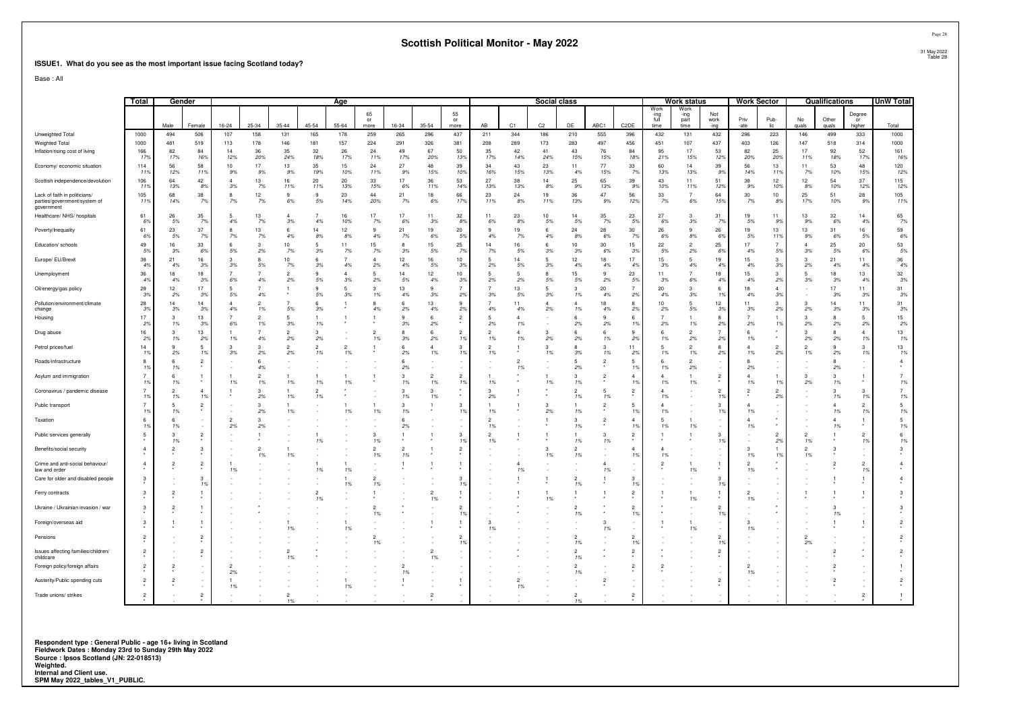#### **ISSUE1. What do you see as the most important issue facing Scotland today?**

Base : All

|                                                                             | Total                | Gender         |                      |                |                      |                      |           | Age           |                      |                      |                       |                      |           |                      | <b>Social class</b> |                      |                     |                                      |                              | Work status                  |                     | <b>Work Sector</b> |                |             | Qualifications               |                        | <b>UnW Total</b> |
|-----------------------------------------------------------------------------|----------------------|----------------|----------------------|----------------|----------------------|----------------------|-----------|---------------|----------------------|----------------------|-----------------------|----------------------|-----------|----------------------|---------------------|----------------------|---------------------|--------------------------------------|------------------------------|------------------------------|---------------------|--------------------|----------------|-------------|------------------------------|------------------------|------------------|
|                                                                             |                      | Male           | Female               | $16 - 24$      | 25-34                | 35-44                | 45-54     | $55 - 64$     | 65<br>or<br>more     | 16-34                | 35-54                 | 55<br>or<br>more     | AB        | C1                   | C <sub>2</sub>      | DE                   | ABC1                | C <sub>2</sub> DE                    | Work<br>-ing<br>full<br>time | Work<br>-ina<br>part<br>time | Not<br>work<br>-ing | Priv<br>-ate       | Pub-<br>lic    | No<br>quals | Other<br>quals               | Degree<br>or<br>higher | Total            |
| Unweighted Total                                                            | 1000                 | 494            | 506                  | 107            | 158                  | 131                  | 165       | 178           | 259                  | 265                  | 296                   | 437                  | 211       | 344                  | 186                 | 210                  | 555                 | 396                                  | 432                          | 131                          | 432                 | 296                | 223            | 146         | 499                          | 333                    | 1000             |
| Weighted Total                                                              | 1000                 | 481            | 519                  | 113            | 178                  | 146                  | 181       | 157           | 224                  | 291                  | 326                   | 381                  | 208       | 289                  | 173                 | 283                  | 497                 | 456                                  | 451                          | 107                          | 437                 | 403                | 126            | 147         | 518                          | 314                    | 1000             |
| Inflation/rising cost of living                                             | 166<br>17%           | 82<br>17%      | 84<br>16%            | 14<br>12%      | 36<br>20%            | 35<br>24%            | 32<br>18% | 26<br>17%     | 24<br>11%            | 49<br>17%            | 67<br>20%             | 50<br>13%            | 35<br>17% | 42<br>14%            | 41<br>24%           | 43<br>15%            | 76<br>15%           | 84<br>18%                            | 95<br>21%                    | 17<br>15%                    | 53<br>12%           | 82<br>20%          | 25<br>20%      | 17<br>11%   | 92<br>18%                    | 52<br>17%              | 161<br>16%       |
| Economy/ economic situation                                                 | 114<br>119           | 56<br>12%      | 58<br>11%            | 10<br>9%       | 17<br>9%             | 13<br>9%             | 35<br>19% | 15<br>10%     | 24<br>11%            | 27<br>9%             | 48<br>15%             | 39<br>10%            | 34<br>16% | 43<br>15%            | 23<br>13%           | 11<br>4%             | 77<br>15%           | 33<br>7%                             | 60<br>13%                    | 14<br>13%                    | 39<br>9%            | 56<br>14%          | 13<br>11%      | 11<br>7%    | 53<br>10%                    | 48<br>15%              | 120<br>12%       |
| Scottish independence/devolution                                            | 106<br>119           | 64<br>13%      | 42<br>8%             | Δ<br>3%        | 13<br>7%             | 16<br>11%            | 20<br>11% | $20\,$<br>13% | 33<br>15%            | 17<br>6%             | 36<br>11%             | 53<br>14%            | 27<br>13% | 38<br>13%            | 14<br>8%            | 25<br>9%             | 65<br>13%           | $39\,$<br>9%                         | 43<br>10%                    | 11<br>11%                    | 51<br>12%           | 38<br>9%           | 12<br>10%      | 12<br>8%    | 54<br>10%                    | 37<br>12%              | 115<br>12%       |
| Lack of faith in politicians/<br>parties/government/system of<br>government | 105<br>11%           | 68<br>14%      | 38<br>7%             | 7%             | 12<br>7%             | 9<br>6%              | 9<br>5%   | 23<br>14%     | 44<br>20%            | 21<br>7%             | 18<br>6%              | 66<br>17%            | 23<br>11% | 24<br>8%             | 19<br>11%           | 36<br>13%            | 47<br>9%            | 56<br>12%                            | 33<br>7%                     | $\overline{7}$<br>6%         | 64<br>15%           | 30<br>7%           | 10<br>8%       | 25<br>17%   | 51<br>10%                    | 28<br>9%               | 105<br>11%       |
| Healthcare/ NHS/ hospitals                                                  | 61<br>6%             | 26<br>5%       | 35<br>7%             | 5<br>4%        | 13<br>7%             | 3%                   | 7<br>4%   | 16<br>10%     | 17<br>7%             | 17<br>6%             | 11<br>3%              | 32<br>8%             | 11<br>6%  | 23<br>8%             | 10<br>5%            | 14<br>5%             | 35<br>7%            | 23<br>5%                             | 27<br>6%                     | 3<br>3%                      | 31<br>7%            | 19<br>5%           | 11<br>9%       | 13<br>9%    | 32<br>6%                     | 14<br>4%               | 65<br>7%         |
| Poverty/Inequality                                                          | 61<br>69             | 23<br>5%       | 37<br>7%             | 7%             | 13<br>7%             | 4%                   | 14<br>8%  | 12<br>8%      | -9<br>4%             | 21<br>7%             | 19<br>6%              | 20<br>5%             | 4%        | 19<br>7%             | 6<br>4%             | 24<br>8%             | 28<br>6%            | 30<br>7%                             | 26<br>6%                     | 9<br>8%                      | 26<br>6%            | 19<br>5%           | 13<br>11%      | 13<br>9%    | 31<br>6%                     | 16<br>5%               | 59<br>$6\%$      |
| Education/ schools                                                          | 49<br>59             | 16<br>3%       | 33<br>6%             | 6<br>5%        | 3<br>2%              | 10<br>7%             | 5<br>3%   | 11<br>7%      | 15<br>7%             | 8<br>3%              | 15<br>5%              | 25<br>7%             | 14<br>7%  | 16<br>5%             | 6<br>3%             | 10<br>3%             | 30<br>6%            | 15<br>3%                             | 22<br>5%                     | $\mathcal{P}$<br>2%          | 25<br>6%            | 17<br>4%           | 7<br>5%        | 3%          | 25<br>5%                     | 20<br>6%               | 53<br>$5\%$      |
| Europe/ EU/Brexit                                                           | 38<br>4 <sup>°</sup> | 21<br>4%       | 16<br>3%             | з<br>3%        | 5%                   | 10<br>7%             | 6<br>3%   | 4%            | $\Delta$<br>2%       | 12<br>4%             | 16<br>5%              | 10<br>3%             | 2%        | 14<br>5%             | 5<br>3%             | 12<br>4%             | 18<br>4%            | 17<br>4%                             | 15<br>3%                     | 5<br>4%                      | 19<br>4%            | 15<br>4%           | з<br>3%        | 2%          | 21<br>4%                     | 11<br>4%               | 36<br>4%         |
| Unemployment                                                                | 36<br>4 <sup>°</sup> | 18<br>4%       | 18<br>3%             | 6%             | 4%                   | $\overline{2}$<br>2% | 9<br>5%   | 3%            | -5<br>2%             | 14<br>5%             | 12<br>4%              | 10<br>3%             | 2%        | -5<br>2%             | 5%                  | 15<br>5%             | 2%                  | 23<br>5%                             | 11<br>3%                     | 6%                           | 18<br>4%            | 15<br>4%           | 3<br>2%        | 3%          | 18<br>3%                     | 13<br>4%               | 32<br>3%         |
| Oil/energy/gas policy                                                       | 29<br>-39            | 12<br>2%       | 17<br>3%             | 5<br>5%        | 4%                   |                      | 9<br>5%   | 5<br>3%       | $\mathbf{3}$<br>1%   | 13<br>4%             | 9<br>3%               | $\overline{7}$<br>2% | 3%        | 13<br>5%             | 5<br>3%             | 3<br>1%              | 20<br>4%            | $\overline{7}$<br>2%                 | 20<br>4%                     | 3<br>3%                      | 6<br>1%             | 18<br>4%           | $\Delta$<br>3% |             | 17<br>3%                     | 11<br>3%               | 31<br>3%         |
| Pollution/environment/climate<br>change                                     | 28<br>3 <sup>°</sup> | 14<br>3%       | 14<br>3%             | $\Delta$<br>4% | 1%                   | 5%                   | 6<br>3%   |               | 4%                   | 2%                   | 13<br>4%              | 9<br>2%              | 4%        | 11<br>4%             | $\Delta$<br>2%      | 4<br>1%              | 18<br>4%            | 8<br>2%                              | 10<br>2%                     | 5<br>5%                      | 12<br>3%            | 11<br>3%           | 3<br>2%        | 2%          | 14<br>3%                     | 11<br>3%               | 31<br>$3\%$      |
| Housing                                                                     | 17<br>$2^{\circ}$    | 3<br>1%        | 13<br>3%             | 6%             | $\overline{2}$<br>1% | -5<br>3%             | 1%        |               |                      | 9<br>3%              | $6\overline{6}$<br>2% | $\mathfrak{p}$       | 2%        | 1%                   |                     | 6<br>2%              | $\mathbf{Q}$<br>2%  | -6<br>1%                             | 2%                           | 1%                           | 8<br>2%             | 2%                 | 1%             | я<br>2%     | 8<br>2%                      | 5<br>2%                | 15<br>2%         |
| Drug abuse                                                                  | 16<br>2              | 1%             | 13<br>2%             | 1%             | 4%                   | 2%                   | 3<br>2%   |               | $\overline{2}$<br>1% | 3%                   | 6<br>2%               | $\overline{2}$<br>1% | 1%        | 1%                   | з<br>2%             | 6<br>2%              | 1%                  | 9<br>2%                              | 6<br>1%                      | $\mathcal{P}$<br>2%          | 2%                  | 6<br>1%            |                | 2%          | 2%                           | $\overline{4}$<br>19   | 13<br>1%         |
| Petrol prices/fuel                                                          | 14<br>1 <sup>1</sup> | 2%             | 5<br>1%              | 3<br>3%        | 2%                   | 2%                   | 2<br>1%   | 1%            |                      | 2%                   | $\Delta$<br>1%        | 3<br>1%              | 1%        |                      | з<br>1%             | 3%                   | $\mathcal{R}$<br>1% | 11<br>2%                             | 5<br>1%                      | 1%                           | 2%                  | 1%                 | 2%             | 1%          | 2%                           | 3<br>1 <sup>9</sup>    | 13<br>1%         |
| Roads/infrastructure                                                        | 8                    | <b>6</b><br>1% | $\overline{2}$       |                | 6<br>4%              |                      |           |               |                      | -6<br>2%             |                       |                      |           | $\overline{2}$<br>1% |                     | 5<br>2%              | $\overline{2}$      | -5<br>1%                             | 6<br>1%                      | $\overline{2}$<br>2%         |                     | 8<br>2%            |                |             | $\mathbf{R}$<br>2%           |                        |                  |
| Asylum and immigration                                                      | $1^{\circ}$          | 1%             |                      | 1%             | 1%                   | 1%                   | 1%        | 1%            |                      | 3<br>1%              | $\overline{2}$<br>1%  | $\overline{2}$<br>1% | 1%        |                      | 1%                  | 3<br>1%              |                     | $\overline{4}$<br>1%                 | 1%                           | 1%                           | $\overline{2}$      | 1%                 | 1%             | 2%          | $\mathbf{3}$<br>1%           |                        | 1%               |
| Coronavirus / pandemic disease                                              | 1 <sup>5</sup>       | 1%             | $\overline{4}$<br>1% |                | 2%                   | 1%                   | 2<br>1%   |               |                      | -3<br>1%             | $\mathcal{B}$<br>1%   | ٠                    | 2%        |                      |                     | $\mathfrak{p}$<br>1% | 1%                  | $\overline{\mathbf{c}}$<br>$\bullet$ | $\Delta$<br>1%               |                              | 1%                  |                    | 2%             |             | $\mathbf{3}$<br>1%           | 3<br>-19               | 1%               |
| Public transport                                                            | 1 <sup>5</sup>       | 1%             | $\overline{2}$       |                | 2%                   | 1%                   |           | 1%            | 1%                   | -3<br>1%             |                       | 3<br>1%              | 1%        |                      | 2%                  | 1%                   |                     | -5<br>- 19                           | $\lambda$<br>1%              |                              | $\mathcal{R}$<br>1% | 1%                 |                |             | $\boldsymbol{\Lambda}$<br>1% | $\overline{2}$<br>-19  | 5<br>1%          |
| Taxation                                                                    | $1^{\circ}$          | 1%             |                      | 2%             | 2%                   |                      |           |               |                      | 2%                   |                       |                      | 1%        |                      |                     | 3<br>1%              |                     | $\overline{4}$<br>1%                 | 5<br>1%                      | 1%                           |                     | 1%                 |                |             | 1%                           |                        | 5<br>1%          |
| Public services generally                                                   |                      | 1%             | $\overline{2}$       |                |                      |                      | 1%        |               | 1%                   |                      |                       | 3<br>1%              | 1%        |                      |                     | 1%                   | 1%                  | $\overline{2}$                       |                              |                              | 1%                  |                    | 2%             | 1%          |                              | $\mathcal{P}$<br>-19   | 1%               |
| Benefits/social security                                                    |                      |                | 3                    |                | 1%                   | 1%                   |           |               | $\overline{2}$<br>1% | $\overline{2}$<br>1% |                       | $\overline{2}$       |           |                      | з<br>1%             | $\overline{2}$<br>1% |                     | $\overline{4}$<br>19                 | 1%                           |                              |                     | з<br>1%            |                | 1%          |                              |                        |                  |
| Crime and anti-social behaviour/<br>law and order                           | $\overline{4}$       |                | 2                    |                |                      |                      | 1%        | 1%            |                      |                      |                       |                      |           | 1%                   |                     |                      | 1%                  |                                      | 2                            | 1%                           |                     | 2<br>1%            |                |             |                              | 2<br>1 <sup>9</sup>    |                  |
| Care for older and disabled people                                          | 3                    |                | 3<br>1%              |                |                      |                      |           | 1%            | $\mathfrak{p}$<br>1% |                      |                       | з<br>1%              |           |                      |                     | 1%                   |                     | 3<br>1%                              |                              |                              | 1%                  |                    |                |             |                              |                        |                  |
| Ferry contracts                                                             | 3                    |                |                      |                |                      |                      | 2<br>1%   |               |                      |                      | $\overline{2}$<br>1%  |                      |           |                      | 1%                  |                      |                     | $\overline{2}$                       |                              | 1%                           |                     | 1%                 |                |             |                              |                        |                  |
| Ukraine / Ukrainian invasion / war                                          | -3                   |                |                      |                |                      |                      |           |               | $\overline{2}$<br>1% |                      |                       | 2<br>1%              |           |                      |                     | 1%                   |                     | $\overline{2}$<br>19                 |                              |                              | 1%                  |                    |                |             |                              |                        |                  |
| Foreign/overseas aid                                                        | 3                    |                |                      |                |                      | 1%                   |           | 1%            |                      |                      |                       |                      | 1%        |                      |                     |                      | 1%                  |                                      |                              | 1%                           |                     | 3<br>1%            |                |             |                              |                        |                  |
| Pensions                                                                    |                      |                |                      |                |                      |                      |           |               | 1%                   |                      |                       | 2<br>1%              |           |                      |                     | 1%                   |                     | $\overline{2}$<br>- 19               |                              |                              | 1%                  |                    |                | 2%          |                              |                        |                  |
| Issues affecting families/children/<br>childcare                            |                      |                | $\overline{2}$       |                |                      | 1%                   |           |               |                      |                      | 2<br>1%               |                      |           |                      |                     | 1%                   |                     | $\overline{2}$                       |                              |                              |                     |                    |                |             |                              |                        |                  |
| Foreign policy/foreign affairs                                              |                      |                |                      | 2%             |                      |                      |           |               |                      | $\overline{2}$<br>1% |                       |                      |           |                      |                     | 1%                   |                     | 2                                    |                              |                              |                     | 1%                 |                |             |                              |                        |                  |
| Austerity/Public spending cuts                                              |                      |                |                      | 1%             |                      |                      |           | 1%            |                      |                      |                       |                      |           | 1%                   |                     |                      |                     |                                      |                              |                              |                     |                    |                |             |                              |                        |                  |
| Trade unions/ strikes                                                       | $\overline{2}$       |                | $\overline{2}$       |                |                      |                      |           |               |                      |                      | 2                     |                      |           |                      |                     |                      |                     | 2                                    |                              |                              |                     |                    |                |             |                              | $\overline{2}$         |                  |

 $^{36}$  -  $^{37}$  -  $^{37}$  -  $^{37}$  -  $^{37}$  -  $^{37}$  -  $^{37}$  -  $^{37}$  -  $^{37}$  -  $^{37}$  -  $^{37}$  -  $^{37}$  -  $^{37}$  -  $^{37}$  -  $^{37}$  -  $^{37}$  -  $^{37}$  -  $^{37}$  -  $^{37}$  -  $^{37}$  -  $^{37}$  -  $^{37}$  -  $^{37}$  -  $^{37}$  -  $^{37}$ 

**Respondent type : General Public - age 16+ living in Scotland Fieldwork Dates : Monday 23rd to Sunday 29th May 2022 Source : Ipsos Scotland (JN: 22-018513) Weighted. Internal and Client use. SPM May 2022\_tables\_V1\_PUBLIC.**

 $^*$  -  $^*$  -  $^*$  -  $^*$  -  $^*$  -  $^*$  -  $^*$  -  $^*$  -  $^*$  -  $^*$  -  $^*$  -  $^*$  -  $^*$  -  $^*$  -  $^*$  -  $^*$  -  $^*$  -  $^*$  -  $^*$  -  $^*$  -  $^*$  -  $^*$  -  $^*$  -  $^*$  -  $^*$  -  $^*$  -  $^*$  -  $^*$  -  $^*$  -  $^*$  -  $^*$  -  $^*$ 

31 May 2022 Table 28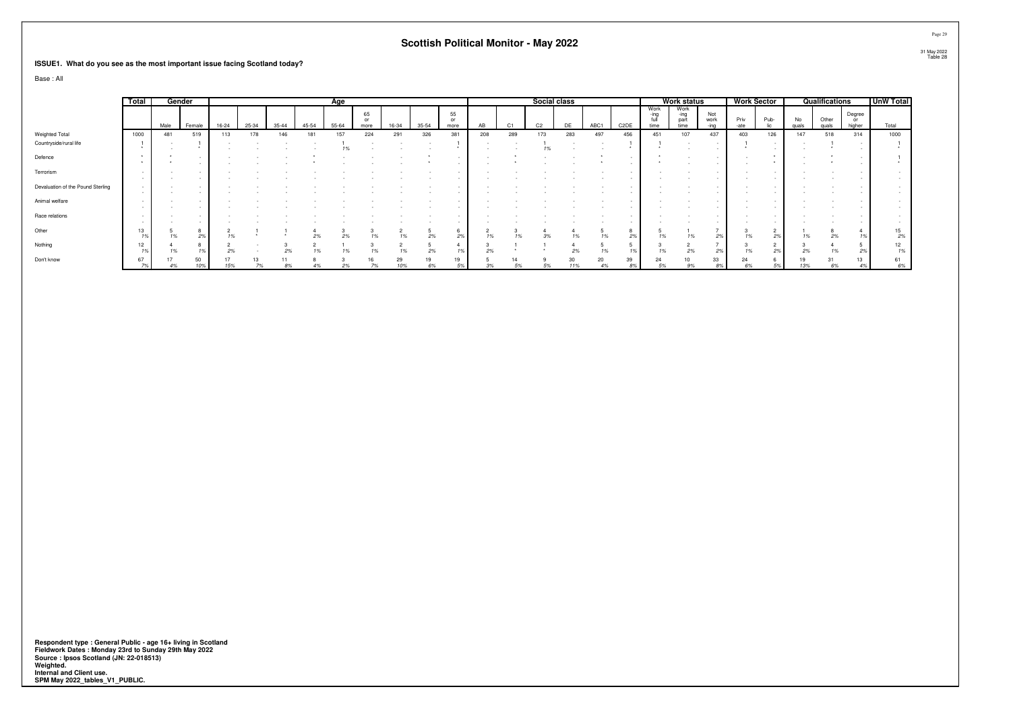#### **ISSUE1. What do you see as the most important issue facing Scotland today?**

Base : All

|                                   | Total                |      | Gender    |       |       |           |       | Age   |                  |       |       |                  |     |     | Social class   |           |      |                   |                      | <b>Work status</b>           |                     |              | <b>Work Sector</b> |             | Qualifications |                        | <b>UnW Total</b> |
|-----------------------------------|----------------------|------|-----------|-------|-------|-----------|-------|-------|------------------|-------|-------|------------------|-----|-----|----------------|-----------|------|-------------------|----------------------|------------------------------|---------------------|--------------|--------------------|-------------|----------------|------------------------|------------------|
|                                   |                      | Male | Female    | 16-24 | 25-34 | $35 - 44$ | 45-54 | 55-64 | 65<br>or<br>more | 16-34 | 35-54 | 55<br>or<br>more | AB  | C1  | C <sub>2</sub> |           | ABC1 | C <sub>2</sub> DE | Work<br>-ina<br>time | Work<br>-ing<br>part<br>time | Not<br>work<br>-inn | Priv<br>-ate | Pub-               | No<br>quals | Other<br>quals | Degree<br>or<br>higher | Total            |
| Weighted Total                    | 1000                 | 481  | 519       | 113   | 178   | 146       | 181   | 157   | 224              | 291   | 326   | 381              | 208 | 289 | 173            | 283       | 497  | 456               | 451                  | 107                          | 437                 | 403          | 126                | 147         | 518            | 314                    | 1000             |
| Countryside/rural life            |                      |      |           |       |       |           |       |       |                  |       |       |                  |     |     |                |           |      |                   |                      |                              |                     |              |                    |             |                |                        |                  |
| Defence                           |                      |      |           |       |       |           |       |       |                  |       |       |                  |     |     |                |           |      |                   |                      |                              |                     |              |                    |             |                |                        |                  |
| Terrorism                         | $\sim$               |      |           |       |       |           |       |       |                  |       |       |                  |     |     |                |           |      |                   |                      |                              |                     |              |                    |             |                |                        |                  |
| Devaluation of the Pound Sterling | $\sim$<br>$\sim$     |      |           |       |       |           |       |       |                  |       |       |                  |     |     |                |           |      |                   |                      |                              |                     |              |                    |             |                |                        |                  |
| Animal welfare                    | $\sim$               |      |           |       |       |           |       |       |                  |       |       |                  |     |     |                |           |      |                   |                      |                              |                     |              |                    |             |                |                        |                  |
| Race relations                    | $\sim$<br>$\sim$     |      |           |       |       |           |       |       |                  |       |       |                  |     |     |                |           |      |                   |                      |                              |                     |              |                    |             |                |                        |                  |
| Other                             | 13<br>1 <sup>9</sup> |      |           |       |       |           |       |       |                  |       |       |                  |     |     |                |           |      |                   |                      |                              | 2%                  |              | 2%                 | 1%          | 2%             |                        | 2%               |
| Nothing                           | 12<br>1 <sup>9</sup> |      |           |       |       |           |       |       |                  |       | 2%    |                  | 270 |     |                |           |      |                   |                      |                              | 2%                  |              |                    | $2\%$       |                |                        |                  |
| Don't know                        | 67                   | 4%   | 50<br>10% | 15%   | 13    |           |       |       |                  | 29    | 6%    | 19<br>5%         |     | 5%  |                | 30<br>11% | 20   | 39<br>8%          |                      |                              | 33<br>8%            | 24<br>6%     | 5%                 | 13%         | 31<br>6%       |                        | 6%               |

Respondent type : General Public - age 16+ living in Scotland<br>Fieldwork Dates : Monday 23rd to Sunday 29th May 2022<br>Source : Ipsos Scotland (JN: 22-018513)<br>Weighted.<br>Internal and Client use.<br>SPM May 2022\_tables\_V1\_PUBLIC.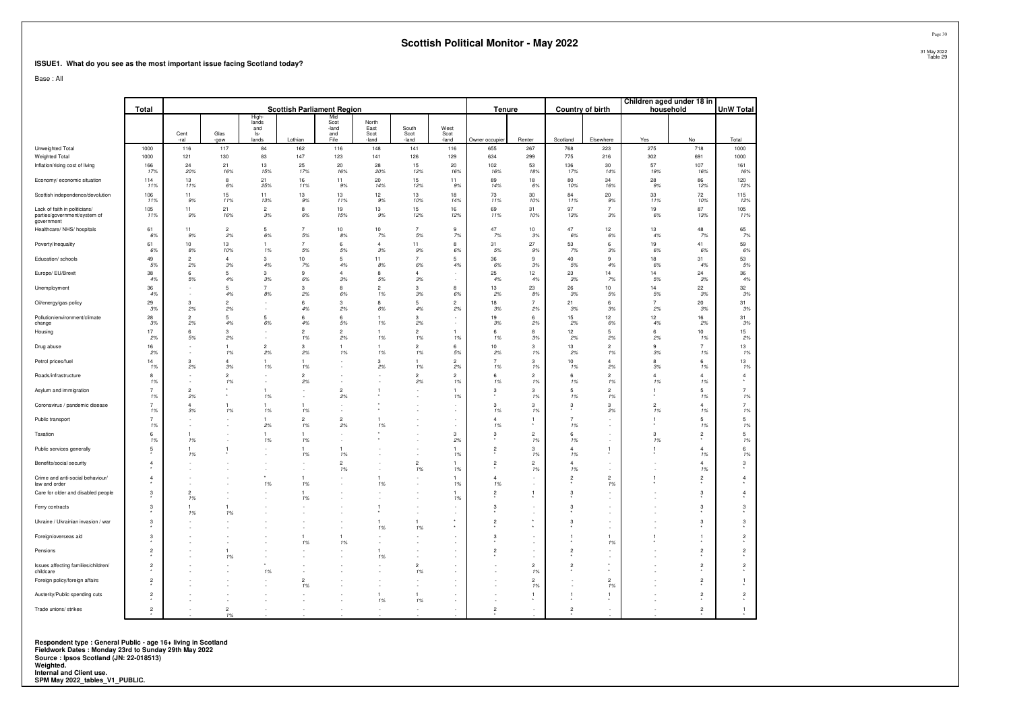#### **ISSUE1. What do you see as the most important issue facing Scotland today?**

Base : All

|                                                                             | Total                   |                      |                      |                      | <b>Scottish Parliament Region</b> |                      |                      |                        |                       | Tenure               |                      |                      | <b>Country of birth</b> |                      | Children aged under 18 in<br>household | <b>UnW Total</b>     |
|-----------------------------------------------------------------------------|-------------------------|----------------------|----------------------|----------------------|-----------------------------------|----------------------|----------------------|------------------------|-----------------------|----------------------|----------------------|----------------------|-------------------------|----------------------|----------------------------------------|----------------------|
|                                                                             |                         |                      |                      | High<br>lands        |                                   | Mid<br>Scot          | North                |                        |                       |                      |                      |                      |                         |                      |                                        |                      |
|                                                                             |                         | Cent<br>-ral         | Glas<br>-gow         | and<br>ls-<br>lands  | Lothian                           | -land<br>and<br>Fife | East<br>Scot<br>land | South<br>Scot<br>-land | West<br>Scot<br>-land | Owner occupier       | Renter               | Scotland             | Elsewhere               | Yes                  | No                                     | Total                |
| Unweighted Total                                                            | 1000                    | 116                  | 117                  | 84                   | 162                               | 116                  | 148                  | 141                    | 116                   | 655                  | 267                  | 768                  | 223                     | 275                  | 718                                    | 1000                 |
| Weighted Total<br>Inflation/rising cost of living                           | 1000<br>166             | 121<br>24            | 130<br>21            | 83<br>13             | 147<br>25                         | 123<br>20            | 141<br>28            | 126<br>15              | 129<br>20             | 634<br>102           | 299<br>53            | 775<br>136           | 216<br>30               | 302<br>57            | 691<br>107                             | 1000<br>161          |
|                                                                             | 17%                     | 20%                  | 16%                  | 15%                  | 17%                               | 16%                  | 20%                  | 12%                    | 16%                   | 16%                  | 18%                  | 17%                  | 14%                     | 19%                  | 16%                                    | 16%                  |
| Economy/ economic situation                                                 | 114<br>11%              | 13<br>11%            | 8<br>6%              | 21<br>25%            | 16<br>11%                         | 11<br>9%             | 20<br>14%            | 15<br>12%              | 11<br>9%              | 89<br>14%            | 18<br>6%             | 80<br>10%            | 34<br>16%               | 28<br>9%             | 86<br>12%                              | 120<br>12%           |
| Scottish independence/devolution                                            | 106<br>11%              | 11<br>9%             | 15<br>11%            | 11<br>13%            | 13<br>9%                          | 13<br>11%            | 12<br>9%             | 13<br>10%              | 18<br>14%             | 73<br>11%            | 30<br>10%            | 84<br>11%            | $20\,$<br>9%            | 33<br>11%            | 72<br>10%                              | 115<br>12%           |
| Lack of faith in politicians/<br>parties/government/system of<br>government | 105<br>11%              | 11<br>9%             | 21<br>16%            | $\overline{2}$<br>3% | 8<br>6%                           | 19<br>15%            | 13<br>9%             | 15<br>12%              | 16<br>12%             | 69<br>11%            | 31<br>10%            | 97<br>13%            | $\overline{7}$<br>3%    | 19<br>6%             | 87<br>13%                              | 105<br>11%           |
| Healthcare/ NHS/ hospitals                                                  | 61<br>6%                | 11<br>9%             | $\overline{c}$<br>2% | 5<br>6%              | $\overline{7}$<br>5%              | 10<br>8%             | 10<br>7%             | $\overline{7}$<br>5%   | 9<br>7%               | 47<br>7%             | 10<br>3%             | $47\,$<br>$6\%$      | 12<br>6%                | 13<br>4%             | 48<br>7%                               | 65<br>7%             |
| Poverty/Inequality                                                          | 61<br>6%                | 10<br>8%             | 13<br>10%            | 1<br>1%              | $\overline{7}$<br>5%              | 6<br>5%              | $\overline{4}$<br>3% | 11<br>9%               | 8<br>6%               | 31<br>5%             | 27<br>9%             | 53<br>7%             | 6<br>3%                 | 19<br>6%             | 41<br>6%                               | 59<br>6%             |
| Education/ schools                                                          | 49<br>5%                | $\overline{2}$<br>2% | $\overline{4}$<br>3% | 3<br>4%              | 10<br>7%                          | 5<br>4%              | 11<br>8%             | $\overline{7}$<br>6%   | -5<br>4%              | 36<br>6%             | 9<br>3%              | 40<br>$5\%$          | $\mathbf{g}$<br>4%      | 18<br>6%             | 31<br>4%                               | 53<br>5%             |
| Europe/ EU/Brexit                                                           | 38<br>4%                | 6<br>5%              | 5<br>4%              | 3<br>3%              | 9<br>6%                           | Δ<br>3%              | 8<br>5%              | $\overline{4}$<br>3%   |                       | 25<br>4%             | 12<br>4%             | 23<br>3%             | 14<br>7%                | 14<br>5%             | 24<br>3%                               | 36<br>4%             |
| Unemployment                                                                | 36<br>4%                | ×                    | 5<br>4%              | $\overline{7}$<br>8% | 3<br>2%                           | 8<br>6%              | $\overline{2}$<br>1% | 3<br>3%                | 8<br>6%               | 13<br>2%             | 23<br>8%             | 26<br>3%             | 10<br>5%                | 14<br>5%             | 22<br>3%                               | 32<br>3%             |
| Oil/energy/gas policy                                                       | 29<br>3%                | $\mathbf{3}$<br>2%   | $\overline{2}$<br>2% |                      | 6<br>4%                           | 3<br>2%              | 8<br>6%              | 5<br>4%                | $\overline{2}$<br>2%  | 18<br>3%             | $\overline{7}$<br>2% | 21<br>3%             | 6<br>3%                 | $\overline{7}$<br>2% | $20\,$<br>3%                           | 31<br>3%             |
| Pollution/environment/climate<br>change                                     | 28<br>3%                | $\overline{2}$<br>2% | $\overline{5}$<br>4% | 5<br>6%              | 6<br>4%                           | 6<br>.5%             | 1%                   | 3<br>2%                |                       | 19<br>3%             | 6<br>2%              | 15<br>2%             | 12<br>6%                | 12<br>4%             | 16<br>2%                               | 31<br>3%             |
| Housing                                                                     | 17<br>2%                | 6<br>5%              | 3<br>2%              | ×.                   | $\overline{2}$<br>1%              | $\overline{2}$<br>2% | 1%                   | $\overline{2}$<br>1%   | -1<br>1%              | 6<br>1%              | 8<br>3%              | 12<br>2%             | 5<br>2%                 | 6<br>2%              | 10<br>1%                               | 15<br>2%             |
| Drug abuse                                                                  | 16<br>2%                |                      | $\mathbf{1}$<br>1%   | $\overline{c}$<br>2% | 3<br>2%                           | 1<br>1%              | 1%                   | $\overline{2}$<br>1%   | 6<br>5%               | 10<br>2%             | 3<br>1%              | 13<br>2%             | $\overline{2}$<br>1%    | $\mathbf{Q}$<br>3%   | $\overline{7}$<br>1%                   | 13<br>1%             |
| Petrol prices/fuel                                                          | 14<br>1%                | 3<br>2%              | $\overline{4}$<br>3% | 1<br>1%              | 1%                                |                      | 3<br>2%              | 1%                     | $\overline{2}$<br>2%  | $\overline{7}$<br>1% | 3<br>1%              | 10<br>1%             | $\overline{4}$<br>2%    | 8<br>3%              | 6<br>1%                                | 13<br>1%             |
| Roads/infrastructure                                                        | 8<br>1%                 |                      | $\overline{2}$<br>1% |                      | $\overline{2}$<br>2%              |                      |                      | $\overline{c}$<br>2%   | $\overline{2}$<br>1%  | 6<br>1%              | $\overline{2}$<br>1% | 6<br>1%              | $\overline{c}$<br>1%    | $\Delta$<br>1%       | $\overline{4}$<br>1%                   | $\overline{4}$       |
| Asylum and immigration                                                      | $\overline{7}$<br>1%    | $\overline{2}$<br>2% | ٠                    | $\mathbf{1}$<br>1%   |                                   | $\overline{2}$<br>2% |                      |                        | 1%                    | 3                    | 3<br>1%              | 5<br>1%              | $\overline{2}$<br>1%    |                      | 5<br>1%                                | $\overline{7}$<br>1% |
| Coronavirus / pandemic disease                                              | $\overline{7}$<br>1%    | $\overline{4}$<br>3% | $\mathbf{1}$<br>1%   | 1<br>1%              | $\mathbf{1}$<br>1%                |                      |                      |                        |                       | 3<br>1%              | 3<br>1%              | 3                    | 3<br>2%                 | $\overline{c}$<br>1% | $\overline{4}$<br>1%                   | $\overline{7}$<br>1% |
| Public transport                                                            | $\overline{7}$<br>1%    | ×                    |                      | 1<br>2%              | $\overline{2}$<br>1%              | $\overline{2}$<br>2% | $\mathbf{1}$<br>1%   |                        | $\sim$                | $\overline{4}$<br>1% | 1                    | $\overline{7}$<br>1% |                         |                      | 5<br>1%                                | 5<br>1%              |
| Taxation                                                                    | 6<br>1%                 | 1<br>1%              |                      | 1<br>1%              | -1<br>1%                          |                      |                      |                        | 3<br>2%               | 3                    | $\overline{c}$<br>1% | 6<br>1%              |                         | 3<br>1%              | $\overline{2}$                         | $\,$ 5 $\,$<br>1%    |
| Public services generally                                                   | 5                       | 1%                   | 1                    |                      | 1%                                | 1%                   |                      |                        | 1%                    | $\overline{2}$       | 3<br>1%              | 1%                   |                         |                      | $\overline{4}$<br>1%                   | 6<br>1%              |
| Benefits/social security                                                    | $\overline{4}$          |                      |                      |                      |                                   | $\overline{a}$<br>1% |                      | $\mathfrak{p}$<br>1%   | 1<br>1%               | $\overline{2}$       | $\overline{2}$<br>1% | $\Delta$<br>1%       |                         |                      | $\overline{4}$<br>1%                   | 3                    |
| Crime and anti-social behaviour/<br>law and order                           | $\overline{4}$          |                      |                      | 1%                   | 1%                                |                      | 1%                   |                        | 1%                    | 4<br>1%              |                      | $\overline{2}$       | $\overline{2}$<br>1%    |                      | $\overline{c}$                         | $\overline{4}$       |
| Care for older and disabled people                                          | 3                       | $\overline{2}$<br>1% |                      |                      | $\mathbf{1}$<br>1%                |                      |                      |                        | 1%                    | $\overline{2}$       | 1                    | 3                    |                         |                      | 3                                      | $\overline{4}$       |
| Ferry contracts                                                             | 3                       | 1<br>1%              | $\mathbf{1}$<br>1%   |                      |                                   |                      | $\mathbf{1}$         |                        |                       | 3                    |                      | 3                    |                         |                      | 3                                      | 3                    |
| Ukraine / Ukrainian invasion / war                                          | 3                       |                      |                      |                      |                                   |                      | 1%                   | 1%                     |                       | $\overline{2}$       |                      | 3                    |                         |                      | 3                                      | 3                    |
| Foreign/overseas aid                                                        | 3                       |                      |                      |                      | 1%                                | 1<br>1%              |                      |                        |                       | 3                    |                      |                      | 1%                      |                      |                                        | $\overline{a}$       |
| Pensions                                                                    | $\mathbf 2$             |                      | $\mathbf{1}$<br>1%   |                      |                                   |                      | $\mathbf{1}$<br>1%   |                        |                       | $\overline{2}$       |                      | $\overline{2}$       |                         |                      | $\overline{2}$                         | $\overline{2}$       |
| Issues affecting families/children/<br>childcare                            | $\overline{c}$          |                      |                      | 1%                   |                                   |                      |                      | $\overline{2}$<br>1%   |                       |                      | $\overline{2}$<br>1% | $\overline{2}$       |                         |                      | $\overline{2}$                         | $\overline{2}$       |
| Foreign policy/foreign affairs                                              | $\overline{2}$          |                      |                      |                      | $\overline{2}$<br>1%              |                      | ٠                    | $\sim$                 |                       |                      | $\overline{2}$<br>1% |                      | $\overline{2}$<br>1%    |                      | $\overline{2}$                         | 1                    |
| Austerity/Public spending cuts                                              | $\overline{\mathbf{c}}$ |                      |                      |                      |                                   |                      | $\overline{1}$<br>1% | 1<br>1%                |                       |                      | 1                    | $\mathbf{1}$         | $\overline{1}$          |                      | $\overline{2}$                         | $\overline{2}$       |
| Trade unions/ strikes                                                       | $\overline{c}$          |                      | $\overline{2}$<br>1% |                      |                                   |                      |                      |                        |                       | $\overline{2}$       |                      | $\overline{2}$       |                         |                      | $\overline{c}$                         | $\mathbf{1}$         |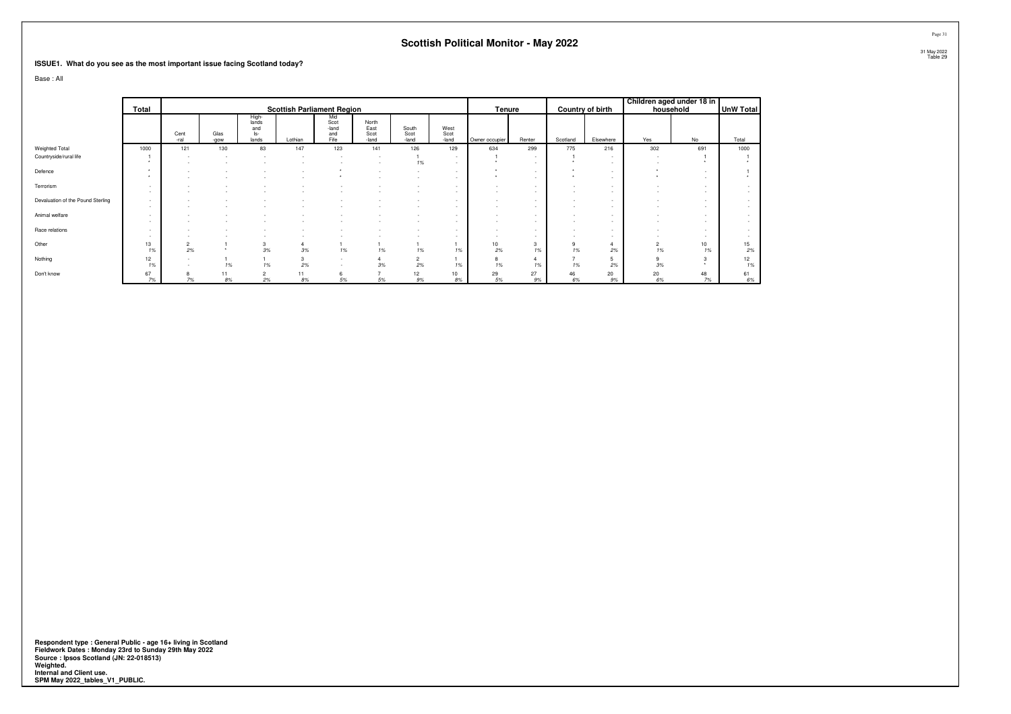#### **ISSUE1. What do you see as the most important issue facing Scotland today?**

Base : All

|                                   | Total       |              |              |                                       | <b>Scottish Parliament Region</b> |                                                      |                                |                        |                            | Tenure                   |             |          | Country of birth | household            | Children aged under 18 in | <b>UnW Total</b> |
|-----------------------------------|-------------|--------------|--------------|---------------------------------------|-----------------------------------|------------------------------------------------------|--------------------------------|------------------------|----------------------------|--------------------------|-------------|----------|------------------|----------------------|---------------------------|------------------|
|                                   |             | Cent<br>-ral | Glas<br>-gow | High-<br>lands<br>and<br>ls-<br>lands | Lothian                           | Mid<br>Scot<br>-land<br>and<br>Fife                  | North<br>East<br>Scot<br>-land | South<br>Scot<br>-land | West<br>Scot<br>-land      | Owner occupier           | Renter      | Scotland | Elsewhere        | Yes                  | No                        | Total            |
| Weighted Total                    | 1000        | 121          | 130          | 83                                    | 147                               | 123                                                  | 141                            | 126                    | 129                        | 634                      | 299         | 775      | 216              | 302                  | 691                       | 1000             |
| Countryside/rural life            |             |              |              |                                       |                                   |                                                      |                                | 1%                     | $\sim$                     |                          | $\sim$      |          | $\sim$           | $\sim$               |                           |                  |
| Defence                           |             |              |              |                                       |                                   |                                                      |                                |                        | <b>1999</b><br><b>1999</b> |                          | $\sim$<br>- |          | $\sim$           |                      |                           |                  |
| Terrorism                         | <b>1999</b> |              |              |                                       |                                   |                                                      |                                |                        |                            |                          |             |          |                  |                      | $\overline{\phantom{a}}$  |                  |
| Devaluation of the Pound Sterling |             |              |              |                                       |                                   |                                                      |                                |                        |                            |                          |             |          |                  |                      | $\overline{\phantom{a}}$  |                  |
| Animal welfare                    | <b>1999</b> |              |              |                                       |                                   |                                                      |                                |                        | <b>1999</b>                |                          | $\sim$      |          | $\sim$           |                      |                           |                  |
| Race relations                    | $\sim$      |              |              |                                       |                                   |                                                      |                                |                        | $\sim$                     | $\overline{\phantom{a}}$ | $\sim$      | $\sim$   | $\sim$           |                      | $\sim$                    |                  |
| Other                             | 13<br>1%    | 2<br>2%      |              | 3<br>3%                               | 3%                                | 1%                                                   | 1%                             | 1%                     | 1%                         | 10<br>2%                 | 1%          | 9<br>1%  | 2%               | $\overline{2}$<br>1% | 10<br>1%                  | 15<br>2%         |
| Nothing                           | 12<br>1%    | $\sim$       | 1%           | 1%                                    | 3<br>2%                           | $\overline{\phantom{a}}$<br>$\overline{\phantom{a}}$ | $3\%$                          | $\overline{2}$<br>2%   | 1%                         | 8<br>1%                  | 1%          | 1%       | 2%               | 9<br>3%              |                           | 12<br>1%         |
| Don't know                        | 67<br>7%    | 8<br>$7\%$   | 11<br>8%     | $\overline{2}$<br>2%                  | 11<br>8%                          | 6<br>5%                                              | 5%                             | 12<br>9%               | 10<br>$8\%$                | 29<br>5%                 | 27<br>9%    | 46<br>6% | 20<br>9%         | 20<br>6%             | 48<br>7%                  | 61<br>$6\%$      |

Respondent type : General Public - age 16+ living in Scotland<br>Fieldwork Dates : Monday 23rd to Sunday 29th May 2022<br>Source : Ipsos Scotland (JN: 22-018513)<br>Weighted.<br>Internal and Client use.<br>SPM May 2022\_tables\_V1\_PUBLIC.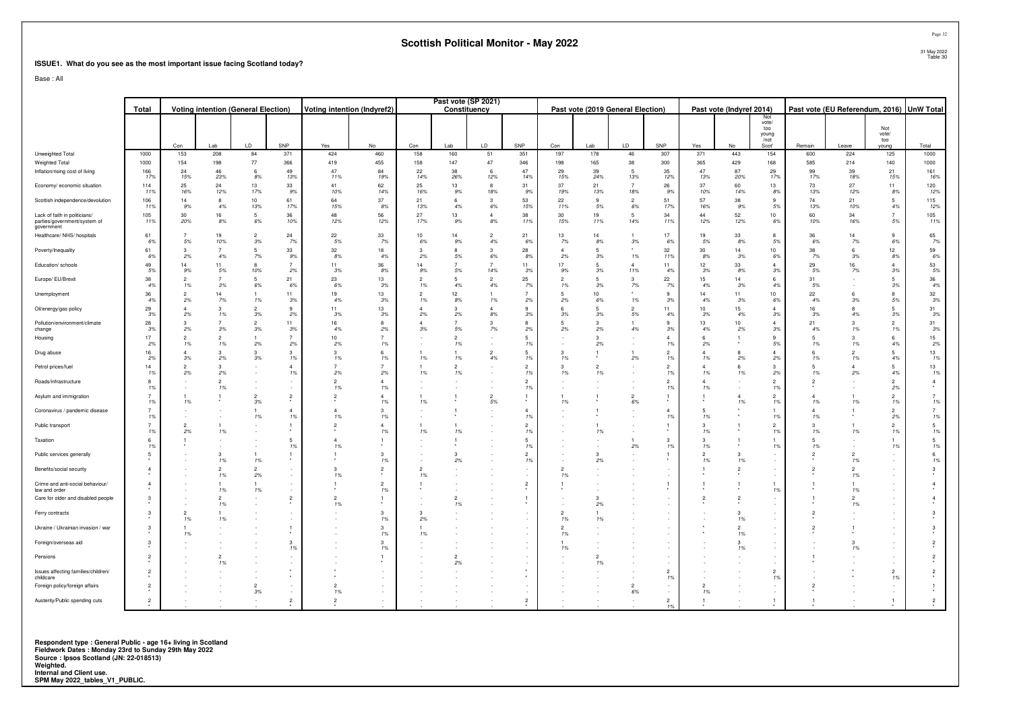#### **ISSUE1. What do you see as the most important issue facing Scotland today?**

Base : All

|                                                                             | <b>Voting intention (General Election)</b><br>Total |                      |           |                      |                      | Voting intention (Indyref2) |                      | Past vote (SP 2021)  | Constituency         |                       |                     |                      | Past vote (2019 General Election) |                       |                     | Past vote (Indyref 2014) |                      |                                               | Past vote (EU Referendum, 2016) UnW Total |           |                              |                      |
|-----------------------------------------------------------------------------|-----------------------------------------------------|----------------------|-----------|----------------------|----------------------|-----------------------------|----------------------|----------------------|----------------------|-----------------------|---------------------|----------------------|-----------------------------------|-----------------------|---------------------|--------------------------|----------------------|-----------------------------------------------|-------------------------------------------|-----------|------------------------------|----------------------|
|                                                                             |                                                     | Con                  | Lab       | LD.                  | SNP                  | Yes                         | No                   | Con                  | Lab                  | LD                    | SNP                 | Con                  | I ab                              | LD                    | SNP                 | Yes                      | No                   | Not<br>vote/<br>too<br>young<br>/not<br>Scot' | Remain                                    | Leave     | Not<br>vote/<br>too<br>young | Total                |
| Unweighted Total                                                            | 1000                                                | 153                  | 208       | 84                   | 371                  | 424                         | 460                  | 158                  | 160                  | 51                    | 351                 | 197                  | 178                               | 46                    | 307                 | 371                      | 443                  | 154                                           | 600                                       | 224       | 125                          | 1000                 |
| Weighted Total                                                              | 1000                                                | 154<br>24            | 198<br>46 | 77<br>-6             | 366<br>49            | 419<br>47                   | 455<br>84            | 158                  | 147                  | 47<br>6               | 346<br>47           | 198<br>29            | 165<br>39                         | 38<br>5               | 300                 | 365<br>47                | 429<br>87            | 168<br>29                                     | 585<br>99                                 | 214<br>39 | 140<br>21                    | 1000<br>161          |
| Inflation/rising cost of living                                             | 166<br>17%                                          | 15%                  | 23%       | 8%                   | 13%                  | 11%                         | 19%                  | 22<br>14%            | 38<br>26%            | 12%                   | 14%                 | 15%                  | 24%                               | 13%                   | 35<br>12%           | 13%                      | 20%                  | 17%                                           | 17%                                       | 18%       | 15%                          | 16%                  |
| Economy/ economic situation                                                 | 114<br>11%                                          | 25<br>16%            | 24<br>12% | 13<br>17%            | 33<br>9%             | 41<br>10%                   | 62<br>14%            | 25<br>16%            | 13<br>9%             | $\mathbf{g}$<br>18%   | 31<br>9%            | 37<br>19%            | 21<br>13%                         | $\overline{7}$<br>18% | 26<br>9%            | 37<br>10%                | 60<br>14%            | 13<br>8%                                      | 73<br>13%                                 | 27<br>12% | 11<br>8%                     | 120<br>12%           |
| Scottish independence/devolution                                            | 106<br>11%                                          | 14<br>9%             | 4%        | 10<br>13%            | 61<br>17%            | 64<br>15%                   | 37<br>8%             | 21<br>13%            | 6<br>4%              | 3<br>6%               | 53<br>15%           | 22<br>11%            | $\mathbf{Q}$<br>$5\%$             | $\overline{2}$<br>6%  | 51<br>17%           | 57<br>16%                | 38<br>9%             | 5%                                            | 74<br>13%                                 | 21<br>10% | 5<br>4%                      | 115<br>12%           |
| Lack of faith in politicians/<br>parties/government/system of<br>government | 105<br>11%                                          | 30<br>20%            | 16<br>8%  | 6%                   | 36<br>10%            | 48<br>12%                   | 56<br>12%            | 27<br>17%            | 13<br>9%             | $\Delta$<br>$8\%$     | 38<br>11%           | 30<br>15%            | 19<br>11%                         | 5<br>14%              | 34<br>11%           | 44<br>12%                | 52<br>12%            | 10<br>6%                                      | 60<br>10%                                 | 34<br>16% | 5%                           | 105<br>11%           |
| Healthcare/ NHS/ hospitals                                                  | 61<br>6%                                            | 5%                   | 19<br>10% | $\overline{2}$<br>3% | 24<br>7%             | 22<br>5%                    | 33<br>7%             | 10<br>6%             | 14<br>9%             | $\mathcal{P}$<br>4%   | 21<br>6%            | 13<br>7%             | 14<br>8%                          | 3%                    | 17<br>6%            | 19<br>5%                 | 33<br>8%             | 8<br>5%                                       | 36<br>6%                                  | 14<br>7%  | 9<br>6%                      | 65<br>7%             |
| Poverty/Inequality                                                          | 61<br>6%                                            | 3<br>2%              | 4%        | -5<br>7%             | 33<br>9%             | 32<br>8%                    | 18<br>4%             | 3<br>2%              | 8<br>5%              | 3<br>6%               | 28<br>8%            | $\Delta$<br>2%       | $\sqrt{2}$<br>3%                  | 1%                    | 32<br>11%           | 30<br>8%                 | 14<br>3%             | 10 <sup>10</sup><br>6%                        | 38<br>7%                                  | -6<br>3%  | 12<br>8%                     | 59<br>6%             |
| Education/ schools                                                          | 49<br>5%                                            | 14<br>9%             | 11<br>5%  | 10%                  | 2%                   | 11<br>3%                    | 36<br>8%             | 14<br>9%             | 5%                   | $\overline{7}$<br>14% | 11<br>3%            | 17<br>9%             | 5<br>3%                           | 11%                   | 11<br>4%            | 12<br>3%                 | 33<br>8%             | 3%                                            | 29<br>5%                                  | 16<br>7%  | 3%                           | 53<br>5%             |
| Europe/ EU/Brexit                                                           | 38<br>4%                                            | $\overline{2}$<br>1% | 3%        | -5<br>6%             | 21<br>6%             | 23<br>6%                    | 13<br>3%             | 2<br>1%              | 5<br>4%              | $\overline{c}$<br>4%  | 25<br>7%            | $\overline{2}$<br>1% | 5<br>3%                           | 3<br>7%               | 22<br>7%            | 15<br>4%                 | 14<br>3%             | 6<br>4%                                       | 31<br>5%                                  |           | 5<br>3%                      | 36<br>4%             |
| Unemployment                                                                | 36<br>4%                                            | $\mathcal{D}$<br>2%  | 14<br>7%  | 1%                   | 11<br>3%             | 19<br>4%                    | 13<br>3%             | $\overline{2}$<br>1% | 12<br>8%             | 1%                    | 2%                  | 5<br>2%              | 10 <sub>1</sub><br>6%             | 1%                    | $\mathbf{Q}$<br>3%  | 14<br>4%                 | 11<br>3%             | 10 <sup>1</sup><br>6%                         | 22<br>4%                                  | 3%        | $\mathbf{R}$<br>5%           | 32<br>3%             |
| Oil/energy/gas policy                                                       | 29<br>3%                                            | 2%                   | 3<br>1%   | $\mathcal{P}$<br>3%  | 9<br>2%              | 11<br>3%                    | 13<br>3%             | 4<br>2%              | 3<br>2%              | $\overline{4}$<br>8%  | 9<br>3%             | 6<br>3%              | 3%                                | $\mathcal{P}$<br>5%   | 11<br>4%            | 10<br>3%                 | 15<br>4%             | 4<br>3%                                       | 16<br>3%                                  | 4%        | 3%                           | 31<br>3%             |
| Pollution/environment/climate<br>change                                     | 28<br>3%                                            | 2%                   | 3%        | 3%                   | 11<br>3%             | 16<br>4%                    | 8<br>2%              | $\overline{4}$<br>3% | 5%                   | 3<br>7%               | 2%                  | 5<br>2%              | 2%                                | 4%                    | 9<br>3%             | 13<br>4%                 | 10<br>2%             | $\overline{4}$<br>3%                          | 21<br>4%                                  | 1%        | 1%                           | 31<br>3%             |
| Housing                                                                     | 17<br>2%                                            | $\overline{2}$<br>1% | 2<br>1%   | 2%                   | $\overline{7}$<br>2% | 10 <sup>1</sup><br>2%       | $\overline{7}$<br>1% |                      | $\overline{2}$<br>1% |                       | -5<br>1%            |                      | $\mathbf{3}$<br>2%                |                       | $\Delta$<br>1%      | 2%                       | -1                   | $\mathbf{9}$<br>5%                            | 5<br>1%                                   | 1%        | 6<br>4%                      | 15<br>2%             |
| Drug abuse                                                                  | 16<br>2%                                            | 3%                   | 2%        | $\mathcal{R}$<br>3%  | 3<br>1%              | з<br>1%                     | 6<br>1%              | 1%                   | 1%                   | $\mathcal{P}$<br>4%   | 1%                  | з<br>1%              |                                   | 2%                    | 2<br>1%             | 1%                       | $\mathbf{a}$<br>2%   | 2%                                            | 1%                                        | 1%        | 4%                           | 13<br>1%             |
| Petrol prices/fuel                                                          | 14<br>1%                                            | 2%                   | 2%        |                      | $\Delta$<br>1%       | 2%                          | 7<br>2%              | 1%                   | $\overline{2}$<br>1% |                       | 1%                  | 1%                   | 1%                                |                       | 1%                  | 1%                       | 6<br>1%              | 2%                                            | 1%                                        | 2%        | 4%                           | 13<br>1%             |
| Roads/infrastructure                                                        | 1%                                                  |                      | 2<br>1%   |                      |                      | 2<br>1%                     | $\Delta$<br>1%       |                      |                      |                       | $\mathcal{D}$<br>1% |                      |                                   |                       | $\mathcal{P}$<br>1% | 1%                       |                      | $\overline{2}$<br>1%                          |                                           |           | $\mathcal{P}$<br>2%          | $\Delta$             |
| Asylum and immigration                                                      | 1%                                                  | 1%                   |           | $\mathcal{P}$<br>3%  | $\mathcal{P}$        | $\mathfrak{p}$              | $\overline{4}$<br>1% | 1%                   |                      | $\mathcal{P}$<br>5%   |                     | 1%                   |                                   | $\mathcal{P}$<br>6%   |                     |                          | $\overline{4}$<br>1% | $\overline{2}$<br>1%                          | 1%                                        | 1%        | $\mathfrak{p}$<br>1%         | $\overline{7}$<br>1% |
| Coronavirus / pandemic disease                                              | 1%                                                  |                      |           | 1%                   | 1%                   | 1%                          | 3<br>1%              |                      |                      |                       | 19                  |                      |                                   |                       | 1%                  | 1%                       |                      | 1%                                            | 1%                                        |           | 2%                           | $\overline{7}$<br>1% |
| Public transport                                                            | 1%                                                  | 2%                   | 1%        |                      |                      |                             | $\Delta$<br>1%       | 1%                   | 1%                   |                       | 1%                  |                      | 1%                                |                       |                     | 1%                       |                      | $\mathcal{P}$<br>1%                           | 1%                                        | 1%        | 2<br>1%                      | 5<br>1%              |
| Taxation                                                                    | 1%                                                  |                      |           |                      | 5<br>1%              | 1%                          |                      |                      |                      |                       | 1%                  |                      |                                   | 2%                    | з<br>1%             | 1%                       |                      | 1%                                            | 1%                                        |           | 1%                           | 5<br>1%              |
| Public services generally                                                   |                                                     |                      | 1%        | 1%                   |                      |                             | 3<br>1%              |                      | 2%                   |                       | 1%                  |                      | 2%                                |                       |                     | 1%                       | 3<br>1%              |                                               |                                           | 1%        |                              | 1%                   |
| Benefits/social security                                                    |                                                     |                      | 2<br>1%   | 2%                   |                      | 1%                          | $\overline{2}$       | 2<br>1%              |                      |                       |                     | 1%                   |                                   |                       |                     |                          | $\overline{2}$       |                                               |                                           | 1%        |                              | з                    |
| Crime and anti-social behaviour/<br>law and order                           |                                                     |                      | 1%        | 1%                   |                      |                             | $\overline{2}$<br>1% |                      |                      |                       | $\overline{2}$      |                      |                                   |                       |                     |                          |                      | 1%                                            |                                           | 1%        |                              |                      |
| Care for older and disabled people                                          |                                                     |                      | o<br>1%   |                      |                      | 2<br>1%                     |                      |                      | 2<br>1%              |                       |                     |                      | 2%                                |                       |                     |                          | $\overline{2}$       |                                               |                                           | 1%        |                              |                      |
| Ferry contracts                                                             |                                                     | 1%                   | 1%        |                      |                      |                             | 3<br>1%              | 2%                   |                      |                       |                     | 1%                   | 1%                                |                       |                     |                          | 3<br>1%              |                                               |                                           |           |                              |                      |
| Ukraine / Ukrainian invasion / war                                          |                                                     | 1%                   |           |                      |                      |                             | 3<br>1%              | 1%                   |                      |                       |                     | 1%                   |                                   |                       |                     |                          | $\overline{2}$<br>1% |                                               |                                           |           |                              |                      |
| Foreign/overseas aid                                                        |                                                     |                      |           |                      | 3<br>1%              |                             | 3<br>1%              |                      |                      |                       |                     |                      |                                   |                       |                     |                          | $\mathcal{B}$<br>1%  |                                               |                                           | 1%        |                              |                      |
| Pensions                                                                    |                                                     |                      |           |                      |                      |                             |                      |                      |                      |                       |                     |                      |                                   |                       |                     |                          |                      |                                               |                                           |           |                              |                      |
| Issues affecting families/children/<br>childcare                            |                                                     |                      |           |                      |                      |                             |                      |                      |                      |                       |                     |                      |                                   |                       |                     |                          |                      | $\overline{2}$<br>1%                          |                                           |           | $\mathcal{P}$<br>1%          |                      |
| Foreign policy/foreign affairs                                              |                                                     |                      |           | 3%                   |                      | 1%                          |                      |                      |                      |                       |                     |                      |                                   | 6%                    |                     | 1%                       |                      |                                               |                                           |           |                              |                      |
| Austerity/Public spending cuts                                              | $\overline{2}$                                      |                      |           |                      |                      |                             |                      |                      |                      |                       |                     |                      |                                   |                       |                     |                          |                      |                                               |                                           |           |                              |                      |

 $^{\prime}$  . The second construction of  $^{\prime}$  , the second construction of  $^{\prime}$  , the second construction of  $^{\prime\prime}$ 

- - - <sup>2</sup> <sup>2</sup> - - - - <sup>2</sup> - - - <sup>2</sup> <sup>1</sup> - <sup>1</sup> <sup>1</sup> - <sup>1</sup> <sup>2</sup>

**Respondent type : General Public - age 16+ living in Scotland Fieldwork Dates : Monday 23rd to Sunday 29th May 2022 Source : Ipsos Scotland (JN: 22-018513) Weighted. Internal and Client use. SPM May 2022\_tables\_V1\_PUBLIC.**

 $\begin{array}{ccc} \text{2}^{\circ} & \text{2}^{\circ} \\ \text{3}^{\circ} & \text{4}^{\circ} \end{array}$ 

Page 32

 $\frac{1}{2}$  ,  $\frac{1}{2}$  ,  $\frac{1}{2}$  ,  $\frac{1}{2}$  ,  $\frac{1}{2}$  ,  $\frac{1}{2}$  ,  $\frac{1}{2}$  ,  $\frac{1}{2}$  ,  $\frac{1}{2}$  ,  $\frac{1}{2}$  ,  $\frac{1}{2}$  ,  $\frac{1}{2}$  ,  $\frac{1}{2}$  ,  $\frac{1}{2}$  ,  $\frac{1}{2}$  ,  $\frac{1}{2}$  ,  $\frac{1}{2}$  ,  $\frac{1}{2}$  ,  $\frac{1$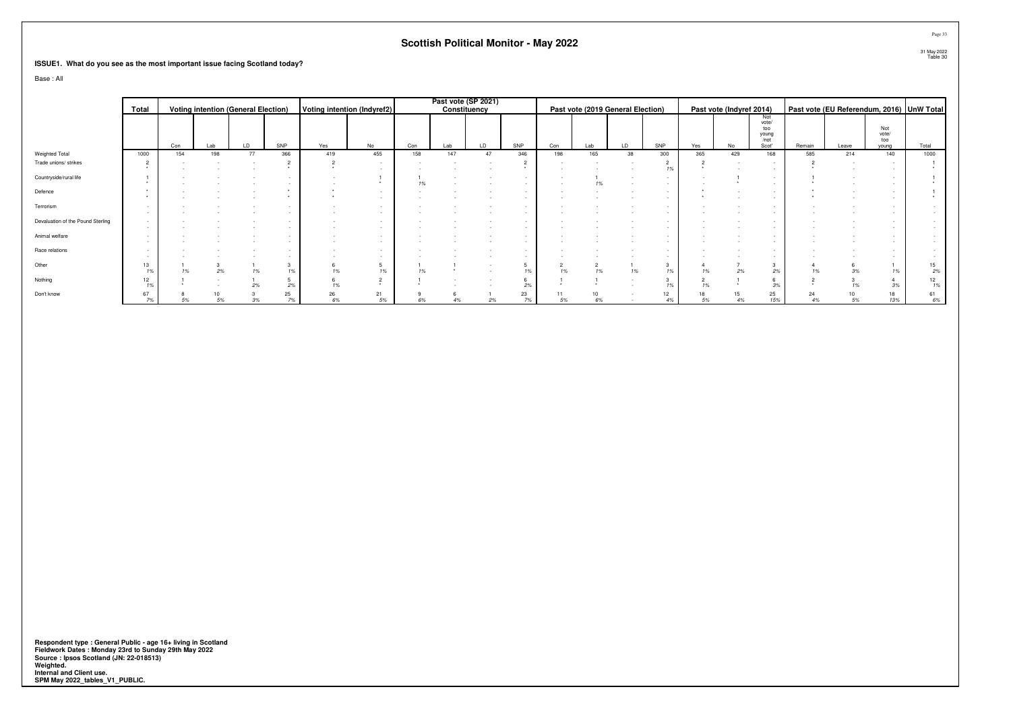#### **ISSUE1. What do you see as the most important issue facing Scotland today?**

Base : All

|                                   |          |     |     |                                            |          |               |                             |     |     | Past vote (SP 2021) |          |     |          |                                   |        |     |                          |                                 |          |       |                                           |          |
|-----------------------------------|----------|-----|-----|--------------------------------------------|----------|---------------|-----------------------------|-----|-----|---------------------|----------|-----|----------|-----------------------------------|--------|-----|--------------------------|---------------------------------|----------|-------|-------------------------------------------|----------|
|                                   | Total    |     |     | <b>Voting intention (General Election)</b> |          |               | Voting intention (Indyref2) |     |     | Constituency        |          |     |          | Past vote (2019 General Election) |        |     | Past vote (Indyref 2014) |                                 |          |       | Past vote (EU Referendum, 2016) UnW Total |          |
|                                   |          |     |     |                                            |          |               |                             |     |     |                     |          |     |          |                                   |        |     |                          | Not<br>vote/<br>too<br>$y0$ ung |          |       | Not<br>vote/                              |          |
|                                   |          | Con | Lab | LD                                         | SNP      | Yes           | No                          | Con | Lab | LD                  | SNP      | Con | Lab      | LD                                | SNP    | Yes | No                       | Scot'                           | Remain   | Leave | too<br>young                              | Total    |
| Weighted Total                    | 1000     | 154 | 198 | 77                                         | 366      | 419           | 455                         | 158 | 147 | 47                  | 346      | 198 | 165      | 38                                | 300    | 365 | 429                      | 168                             | 585      | 214   | 140                                       | 1000     |
| Trade unions/ strikes             |          |     |     |                                            |          | $\rightarrow$ |                             |     |     |                     |          |     |          |                                   | 19     |     |                          |                                 |          |       |                                           |          |
| Countryside/rural life            |          |     |     |                                            |          |               |                             |     |     |                     | $\sim$   |     | 1%       |                                   | $\sim$ |     |                          |                                 |          |       |                                           |          |
| Defence                           |          |     |     |                                            |          |               |                             |     |     |                     |          |     |          |                                   |        |     |                          |                                 |          |       |                                           |          |
| Terrorism                         |          |     |     |                                            |          |               |                             |     |     |                     |          |     |          |                                   |        |     |                          |                                 |          |       | $\sim$                                    |          |
| Devaluation of the Pound Sterling |          |     |     |                                            |          |               |                             |     |     |                     |          |     |          |                                   |        |     |                          |                                 |          |       | $\sim$                                    |          |
| Animal welfare                    |          |     |     |                                            |          |               |                             |     |     |                     |          |     |          |                                   |        |     |                          |                                 |          |       | $\sim$<br>$\sim$                          |          |
| Race relations                    |          |     |     |                                            |          |               |                             |     |     |                     |          |     |          |                                   |        |     |                          |                                 |          |       | $\sim$                                    |          |
| Other                             | 13       |     | 2%  | 1%                                         | 1%       | 1%            | 1%                          |     |     |                     |          | 1%  | 2<br>1%  |                                   |        |     | 2%                       | 2%                              |          |       | 1%                                        | 15<br>2% |
| Nothing                           | 12       |     |     |                                            | 2%       | 1%            |                             |     |     |                     | 2%       |     |          |                                   |        | 1%  |                          | 3%                              |          |       | 3%                                        | 12<br>1% |
| Don't know                        | 67<br>7% |     | 5%  | 3%                                         | 25<br>7% | 26<br>6%      | 21<br>5%                    | 6%  | 4%  |                     | 23<br>7% | 5%  | 10<br>6% |                                   | 12     | 5%  | 15<br>4%                 | 25<br>15%                       | 24<br>4% |       | 18<br>13%                                 | $6\%$    |

Respondent type : General Public - age 16+ living in Scotland<br>Fieldwork Dates : Monday 23rd to Sunday 29th May 2022<br>Source : Ipsos Scotland (JN: 22-018513)<br>Weighted.<br>Internal and Client use.<br>SPM May 2022\_tables\_V1\_PUBLIC.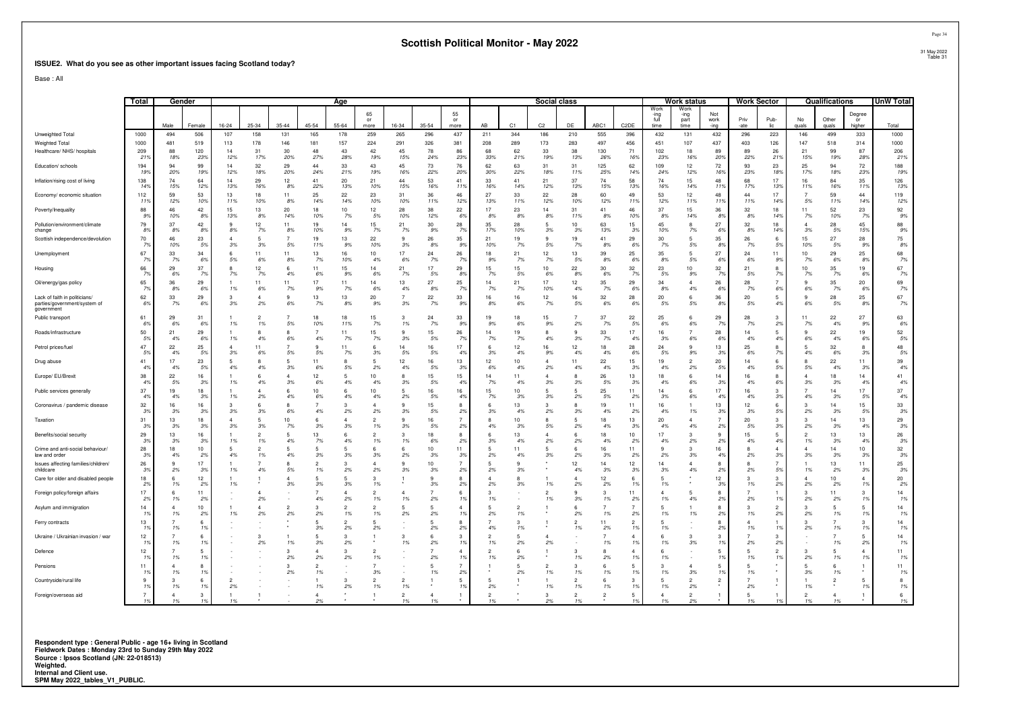#### **ISSUE2. What do you see as other important issues facing Scotland today?**

Base : All

|                                                                             | Total                | Gender          |                           |                |                      |                    |                      | Age                  |                      |                           |                       |                                  |                     |                       | Social class       |                 |                       |                        |                              | Work status                  |                     | <b>Work Sector</b> |                     |                | Qualifications       |                        | UnW Total      |
|-----------------------------------------------------------------------------|----------------------|-----------------|---------------------------|----------------|----------------------|--------------------|----------------------|----------------------|----------------------|---------------------------|-----------------------|----------------------------------|---------------------|-----------------------|--------------------|-----------------|-----------------------|------------------------|------------------------------|------------------------------|---------------------|--------------------|---------------------|----------------|----------------------|------------------------|----------------|
|                                                                             |                      | Male            | Female                    | $16 - 24$      | 25-34                | $35 - 44$          | 45-54                | $55 - 64$            | 65<br>or<br>more     | 16-34                     | $35 - 54$             | 55<br>or<br>more                 | AB                  | C1                    | C <sub>2</sub>     | DE              | ABC1                  | C <sub>2</sub> DE      | Work<br>-ing<br>full<br>time | Work<br>-ing<br>part<br>time | Not<br>work<br>-ina | Priv<br>-ate       | Pub-<br>lic.        | No<br>nuals    | Other<br>quals       | Degree<br>or<br>higher | Total          |
| Unweighted Total                                                            | 1000                 | 494             | 506                       | 107            | 158                  | 131                | 165                  | 178                  | 259                  | 265                       | 296                   | 437                              | 211                 | 344                   | 186                | 210             | 555                   | 396                    | 432                          | 131                          | 432                 | 296                | 223                 | 146            | 499                  | 333                    | 1000           |
| Weighted Total                                                              | 1000                 | 481             | 519                       | 113            | 178                  | 146                | 181                  | 157                  | 224                  | 291                       | 326                   | 381                              | 208                 | 289                   | 173                | 283             | 497                   | 456                    | 451                          | 107                          | 437                 | 403                | 126                 | 147            | 518                  | 314                    | 1000           |
| Healthcare/ NHS/ hospitals                                                  | 209<br>219           | 88<br>18%       | 120<br>23%                | 14<br>12%      | 31<br>17%            | 30<br>20%          | 48<br>27%            | 43<br>28%            | 42<br>19%            | 45<br>15%                 | 78<br>24%             | 86<br>23%                        | 68<br>33%           | 62<br>21%             | 33<br>19%          | 38<br>13%       | 130<br>26%            | 71<br>169              | 102<br>23%                   | 18<br>16%                    | 89<br>20%           | 89<br>22%          | 26<br>219           | 21<br>15%      | 99<br>19%            | 87<br>28%              | 206<br>21%     |
| Education/ schools                                                          | 194<br>199           | 94<br>20%       | 99<br>19%                 | 14<br>12%      | 32<br>18%            | 29<br>-20%         | 44<br>24%            | 33<br>21%            | 43<br>19%            | 45<br>16%                 | 73<br>22%             | 76<br>20%                        | 62<br>30%           | 63<br>22%             | 31<br>18%          | 31<br>11%       | 125<br>25%            | 62<br>14%              | 109<br>24%                   | 12<br>12%                    | 72<br>16%           | 93<br>23%          | 23<br>18%           | 25<br>17%      | 94<br>18%            | 72<br>23%              | 188<br>19%     |
| Inflation/rising cost of living                                             | 138<br>14%           | 74<br>15%       | 64<br>12%                 | 14<br>13%      | 29<br>16%            | 12<br>8%           | 41<br>22%            | 20<br>13%            | 21<br>10%            | 44<br>15%                 | 53<br>16%             | 41<br>119                        | 33<br>16%           | 41<br>14%             | 21<br>12%          | 37<br>13%       | 74<br>15%             | 58<br>13%              | 74<br>16%                    | 15<br>14%                    | 48<br>11%           | 68<br>17%          | 17<br>13%           | 16<br>11%      | 84<br>16%            | 35<br>119              | 126<br>13%     |
| Economy/ economic situation                                                 | 112<br>11            | 59<br>12%       | 53<br>10%                 | 13<br>11%      | 18<br>10%            | 11<br>8%           | 25<br>14%            | 22<br>14%            | 23<br>10%            | 31<br>10%                 | 36<br>11%             | 46<br>12%                        | 27<br>13%           | 33<br>11%             | 22<br>12%          | 28<br>10%       | 60<br>12%             | 49<br>119              | 53<br>12%                    | 12<br>11%                    | 48<br>11%           | 44<br>11%          | 17<br>14%           | 5%             | 59<br>11%            | 44<br>14%              | 119<br>12%     |
| Poverty/Inequality<br>Pollution/environment/climate                         | 88<br>9%<br>79       | 46<br>10%<br>37 | 42<br>8%<br>42            | 15<br>13%<br>q | 13<br>8%<br>12       | 20<br>14%<br>11    | 18<br>10%<br>19      | 10<br>7%<br>14       | 12<br>5%<br>15       | 28<br>10%<br>21           | 38<br>12%<br>30       | 22<br>6%<br>28                   | 17<br>8%<br>35      | 23<br>8%<br>28        | 14<br>8%<br>5      | 31<br>11%<br>10 | 41<br>8%<br>63        | 46<br>10%<br>15        | 37<br>8%<br>45               | 15<br>14%<br>8               | 36<br>8%<br>27      | 32<br>8%<br>32     | 18<br>14%<br>18     | 11<br>7%       | 52<br>10%<br>28      | 23<br>- 79<br>45       | 92<br>9%<br>88 |
| change                                                                      | 89                   | 8%              | 8%                        | 8%             | 7%                   | 8%                 | 10%                  | 9%                   | 7%                   | 7%                        | 9%                    | 7%                               | 17%                 | 10%                   | 3%                 | 3%              | 13%                   | 3%                     | 10%                          | 7%                           | 6%                  | 8%                 | 149                 | 3%             | 5%                   | 15%                    | 9%             |
| Scottish independence/devolution                                            | $70\,$               | 46              | 23                        | $\overline{4}$ | 5                    |                    | 19                   | 13                   | 22                   | -9                        | 26                    | 35                               | 21                  | 19                    | 9                  | 19              | 41                    | 29                     | 30                           | 5                            | 35                  | 26                 | 6                   | 15             | 27                   | 28                     | 75             |
| Unemployment                                                                | 79<br>67             | 10%<br>33       | 5%<br>34                  | 3%<br>6        | 3%<br>11             | 5%<br>11           | 11%<br>13            | 9%<br>16             | 10%<br>10            | 3%<br>17                  | 8%<br>24              | 9%<br>26                         | 10%<br>18           | 7%<br>21              | 5%<br>12           | 7%<br>13        | 8%<br>39              | 69<br>25               | 7%<br>35                     | 5%<br>5                      | 8%<br>27            | 7%<br>24           | 5%<br>11            | 10%<br>10      | 5%<br>29             | 99<br>25               | 8%<br>68       |
| Housing                                                                     | -79<br>66<br>7%      | 7%<br>29<br>6%  | 69<br>37<br>7%            | 5%<br>8<br>7%  | 6%<br>12<br>7%       | 8%<br>4%           | 7%<br>11<br>6%       | 10%<br>15<br>9%      | 4%<br>14<br>6%       | 6%<br>21<br>7%            | 7%<br>17<br>5%        | - 79<br>29<br>8%                 | 9%<br>15<br>7%      | <b>7%</b><br>15<br>5% | 7%<br>10<br>6%     | 5%<br>22<br>8%  | 8%<br>30<br>6%        | -69<br>32<br>7%        | 8%<br>23<br>5%               | 5%<br>10<br>9%               | 6%<br>32<br>7%      | 6%<br>21<br>5%     | 99<br>8<br>7%       | 7%<br>10<br>7% | 6%<br>35<br>7%       | 89<br>19<br>6%         | 7%<br>67<br>7% |
| Oil/energy/gas policy                                                       | 65                   | 36<br>8%        | 29<br>6%                  | 1%             | 11<br>6%             | 11<br>7%           | 17<br>9%             | 11<br>7%             | 14<br>6%             | 13<br>4%                  | 27<br>8%              | 25<br>79                         | 14<br>7%            | 21<br>7%              | 17<br>10%          | 12<br>4%        | 35<br>7%              | 29<br>69               | 34<br>8%                     | 4<br>4%                      | 26<br>6%            | 28<br>7%           | 69                  | 6%             | 35<br>7%             | 20<br>-69              | 69<br>7%       |
| Lack of faith in politicians/<br>parties/government/system of<br>government | 62<br>69             | 33<br>7%        | 29<br>6%                  | 3<br>3%        | Δ<br>2%              | $\mathbf{q}$<br>6% | 13<br>7%             | 13<br>8%             | 20<br>9%             | 3%                        | 22<br>7%              | 33<br>9%                         | 16<br>8%            | 16<br>6%              | 12<br>7%           | 16<br>5%        | 32<br>6%              | 28<br>-69              | 20<br>5%                     | 6<br>5%                      | 36<br>8%            | 20<br>5%           | 5<br>4%             | 9<br>6%        | 28<br>5%             | 25<br>8%               | 67<br>7%       |
| Public transport                                                            | 61<br>-69            | 29<br>6%        | 31<br>6%                  | 1%             | 1%                   | 5%                 | 18<br>10%            | 18<br>11%            | 15<br>7%             | 1%                        | 24<br>7%              | 33<br>9%                         | 9%                  | 18<br>6%              | 15<br>9%           | 2%              | 37<br>7%              | 22<br>-59              | 25<br>6%                     | 6<br>6%                      | 29<br>7%            | 28<br>7%           | 3<br>29             | 11<br>7%       | 22<br>4%             | 27<br>9%               | 63<br>6%       |
| Roads/infrastructure                                                        | 50<br>59             | 21<br>4%        | 29<br>6%                  | 1%             | я<br>4%              | 6%                 | $\overline{7}$<br>4% | 11<br>7%             | 15<br>7%             | $\mathbf{q}$<br>3%        | 15<br>5%              | 26<br>7%                         | 14<br>7%            | 19<br>7%              | R<br>4%            | q<br>3%         | 33<br>7%              | 17<br>4 <sup>°</sup>   | 16<br>3%                     | $\overline{7}$<br>6%         | 28<br>6%            | 14<br>4%           | -5<br>49            | q<br>6%        | 22<br>4%             | 19<br>6%               | 52<br>5%       |
| Petrol prices/fuel                                                          | 47<br>59             | 22<br>4%        | 25<br>5%                  | $\Delta$<br>3% | 11<br>6%             | 5%                 | $\alpha$<br>5%       | 11<br>7%             | 6<br>3%              | 14<br>5%                  | 16<br>5%              | 17<br>4%                         | 6<br>3%             | 12<br>4%              | 16<br>9%           | 12<br>4%        | 18<br>4%              | 28<br>-69              | 24<br>5%                     | 9<br>9%                      | 13<br>3%            | 25<br>6%           | 8<br><b>7%</b>      | 5<br>4%        | 32<br>6%             | 8<br>-39               | 48<br>5%       |
| Drug abuse                                                                  | 41<br>4%             | 17<br>4%        | 23<br>5%                  | 5<br>4%        | 4%                   | 3%                 | 11<br>6%             | 8<br>5%              | 5<br>2%              | 12<br>4%                  | 16<br>5%              | 13<br>3%                         | 12<br>6%            | 10<br>4%              | $\Delta$<br>2%     | 11<br>4%        | 22<br>4%              | 15<br>-39              | 19<br>4%                     | $\overline{a}$<br>2%         | 20<br>5%            | 14<br>4%           | 5%                  | 5%             | 22<br>4%             | 11<br>39               | 39<br>4%       |
| Europe/ EU/Brexit                                                           | 38<br>4%             | 22<br>5%        | 16<br>3%                  | 1%             | 4%                   | 3%                 | 12<br>6%             | 5<br>4%              | 10<br>4%             | 3%                        | 15<br>5%              | 15<br>4%                         | 14<br>7%            | 11<br>4%              | 3%                 | 3%              | 26<br>5%              | 13<br>3%               | 18<br>4%                     | 6<br>6%                      | 14<br>3%            | 16<br>4%           | 6%                  | 3%             | 18<br>3%             | 14<br>4%<br>17         | 41<br>4%<br>37 |
| Public services generally<br>Coronavirus / pandemic disease                 | 37<br>4%<br>32       | 19<br>4%<br>16  | 18<br>3%<br>16            | 1%<br>3        | 2%<br>6              | 4%                 | 10<br>6%             | 6<br>4%<br>3         | 10<br>4%<br>4        | -5<br>2%                  | 16<br>5%<br>15        | 16<br>4%<br>8                    | 15<br>7%            | 10<br>3%<br>13        | 5<br>3%<br>3       | 5<br>2%         | 25<br>5%<br>19        | 11<br>2%<br>11         | 14<br>3%<br>16               | 6<br>6%                      | 17<br>4%<br>13      | 16<br>4%<br>12     | 3<br>39<br>6        | 4%             | 14<br>3%<br>14       | 5%<br>15               | 4%<br>33       |
|                                                                             | 39<br>31             | 3%<br>13        | 3%<br>18                  | 3%<br>$\Delta$ | 3%<br>5              | 6%<br>10           | 4%<br>-6             | 2%<br>$\Delta$       | 2%<br>$\mathcal{D}$  | 3%<br>$\mathbf{q}$        | 5%<br>16              | 2%<br>$\overline{7}$             | 3%                  | 4%<br>10              | 2%<br>$\mathbf{R}$ | 3%<br>5         | 4%<br>18              | -29<br>13              | 4%<br>20                     | 1%<br>$\Delta$               | 3%                  | 3%<br>20           | 59<br>з             | 2%             | 3%<br>14             | -59<br>13              | 3%<br>29       |
| Taxation<br>Benefits/social security                                        | 3%<br>29             | 3%<br>13        | 3%<br>16                  | 3%             | 3%<br>$\mathfrak{p}$ | 7%                 | 3%<br>13             | 3%<br>6              | 1%<br>$\mathfrak{p}$ | 3%<br>$\mathcal{R}$       | 5%<br>18              | 2%<br>8                          | 4%<br>Բ             | 3%<br>13              | .5%                | 2%<br>6         | 4%<br>18              | 3%<br>10 <sup>10</sup> | 4%<br>17                     | 4%<br>3                      | 2%<br>9             | 5%<br>15           | 3%<br>5             | 2%<br>2        | 3%<br>13             | 4%<br>13               | 3%<br>26       |
| Crime and anti-social behaviour/                                            | 39<br>28             | 3%<br>18        | 3%<br>10                  | 1%<br>5        | 1%                   | 4%                 | 7%<br>5              | 4%<br>5              | 1%<br>6              | 1%                        | 6%<br>10              | 2%<br>11                         | 3%                  | 4%                    | 2%<br>5            | 2%<br>6         | 4%<br>16              | 2%<br>11               | 4%                           | 2%<br>3                      | 2%<br>16            | 4%                 | 4%                  | 1%             | 3%<br>14             | 4 <sup>°</sup><br>10   | 3%<br>32       |
| law and order<br>Issues affecting families/children/                        | -39<br>26            | 4%<br>9         | 2%<br>17                  | 4%             | 1%                   | 4%                 | 3%<br>$\overline{2}$ | 3%<br>3              | 3%<br>$\Delta$       | 2%<br>-9                  | 3%<br>10 <sub>1</sub> | 3%<br>$\overline{7}$             | 2%<br>5             | 4%                    | 3%                 | 2%<br>12        | 3%<br>14              | 2%<br>12 <sup>°</sup>  | 2%<br>14                     | 3%<br>4                      | 4%<br>8             | 2%                 | -39                 | 3%             | 3%<br>13             | -39<br>11              | 3%<br>25       |
| childcare<br>Care for older and disabled people                             | 3%<br>18             | 2%<br>6         | 3%<br>12                  | 1%             | 4%                   | 5%                 | 1%<br>5              | 2%<br>5              | 2%<br>3              | 3%                        | 3%<br>9               | 2%<br>8                          | 2%                  | 3%                    |                    | 4%              | 3%<br>12 <sup>°</sup> | 3%<br>-6               | 3%<br>5                      | 4%                           | 2%<br>12            | 2%                 | 5%<br>3             | 1%             | 2%<br>10             | 39                     | 3%<br>20       |
| Foreign policy/foreign affairs                                              | 29<br>17             | 1%<br>6         | 2%<br>11                  | 1%             |                      | 3%                 | 3%                   | 3%<br>$\Delta$       | 1%<br>$\mathcal{P}$  |                           | 3%<br>$\overline{7}$  | 2%<br>6                          | 2%<br>3             | 3%                    | 1%                 | 2%<br>9         | 2%<br>3               | 19<br>11               | 1%<br>$\mathbf{A}$           | 5                            | 3%<br>8             | 1%                 | 2%                  | 2%<br>з        | 2%<br>11             | 1 <sup>9</sup><br>3    | 2%<br>14       |
| Asylum and immigration                                                      | 29<br>14             | 1%              | 2%<br>10                  |                | 2%                   |                    | 4%<br>3              | 2%<br>$\mathcal{D}$  | 1%<br>$\mathcal{D}$  | 1%                        | 2%<br>$\overline{a}$  | 1 <sup>9</sup><br>$\Delta$       | 1%                  |                       | 1%                 | 3%<br>£         | 1%                    | 2%                     | 1%<br>-5                     | 4%                           | 2%<br>8             | 2%                 | 1 <sup>9</sup><br>2 | 2%             | 2%<br>5              | 19<br>5                | 1%<br>14       |
| Ferry contracts                                                             | 1 <sup>9</sup><br>13 | 1%              | 2%<br>6                   | 1%             | 2%                   | 2%                 | 2%<br>5              | 1%<br>$\overline{2}$ | 1%<br>5              | 2%                        | 2%<br>5               | 1 <sup>9</sup><br>8              | 2%                  | 1%                    |                    | 2%<br>2         | 1%<br>11              | 2%<br>$\overline{2}$   | 1%<br>5                      | 1%                           | 2%<br>8             | 1%                 | 2%                  | 2%             | 1%<br>$\overline{7}$ | 1 <sup>9</sup><br>3    | 1%<br>14       |
| Ukraine / Ukrainian invasion / war                                          | 19<br>12             | 1%              | 19<br>6                   |                |                      |                    | 3%                   | 2%<br>3              | 2%                   |                           | 2%<br>6               | 2%<br>3                          | 4%                  | 1%                    | 4                  | 1%              | 2%                    | 1%<br>$\Delta$         | 1%<br>-6                     | 3                            | 2%<br>3             | 1%                 | 1%                  | 2%             | 1%                   | 19<br>5                | 1%<br>14       |
| Defence                                                                     | 19<br>12             | 1%              | 19<br>-5                  |                | 2%                   | 1%<br>-3           | 3%                   | 2%<br>3              | $\overline{2}$       | 1%                        | 2%<br>7               | 1 <sup>9</sup><br>$\overline{4}$ | 1%<br>$\mathcal{P}$ | 2%                    | 2%                 | 3               | 1%<br>8               | 19<br>$\Delta$         | 1%<br>-6                     | 3%                           | 1%<br>5             | $2\%$              | 2%<br>2             | з              | 1%<br>-5             | 2%<br>$\Delta$         | 1%<br>11       |
| Pensions                                                                    | 11                   | 1%              | 1 <sup>9</sup><br>8       |                |                      | 2%                 | 2%<br>$\overline{2}$ | 2%                   | 1%                   |                           | 2%<br>5               | 1 <sup>9</sup><br>$\overline{7}$ | 1%                  | 2%                    | $\overline{2}$     | 1%<br>3         | 2%<br>6               | 1 <sup>9</sup><br>-5   | 1%<br>3                      |                              | 1%                  | 1%                 | 1 <sup>9</sup>      | 2%             | 1%                   | $1^{\circ}$            | 1%<br>11       |
| Countryside/rural life                                                      |                      | 1%              | 1 <sup>9</sup><br>6       |                |                      | 2%                 | 1%                   | 3                    | 3%                   |                           | 1%                    | 2%<br>5                          |                     | 2%                    | 1%                 | 1%<br>2         | 1%<br>6               | 1%<br>$\mathcal{R}$    | 1%<br>5                      | 3%<br>2                      | 1%<br>2             | 1%                 |                     | 3%             | 1%                   |                        | 1%<br>8        |
| Foreign/overseas aid                                                        | 1%                   | 1%<br>1%        | 1 <sup>9</sup><br>3<br>1% | 2%             |                      |                    | 1%                   | 2%                   | 1%                   | 1%<br>$\mathcal{P}$<br>1% | $\overline{4}$<br>1%  | 1%<br>1                          | 2%<br>2             |                       | 1%<br>3            | 1%<br>2<br>1%   | 1%                    | 1%<br>-5<br>19         | 1%<br>1%                     | 2%<br>$\overline{2}$<br>2%   |                     | 2%<br>1%           |                     | 1%<br>2<br>1%  | 1%                   |                        | 1%<br>6<br>1%  |

1% 1% 1% \* - 2% \* \* 1% 1% \* 1% \* 2% 1% \* 1% 1% 2% \* 1% 1% 1% 1% \* 1%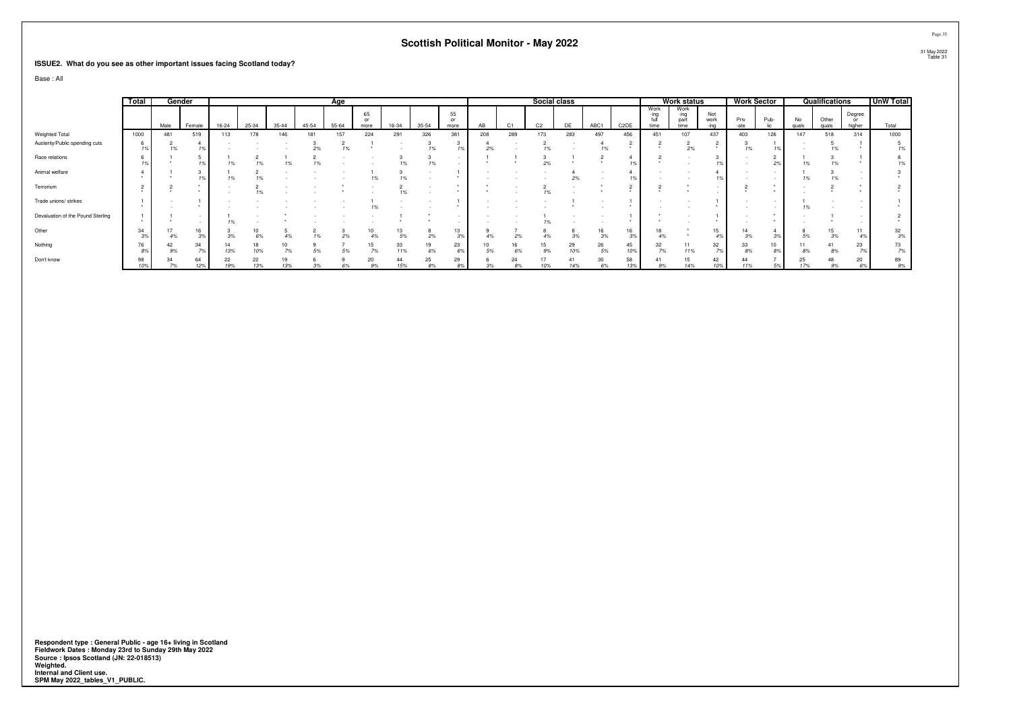#### **ISSUE2. What do you see as other important issues facing Scotland today?**

Base : All

|                                   | Total     |          | Gender              |           |           |           |           | Age       |            |           |       |            |     |                | Social class   |           |          |                   |                      | <b>Work status</b>           |             |              | <b>Work Sector</b> |             | Qualifications |                        | <b>UnW Total</b> |
|-----------------------------------|-----------|----------|---------------------|-----------|-----------|-----------|-----------|-----------|------------|-----------|-------|------------|-----|----------------|----------------|-----------|----------|-------------------|----------------------|------------------------------|-------------|--------------|--------------------|-------------|----------------|------------------------|------------------|
|                                   |           | Male     | Female              | 16-24     | 25-34     | $35 - 44$ | $45 - 54$ | $55 - 64$ | 65<br>more | 16-34     | 35-54 | 55<br>more | AB  | C <sub>1</sub> | C <sub>2</sub> | DE        | ABC1     | C <sub>2</sub> DE | Work<br>-ina<br>time | Work<br>-ing<br>part<br>time | Not<br>work | Priv<br>-ate | Pub-               | No<br>quals | Other<br>quale | Degree<br>or<br>higher | Total            |
| Weighted Total                    | 1000      | 481      | 519                 | 113       | 178       | 146       | 181       | 157       | 224        | 291       | 326   | 381        | 208 | 289            | 173            | 283       | 497      | 456               | 451                  | 107                          | 437         | 403          | 126                | 147         | 518            | 314                    | 1000             |
| Austerity/Public spending cuts    |           | 1%       |                     |           |           |           |           | 1%        |            |           |       |            |     |                |                |           |          |                   |                      | 2%                           |             |              |                    |             |                |                        | 1%               |
| Race relations                    |           |          | 1%                  | 1%        |           |           |           |           |            |           |       |            |     |                | 2%             |           |          |                   |                      |                              |             |              | 2%                 |             | 1%             |                        | 1%               |
| Animal welfare                    |           |          |                     | 1%        |           |           |           |           |            |           |       |            |     |                |                | 2%        |          |                   |                      |                              |             |              |                    |             | 1%             |                        |                  |
| Terrorism                         | $\sim$    |          |                     |           | 1%        |           |           |           |            |           |       |            |     |                | 10             |           |          |                   |                      |                              |             |              |                    |             |                |                        |                  |
| Trade unions/ strikes             |           |          |                     |           |           |           |           |           |            |           |       |            |     |                |                |           |          |                   |                      |                              |             |              |                    |             |                |                        |                  |
| Devaluation of the Pound Sterling |           |          |                     |           |           |           |           |           |            |           |       |            |     |                |                |           |          |                   |                      |                              |             |              |                    |             |                |                        |                  |
| Other                             | 34        |          | 16<br>3%            |           | 10        |           |           | 2%        | 10         |           |       | 13<br>3%   |     |                |                | 8         | 16<br>3% | 16<br>3%          | 18<br>4%             |                              | 15<br>4%    | 3%           |                    |             | 15<br>3%       | 11                     | 32<br>3%         |
| Nothing                           | 76<br>8%  | 42<br>9% | 34<br>$\frac{7}{2}$ | 13%       | 18<br>10% | 7%        | 5%        | 5%        | 15<br>7%   | 33<br>11% | 6%    | 23<br>6%   |     | 16<br>6%       | 15<br>9%       | 29<br>10% | 26<br>5% | 45<br>10%         | 32<br>7%             | 11%                          | 32          | 33<br>8%     | 10                 |             | 41<br>8%       | 23                     | 73<br>7%         |
| Don't know                        | 98<br>10% | 7%       | 64<br>12%           | 22<br>19% | 22<br>13% | 13%       | 3%        | 6%        | 20<br>9%   | 15%       | 25    | 29<br>8%   | 3%  | 24<br>8%       | 10%            | 41<br>14% | 30<br>6% | 58<br>13%         | 9%                   | 15<br>14%                    | 42<br>10%   | 11%          | $5\%$              | 25          | 48<br>9%       | 20<br>6%               | 89<br>9%         |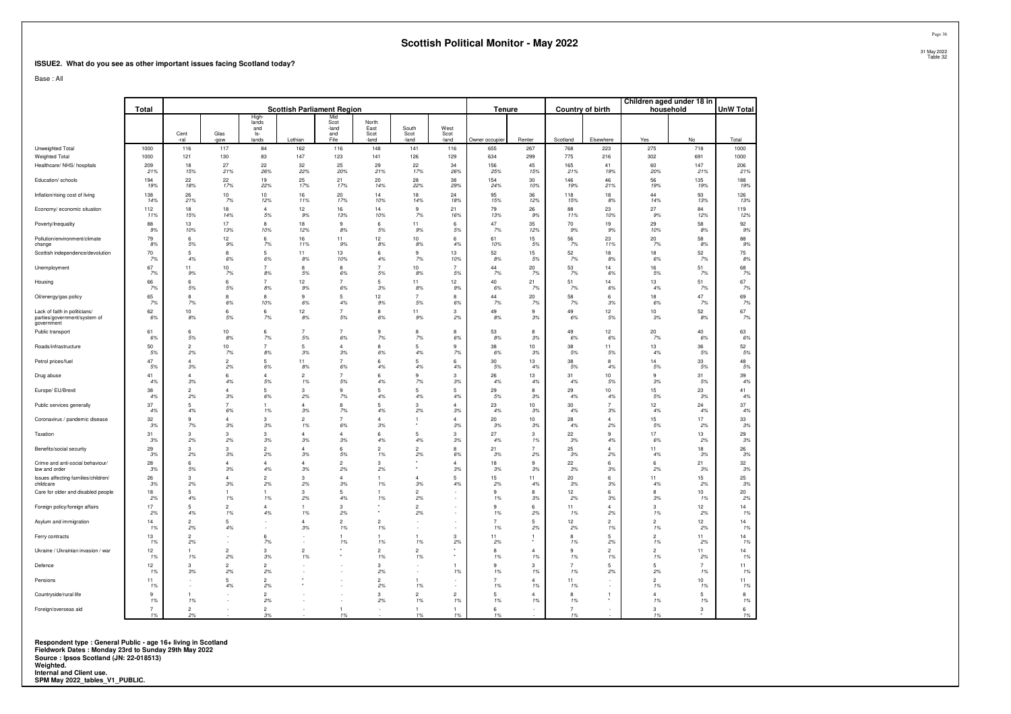#### **ISSUE2. What do you see as other important issues facing Scotland today?**

Base : All

|                                                                             | Total                | <b>Scottish Parliament Region</b> |                          |                             |                      |                             |                       |                      |                          | Tenure               |                      | Country of birth     |                      | Children aged under 18 in<br>household |                      | <b>UnW Total</b> |
|-----------------------------------------------------------------------------|----------------------|-----------------------------------|--------------------------|-----------------------------|----------------------|-----------------------------|-----------------------|----------------------|--------------------------|----------------------|----------------------|----------------------|----------------------|----------------------------------------|----------------------|------------------|
|                                                                             |                      | Cent                              | Glas                     | High<br>lands<br>and<br>ls- |                      | Mic<br>Scot<br>-land<br>and | North<br>Fast<br>Scot | South<br>Scot        | West<br>Scot             |                      |                      |                      |                      |                                        |                      |                  |
|                                                                             |                      | -ral                              | -gow                     | lands                       | Lothian              | Fife                        | land                  | -land                | -land                    | Owner occupier       | Renter               | Scotland             | Elsewhere            | Yes                                    | No                   | Total            |
| Unweighted Total<br>Weighted Total                                          | 1000<br>1000         | 116<br>121                        | 117<br>130               | 84<br>83                    | 162<br>147           | 116<br>123                  | 148<br>141            | 141<br>126           | 116<br>129               | 655<br>634           | 267<br>299           | 768<br>775           | 223<br>216           | 275<br>302                             | 718<br>691           | 1000<br>1000     |
| Healthcare/ NHS/ hospitals                                                  | 209<br>21%           | 18<br>15%                         | 27<br>21%                | 22<br>26%                   | 32<br>22%            | 25<br>20%                   | 29<br>21%             | 22<br>17%            | 34<br>26%                | 156<br>25%           | 45<br>15%            | 165<br>21%           | 41<br>19%            | 60<br>20%                              | 147<br>21%           | 206<br>21%       |
| Education/ schools                                                          | 194                  | 22                                | 22                       | 19                          | 25                   | 21                          | 20                    | 28                   | 38                       | 154                  | 30                   | 146                  | 46                   | 56                                     | 135                  | 188              |
| Inflation/rising cost of living                                             | 19%<br>138           | 18%<br>26                         | 17%<br>10                | 22%<br>10                   | 17%<br>16            | 17%<br>20                   | 14%<br>14             | 22%<br>18            | 29%<br>24                | 24%<br>95            | 10%<br>36            | 19%<br>118           | 21%<br>18            | 19%<br>44                              | 19%<br>93            | 19%<br>126       |
| Economy/ economic situation                                                 | 14%<br>112           | 21%<br>18                         | 7%<br>18                 | 12%<br>$\overline{4}$       | 11%<br>12            | 17%<br>16                   | 10%<br>14             | 14%<br>9             | 18%<br>21                | 15%<br>79            | 12%<br>26            | 15%<br>88            | 8%<br>23             | 14%<br>27                              | 13%<br>84            | 13%<br>119       |
|                                                                             | 11%                  | 15%                               | 14%                      | 5%                          | 9%                   | 13%                         | 10%                   | 7%                   | 16%                      | 13%                  | 9%                   | 11%                  | 10%                  | 9%                                     | 12%                  | 12%              |
| Poverty/Inequality                                                          | 88<br>9%             | 13<br>10%                         | 17<br>13%                | 8<br>10%                    | 18<br>12%            | 9<br>8%                     | 6<br>5%               | 11<br>9%             | 6<br>5%                  | 47<br>7%             | 35<br>12%            | 70<br>9%             | 19<br>9%             | 29<br>10%                              | 58<br>8%             | 92<br>9%         |
| Pollution/environment/climate<br>change                                     | 79<br>8%             | 6<br>5%                           | 12<br>9%                 | 6<br>7%                     | 16<br>11%            | 11<br>9%                    | 12<br>8%              | 10<br>8%             | 6<br>4%                  | 61<br>10%            | 15<br>5%             | 56<br>7%             | 23<br>11%            | 20<br>7%                               | 58<br>8%             | 88<br>9%         |
| Scottish independence/devolution                                            | 70<br>7%             | 5<br>4%                           | 8<br>6%                  | 5<br>6%                     | 11<br>8%             | 13<br>10%                   | 6<br>4%               | 9<br>7%              | 13<br>10%                | 52<br>8%             | 15<br>5%             | 52<br>7%             | 18<br>8%             | 18<br>6%                               | 52<br>7%             | 75<br>8%         |
| Unemployment                                                                | 67<br>7%             | 11<br>9%                          | 10<br>7%                 | $\overline{7}$<br>8%        | 8<br>5%              | 8<br>6%                     | $\overline{7}$<br>5%  | 10<br>8%             | $\overline{7}$<br>5%     | 44<br>7%             | 20<br>7%             | 53<br>7%             | 14<br>6%             | 16<br>5%                               | 51<br>7%             | 68<br>7%         |
| Housing                                                                     | 66<br>7%             | 6<br>5%                           | 6<br>5%                  | $\overline{7}$<br>8%        | 12<br>9%             | $\overline{7}$<br>6%        | 5<br>3%               | 11<br>8%             | 12<br>9%                 | 40<br>6%             | 21<br>7%             | 51<br>7%             | 14<br>6%             | 13<br>4%                               | 51<br>7%             | 67<br>7%         |
| Oil/energy/gas policy                                                       | 65<br>7%             | 8<br>7%                           | 8                        | 8<br>10%                    | 9<br>6%              | 5<br>4%                     | 12                    | 7<br>5%              | 8                        | 44<br>7%             | 20                   | 58<br>7%             | 6                    | 18<br>6%                               | 47                   | 69<br>7%         |
| Lack of faith in politicians/<br>parties/government/system of<br>government | 62<br>6%             | 10<br>8%                          | 6%<br>6<br>5%            | 6<br>7%                     | 12<br>8%             | $\overline{7}$<br>5%        | 9%<br>8<br>6%         | 11<br>9%             | 6%<br>$\mathbf{3}$<br>2% | 49<br>8%             | 7%<br>9<br>3%        | 49<br>6%             | 3%<br>12<br>5%       | 10<br>3%                               | 7%<br>52<br>8%       | 67<br>7%         |
| Public transport                                                            | 61<br>6%             | 6<br>5%                           | 10<br>8%                 | 6<br>7%                     | 5%                   | 6%                          | 9<br>7%               | 8<br>7%              | 8<br>6%                  | 53<br>8%             | 8<br>3%              | 49<br>6%             | 12<br>6%             | 20<br>7%                               | 40<br>6%             | 63<br>6%         |
| Roads/infrastructure                                                        | 50<br>5%             | $\overline{2}$<br>2%              | 10<br>$7\%$              | $\overline{7}$<br>8%        | 5<br>3%              | Δ<br>3%                     | R<br>6%               | 5<br>4%              | $\mathbf{q}$<br>7%       | 38<br>6%             | 10<br>3%             | 38<br>$5\%$          | 11<br>5%             | 13<br>4%                               | 36<br>5%             | 52<br>5%         |
| Petrol prices/fuel                                                          | 47                   | $\Delta$                          | $\overline{c}$           | 5                           | 11                   | $\overline{7}$              | 6                     | 5                    | 6                        | 30                   | 13                   | 38                   | 8                    | 14                                     | 33                   | 48               |
| Drug abuse                                                                  | 5%<br>41             | 3%<br>$\Delta$                    | 2%<br>6                  | 6%<br>$\Delta$              | 8%<br>$\mathcal{P}$  | 6%<br>$\overline{7}$        | 4%<br>6               | 4%<br>9              | 4%<br>3                  | 5%<br>26             | 4%<br>13             | 5%<br>31             | 4%<br>10             | 5%<br>9                                | 5%<br>31             | 5%<br>39         |
| Europe/ EU/Brexit                                                           | 4%<br>38             | 3%<br>$\overline{2}$              | 4%<br>$\overline{4}$     | 5%<br>5                     | 1%<br>3              | 5%<br>9                     | 4%<br>5               | 7%<br>5              | 3%<br>5                  | 4%<br>29             | 4%<br>8              | 4%<br>29             | 5%<br>10             | 3%<br>15                               | 5%<br>23             | 4%<br>41         |
| Public services generally                                                   | 4%<br>37             | 2%<br>5                           | 3%<br>$\overline{7}$     | 6%<br>1                     | 2%<br>$\overline{4}$ | 7%<br>8                     | 4%<br>5               | 4%<br>3              | 4%<br>$\Delta$           | 5%<br>23             | $3\%$<br>10          | 4%<br>30             | 4%                   | 5%<br>12                               | 3%<br>24             | 4%<br>37         |
|                                                                             | 4%<br>32             | 4%<br>9                           | 6%<br>$\overline{4}$     | 1%<br>3                     | 3%<br>$\overline{2}$ | 7%<br>$\overline{7}$        | 4%<br>$\overline{4}$  | 2%                   | 3%<br>$\Delta$           | 4%<br>20             | 3%<br>10             | 4%<br>28             | 3%<br>$\Delta$       | 4%<br>15                               | 4%<br>17             | 4%<br>33         |
| Coronavirus / pandemic disease                                              | 3%                   | 7%                                | 3%                       | 3%                          | 1%                   | 6%                          | 3%                    | 1                    | 3%                       | 3%                   | 3%                   | 4%                   | 2%                   | 5%                                     | 2%                   | 3%               |
| Taxation                                                                    | 31<br>3%             | $\mathcal{R}$<br>2%               | 3<br>2%                  | $\mathcal{R}$<br>3%         | $\Delta$<br>3%       | $\Delta$<br>3%              | 6<br>4%               | 5<br>4%              | 3<br>3%                  | 27<br>4%             | 3<br>1%              | 22<br>3%             | $\mathbf{q}$<br>4%   | 17<br>6%                               | 13<br>2%             | 29<br>3%         |
| Benefits/social security                                                    | 29<br>3%             | 3<br>2%                           | 3<br>3%                  | $\mathcal{P}$<br>2%         | 3%                   | 6<br>5%                     | $\overline{2}$<br>1%  | $\overline{2}$<br>2% | 8<br>6%                  | 21<br>3%             | $\overline{7}$<br>2% | 25<br>3%             | 4<br>2%              | 11<br>4%                               | 18<br>.3%            | 26<br>3%         |
| Crime and anti-social behaviour/<br>law and order                           | 28<br>3%             | 6<br>5%                           | $\overline{4}$<br>3%     | $\Delta$<br>4%              | $\Delta$<br>3%       | $\mathfrak{p}$<br>2%        | 3<br>2%               |                      | $\Delta$<br>3%           | 18<br>3%             | 9<br>3%              | 22<br>3%             | 6<br>3%              | $6 \,$<br>2%                           | 21<br>3%             | 32<br>3%         |
| Issues affecting families/children/<br>childcare                            | 26<br>3%             | 3<br>2%                           | $\overline{4}$<br>3%     | $\mathcal{P}$<br>2%         | 3<br>2%              | Δ<br>3%                     | 1%                    | $\Delta$<br>3%       | -5<br>4%                 | 15<br>2%             | 11<br>4%             | 20<br>3%             | 6<br>3%              | 11<br>4%                               | 15<br>2%             | 25<br>3%         |
| Care for older and disabled people                                          | 18<br>2%             | 5<br>4%                           | 1<br>1%                  | 1<br>1%                     | 3<br>2%              | 5<br>4%                     | 1%                    | $\overline{c}$<br>2% |                          | 9<br>1%              | 8<br>3%              | 12<br>2%             | 6<br>3%              | 8<br>3%                                | 10<br>1%             | 20<br>2%         |
| Foreign policy/foreign affairs                                              | 17                   | 5                                 | $\overline{2}$           | $\Delta$                    | -1.                  | 3                           |                       | $\mathfrak{p}$       |                          | 9                    | 6                    | 11                   | $\Delta$             | 3                                      | 12                   | 14               |
| Asylum and immigration                                                      | 2%<br>14             | 4%<br>$\mathcal{D}$               | 1%<br>5                  | 4%                          | 1%<br>$\Lambda$      | 2%<br>$\mathcal{D}$         | $\overline{2}$        | 2%                   |                          | 1%<br>$\overline{7}$ | 2%<br>5              | 1%<br>12             | 2%<br>$\overline{2}$ | 1%<br>$\mathcal{P}$                    | 2%<br>12             | 1%<br>14         |
| Ferry contracts                                                             | 1%<br>13             | 2%<br>$\overline{2}$              | 4%                       | ٠<br>6                      | 3%                   | 1%                          | 1%                    | 1                    | $\mathbf{3}$             | 1%<br>11             | 2%                   | 2%<br>8              | 1%<br>5              | 1%<br>$\mathcal{P}$                    | 2%<br>11             | 1%<br>14         |
| Ukraine / Ukrainian invasion / war                                          | 1%<br>12             | 2%<br>1                           | $\sim$<br>$\overline{2}$ | 7%<br>3                     | $\overline{2}$       | 1%                          | 1%<br>$\mathcal{P}$   | 1%<br>$\overline{2}$ | 2%                       | 2%<br>8              | $\overline{4}$       | 1%<br>$\mathbf{Q}$   | 2%<br>$\overline{2}$ | 1%<br>$\mathcal{P}$                    | 2%<br>11             | 1%<br>14         |
| Defence                                                                     | 1%<br>12             | 1%<br>3                           | 2%<br>$\overline{c}$     | 3%<br>$\overline{2}$        | 1%                   |                             | 1%<br>3               | 1%                   |                          | 1%<br>9              | 1%<br>3              | 1%<br>$\overline{7}$ | 1%<br>5              | 1%<br>5                                | 2%<br>$\overline{7}$ | 1%<br>11         |
|                                                                             | 1%<br>11             | 3%                                | 2%<br>5                  | 2%<br>$\overline{2}$        |                      |                             | 2%<br>$\overline{2}$  | 1                    | 1%                       | 1%<br>$\overline{7}$ | 1%<br>$\Delta$       | 1%<br>11             | 2%                   | 2%<br>$\overline{2}$                   | 1%<br>10             | 1%<br>11         |
| Pensions                                                                    | 1%                   | ×                                 | 4%                       | 2%                          |                      |                             | 2%                    | 1%                   | ×                        | 1%                   | 1%                   | 1%                   |                      | 1%                                     | 1%                   | 1%               |
| Countryside/rural life                                                      | $\mathbf{Q}$<br>1%   | 1<br>1%                           |                          | $\overline{2}$<br>2%        |                      |                             | 3<br>2%               | $\mathfrak{p}$<br>1% | $\overline{2}$<br>1%     | 5<br>1%              | Δ<br>1%              | $\mathbf{R}$<br>1%   | $\overline{1}$       | $\Delta$<br>1%                         | $\sqrt{2}$<br>1%     | 8<br>1%          |
| Foreign/overseas aid                                                        | $\overline{7}$<br>1% | $\mathcal{P}$<br>2%               |                          | $\mathcal{P}$<br>3%         |                      | 1<br>1%                     |                       | 1<br>1%              | 1%                       | 6<br>1%              |                      | $\overline{7}$<br>1% |                      | 3<br>1%                                | 3                    | 6<br>1%          |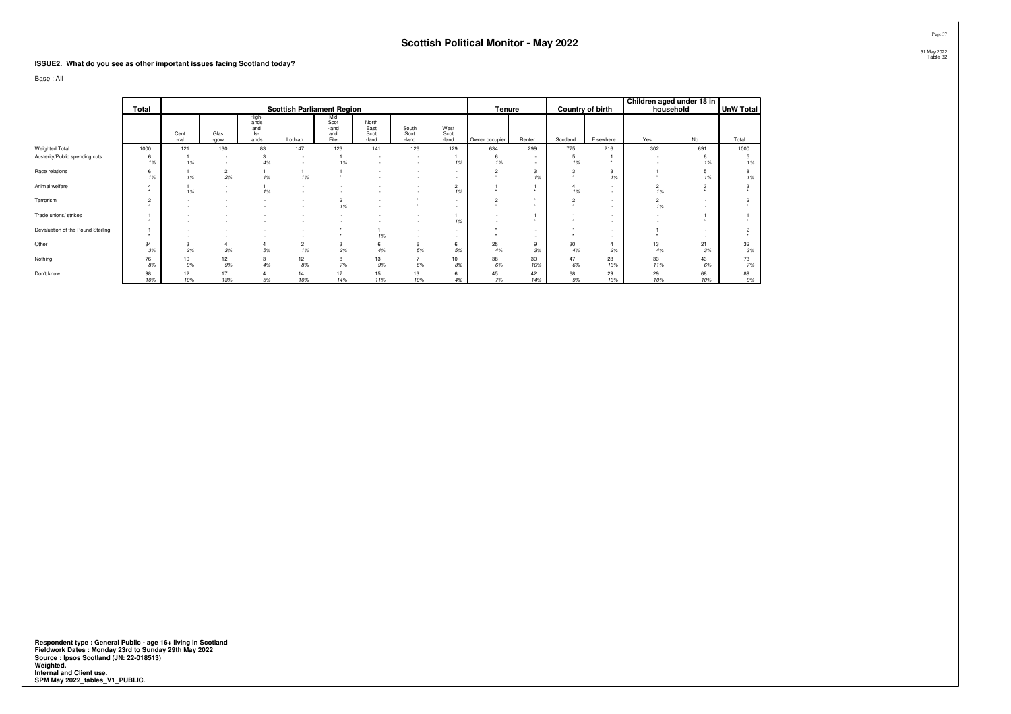#### **ISSUE2. What do you see as other important issues facing Scotland today?**

Base : All

|                                   | Total          |              |                          |                                       | <b>Scottish Parliament Region</b> |                                     |                                |                                    |                       | <b>Tenure</b>  |           |          | Country of birth | Children aged under 18 in<br>household |           | UnW Total   |
|-----------------------------------|----------------|--------------|--------------------------|---------------------------------------|-----------------------------------|-------------------------------------|--------------------------------|------------------------------------|-----------------------|----------------|-----------|----------|------------------|----------------------------------------|-----------|-------------|
|                                   |                | Cent<br>-ral | Glas<br>-aow             | High-<br>lands<br>and<br>ls-<br>lands | Lothian                           | Mid<br>Scot<br>-land<br>and<br>Fife | North<br>East<br>Scot<br>-land | South<br>Scot<br>-land             | West<br>Scot<br>-land | Owner occupier | Renter    | Scotland | Elsewhere        | Yes                                    | No        | Total       |
| Weighted Total                    | 1000           | 121          | 130                      | 83                                    | 147                               | 123                                 | 141                            | 126                                | 129                   | 634            | 299       | 775      | 216              | 302                                    | 691       | 1000        |
| Austerity/Public spending cuts    | 6<br>1%        | 1%           | $\overline{\phantom{a}}$ | 4%                                    | $\sim$                            | 1%                                  |                                | -                                  | 1%                    | 6<br>1%        |           | 1%       |                  |                                        | 1%        | 1%          |
| Race relations                    | 6<br>1%        | 1%           | $\sim$<br>ے<br>2%        | 1%                                    | 1%                                |                                     |                                |                                    |                       |                | 3<br>1%   |          | 3<br>1%          |                                        | 1%        | 8<br>1%     |
| Animal welfare                    |                | 1%           |                          | 1%                                    |                                   |                                     |                                |                                    | $\overline{2}$<br>1%  |                |           | 1%       |                  | $\overline{c}$<br>1%                   |           |             |
| Terrorism                         | $\overline{2}$ |              |                          |                                       |                                   | $\overline{c}$<br>1%                | $\overline{\phantom{a}}$       |                                    |                       | $\sim$         |           |          |                  | 1%                                     |           |             |
| Trade unions/ strikes             |                |              |                          |                                       |                                   |                                     |                                |                                    | 1%                    |                |           |          |                  |                                        |           |             |
| Devaluation of the Pound Sterling |                |              |                          |                                       |                                   | ٠                                   | 1%                             | $\overline{\phantom{a}}$<br>$\sim$ |                       |                | $\sim$    |          |                  |                                        |           |             |
| Other                             | 34<br>3%       | 3<br>2%      | 3%                       | 5%                                    | 1%                                | 3<br>2%                             | 6<br>4%                        | 6<br>5%                            | 6<br>5%               | 25<br>4%       | 9<br>3%   | 30<br>4% | 2%               | 13<br>4%                               | 21<br>3%  | 32<br>3%    |
| Nothing                           | 76<br>8%       | 10<br>9%     | 12<br>9%                 | 3<br>4%                               | 12<br>8%                          | 8<br>7%                             | 13<br>9%                       | $\overline{\phantom{a}}$<br>6%     | 10<br>8%              | 38<br>6%       | 30<br>10% | 47<br>6% | 28<br>13%        | 33<br>11%                              | 43<br>6%  | 73<br>7%    |
| Don't know                        | 98<br>10%      | 12<br>10%    | 17<br>13%                | 5%                                    | 14<br>10%                         | 17<br>14%                           | 15<br>11%                      | 13<br>10%                          | 6<br>4%               | 45<br>7%       | 42<br>14% | 68<br>9% | 29<br>13%        | 29<br>10%                              | 68<br>10% | 89<br>$9\%$ |

Respondent type : General Public - age 16+ living in Scotland<br>Fieldwork Dates : Monday 23rd to Sunday 29th May 2022<br>Source : Ipsos Scotland (JN: 22-018513)<br>Weighted.<br>Internal and Client use.<br>SPM May 2022\_tables\_V1\_PUBLIC.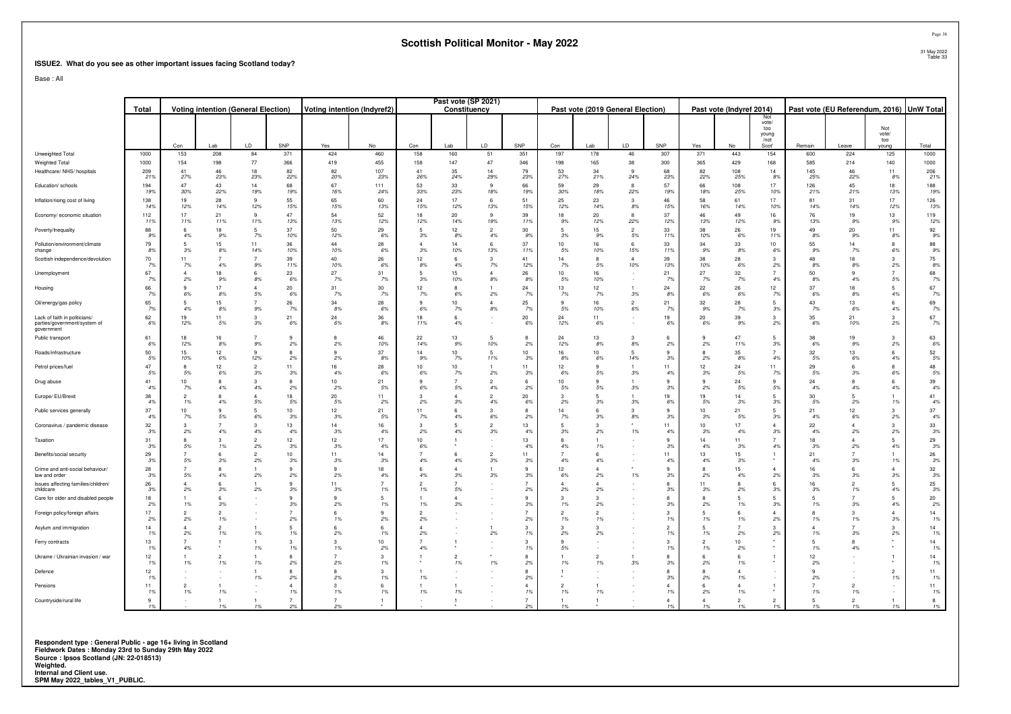#### **ISSUE2. What do you see as other important issues facing Scotland today?**

Base : All

|                                                                             | <b>Voting intention (General Election)</b><br>Total |                        |                      |                      | Voting intention (Indyref2) |                       |            | Past vote (SP 2021)<br>Constituency |                       |                         |                        | Past vote (2019 General Election) |                       |                       | Past vote (Indyref 2014) |                |                       | Past vote (EU Referendum, 2016) UnW Total        |                    |                      |                              |            |
|-----------------------------------------------------------------------------|-----------------------------------------------------|------------------------|----------------------|----------------------|-----------------------------|-----------------------|------------|-------------------------------------|-----------------------|-------------------------|------------------------|-----------------------------------|-----------------------|-----------------------|--------------------------|----------------|-----------------------|--------------------------------------------------|--------------------|----------------------|------------------------------|------------|
|                                                                             |                                                     | Con                    | Lab                  | LD                   | SNP                         | Yes                   | No         | Con                                 | Lab                   | LD                      | SNP                    | Con                               | Lab                   | LD                    | SNP                      | Yes            | No                    | Not<br>vote/<br>too<br>young<br>$/$ not<br>Scot' | Remain             | Leave                | Not<br>vote/<br>ton<br>young | Total      |
| Unweighted Total                                                            | 1000                                                | 153                    | 208                  | 84                   | 371                         | 424                   | 460        | 158                                 | 160                   | 51                      | 351                    | 197                               | 178                   | 46                    | 307                      | 371            | 443                   | 154                                              | 600                | 224                  | 125                          | 1000       |
| Weighted Total                                                              | 1000                                                | 154                    | 198                  | 77                   | 366                         | 419                   | 455        | 158                                 | 147                   | 47                      | 346                    | 198                               | 165                   | 38                    | 300                      | 365            | 429                   | 168                                              | 585                | 214                  | 140                          | 1000       |
| Healthcare/ NHS/ hospitals                                                  | 209<br>21%                                          | 41<br>27%              | 46<br>23%            | 18<br>23%            | 82<br>22%                   | 82<br>20%             | 107<br>23% | 41<br>26%                           | 35<br>24%             | 14<br>29%               | 79<br>23%              | 53<br>27%                         | 34<br>21%             | $\mathbf{q}$<br>24%   | 68<br>23%                | 82<br>22%      | 108<br>25%            | 14<br>8%                                         | 145<br>25%         | 46<br>22%            | 11<br>8%                     | 206<br>21% |
| Education/ schools                                                          | 194<br>19%                                          | 47<br>30%              | 43<br>22%            | 14<br>19%            | 68<br>19%                   | 67<br>16%             | 111<br>24% | 53<br>33%                           | 33<br>23%             | $\mathbf{q}$<br>18%     | 66<br>19%              | 59<br>30%                         | 29<br>18%             | $\mathbf{R}$<br>22%   | 57<br>19%                | 66<br>18%      | 108<br>25%            | 17<br>10%                                        | 126<br>21%         | 45<br>21%            | 18<br>13%                    | 188<br>19% |
| Inflation/rising cost of living                                             | 138<br>14%                                          | 19<br>12%              | 28<br>14%            | 9<br>12%             | 55<br>15%                   | 65<br>15%             | 60<br>13%  | 24<br>15%                           | 17<br>12%             | 6<br>13%                | 51<br>15%              | 25<br>12%                         | 23<br>14%             | 3<br>$8\%$            | 46<br>15%                | 58<br>16%      | 61<br>14%             | 17<br>10%                                        | 81<br>14%          | 31<br>14%            | 17<br>12%                    | 126<br>13% |
| Economy/ economic situation                                                 | 112<br>11%                                          | 17<br>11%              | 21<br>11%            | $\mathbf{q}$<br>11%  | 47<br>13%                   | 54<br>13%             | 52<br>12%  | 18<br>12%                           | 20<br>14%             | 9<br>19%                | 39<br>11%              | 18<br>9%                          | 20<br>12%             | 8<br>22%              | 37<br>12%                | 46<br>13%      | 49<br>12%             | 16<br>9%                                         | 76<br>13%          | 19<br>9%             | 13<br>9%                     | 119<br>12% |
| Poverty/Inequality                                                          | 88<br>9%                                            | 6<br>4%                | 18<br>9%             | -5<br>7%             | 37<br>10%                   | 50<br>12%             | 29<br>6%   | 5<br>3%                             | 12<br>8%              | $\overline{2}$<br>4%    | 30<br>9%               | 5<br>3%                           | 15<br>9%              | $\overline{2}$<br>5%  | 33<br>11%                | 38<br>10%      | 26<br>6%              | 19<br>11%                                        | 49<br>8%           | 20<br>9%             | 11<br>8%                     | 92<br>9%   |
| Pollution/environment/climate<br>change                                     | 79<br>8%                                            | 3%                     | 15<br>8%             | 11<br>14%            | 36<br>10%                   | 44<br>10%             | 28<br>6%   | $\overline{4}$<br>3%                | 14<br>10%             | 6<br>13%                | 37<br>11%              | 10<br>5%                          | 16<br>10%             | 6<br>15%              | 33<br>11%                | 34<br>.9%      | 33<br>8%              | 10<br>6%                                         | 55<br>9%           | 14<br>7%             | 6%                           | 88<br>9%   |
| Scottish independence/devolution                                            | 70<br>7%                                            | 11<br>7%               | 4%                   | 9%                   | 39<br>11%                   | 40<br>10%             | 26<br>6%   | 12<br>8%                            | -6<br>4%              | 3<br>7%                 | 41<br>12%              | 14<br>7%                          | $\mathbf{R}$<br>5%    | $\overline{4}$<br>10% | 39<br>13%                | 38<br>10%      | 28<br>6%              | $\mathbf{3}$<br>2%                               | 48<br>8%           | 18<br>8%             | $\mathbf{3}$<br>2%           | 75<br>8%   |
| Unemployment                                                                | 67<br><b>7%</b>                                     | $\Delta$<br>2%         | 18<br>9%             | 8%                   | 23<br>6%                    | 27<br>7%              | 31<br>7%   | 5<br>3%                             | 15<br>10%             | $\Delta$<br>8%          | 26<br>8%               | 10<br>5%                          | 16<br>10%             |                       | 21<br>7%                 | 27<br>7%       | 32<br>7%              | $\overline{7}$<br>4%                             | 50<br>8%           | 4%                   | $\overline{7}$<br>5%         | 68<br>7%   |
| Housing                                                                     | 66<br>7%                                            | 9<br>6%                | 17<br>8%             | $\Delta$<br>$5\%$    | 20<br>6%                    | 31<br>7%              | 30<br>7%   | 12<br>7%                            | 8<br>6%               | 2%                      | 24<br>7%               | 13<br>7%                          | 12 <sup>°</sup><br>7% | $3\%$                 | 24<br>8%                 | 22<br>6%       | 26<br>6%              | 12<br>7%                                         | 37<br>6%           | 18<br>8%             | 5<br>4%                      | 67<br>7%   |
| Oil/energy/gas policy                                                       | 65<br>7%                                            | 4%                     | 15<br>8%             | $9\%$                | 26<br>7%                    | 34<br>8%              | 28<br>6%   | 9<br>$6\%$                          | 10<br>7%              | $\overline{4}$<br>$8\%$ | 25<br>7%               | 9<br>5%                           | 16<br>10%             | $\overline{2}$<br>6%  | 21<br><b>7%</b>          | 32<br>9%       | ${\bf 28}$<br>7%      | 3%                                               | 43<br>7%           | 13<br>6%             | 6<br>4%                      | 69<br>7%   |
| Lack of faith in politicians/<br>parties/government/system of<br>government | 62<br>6%                                            | 19<br>12%              | 11<br>5%             | $\mathcal{R}$<br>3%  | 21<br>6%                    | 24<br>6%              | 36<br>8%   | 18<br>11%                           | $6\overline{6}$<br>4% |                         | 20<br>6%               | 24<br>12%                         | 11<br>6%              |                       | 19<br>6%                 | 20<br>6%       | 39<br>9%              | $\mathbf{3}$<br>2%                               | 35<br>6%           | 21<br>10%            | $\mathbf{3}$<br>2%           | 67<br>7%   |
| Public transport                                                            | 61<br>6%                                            | 18<br>12%              | 16<br>8%             | 9%                   | q<br>2%                     | 2%                    | 46<br>10%  | 22<br>14%                           | 13<br>9%              | 5<br>10%                | 2%                     | 24<br>12%                         | 13<br>8%              | 8%                    | 2%                       | 2%             | 47<br>11%             | 3%                                               | 38<br>6%           | 19<br>9%             | 2%                           | 63<br>6%   |
| Roads/infrastructure                                                        | 50<br>5%                                            | 15<br>10%              | 12<br>6%             | 12%                  | 8<br>2%                     | 9<br>2%               | 37<br>8%   | 14<br>9%                            | 10<br>7%              | 5<br>11%                | 10 <sup>10</sup><br>3% | 16<br>8%                          | 10<br>6%              | 5<br>14%              | 9<br>3%                  | 2%             | 35<br>8%              | 4%                                               | 32<br>5%           | 13<br>6%             | $6\overline{6}$<br>4%        | 52<br>5%   |
| Petrol prices/fuel                                                          | 47<br>5%                                            | $\mathbf{R}$<br>5%     | 12<br>6%             | $\overline{2}$<br>3% | 11<br>3%                    | 16<br>4%              | 28<br>6%   | 10<br>6%                            | 10<br>7%              | 2%                      | 11<br>3%               | 12<br>6%                          | $\alpha$<br>5%        | 3%                    | 11<br>4%                 | 12<br>3%       | 24<br>5%              | 11<br>7%                                         | 29<br>5%           | 3%                   | 8<br>6%                      | 48<br>5%   |
| Drug abuse                                                                  | 41<br>4%                                            | 10<br>7%               | 4%                   | $\mathcal{R}$<br>4%  | R<br>2%                     | 10 <sup>1</sup><br>2% | 21<br>5%   | 9<br>6%                             | $\overline{7}$<br>5%  | $\mathcal{P}$<br>4%     | -6<br>2%               | 10<br>5%                          | $\alpha$<br>5%        | 3%                    | 9<br>3%                  | 2%             | 24<br>5%              | 9<br>5%                                          | 24<br>4%           | 4%                   | $6\overline{6}$<br>4%        | 39<br>4%   |
| Europe/ EU/Brexit                                                           | 38<br>4%                                            | $\overline{2}$<br>1%   | 4%                   | 5%                   | 18<br>.5%                   | 20<br>5%              | 11<br>2%   | 3<br>2%                             | $\Delta$<br>3%        | $\overline{2}$<br>4%    | 20<br>6%               | 3<br>2%                           | $\overline{a}$<br>3%  | .3%                   | 19<br>6%                 | 19<br>5%       | 14<br>3%              | $\overline{a}$<br>3%                             | 30<br>5%           | 2%                   | 1%                           | 41<br>4%   |
| Public services generally                                                   | 37<br>4%                                            | 10 <sup>10</sup><br>7% | ٥<br>5%              | 5<br>6%              | 10<br>3%                    | 12<br>3%              | 21<br>5%   | 11<br>7%                            | 6<br>4%               | 3<br>6%                 | $\mathbf{R}$<br>2%     | 14<br>7%                          | 6<br>3%               | з<br>8%               | 9<br>3%                  | 10<br>3%       | 21<br>5%              | -5<br>3%                                         | 21<br>4%           | 12<br>6%             | $\mathbf{3}$<br>2%           | 37<br>4%   |
| Coronavirus / pandemic disease                                              | 32<br>3%                                            | 2%                     | 4%                   | 4%                   | 13<br>4%                    | 14<br>3%              | 16<br>4%   | 3<br>2%                             | 5<br>4%               | $\mathcal{P}$<br>3%     | 13<br>4%               | 5<br>3%                           | 2%                    | 1%                    | 11<br>4%                 | 10<br>3%       | 17<br>4%              | $\Delta$<br>3%                                   | 22<br>4%           | 2%                   | $\mathbf{3}$<br>2%           | 33<br>3%   |
| Taxation                                                                    | 31<br>3%                                            | 5%                     | з<br>1%              | 2%                   | 12<br>3%                    | 12<br>3%              | 17<br>4%   | 10<br>6%                            |                       |                         | 13<br>4%               | 4%                                | 1%                    |                       | 9<br>3%                  | 14<br>4%       | 11<br>3%              | 4%                                               | 18<br>3%           | 2%                   | 5<br>4%                      | 29<br>3%   |
| Benefits/social security                                                    | 29<br>3%                                            | $\overline{7}$<br>5%   | 3%                   | 2%                   | 10<br>3%                    | 11<br>3%              | 14<br>3%   | $\overline{7}$<br>4%                | 6<br>4%               | $\mathcal{P}$<br>3%     | 11<br>3%               | 4%                                | 4%                    |                       | 11<br>4%                 | 13<br>4%       | 15<br>3%              |                                                  | 21<br>4%           | 3%                   | 1%                           | 26<br>3%   |
| Crime and anti-social behaviour/<br>law and order                           | 28<br>3%                                            | 5%                     | 4%                   | $2\%$                | 9<br>2%                     | 9<br>2%               | 18<br>4%   | 6<br>4%                             | $\overline{4}$<br>3%  | 3%                      | 3%                     | 12<br>6%                          | $\Lambda$<br>2%       | 1%                    | 9<br>3%                  | 2%             | 15<br>4%              | $\overline{4}$<br>2%                             | 16<br>3%           | 3%                   | $\overline{4}$<br>3%         | 32<br>3%   |
| Issues affecting families/children/<br>childcare                            | 26<br>3%                                            | $\Delta$<br>2%         | ĥ<br>3%              | 2%                   | 9<br>3%                     | 11<br>3%              | 1%         | $\mathfrak{p}$<br>1%                | $\overline{7}$<br>5%  |                         | 2%                     | $\Delta$<br>2%                    | 2%                    |                       | 8<br>3%                  | 11<br>3%       | $\mathbf{a}$<br>2%    | 6<br>3%                                          | 16<br>3%           | 1%                   | -5<br>4%                     | 25<br>3%   |
| Care for older and disabled people                                          | 18<br>2%                                            | 1%                     | 3%                   |                      | q<br>3%                     | 2%                    | 5<br>1%    | 1%                                  | $\overline{A}$<br>3%  |                         | 3%                     | 3<br>1%                           | 2%                    |                       | 3%                       | 2%             | 5<br>1%               | 3%                                               | 1%                 | 3%                   | 4%                           | 20<br>2%   |
| Foreign policy/foreign affairs                                              | 17<br>2%                                            | $\overline{2}$<br>2%   | $\mathfrak{p}$<br>1% |                      | 2%                          | 6.<br>1%              | 9<br>2%    | $\overline{2}$<br>2%                |                       |                         | 2%                     | $\circ$<br>1%                     | $\overline{2}$<br>1%  |                       | $\mathcal{R}$<br>1%      | -5<br>1%       | $6\overline{6}$<br>1% | $\Delta$<br>2%                                   | $\mathbf{R}$<br>1% | 1%                   | $\Delta$<br>3%               | 14<br>1%   |
| Asylum and immigration                                                      | 14<br>1%                                            | $\overline{4}$<br>2%   | $\overline{2}$<br>1% | 1%                   | 5<br>1%                     | 6<br>2%               | 6<br>1%    | $\overline{4}$<br>2%                |                       | 2%                      | 1%                     | 3<br>2%                           | 3<br>2%               |                       | $\overline{2}$<br>1%     | 1%             | $\overline{7}$<br>2%  | 3<br>2%                                          | 1%                 | 3%                   | 3<br>2%                      | 14<br>1%   |
| Ferry contracts                                                             | 13<br>1%                                            | $\overline{7}$<br>4%   |                      | 1%                   | 3<br>1%                     | 3<br>1%               | 10<br>2%   | $\overline{7}$<br>4%                |                       |                         | 3<br>1%                | c<br>5%                           |                       |                       | 3<br>1%                  | 1%             | 10<br>2%              |                                                  | 5<br>1%            | 4%                   |                              | 14<br>1%   |
| Ukraine / Ukrainian invasion / war                                          | 12<br>1%                                            | 1%                     | 1%                   | 1%                   | 2%                          | 2%                    | 3<br>1%    |                                     | $\overline{2}$<br>1%  | 1%                      | 2%                     | 1%                                | 1%                    | 3%                    | 3%                       | 2%             | 6<br>1%               |                                                  | 12<br>2%           |                      |                              | 14<br>1%   |
| Defence                                                                     | 12<br>19                                            |                        |                      | 1%                   | 8<br>2%                     | 8<br>2%               | 3<br>1%    | 1%                                  |                       |                         | 2%                     |                                   |                       |                       | 8<br>3%                  | 2%             | $\overline{4}$<br>1%  |                                                  | 2%                 |                      | 1%                           | 11<br>1%   |
| Pensions                                                                    | 11<br>1%                                            | $\overline{2}$<br>1%   | 1%                   |                      | $\Delta$<br>1%              | 3<br>1%               | 6<br>1%    | 1%                                  | 1%                    |                         | 1%                     | 2<br>1%                           | 1%                    |                       | 1%                       | 2%             | $\overline{4}$<br>1%  |                                                  | 1%                 | 1%                   |                              | 11<br>1%   |
| Countryside/rural life                                                      | 9<br>1%                                             |                        | 1%                   | 1%                   | $\overline{7}$<br>2%        | $\overline{7}$<br>2%  |            |                                     |                       |                         | $\overline{7}$<br>2%   | 1%                                |                       |                       | $\Delta$<br>1%           | $\Delta$<br>1% | $\overline{2}$<br>1%  | $\overline{2}$<br>1%                             | 1%                 | $\overline{2}$<br>1% | 1%                           | 8<br>1%    |

- 1% 1% 2% 2% \* - \* - 2% 1% \* - 1% 1% 1% 1% 1% 1% 1% 1%

**Respondent type : General Public - age 16+ living in Scotland Fieldwork Dates : Monday 23rd to Sunday 29th May 2022 Source : Ipsos Scotland (JN: 22-018513) Weighted. Internal and Client use. SPM May 2022\_tables\_V1\_PUBLIC.**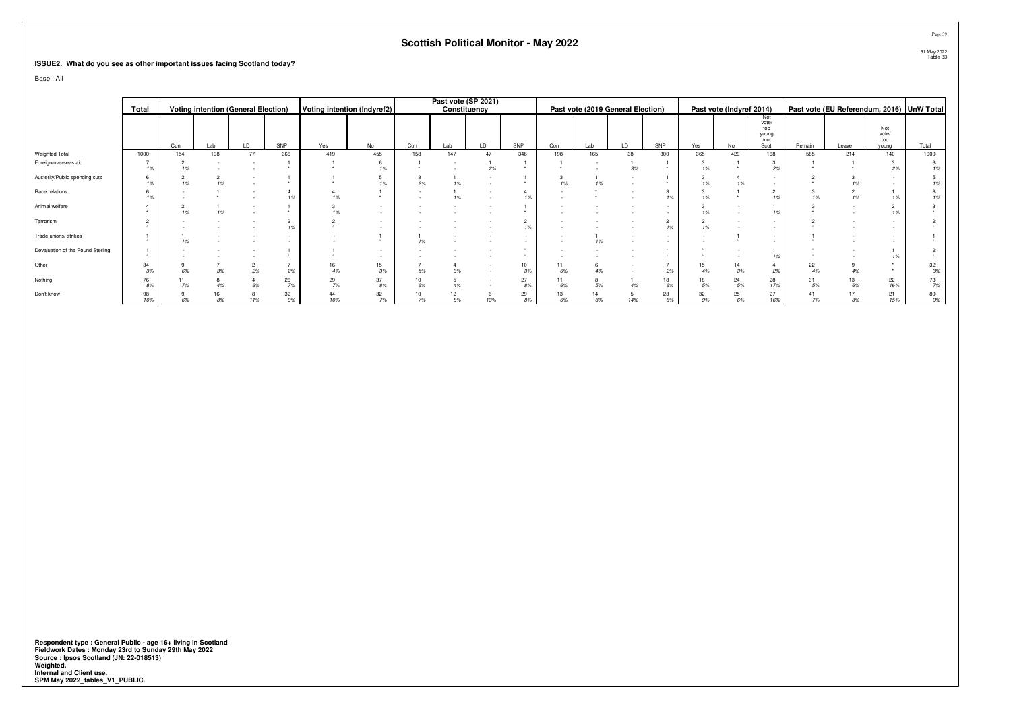#### **ISSUE2. What do you see as other important issues facing Scotland today?**

Base : All

|                                   |           |     |     |                                            |          |                             |                  |          | Past vote (SP 2021) |     |                      |     |          |                                   |          |     |                          |               |          |       |                                           |          |
|-----------------------------------|-----------|-----|-----|--------------------------------------------|----------|-----------------------------|------------------|----------|---------------------|-----|----------------------|-----|----------|-----------------------------------|----------|-----|--------------------------|---------------|----------|-------|-------------------------------------------|----------|
|                                   | Total     |     |     | <b>Voting intention (General Election)</b> |          | Voting intention (Indyref2) |                  |          | Constituency        |     |                      |     |          | Past vote (2019 General Election) |          |     | Past vote (Indyref 2014) |               |          |       | Past vote (EU Referendum, 2016) UnW Total |          |
|                                   |           |     |     |                                            |          |                             |                  |          |                     |     |                      |     |          |                                   |          |     |                          | Not<br>vote/  |          |       |                                           |          |
|                                   |           |     |     |                                            |          |                             |                  |          |                     |     |                      |     |          |                                   |          |     |                          | too           |          |       | Not                                       |          |
|                                   |           |     |     |                                            |          |                             |                  |          |                     |     |                      |     |          |                                   |          |     |                          | young<br>/not |          |       | vote/<br>too                              |          |
|                                   |           | Con | Lab | LD                                         | SNP      | Yes                         | No               | Con      | Lab                 | LD  | SNP                  | Con | Lab      | LD                                | SNP      | Yes | No                       | Scot'         | Remain   | Leave | vouna                                     | Total    |
| Weighted Total                    | 1000      | 154 | 198 | 77                                         | 366      | 419                         | 455              | 158      | 147                 | 47  | 346                  | 198 | 165      | 38                                | 300      | 365 | 429                      | 168           | 585      | 214   | 140                                       | 1000     |
| Foreign/overseas aid              | 1%        | 1%  |     |                                            |          |                             | 1%               |          |                     | 2%  |                      |     |          | 3%                                |          | 1%  |                          | 2%            |          |       | 2%                                        | 19       |
| Austerity/Public spending cuts    | 1%        | 1%  | 1%  |                                            |          |                             | 1%               | 2%       | 1%                  |     |                      | 1%  | 1%       |                                   |          |     | 1%                       |               |          |       |                                           |          |
| Race relations                    |           |     |     |                                            |          |                             |                  |          | 1%                  |     | 1%                   |     |          |                                   |          |     |                          |               |          |       |                                           |          |
| Animal welfare                    |           | 1%  |     |                                            |          | 1%                          |                  |          |                     |     | $\star$              |     |          |                                   |          | 1%  |                          | 1%            |          |       |                                           |          |
| Terrorism                         |           |     |     |                                            | 1%       |                             |                  |          |                     |     | $\overline{2}$<br>1% |     |          |                                   | 2<br>1%  | 1%  |                          |               |          |       |                                           |          |
| Trade unions/ strikes             |           | 19  |     |                                            |          |                             |                  |          |                     |     | $\sim$<br>$\sim$     |     | 1%       |                                   |          |     |                          |               |          |       |                                           |          |
| Devaluation of the Pound Sterling |           |     |     |                                            |          |                             |                  |          |                     |     |                      |     |          |                                   |          |     |                          |               |          |       |                                           |          |
| Other                             | 34<br>3%  |     | 3%  | 2%                                         | 2%       |                             | 15<br>3%         | 5%       | 3%                  |     | 10<br>3%             | 6%  | 4%       |                                   | 2%       |     | 3%                       | 2%            | 22       |       |                                           | 32<br>3% |
| Nothing                           | 76<br>8%  |     |     | 6%                                         | 26<br>7% | 29<br>7%                    | 37<br>$8\%$      | 10<br>6% | 4%                  |     | 27<br>8%             | 6%  | 5%       |                                   | 18<br>6% | 5%  | 24<br>$5\%$              | 28<br>17%     | 31<br>5% | 6%    | 22<br>16%                                 | 73<br>7% |
| Don't know                        | 98<br>10% |     | 8%  | 11%                                        | 32<br>9% | 44<br>10%                   | $\frac{32}{7\%}$ | 7%       | 8%                  | 13% | 29<br>8%             | 6%  | 14<br>8% | 14%                               | 23<br>8% | 9%  | 25<br>$6\%$              | 27<br>16%     | 7%       | 8%    | 21<br>15%                                 | 89<br>9% |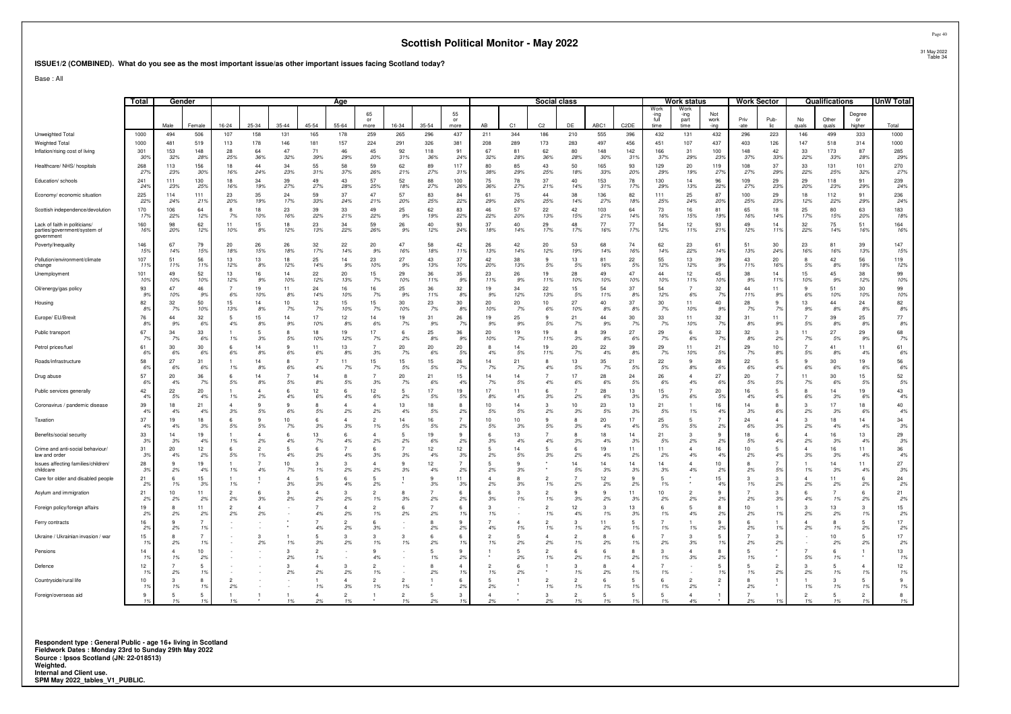#### **ISSUE1/2 (COMBINED). What do you see as the most important issue/as other important issues facing Scotland today?**

Base : All

|                                                                             | Total           | Gender             |                                  |                     |             | <u>Age</u>             |                     |                      |                      |                    |                       |                      | Social class |                |                      |                      |                    | Work status       |                              | Work Sector                  |                      |                       | Qualifications |             | UnW Total              |                        |              |
|-----------------------------------------------------------------------------|-----------------|--------------------|----------------------------------|---------------------|-------------|------------------------|---------------------|----------------------|----------------------|--------------------|-----------------------|----------------------|--------------|----------------|----------------------|----------------------|--------------------|-------------------|------------------------------|------------------------------|----------------------|-----------------------|----------------|-------------|------------------------|------------------------|--------------|
|                                                                             |                 | Male               | Female                           | 16-24               | 25-34       | $35 - 44$              | 45-54               | $55 - 64$            | 65<br>or<br>more     | 16-34              | $35 - 54$             | 55<br>or<br>more     | AB           | C <sub>1</sub> | C <sub>2</sub>       | DE                   | ABC1               | C <sub>2</sub> DE | Work<br>-inc<br>full<br>time | Work<br>-ing<br>part<br>time | Not<br>work<br>-ing  | Priv<br>-ate          | Pub-<br>lic.   | No<br>auals | Other<br>quals         | Degree<br>or<br>higher | Total        |
| Unweighted Total                                                            | 1000            | 494                | 506                              | 107                 | 158         | 131                    | 165                 | 178                  | 259                  | 265                | 296                   | 437                  | 211          | 344            | 186                  | 210                  | 555                | 396               | 432                          | 131                          | 432                  | 296                   | 223            | 146         | 499                    | 333                    | 1000         |
| Weighted Total                                                              | 1000            | 481                | 519                              | 113                 | 178         | 146                    | 181                 | 157                  | 224                  | 291                | 326                   | 381                  | 208          | 289            | 173                  | 283                  | 497                | 456               | 451                          | 107                          | 437                  | 403                   | 126            | 147         | 518                    | 314                    | 1000         |
| Inflation/rising cost of living                                             | 301<br>30%      | 153<br>32%         | 148<br>289                       | 28<br>25%           | 64<br>36%   | 47<br>32%              | 71<br>39%           | 46<br>29%            | 45<br>20%            | 92<br>31%          | 118<br>36%            | 91<br>24%            | 67<br>32%    | 81<br>28%      | 62<br>36%            | 80<br>28%            | 148<br>30%         | 142<br>319        | 166<br>37%                   | 31<br>29%                    | 100<br>23%           | 148<br>37%            | 42<br>33%      | 33<br>22%   | 173<br>33%             | 87<br>28%              | 285<br>29%   |
| Healthcare/ NHS/ hospitals                                                  | 268<br>279      | 113<br>23%         | 156<br>30%                       | 18<br>16%           | 44<br>24%   | 34<br>23%              | 55<br>31%           | 58<br>37%            | 59<br>26%            | 62<br>21%          | 89<br>27%             | 117<br>319           | 80<br>38%    | 85<br>29%      | 43<br>25%            | 50<br>18%            | 165<br>33%         | 93<br>20%         | 129<br>29%                   | 20<br>19%                    | 119<br>27%           | 108<br>27%            | 37<br>29%      | 33<br>22%   | 131<br>25%             | 101<br>32%             | 270<br>27%   |
| Education/ schools                                                          | 241<br>249      | 111<br>23%         | 130<br>25%                       | 18<br>16%           | 34<br>19%   | 39<br>27%              | 49<br>27%           | 43<br>28%            | 57<br>25%            | 52<br>18%          | 88<br>27%             | 100<br>26%           | 75<br>36%    | 78<br>27%      | 37<br>21%            | 40<br>14%            | 153<br>31%         | 78<br>17%         | 130<br>29%                   | 14<br>13%                    | 96<br>22%            | 109<br>27%            | 29<br>23%      | 29<br>20%   | 118<br>23%             | 91<br>29%              | 239<br>24%   |
| Economy/ economic situation                                                 | 225<br>229      | 114<br>24%         | 111<br>215                       | 23<br>20%           | 35<br>19%   | 24<br>17%              | 59<br>33%           | 37<br>24%            | 47<br>21%            | 57<br>20%          | 83<br>25%             | 84<br>22%            | 61<br>29%    | 75<br>26%      | 44<br>25%            | 38<br>14%            | 136<br>27%         | 82<br>18%         | 111<br>25%                   | 25<br>24%                    | 87<br>20%            | 100<br>25%            | 29<br>23%      | 18<br>12%   | 112<br>22%             | 91<br>29%              | 236<br>24%   |
| Scottish independence/devolution                                            | 170<br>179      | 106<br>22%         | 64<br>12%                        | 8<br>7%             | 18<br>10%   | 23<br>16%              | 39<br>22%           | 33<br>21%            | 49<br>22%            | 25<br>9%           | 62<br>19%             | 83<br>22%            | 46<br>22%    | 57<br>20%      | 22<br>13%            | 42<br>15%            | 103<br>21%         | 64<br>149         | 73<br>16%                    | 16<br>15%                    | 81<br>19%            | 65<br>16%             | 18<br>14%      | 25<br>17%   | 80<br>15%              | 63<br>20%              | 183<br>18%   |
| Lack of faith in politicians/<br>parties/government/system of<br>government | 160<br>16%      | 98<br>20%          | 62<br>12%                        | 11<br>10%           | 15<br>$8\%$ | 18<br>12%              | 23<br>13%           | 34<br>22%            | 59<br>26%            | 26<br>9%           | 40<br>12%             | 93<br>24%            | 37<br>18%    | 40<br>14%      | 29<br>17%            | 48<br>17%            | 77<br>16%          | 77<br>179         | 54<br>12%                    | 12<br>11%                    | 93<br>21%            | 49<br>12%             | 14<br>119      | 32<br>22%   | 75<br>14%              | 51<br>16%              | 164<br>16%   |
| Poverty/Inequality                                                          | 146<br>159      | 67<br>14%          | 79<br>15%                        | 20<br>18%           | 26<br>15%   | 26<br>18%              | 32<br>17%           | 22<br>14%            | 20<br>9%             | 47<br>16%          | 58<br>18%             | 42<br>11%            | 26<br>13%    | 42<br>14%      | 20<br>12%            | 53<br>19%            | 68<br>14%          | 74<br>16%         | 62<br>14%                    | 23<br>22%                    | 61<br>14%            | 51<br>13%             | 30<br>24%      | 23<br>16%   | 81<br>16%              | 39<br>13%              | 147<br>15%   |
| Pollution/environment/climate<br>change                                     | 107<br>11'      | 51<br>11%          | 56<br>11%                        | 13<br>12%           | 13<br>8%    | 18<br>12%              | 25<br>14%           | 14<br>9%             | 23<br>10%            | 27<br>9%           | 43<br>13%             | 37<br>10%            | 42<br>20%    | 38<br>13%      | 9<br>5%              | 13<br>5%             | 81<br>16%          | 22<br>5%          | 55<br>12%                    | 13<br>12%                    | 39<br>9%             | 43<br>11%             | 20<br>16%      | 8<br>5%     | 42<br>8%               | 56<br>18%              | 119<br>12%   |
| Unemployment                                                                | 101<br>109      | 49<br>10%          | 52<br>10%                        | 13<br>12%           | 16<br>9%    | 14<br>10%              | 22<br>12%           | 20<br>13%            | 15<br>7%             | 29<br>10%          | 36<br>11%             | 35<br>9%             | 23<br>11%    | 26<br>9%       | 19<br>11%            | 28<br>10%            | 49<br>10%          | 47<br>10%         | 44<br>10%                    | 12<br>11%                    | 45<br>10%            | 38<br>9%              | 14<br>119      | 15<br>10%   | 45<br>9%               | 38<br>12%              | 99<br>10%    |
| Oil/energy/gas policy                                                       | 93<br>99        | 47<br>10%          | 46<br>9%                         | 6%                  | 19<br>10%   | 11<br>8%               | 24<br>14%           | 16<br>10%            | 16<br>7%             | 25<br>9%           | 36<br>11%             | 32<br>8%             | 19<br>9%     | 34<br>12%      | 22<br>13%            | 15<br>5%             | 54<br>11%          | 37<br>8%          | 54<br>12%                    | 6%                           | 32<br>7%             | $\Delta\Delta$<br>11% | 11<br>9%       | 6%          | 51<br>10%              | 30<br>10%              | 99<br>10%    |
| Housing                                                                     | 82<br>89        | 32<br>7%           | 50<br>10%                        | 15<br>13%           | 14<br>8%    | 10 <sub>1</sub><br>7%  | 12<br>7%            | 15<br>10%            | 15<br>7%             | 30<br>10%          | 23<br>7%              | 30<br>8%             | 20<br>10%    | 20<br>7%       | 10<br>6%             | 27<br>10%            | 40<br>8%           | 37<br>-89         | 30<br>7%                     | 11<br>10%                    | 40<br>9%             | 28<br>7%              | 9<br>7%        | 13<br>9%    | 44<br>8%               | 24<br>8%               | 82<br>$8\%$  |
| Europe/ EU/Brexit                                                           | 76<br>$8^\circ$ | 44<br>9%           | 32<br>69                         | 5<br>4%             | 15<br>8%    | 14<br>9%               | 17<br>10%           | 12<br>8%             | 14<br>6%             | 19<br>7%           | 31<br>9%              | 26<br>-79            | 19<br>9%     | 25<br>9%       | 9<br>5%              | 21<br>7%             | 44<br>9%           | 30<br>- 79        | 33<br>7%                     | 11<br>10%                    | 32<br>7%             | 31<br>8%              | 11<br>99       | 5%          | 39<br>8%               | 25<br>8%               | $77\,$<br>8% |
| Public transport                                                            | 67<br>79        | 34<br>$7\%$        | 33<br>6%                         | 1%                  | 5<br>3%     | 5%                     | 18<br>10%           | 19<br>12%            | 17<br>7%             | -6<br>2%           | 25<br>8%              | 36<br>9%             | 20<br>10%    | 19<br>7%       | 19<br>11%            | R<br>3%              | 39<br>8%           | 27<br>69          | 29<br>7%                     | 6<br>6%                      | 32<br>7%             | 32<br>8%              | 3<br>2%        | 11<br>7%    | 27<br>5%               | 29<br>9%               | 68<br>7%     |
| Petrol prices/fuel                                                          | 61<br>6%        | 30<br>6%           | 30<br>6%                         | 6<br>6%             | 14<br>8%    | 6%                     | 11<br>6%            | 13<br>8%             | $\overline{7}$<br>3% | 20<br>7%           | 20<br>6%              | 20<br>5%             | 8<br>4%      | 14<br>5%       | 19<br>11%            | 20<br>7%             | 22<br>4%           | 39<br>8%          | 29<br>7%                     | 11<br>10%                    | 21<br>5%             | 29<br>7%              | 10<br>8%       | 5%          | 41<br>8%               | 11<br>49               | 61<br>$6\%$  |
| Roads/infrastructure                                                        | 58<br>-69       | 27<br>6%           | 31<br>-69                        | 1%                  | 14<br>8%    | 6%                     | 4%                  | 11<br>7%             | 15<br>7%             | 15<br>5%           | 15<br>5%              | 26<br>-79            | 14<br>7%     | 21<br>7%       | 8<br>4%              | 13<br>5%             | 35<br>7%           | 21<br>.59         | 22<br>5%                     | 9<br>8%                      | 28<br>6%             | 22<br>6%              | 5<br>4%        | 6%          | 30<br>6%               | 19<br>-69              | 56<br>6%     |
| Drug abuse                                                                  | 57<br>6%        | 20<br>4%           | 36<br>7%                         | 6<br>5%             | 14<br>8%    | 5%                     | 14<br>8%            | 5%                   | 3%                   | 20<br>7%           | 21<br>6%              | 15<br>4%             | 14<br>7%     | 14<br>5%       | 4%                   | 17<br>6%             | 28<br>6%           | 24<br>.5%         | 26<br>6%                     | Δ<br>4%                      | 27<br>6%             | 20<br>5%              | 5%             | 11<br>7%    | 30<br>6%               | 15<br>5%               | 52<br>5%     |
| Public services generally                                                   | 42<br>4%        | 22<br>5%           | 20<br>49                         | 1%                  | 2%          | 4%                     | 12<br>6%            | 6<br>4%              | 12<br>6%             | -5<br>2%           | 17<br>5%              | 19<br>5%             | 17<br>8%     | 11<br>4%       | 6<br>3%              | 2%                   | 28<br>6%           | 13<br>-39         | 15<br>3%                     | 6%                           | 20<br>5%             | 16<br>4%              | 4%             | 6%          | 14<br>3%               | 19<br>-69              | 43<br>4%     |
| Coronavirus / pandemic disease                                              | 39<br>49        | 18<br>4%           | 21<br>49                         | 3%                  | 5%          | 6%                     | 5%                  | 2%                   | 4<br>2%              | 13<br>4%           | 18<br>5%              | 8<br>2%              | 10<br>5%     | 14<br>5%       | 3<br>2%              | 10<br>3%             | 23<br>5%           | 13<br>-39         | 21<br>5%                     | 1%                           | 16<br>4 <sup>°</sup> | 14<br>3%              | 8<br>6%        | 2%          | 17<br>3%               | 18<br>-69              | 40<br>$4\%$  |
| Taxation                                                                    | $37\,$<br>4%    | 19<br>4%           | 18<br>3%                         | 6<br>5%             | 9<br>5%     | 10 <sub>1</sub><br>7%  | 6<br>3%             | $\Delta$<br>3%       | $\overline{2}$<br>1% | 14<br>5%           | 16<br>5%              | $\overline{7}$<br>2% | 10<br>5%     | 10<br>3%       | 9<br>5%              | R<br>3%              | 20<br>4%           | 17<br>4%          | 25<br>5%                     | 5<br>5%                      | 2%                   | 24<br>6%              | 3%             | з<br>2%     | 18<br>4%               | 14<br>49               | 34<br>3%     |
| Benefits/social security                                                    | 33<br>3%        | 14<br>3%           | 19<br>4%                         | 1%                  | 2%          | 4%                     | 13<br>7%            | 6<br>4%              | 4<br>2%              | -5<br>2%           | 19<br>6%              | 9<br>2%              | 6<br>3%      | 13<br>4%       | 4%                   | 8<br>3%              | 18<br>4%           | 14<br>3%          | 21<br>5%                     | 3<br>2%                      | 9<br>2%              | 18<br>5%              | 6<br>4%        | 2%          | 16 <sup>16</sup><br>3% | 13<br>49               | 29<br>3%     |
| Crime and anti-social behaviour/<br>law and order                           | 31<br>39        | 20<br>4%           | 12<br>2%                         | 6<br>5%             | 1%          | 4%                     | 3%                  | 4%                   | 6<br>3%              | 3%                 | 12<br>4%              | 12<br>3%             | 2%           | 14<br>5%       | 5<br>3%              | 2%                   | 19<br>4%           | 11<br>-29         | 11<br>2%                     | 4<br>4%                      | 16<br>4%             | 10<br>2%              | 5<br>4%        | 3%          | 16<br>3%               | 11<br>4 <sup>°</sup>   | 36<br>4%     |
| Issues affecting families/children/<br>childcare                            | 28<br>3%        | -9<br>2%           | 19<br>4%                         | 1%                  | 4%          | 10 <sup>10</sup><br>7% | 3<br>1%             | 3<br>2%              | 4<br>2%              | $\mathbf{q}$<br>3% | 12<br>4%              | $\overline{7}$<br>2% | 5<br>2%      | 3%             |                      | 14<br>5%             | 14<br>3%           | 14<br>3%          | 14<br>3%                     | $\Delta$<br>4%               | 10<br>2%             | 2%                    | 5%             | 1%          | 14<br>3%               | 11<br>4%               | 27<br>$3\%$  |
| Care for older and disabled people                                          | 21<br>29        | 1%                 | 15<br>3%                         | 1%                  |             | 3%                     | 3%                  | 6<br>4%              | 2%                   |                    | 9<br>3%               | 11<br>3%             | 2%           | 3%             | 1%                   | 2%                   | 12<br>2%           | 9<br>-29          | 5<br>1%                      |                              | 15<br>4%             | 1%                    | 3<br>2%        | 2%          | 11<br>2%               | 6<br>2%                | 24<br>2%     |
| Asylum and immigration                                                      | 21<br>29        | 10<br>2%           | 11<br>2%                         | $\mathcal{P}$<br>2% | 3%          | 2%                     | 2%                  | 3<br>2%              | $\mathfrak{p}$<br>1% | 3%                 | 2%                    | 6<br>2%              | 6<br>3%      | 1%             | $\mathcal{P}$<br>1%  | q<br>3%              | 9<br>2%            | 11<br>-39         | 10<br>2%                     | 2%                           | 2%                   | 2%                    | 3<br>3%        | 6<br>4%     | 1%                     | 6<br>2%                | 21<br>2%     |
| Foreign policy/foreign affairs                                              | 19<br>2%        | $\mathbf{R}$<br>2% | 11<br>2%                         | $\mathcal{P}$<br>2% | 2%          |                        | 4%                  | Δ<br>2%              | 2<br>1%              | 6<br>2%            | $\overline{7}$<br>2%  | 6<br>1 <sup>9</sup>  | з<br>1%      |                | 2<br>1%              | 12<br>4%             | $\mathbf{3}$<br>1% | 13<br>3%          | 6<br>1%                      | 5<br>4%                      | <sub>R</sub><br>2%   | 10<br>2%              | 1%             | 2%          | 13<br>2%               | 3<br>1 <sup>9</sup>    | 15<br>2%     |
| Ferry contracts                                                             | 16<br>29        | 9<br>2%            | $\overline{7}$<br>1 <sup>9</sup> |                     |             |                        | 4%                  | 2<br>2%              | 3%                   |                    | 8<br>2%               | 9<br>2%              | 4%           | 1%             | 1%                   | 3<br>1%              | 11<br>2%           | 5<br>19           | 1%                           | 1%                           | 2%                   | 2%                    | 1%             | 2%          | 1%                     | 5<br>2%                | 17<br>$2\%$  |
| Ukraine / Ukrainian invasion / war                                          | 15<br>-19       | 2%                 | $\overline{7}$<br>19             |                     | 2%          | 1%                     | 3%                  | 3<br>2%              | 3<br>1%              | 1%                 | $6\overline{6}$<br>2% | 6<br>1 <sup>9</sup>  | 1%           | 2%             | $\Delta$<br>2%       | 1%                   | 2%                 | -6<br>19          | 2%                           | 3<br>3%                      | 1%                   | 2%                    | 3<br>2%        |             | 10<br>2%               | 5<br>2%                | 17<br>$2\%$  |
| Pensions                                                                    | 14              | $\Delta$<br>1%     | 10<br>2%                         |                     |             | 3<br>2%                | $\mathcal{P}$<br>1% |                      | $\mathbf{Q}$<br>4%   |                    | -5<br>1%              | 9<br>2%              |              | 2%             | $\overline{2}$<br>1% | 6<br>2%              | 6<br>1%            | 8<br>2%           | 3<br>1%                      | $\Delta$<br>3%               | $\mathbf{R}$<br>2%   | 1%                    |                | 5%          | -6<br>1%               |                        | 13<br>1%     |
| Defence                                                                     | 12              | 2%                 | 5<br>1 <sup>9</sup>              |                     |             | 2%                     | 2%                  | 3<br>2%              | 1%                   |                    | 8<br>2%               | $\overline{4}$<br>1% | 1%           | 2%             |                      | 1%                   | 2%                 | 19                | 1%                           |                              | 1%                   | 1%                    | 2<br>2%        | 2%          | 1%                     | -19                    | 12<br>1%     |
| Countryside/rural life                                                      | 10              | 1%                 | 8<br>1 <sup>9</sup>              | 2%                  |             |                        | 1%                  | Δ<br>3%              | $\mathfrak{p}$<br>1% | 1%                 |                       | 6<br>2%              | 2%           |                | 1%                   | 2<br>1%              | 1%                 | -5<br>1%          | $\mathbf{f}$<br>1%           | 2%                           |                      | 2%                    |                | 1%          | 1%                     | 5<br>-19               | 9<br>1%      |
| Foreign/overseas aid                                                        | 9<br>1%         | 5<br>1%            | 5<br>1%                          |                     |             |                        | 4<br>2%             | $\overline{2}$<br>1% |                      | 1%                 | 5<br>2%               | 3<br>19              |              |                | з                    | $\mathfrak{p}$<br>1% | 5<br>1%            | -5<br>19          | 5<br>1%                      | 4<br>4%                      |                      | 2%                    |                |             | -5<br>1%               | $\overline{2}$<br>1%   | 8<br>1%      |

1% 1% 1% \* 1% 2% 1% \* 1% 2% 1% 2% \* 2% 1% 1% 1% 1% 4% \* 2% 1% 1% 1% 1% 1%

**Respondent type : General Public - age 16+ living in Scotland Fieldwork Dates : Monday 23rd to Sunday 29th May 2022 Source : Ipsos Scotland (JN: 22-018513) Weighted. Internal and Client use. SPM May 2022\_tables\_V1\_PUBLIC.**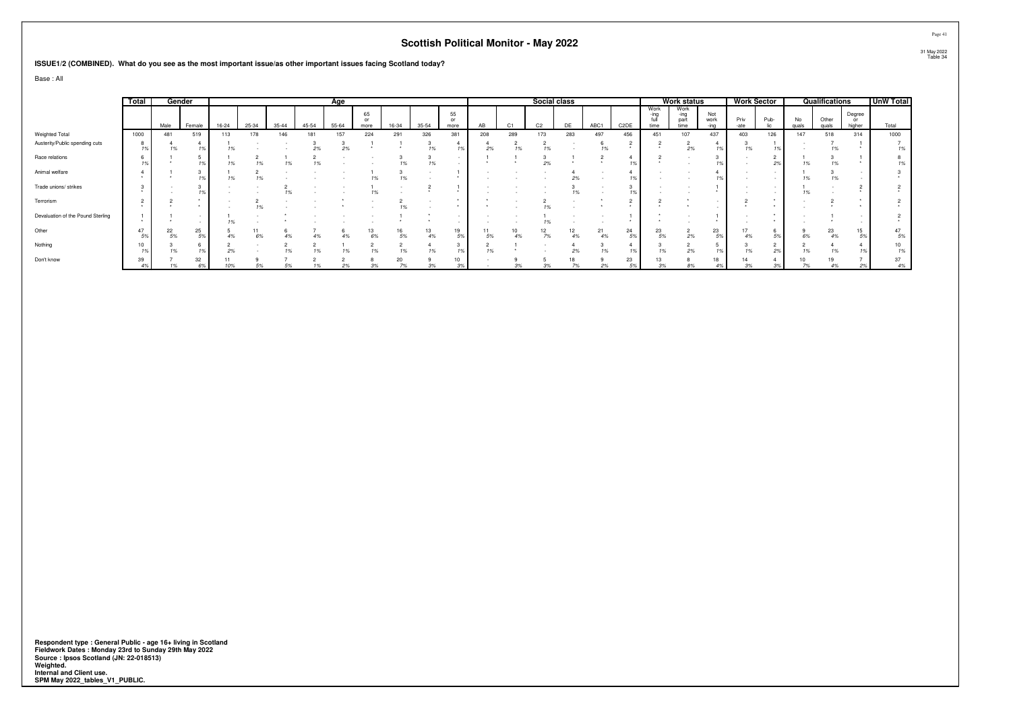#### **ISSUE1/2 (COMBINED). What do you see as the most important issue/as other important issues facing Scotland today?**

Base : All

|                                   | Total  |          | Gender   |              | Age   |           |           |       |            |       |          |            |     |                | Social class   |          |          |                   |                      | <b>Work status</b>           |             | <b>Work Sector</b> |      |             | Qualifications |                        | <b>UnW Total</b> |
|-----------------------------------|--------|----------|----------|--------------|-------|-----------|-----------|-------|------------|-------|----------|------------|-----|----------------|----------------|----------|----------|-------------------|----------------------|------------------------------|-------------|--------------------|------|-------------|----------------|------------------------|------------------|
|                                   |        | Male     | Female   | 16-24        | 25-34 | $35 - 44$ | $45 - 54$ | 55-64 | 65<br>more | 16-34 | 35-54    | 55<br>more | AB  | C <sub>1</sub> | C <sub>2</sub> | DE       | ABC1     | C <sub>2</sub> DE | Work<br>-ina<br>time | Work<br>-ing<br>part<br>time | Not<br>work | Priv<br>-ate       | Pub- | No<br>quals | Other<br>quals | Degree<br>or<br>higher | Total            |
| Weighted Total                    | 1000   | 481      | 519      | 113          | 178   | 146       | 181       | 157   | 224        | 291   | 326      | 381        | 208 | 289            | 173            | 283      | 497      | 456               | 451                  | 107                          | 437         | 403                | 126  | 147         | 518            | 314                    | 1000             |
| Austerity/Public spending cuts    |        | 1%       |          |              |       |           | 2%        | 2%    |            |       |          |            | 2%  |                | 1%             |          | 1%       |                   |                      | 2%                           |             | 1%                 |      |             | 1%             |                        |                  |
| Race relations                    |        |          |          | 1%           |       |           |           |       |            |       | 1%       |            |     |                | 2%             |          |          |                   |                      |                              |             |                    | 2%   |             | 1%             |                        |                  |
| Animal welfare                    |        |          |          | 1%           |       |           |           |       | 1%         |       |          |            |     |                |                | 2%       |          |                   |                      |                              |             |                    |      |             | 1%             |                        |                  |
| Trade unions/ strikes             |        |          |          |              |       |           |           |       |            |       |          |            |     |                |                |          |          |                   |                      |                              |             |                    |      |             |                |                        |                  |
| Terrorism                         | $\sim$ |          |          |              |       |           |           |       |            |       |          |            |     |                |                |          |          |                   |                      |                              |             |                    |      |             |                |                        |                  |
| Devaluation of the Pound Sterling |        |          |          |              |       |           |           |       |            |       |          |            |     |                |                |          |          |                   |                      |                              |             |                    |      |             |                |                        |                  |
| Other                             | 47     | 22<br>5% | 25<br>5% |              |       |           |           |       | 13<br>6%   | 5%    | 13<br>4% | 19<br>5%   |     | 10             | 7%             | 12<br>4% | 21<br>4% | 24<br>5%          | 23<br>5%             | $\epsilon$<br>2%             | 23          | 4%                 |      |             | 23<br>4%       | 15                     | 47<br>5%         |
| Nothing                           | 10     |          |          | $\sim$<br>2% |       |           |           |       |            |       |          | 1%         | 1%  |                |                |          |          |                   |                      | 2%                           |             | 10                 | 2%   |             | 1%             |                        | 1%               |
| Don't know                        | 39     |          | 32<br>6% | 10%          | 5%    |           |           | 2%    | 3%         |       |          | 10<br>3%   |     |                |                | 18       | 2%       | 23<br>5%          | 13                   | 8%                           | 18          | 3%                 | 3%   |             | 19<br>4%       | 2%                     | 37<br>4%         |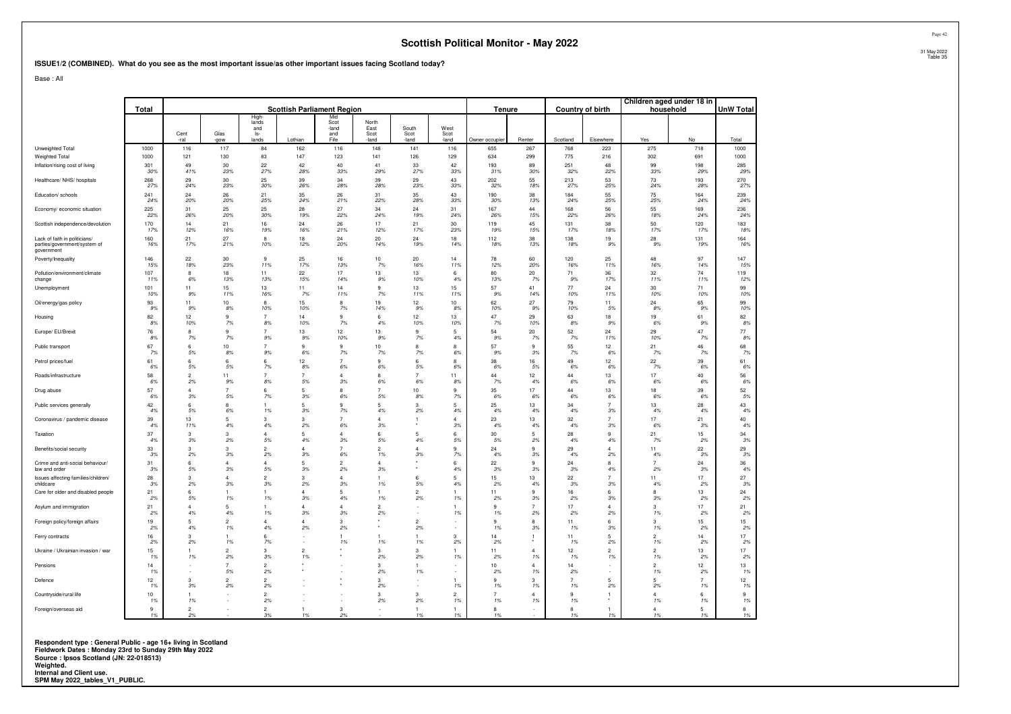#### **ISSUE1/2 (COMBINED). What do you see as the most important issue/as other important issues facing Scotland today?**

Base : All

|                                                                             | Total              |                      |                       |                      | <b>Scottish Parliament Region</b> |                      |                      |                               |                      | Tenure               |                      | <b>Country of birth</b> |                          |                      | Children aged under 18 in<br>household | <b>UnW Total</b> |
|-----------------------------------------------------------------------------|--------------------|----------------------|-----------------------|----------------------|-----------------------------------|----------------------|----------------------|-------------------------------|----------------------|----------------------|----------------------|-------------------------|--------------------------|----------------------|----------------------------------------|------------------|
|                                                                             |                    |                      |                       | High<br>lands<br>and |                                   | Mid<br>Scot<br>-land | North<br>East        | South                         | West                 |                      |                      |                         |                          |                      |                                        |                  |
|                                                                             |                    | Cent<br>-ral         | Glas<br>-gow          | ls-<br>lands         | Lothian                           | and<br>Fife          | Scot<br>-land        | Scot<br>-land                 | Scot<br>-land        | Owner occupier       | Renter               | Scotland                | Elsewhere                | Yes                  | No                                     | Total            |
| Unweighted Total                                                            | 1000               | 116                  | 117                   | 84                   | 162                               | 116                  | 148                  | 141                           | 116                  | 655                  | 267                  | 768                     | 223                      | 275                  | 718                                    | 1000             |
| Weighted Total                                                              | 1000               | 121                  | 130                   | 83                   | 147                               | 123                  | 141                  | 126                           | 129                  | 634                  | 299                  | 775                     | 216                      | 302                  | 691                                    | 1000             |
| Inflation/rising cost of living                                             | 301                | 49                   | 30                    | 22                   | 42                                | 40                   | 41                   | 33                            | 42                   | 193                  | 89                   | 251                     | 48                       | 99                   | 198                                    | 285              |
|                                                                             | 30%                | 41%                  | 23%                   | 27%                  | 28%                               | 33%                  | 29%                  | 27%                           | 33%                  | 31%                  | 30%                  | 32%                     | 22%                      | 33%                  | 29%                                    | 29%              |
| Healthcare/ NHS/ hospitals                                                  | 268                | 29                   | 30                    | 25                   | 39                                | 34                   | 39                   | 29                            | 43                   | 202                  | 55                   | 213                     | 53                       | 73                   | 193                                    | 270              |
|                                                                             | 27%                | 24%                  | 23%                   | 30%                  | 26%                               | 28%                  | 28%                  | 23%                           | 33%                  | 32%                  | 18%                  | 27%                     | 25%                      | 24%                  | 28%                                    | 27%              |
| Education/ schools                                                          | 241                | 24                   | 26                    | 21                   | 35                                | 26                   | 31                   | 35                            | 43                   | 190                  | 38                   | 184                     | 55                       | 75                   | 164                                    | 239              |
|                                                                             | 24%                | 20%                  | 20%                   | 25%                  | 24%                               | 21%                  | 22%                  | 28%                           | 33%                  | 30%                  | 13%                  | 24%                     | 25%                      | 25%                  | 24%                                    | 24%              |
| Economy/ economic situation                                                 | 225                | 31                   | 25                    | 25                   | 28                                | 27                   | 34                   | 24                            | 31                   | 167                  | 44                   | 168                     | 56                       | 55                   | 169                                    | 236              |
|                                                                             | 22%                | 26%                  | 20%                   | 30%                  | 19%                               | 22%                  | 24%                  | 19%                           | 24%                  | 26%                  | 15%                  | 22%                     | 26%                      | 18%                  | 24%                                    | 24%              |
| Scottish independence/devolution                                            | 170                | 14                   | 21                    | 16                   | 24                                | 26                   | 17                   | 21                            | 30                   | 119                  | 45                   | 131                     | 38                       | 50                   | 120                                    | 183              |
|                                                                             | 17%                | 12%                  | 16%                   | 19%                  | 16%                               | 21%                  | 12%                  | 17%                           | 23%                  | 19%                  | 15%                  | 17%                     | 18%                      | 17%                  | 17%                                    | 18%              |
| Lack of faith in politicians/<br>parties/government/system of<br>government | 160<br>16%         | 21<br>17%            | 27<br>21%             | 8<br>10%             | 18<br>12%                         | 24<br>20%            | 20<br>14%            | 24<br>19%                     | 18<br>14%            | 112<br>18%           | 38<br>13%            | 138<br>18%              | 19<br>9%                 | 28<br>9%             | 131<br>19%                             | 164<br>16%       |
| Poverty/Inequality                                                          | 146                | 22                   | 30                    | 9                    | 25                                | 16                   | 10                   | 20                            | 14                   | 78                   | 60                   | 120                     | 25                       | 48                   | 97                                     | 147              |
|                                                                             | 15%                | 18%                  | 23%                   | 11%                  | 17%                               | 13%                  | 7%                   | 16%                           | 11%                  | 12%                  | 20%                  | 16%                     | 11%                      | 16%                  | 14%                                    | 15%              |
| Pollution/environment/climate                                               | 107                | 8                    | 18                    | 11                   | 22                                | 17                   | 13                   | 13                            | 6                    | 80                   | 20                   | 71                      | 36                       | 32                   | 74                                     | 119              |
| change                                                                      | 11%                | 6%                   | 13%                   | 13%                  | 15%                               | 14%                  | 9%                   | 10%                           | 4%                   | 13%                  | 7%                   | 9%                      | 17%                      | 11%                  | 11%                                    | 12%              |
| Unemployment                                                                | 101                | 11                   | 15                    | 13                   | 11                                | 14                   | 9                    | 13                            | 15                   | 57                   | 41                   | 77                      | 24                       | 30                   | 71                                     | 99               |
|                                                                             | 10%                | 9%                   | 11%                   | 16%                  | 7%                                | 11%                  | 7%                   | 11%                           | 11%                  | 9%                   | 14%                  | 10%                     | 11%                      | 10%                  | 10%                                    | 10%              |
| Oil/energy/gas policy                                                       | 93                 | 11                   | 10                    | 8                    | 15                                | 8                    | 19                   | 12                            | 10                   | 62                   | 27                   | 79                      | 11                       | 24                   | 65                                     | 99               |
|                                                                             | 9%                 | 9%                   | 8%                    | 10%                  | 10%                               | 7%                   | 14%                  | 9%                            | 8%                   | 10%                  | 9%                   | 10%                     | 5%                       | 8%                   | 9%                                     | 10%              |
| Housing                                                                     | 82                 | 12                   | 9                     | $\overline{7}$       | 14                                | 9                    | 6                    | 12                            | 13                   | 47                   | 29                   | 63                      | 18                       | 19                   | 61                                     | 82               |
|                                                                             | 8%                 | 10%                  | 7%                    | 8%                   | 10%                               | 7%                   | 4%                   | 10%                           | 10%                  | 7%                   | 10%                  | 8%                      | 9%                       | 6%                   | 9%                                     | 8%               |
| Europe/ EU/Brexit                                                           | 76                 | 8                    | 9                     | $\overline{7}$       | 13                                | 12                   | 13                   | 9                             | -5                   | 54                   | 20                   | 52                      | 24                       | 29                   | 47                                     | 77               |
|                                                                             | 8%                 | 7%                   | 7%                    | 9%                   | 9%                                | 10%                  | 9%                   | 7%                            | 4%                   | 9%                   | 7%                   | 7%                      | 11%                      | 10%                  | 7%                                     | 8%               |
| Public transport                                                            | 67                 | 6                    | 10                    | $\overline{7}$       | 9                                 | 9                    | 10                   | 8                             | 8                    | 57                   | 9                    | 55                      | 12                       | 21                   | 46                                     | 68               |
|                                                                             | 7%                 | 5%                   | 8%                    | 9%                   | 6%                                | 7%                   | 7%                   | 7%                            | 6%                   | 9%                   | .3%                  | 7%                      | 6%                       | 7%                   | 7%                                     | 7%               |
| Petrol prices/fuel                                                          | 61                 | 6                    | 6                     | 6                    | 12                                | $\overline{7}$       | 9                    | 6                             | 8                    | 38                   | 16                   | 49                      | 12 <sup>°</sup>          | 22                   | 39                                     | 61               |
|                                                                             | 6%                 | 5%                   | .5%                   | 7%                   | 8%                                | 6%                   | 6%                   | 5%                            | 6%                   | 6%                   | 5%                   | 6%                      | 6%                       | 7%                   | 6%                                     | 6%               |
| Roads/infrastructure                                                        | 58                 | $\mathfrak{p}$       | 11                    | $\overline{7}$       | $\overline{7}$                    | $\overline{4}$       | 8                    | $\overline{7}$                | 11                   | 44                   | 12                   | 44                      | 13                       | $17\,$               | 40                                     | 56               |
|                                                                             | 6%                 | 2%                   | 9%                    | 8%                   | 5%                                | 3%                   | 6%                   | 6%                            | 8%                   | 7%                   | 4%                   | 6%                      | 6%                       | 6%                   | 6%                                     | 6%               |
| Drug abuse                                                                  | 57                 | $\overline{4}$       | $\overline{7}$        | 6                    | 5                                 | 8                    | $\overline{7}$       | 10                            | 9                    | 35                   | 17                   | 44                      | 13                       | 18                   | 39                                     | 52               |
|                                                                             | 6%                 | 3%                   | 5%                    | 7%                   | 3%                                | 6%                   | 5%                   | 8%                            | 7%                   | 6%                   | 6%                   | $6\%$                   | 6%                       | 6%                   | 6%                                     | 5%               |
| Public services generally                                                   | 42                 | $6^{\circ}$          | $\mathbf{a}$          | 1                    | 5                                 | 9                    | 5                    | 3                             | 5                    | 25                   | 13                   | 34                      | $\overline{7}$           | 13                   | 28                                     | 43               |
|                                                                             | 4%                 | 5%                   | 6%                    | 1%                   | 3%                                | 7%                   | 4%                   | 2%                            | 4%                   | 4%                   | 4%                   | 4%                      | 3%                       | 4%                   | 4%                                     | 4%               |
| Coronavirus / pandemic disease                                              | 39<br>4%           | 13<br>11%            | $\overline{5}$<br>4%  | 3<br>4%              | 3<br>2%                           | 7<br>6%              | $\Delta$<br>3%       | 1                             | $\Delta$<br>3%       | 23<br>4%             | 13<br>4%             | 32<br>4%                | $\overline{7}$<br>3%     | 17<br>6%             | 21<br>3%                               | 40<br>4%         |
| Taxation                                                                    | 37                 | 3                    | 3                     | $\overline{4}$       | 5                                 | $\Delta$             | 6                    | 5                             | 6                    | 30                   | 5                    | 28                      | $\mathbf{g}$             | 21                   | 15                                     | 34               |
|                                                                             | 4%                 | 3%                   | 2%                    | 5%                   | 4%                                | 3%                   | 5%                   | 4%                            | 5%                   | 5%                   | 2%                   | 4%                      | 4%                       | 7%                   | 2%                                     | 3%               |
| Benefits/social security                                                    | 33                 | 3                    | 3                     | $\overline{2}$       | $\Delta$                          | $\overline{7}$       | $\overline{2}$       | $\overline{4}$                | 9                    | 24                   | 9                    | 29                      | $\Delta$                 | 11                   | 22                                     | 29               |
|                                                                             | 3%                 | 2%                   | 3%                    | 2%                   | 3%                                | 6%                   | 1%                   | 3%                            | 7%                   | 4%                   | 3%                   | 4%                      | 2%                       | 4%                   | 3%                                     | 3%               |
| Crime and anti-social behaviour/                                            | 31                 | 6                    | $\Delta$              | $\overline{4}$       | -5                                | $\overline{2}$       | $\Delta$             |                               | 6                    | 22                   | 9                    | 24                      | $\mathbf{g}$             | $\overline{7}$       | 24                                     | 36               |
| law and order                                                               | 3%                 | 5%                   | 3%                    | 5%                   | 3%                                | 2%                   | 3%                   |                               | 4%                   | 3%                   | 3%                   | 3%                      | 4%                       | 2%                   | 3%                                     | 4%               |
| Issues affecting families/children/<br>childcare                            | 28<br>-3%          | 3<br>2%              | $\overline{4}$<br>.3% | $\overline{c}$<br>3% | 3<br>2%                           | 4<br>3%              | 1%                   | 6<br>5%                       | 4%                   | 15<br>2%             | 13<br>4%             | 22<br>3%                | $\overline{7}$<br>3%     | 11<br>4%             | 17<br>2%                               | 27<br>3%         |
| Care for older and disabled people                                          | 21<br>2%           | 6<br>5%              | $\mathbf{1}$<br>1%    | 1<br>1%              | $\overline{4}$<br>3%              | 5<br>4%              | 1<br>1%              | $\overline{2}$<br>2%          | 1%                   | 11<br>2%             | 9<br>3%              | 16<br>2%                | 6<br>3%                  | 8<br>3%              | 13<br>2%                               | 24<br>2%         |
| Asylum and immigration                                                      | 21<br>2%           | $\overline{4}$<br>4% | 5<br>4%               | 1<br>1%              | $\overline{4}$<br>3%              | $\overline{4}$<br>3% | $\overline{2}$<br>2% |                               | 1<br>1%              | 9<br>1%              | $\overline{7}$<br>2% | 17<br>2%                | $\overline{4}$<br>2%     | 3<br>1%              | 17<br>2%                               | 21<br>2%         |
| Foreign policy/foreign affairs                                              | 19<br>2%           | 5<br>4%              | $\overline{2}$<br>1%  | $\overline{4}$<br>4% | $\Delta$<br>2%                    | 3<br>2%              |                      | $\overline{\mathbf{c}}$<br>2% |                      | 9<br>1%              | 8<br>3%              | 11<br>1%                | 6<br>3%                  | 3<br>1%              | 15<br>2%                               | 15<br>2%         |
| Ferry contracts                                                             | 16<br>2%           | 3<br>2%              | $\mathbf{1}$<br>1%    | 6<br>7%              | ÷                                 | 1<br>1%              | 1<br>1%              | $\mathbf{1}$<br>1%            | 3<br>2%              | 14<br>2%             | -1                   | 11<br>1%                | 5<br>2%                  | $\overline{2}$<br>1% | 14<br>2%                               | 17<br>2%         |
| Ukraine / Ukrainian invasion / war                                          | 15<br>1%           | 1<br>1%              | $\overline{2}$<br>2%  | 3<br>3%              | $\overline{2}$<br>1%              |                      | 3<br>2%              | 3<br>2%                       | 1%                   | 11<br>2%             | $\overline{4}$<br>1% | 12<br>1%                | $\overline{2}$<br>1%     | $\overline{2}$<br>1% | 13<br>2%                               | 17<br>2%         |
| Pensions                                                                    | 14<br>1%           |                      | $\overline{7}$<br>5%  | $\overline{c}$<br>2% |                                   |                      | 3<br>2%              | $\mathbf{1}$<br>1%            |                      | 10<br>2%             | $\overline{4}$<br>1% | 14<br>2%                | $\overline{\phantom{a}}$ | $\overline{2}$<br>1% | 12<br>2%                               | 13<br>1%         |
| Defence                                                                     | 12<br>1%           | 3<br>3%              | $\overline{2}$<br>2%  | $\overline{2}$<br>2% |                                   |                      | 3<br>2%              |                               | $\mathbf{1}$<br>1%   | 9<br>1%              | 3<br>1%              | $\overline{7}$<br>1%    | 5<br>2%                  | 5<br>2%              | $\overline{7}$<br>1%                   | 12<br>1%         |
| Countryside/rural life                                                      | 10<br>1%           | 1%                   |                       | $\overline{c}$<br>2% |                                   |                      | 3<br>2%              | 3<br>2%                       | $\overline{2}$<br>1% | $\overline{7}$<br>1% | 4<br>1%              | $\mathbf{Q}$<br>1%      | 1                        | $\Delta$<br>1%       | 6<br>1%                                | 9<br>1%          |
| Foreign/overseas aid                                                        | $\mathbf{g}$<br>1% | $\mathfrak{p}$<br>2% |                       | $\overline{2}$<br>3% | 1%                                | 3<br>2%              |                      | $\mathbf{1}$<br>1%            | 1%                   | 8<br>1%              |                      | 8<br>1%                 | 1%                       | $\overline{4}$<br>1% | 5<br>1%                                | 8<br>1%          |

**Respondent type : General Public - age 16+ living in Scotland Fieldwork Dates : Monday 23rd to Sunday 29th May 2022 Source : Ipsos Scotland (JN: 22-018513) Weighted. Internal and Client use. SPM May 2022\_tables\_V1\_PUBLIC.**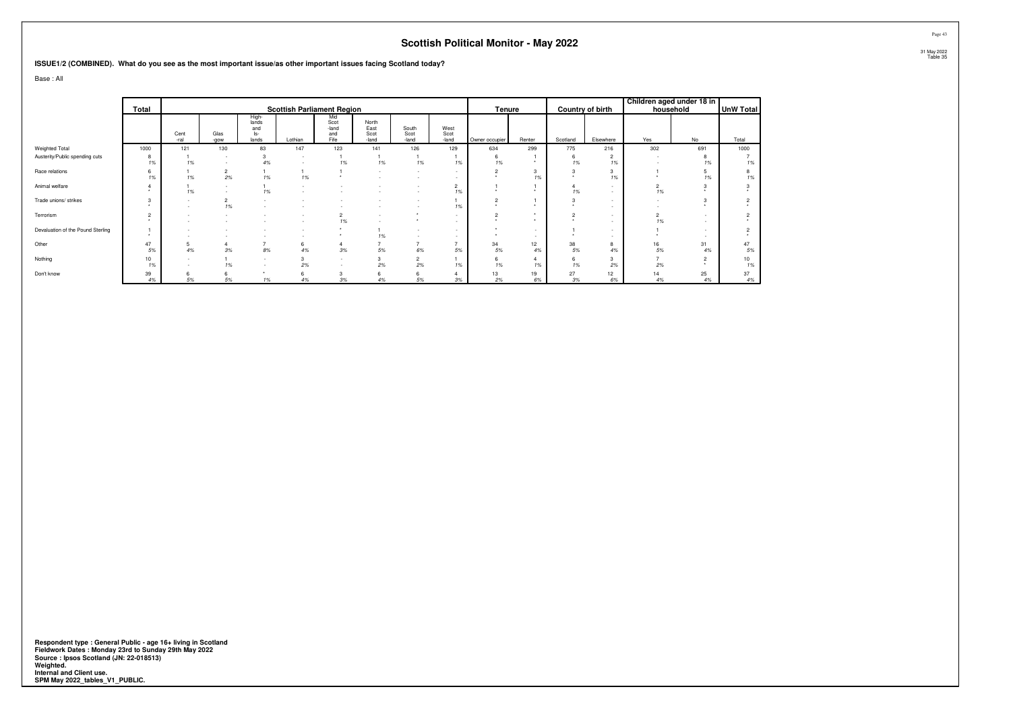#### **ISSUE1/2 (COMBINED). What do you see as the most important issue/as other important issues facing Scotland today?**

Base : All

|                                   |                |              |                               |                                       |                                   |                                     |                                |                               |                                |                |              |          |                      |                      | Children aged under 18 in |             |
|-----------------------------------|----------------|--------------|-------------------------------|---------------------------------------|-----------------------------------|-------------------------------------|--------------------------------|-------------------------------|--------------------------------|----------------|--------------|----------|----------------------|----------------------|---------------------------|-------------|
|                                   | Total          |              |                               |                                       | <b>Scottish Parliament Region</b> |                                     |                                |                               |                                | Tenure         |              |          | Country of birth     |                      | household                 | UnW Total   |
|                                   |                | Cent<br>-ral | Glas<br>-gow                  | High-<br>lands<br>and<br>ls-<br>lands | Lothian                           | Mid<br>Scot<br>-land<br>and<br>Fife | North<br>East<br>Scot<br>-land | South<br>Scot<br>-land        | West<br>Scot<br>-land          | Owner occupier | Renter       | Scotland | Elsewhere            | Yes                  | No                        | Total       |
| Weighted Total                    | 1000           | 121          | 130                           | 83                                    | 147                               | 123                                 | 141                            | 126                           | 129                            | 634            | 299          | 775      | 216                  | 302                  | 691                       | 1000        |
| Austerity/Public spending cuts    | 8<br>1%        | 1%           |                               | 3<br>4%                               | $\sim$                            | 1%                                  | 1%                             | 1%                            | 1%                             | 6<br>1%        |              | 6<br>1%  | $\overline{2}$<br>1% |                      | 8<br>1%                   | 1%          |
| Race relations                    | 6<br>1%        | 1%           | $\overline{2}$<br>2%          | 1%                                    | 1%                                |                                     |                                |                               | $\sim$                         | $\sim$         | 3<br>1%      |          | 1%                   |                      | 1%                        | 1%          |
| Animal welfare                    |                | 1%           |                               | 1%                                    |                                   |                                     |                                |                               | $\overline{2}$<br>1%           |                |              | 1%       | ٠                    | $\overline{2}$<br>1% |                           |             |
| Trade unions/ strikes             | 3<br>٠         |              | $\overline{\mathbf{c}}$<br>1% |                                       |                                   |                                     |                                |                               | 1%                             | $\sim$         | ٠            |          | $\sim$               |                      | 3                         |             |
| Terrorism                         | $\overline{2}$ |              |                               |                                       |                                   | $\overline{2}$<br>1%                |                                | ٠                             | $\sim$<br><b>F</b>             | $\sim$         | $\cdot$<br>٠ | o        | $\sim$<br>$\sim$     | 1%                   | $\sim$                    |             |
| Devaluation of the Pound Sterling |                |              |                               |                                       |                                   | $\ddot{\phantom{1}}$                | 1%                             | $\overline{\phantom{a}}$<br>- | $\sim$                         |                | $\sim$       |          | $\sim$               |                      | $\sim$                    |             |
| Other                             | 47<br>5%       | 5<br>4%      | 4<br>$3\%$                    | 8%                                    | 6<br>4%                           | 3%                                  | 5%                             | ٠<br>6%                       | $\overline{\phantom{a}}$<br>5% | 34<br>5%       | 12<br>4%     | 38<br>5% | 4%                   | 16<br>5%             | 31<br>4%                  | 47<br>$5\%$ |
| Nothing                           | 10<br>1%       |              | 1%                            | $\overline{\phantom{a}}$              | 2%                                |                                     | 3<br>2%                        | $\overline{2}$<br>2%          | 1%                             | 6<br>1%        | 1%           | 1%       | 2%                   | 2%                   | $\sim$                    | 10<br>1%    |
| Don't know                        | 39<br>4%       | 5%           | 6<br>$5\%$                    | 1%                                    | 6<br>4%                           | 3%                                  | 6<br>4%                        | 6<br>5%                       | 3%                             | 13<br>2%       | 19<br>6%     | 27<br>3% | 12<br>6%             | 14<br>4%             | 25<br>4%                  | 37<br>$4\%$ |

Respondent type : General Public - age 16+ living in Scotland<br>Fieldwork Dates : Monday 23rd to Sunday 29th May 2022<br>Source : Ipsos Scotland (JN: 22-018513)<br>Weighted.<br>Internal and Client use.<br>SPM May 2022\_tables\_V1\_PUBLIC.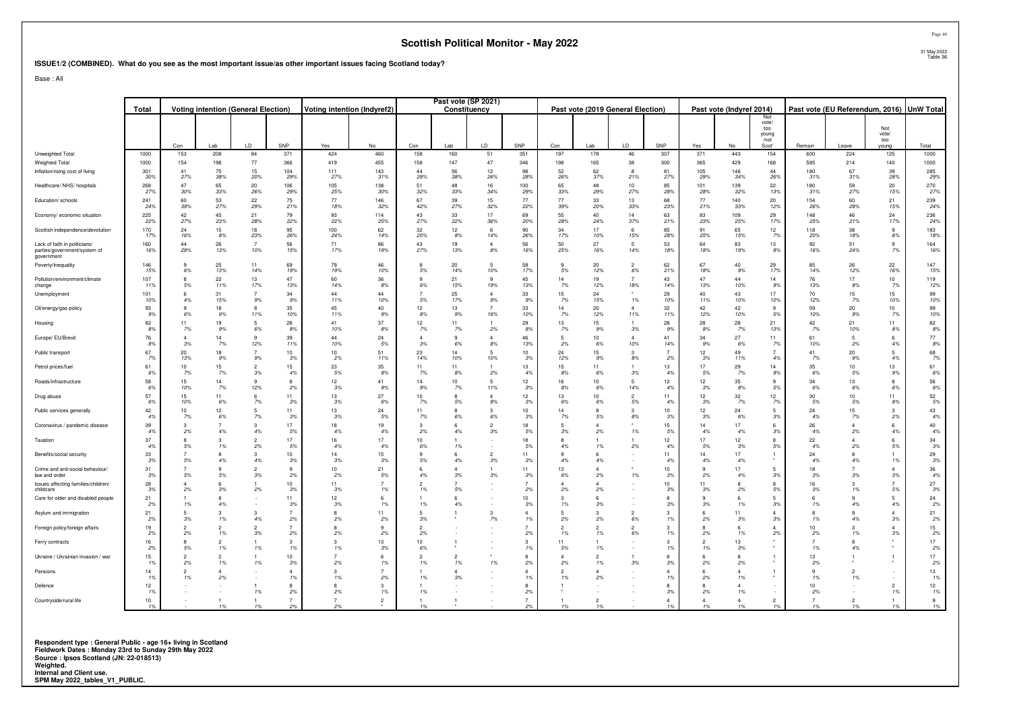#### **ISSUE1/2 (COMBINED). What do you see as the most important issue/as other important issues facing Scotland today?**

Base : All

|                                                                             | Total       | <b>Voting intention (General Election)</b> |                      |                       |                      | Voting intention (Indyref2) |                    |                       | Past vote (SP 2021)<br>Constituency |                      |                       |               |                     | Past vote (2019 General Election) |                                |            | Past vote (Indyref 2014) |                               |            | Past vote (EU Referendum, 2016) |                             | <b>UnW Total</b> |
|-----------------------------------------------------------------------------|-------------|--------------------------------------------|----------------------|-----------------------|----------------------|-----------------------------|--------------------|-----------------------|-------------------------------------|----------------------|-----------------------|---------------|---------------------|-----------------------------------|--------------------------------|------------|--------------------------|-------------------------------|------------|---------------------------------|-----------------------------|------------------|
|                                                                             |             |                                            |                      |                       |                      |                             |                    |                       |                                     |                      |                       |               |                     |                                   |                                |            |                          | Not<br>vote/                  |            |                                 |                             |                  |
|                                                                             |             | Con                                        | I ab                 | ID                    | SNP                  | Yes                         | No                 | Con                   | Lab                                 | ID.                  | SNP                   |               | Lab                 | LD                                | SNP                            | Yes        | No                       | too<br>vouna<br>/not<br>Scot' | Remain     | Leave                           | Not<br>vote/<br>too<br>oung | Total            |
| Unweighted Total                                                            | 1000        | 153                                        | 208                  | 84                    | 371                  | 424                         | 460                | 158                   | 160                                 | 51                   | 351                   | 197           | 178                 | 46                                | 307                            | 371        | 443                      | 154                           | 600        | 224                             | 125                         | 1000             |
| Weighted Total<br>Inflation/rising cost of living                           | 1000<br>301 | 154<br>41                                  | 198<br>75            | 77<br>15              | 366<br>104           | 419<br>111                  | 455<br>143         | 158<br>44             | 147<br>56                           | 47<br>12             | 346<br>98             | 198<br>52     | 165<br>62           | 38<br>я.                          | 300<br>81                      | 365<br>105 | 429<br>146               | 168<br>44                     | 585<br>180 | 214<br>67                       | 140<br>39                   | 1000<br>285      |
|                                                                             | 30%         | 27%                                        | 38%                  | 20%                   | 29%                  | 27%                         | 31%                | 28%                   | 38%                                 | 26%                  | 28%                   | 26%           | 37%                 | 21%                               | 279                            | 29%        | 34%                      | 26%                           | 31%        | 31%                             | 28%                         | 29%              |
| Healthcare/ NHS/ hospitals                                                  | 268<br>27%  | 47<br>30%                                  | 65<br>33%            | 20<br>26%             | 106<br>29%           | 105<br>25%                  | 138<br>30%         | 51<br>32%             | 48<br>33%                           | 16<br>34%            | 100<br>29%            | 65<br>33%     | 48<br>29%           | 10 <sup>1</sup><br>27%            | 85<br>28%                      | 101<br>28% | 139<br>32%               | 22<br>13%                     | 180<br>31% | 59<br>27%                       | 20<br>15%                   | 270<br>27%       |
| Education/ schools                                                          | 241<br>24%  | 60<br>39%                                  | 53<br>27%            | 22<br>29%             | 75<br>21%            | 77<br>18%                   | 146<br>32%         | 67<br>42%             | 39<br>27%                           | 15<br>32%            | 77<br>22%             | 77<br>39%     | 33<br>20%           | 13<br>33%                         | 68<br>23%                      | 77<br>21%  | 140<br>33%               | 20<br>12%                     | 154<br>26% | 60<br>28%                       | 21<br>15%                   | 239<br>24%       |
| Economy/ economic situation                                                 | 225<br>22%  | 42<br>27%                                  | 45<br>23%            | 21<br>28%             | 79<br>22%            | 93<br>22%                   | 114<br>25%         | 43<br>27%             | 33<br>22%                           | 17<br>36%            | 69<br>20%             | 55<br>28%     | 40<br>24%           | 14<br>37%                         | 63<br>21%                      | 83<br>23%  | 109<br>25%               | 29<br>17%                     | 148<br>25% | 46<br>21%                       | 24<br>17%                   | 236<br>24%       |
| Scottish independence/devolution                                            | 170<br>17%  | 24<br>16%                                  | 15<br>8%             | 18<br>23%             | 95<br>26%            | 100<br>24%                  | 62<br>14%          | 32<br>20%             | 12<br>8%                            | -6<br>14%            | 90<br>26%             | 34<br>17%     | 17<br>10%           | 6<br>15%                          | 85<br>28%                      | 91<br>25%  | 65<br>15%                | 12<br>-7%                     | 118<br>20% | 38<br>18%                       | $\mathbf{g}$<br>6%          | 183<br>18%       |
| Lack of faith in politicians/<br>parties/government/system of<br>government | 160<br>16%  | 44<br>28%                                  | 26<br>13%            | $\overline{7}$<br>10% | 56<br>15%            | 71<br>17%                   | 86<br>19%          | 43<br>27%             | 19<br>13%                           | $\overline{4}$<br>8% | 56<br>16%             | 50<br>25%     | 27<br>16%           | -5<br>14%                         | 53<br>18%                      | 64<br>18%  | 83<br>19%                | 13<br>8%                      | 92<br>16%  | 51<br>24%                       | 9<br>7%                     | 164<br>16%       |
| Poverty/Inequality                                                          | 146<br>15%  | -9<br>6%                                   | 25<br>13%            | 11<br>14%             | 69<br>19%            | 79<br>19%                   | 46<br>10%          | 5%                    | 20<br>14%                           | -5<br>10%            | 58<br>17%             | q<br>5%       | 20<br>12%           | $\overline{2}$<br>6%              | 62<br>21%                      | 67<br>18%  | 40<br>9%                 | 29<br>17%                     | 85<br>14%  | 26<br>12%                       | 22<br>16%                   | 147<br>15%       |
| Pollution/environment/climate<br>change                                     | 107<br>119  | 5%                                         | 22<br>11%            | 13<br>17%             | 47<br>13%            | 60<br>14%                   | 36<br>8%           | 6%                    | 21<br>15%                           | $\mathbf{q}$<br>19%  | 45<br>13%             | 14<br>7%      | 19<br>12%           | 18%                               | 43<br>14%                      | 47<br>13%  | 44<br>10%                | 14<br>.9%                     | 76<br>13%  | 17<br>8%                        | 10<br>7%                    | 119<br>12%       |
| Unemployment                                                                | 101<br>10%  | $\epsilon$<br>4%                           | 31<br>15%            | $\overline{7}$<br>9%  | 34<br>9%             | 44<br>11%                   | 44<br>10%          | 5%                    | 25<br>17%                           | $\Delta$<br>9%       | 33<br>9%              | 15<br>7%      | 24<br>15%           | 1%                                | 29<br>10%                      | 40<br>11%  | 43<br>10%                | 17<br>10%                     | 70<br>12%  | 15<br>7%                        | 15<br>10%                   | 99<br>10%        |
| Oil/energy/gas policy                                                       | 93<br>9%    | -9<br>6%                                   | 18<br>9%             | $\mathbf{R}$<br>11%   | 35<br>10%            | 45<br>11%                   | 40<br>9%           | 12<br>8%              | 13<br>9%                            | 16%                  | 33<br>10%             | 14<br>7%      | 20<br>12%           | $\Delta$<br>11%                   | 32<br>11%                      | 42<br>12%  | 42<br>10%                | 9<br>5%                       | 59<br>10%  | 20<br>9%                        | 10<br>7%                    | 99<br>10%        |
| Housing                                                                     | 82<br>-8%   | 11<br>7%                                   | 19<br>9%             | 5 <sup>5</sup><br>6%  | 28<br>8%             | 41<br>10%                   | 37<br>8%           | 12<br>7%              | 11<br>7%                            | 2%                   | 29<br>8%              | 13<br>7%      | 15<br>9%            | 3%                                | 28<br>9%                       | 28<br>8%   | 28<br>7%                 | 21<br>13%                     | 42<br>7%   | 21<br>10%                       | 11<br>8%                    | 82<br>8%         |
| Europe/ EU/Brexit                                                           | 76<br>8%    | $\Delta$<br>3%                             | 14<br>7%             | $\alpha$<br>12%       | 39<br>11%            | 44<br>10%                   | 24<br>5%           | $\overline{A}$<br>3%  | 9<br>6%                             | $\Delta$<br>8%       | 46<br>13%             | 2%            | 10<br>6%            | $\mathbf{A}$<br>10%               | 41<br>14%                      | 34<br>9%   | 27<br>6%                 | 11<br><b>7%</b>               | 61<br>10%  | 2%                              | 6<br>4%                     | 77<br>8%         |
| Public transport                                                            | 67<br>7%    | 20<br>13%                                  | 18<br>9%             | 9%                    | 10<br>3%             | 10<br>2%                    | 51<br>11%          | 23<br>14%             | 14<br>10%                           | 10%                  | 10<br>39              | 24<br>12%     | 15<br>9%            | $\mathbf{R}$<br>8%                | $\overline{7}$<br>2%           | 12<br>3%   | 49<br>11%                | 4%                            | 41<br>7%   | 20<br>9%                        | 5<br>4%                     | 68<br>7%         |
| Petrol prices/fuel                                                          | 61<br>-6%   | 10<br>7%                                   | 15<br>7%             | $\mathcal{P}$<br>3%   | 15<br>4%             | 23<br>5%                    | 35<br>8%           | 11<br>7%              | 11<br>8%                            | 2%                   | 13<br>4%              | 15<br>8%      | 11<br>6%            | 3%                                | 13<br>4%                       | 17<br>5%   | 29<br>7%                 | 14<br>9%                      | 35<br>6%   | 10<br>5%                        | 13<br>9%                    | 61<br>6%         |
| Roads/infrastructure                                                        | 58<br>69    | 15<br>10%                                  | 14<br>7%             | $\mathbf{q}$<br>12%   | R<br>2%              | 12<br>3%                    | 41<br>9%           | 14<br>9%              | 10<br>7%                            | $\sqrt{2}$<br>11%    | 12<br>3%              | 16<br>8%      | 10<br>6%            | -5<br>14%                         | 12<br>4%                       | 12<br>3%   | 35<br>8%                 | q<br>5%                       | 34<br>6%   | 13<br>6%                        | 8<br>6%                     | 56<br>6%         |
| Drug abuse                                                                  | 57<br>6%    | 15<br>10%                                  | 11<br>6%             | 7%                    | 11<br>3%             | 13<br>3%                    | 27<br>6%           | 10<br>7%              | 5%                                  | $\Delta$<br>8%       | 12<br>3%              | 13<br>6%      | 10<br>6%            | 5%                                | 11<br>4%                       | 12<br>3%   | 32<br>7%                 | 12<br>7%                      | 30<br>5%   | 10<br>5%                        | 11<br>$8\%$                 | 52<br>5%         |
| Public services generally                                                   | 42<br>4%    | 10<br>7%                                   | 12<br>6%             | -5<br>7%              | 11<br>3%             | 13<br>$3\%$                 | 24<br>5%           | 11<br>7%              | 8<br>6%                             | $\mathbf{3}$<br>6%   | 10<br>3%              | 14<br>7%      | 8<br>$5\%$          | $\mathbf{3}$<br>8%                | 10<br>39                       | 12<br>3%   | 24<br>6%                 | 5<br>3%                       | 24<br>4%   | 15<br>7%                        | $\mathbf{3}$<br>2%          | 43<br>4%         |
| Coronavirus / pandemic disease                                              | 39<br>4%    | 2%                                         | 4%                   | 3<br>4%               | 17<br>5%             | 18<br>4%                    | 19<br>4%           | 2%                    | 6<br>4%                             | 3%                   | 18<br>5%              | 3%            | $\Lambda$<br>2%     | 1%                                | 15<br>5%                       | 14<br>4%   | 17<br>4%                 | 6<br>3%                       | 26<br>4%   | 2%                              | 6<br>4%                     | 40<br>4%         |
| Taxation                                                                    | 37<br>4%    | $\mathbf{R}$<br>5%                         | 3<br>1%              | $\overline{2}$<br>2%  | 17<br>5%             | 16<br>4%                    | 17<br>4%           | 10 <sup>1</sup><br>6% | 1%                                  |                      | 18<br>5%              | я<br>4%       | 1%                  | 2%                                | 12<br>4%                       | 17<br>5%   | 12<br>3%                 | я<br>5%                       | 22<br>4%   | 2%                              | 6<br>5%                     | 34<br>3%         |
| Benefits/social security                                                    | 33<br>.3%   | 5%                                         | R<br>4%              | 4%                    | 10<br>-3%            | 14<br>3%                    | 15<br>.3%          | 5%                    | 6<br>4%                             | $\overline{2}$<br>3% | 11<br>-3%             | 4%            | 6<br>4%             |                                   | 11<br>4 <sup>°</sup>           | 14<br>4%   | 17<br>4%                 |                               | 24<br>4%   | 4%                              | 1%                          | 29<br>3%         |
| Crime and anti-social behaviour/<br>law and order                           | 31<br>3%    | 5%                                         | 5%                   | 3%                    | 2%                   | 10<br>2%                    | 21<br>5%           | 4%                    | Δ<br>3%                             | 3%                   | 11<br>3%              | 13<br>6%      | $\Delta$<br>$2\%$   | 1%                                | 10<br>3%                       | 2%         | 17<br>4%                 | 3%                            | 18<br>3%   | 3%                              | Δ<br>3%                     | 36<br>4%         |
| Issues affecting families/children/<br>childcare                            | 28<br>-3%   | $\Delta$<br>2%                             | 6<br>3%              | 2%                    | 10<br>3%             | 11<br>3%                    | 1%                 | 1%                    | 5%                                  |                      | $\overline{7}$<br>2%  | 2%            | $\Delta$<br>2%      |                                   | 10<br>3%                       | 11<br>-3%  | 2%                       | 8<br>5%                       | 16<br>3%   | 1%                              | 5%                          | 27<br>3%         |
| Care for older and disabled people                                          | 21<br>2%    | 1%                                         | 8<br>4%              |                       | 11<br>3%             | 12<br>3%                    | 6<br>1%            | 1%                    | $6\overline{6}$<br>4%               |                      | 10<br>3%              | 3<br>1%       | 6<br>3%             |                                   | 8<br>3%                        | q<br>3%    | -6<br>1%                 | 5<br>3%                       | 6<br>1%    | $\mathbf{q}$<br>4%              | 5<br>4%                     | 24<br>2%         |
| Asylum and immigration                                                      | 21<br>2%    | 5<br>3%                                    | 3<br>1%              | 4%                    | 2%                   | 2%                          | 11<br>2%           | 3%                    |                                     | $\mathbf{3}$<br>7%   | $\overline{4}$<br>1%  | 2%            | 3<br>2%             | 6%                                | 3<br>1%                        | 2%         | 11<br>.3%                | 4<br>.3%                      | 1%         | 4%                              | 4<br>3%                     | 21<br>2%         |
| Foreign policy/foreign affairs                                              | 19<br>2%    | $\overline{2}$<br>2%                       | $\overline{2}$<br>1% | $\mathcal{P}$<br>3%   | $\overline{7}$<br>2% | R<br>2%                     | $\mathbf{Q}$<br>2% | $\overline{2}$<br>2%  |                                     |                      | $\overline{7}$<br>2%  | $\circ$<br>1% | $\mathcal{D}$<br>1% | $\overline{2}$<br>6%              | $\mathbf{3}$<br>1 <sup>9</sup> | R<br>2%    | 6<br>1%                  | 2%                            | 10<br>2%   | $\mathbf{R}$<br>1%              | 4<br>3%                     | 15<br>2%         |
| Ferry contracts                                                             | 16<br>2%    | 5%                                         | 1%                   | 1%                    | 1%                   | 1%                          | 13<br>3%           | 10<br>6%              |                                     |                      | 3<br>1%               | 5%            | 1%                  |                                   | 3<br>1 <sup>9</sup>            | 1%         | 13<br>3%                 |                               | 1%         | 4%                              | ٠                           | 17<br>2%         |
| Ukraine / Ukrainian invasion / war                                          | 15<br>1%    | 2%                                         | $\mathcal{D}$<br>1%  | 1%                    | 10<br>3%             | 2%                          | а<br>1%            | 1%                    | 2<br>1%                             | 1%                   | 8<br>2%               | 2%            | $\mathcal{D}$<br>1% | 3%                                | 8<br>3%                        | ĥ<br>2%    | 2%                       |                               | 13<br>2%   |                                 | 1                           | 17<br>2%         |
| Pensions                                                                    | 14<br>19    | 1%                                         | 2%                   |                       | 1%                   | 1%                          | 2%                 | 1%                    | 3%                                  |                      | $\overline{4}$<br>-19 | 1%            | 2%                  |                                   | $\overline{4}$<br>1%           | 2%         | 1%                       |                               | 1%         | 1%                              |                             | 13<br>1%         |
| Defence                                                                     | 12<br>19    |                                            |                      | 1%                    | 2%                   | 2%                          | 3<br>1%            | 1%                    |                                     |                      | 8<br>2%               |               |                     |                                   | 8<br>3%                        | 2%         | $\Delta$<br>1%           |                               | 10<br>2%   |                                 | $\mathfrak{p}$<br>1%        | 12<br>1%         |
| Countryside/rural life                                                      | 10<br>1%    |                                            | 1%                   | 1%                    | 2%                   | $\overline{7}$<br>2%        | $\overline{2}$     | 1%                    |                                     |                      | $\overline{7}$<br>2%  | 1%            | 2<br>1%             |                                   | $\overline{4}$<br>1%           | 4<br>1%    | $\overline{4}$<br>1%     | 2<br>1%                       | 1%         | 1%                              | 1<br>1%                     | 9<br>1%          |

**Respondent type : General Public - age 16+ living in Scotland Fieldwork Dates : Monday 23rd to Sunday 29th May 2022 Source : Ipsos Scotland (JN: 22-018513) Weighted. Internal and Client use. SPM May 2022\_tables\_V1\_PUBLIC.**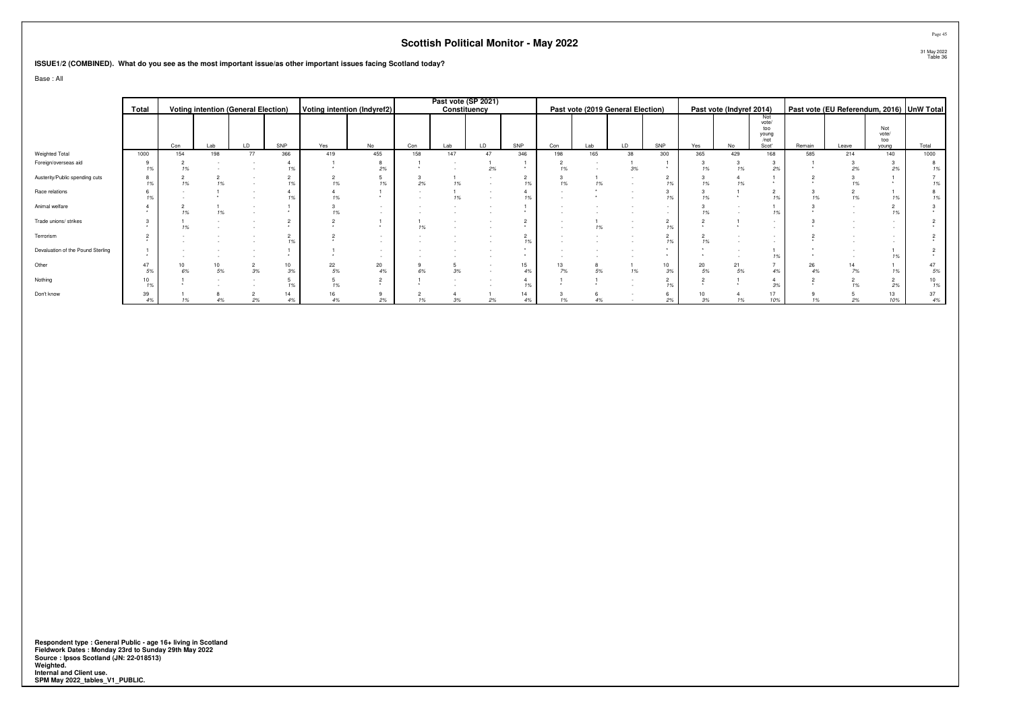**ISSUE1/2 (COMBINED). What do you see as the most important issue/as other important issues facing Scotland today?**

Base : All

|                                   |          | <b>Voting intention (General Election)</b> |     |    |     |                             |          |     | Past vote (SP 2021) |    |                      |     |     |                                   |                  |          |                          |                                      |                                           |       |                     |                        |
|-----------------------------------|----------|--------------------------------------------|-----|----|-----|-----------------------------|----------|-----|---------------------|----|----------------------|-----|-----|-----------------------------------|------------------|----------|--------------------------|--------------------------------------|-------------------------------------------|-------|---------------------|------------------------|
|                                   | Total    |                                            |     |    |     | Voting intention (Indyref2) |          |     | Constituency        |    |                      |     |     | Past vote (2019 General Election) |                  |          | Past vote (Indyref 2014) |                                      | Past vote (EU Referendum, 2016) UnW Total |       |                     |                        |
|                                   |          |                                            |     |    |     |                             |          |     |                     |    |                      |     |     |                                   |                  |          |                          | Not<br>vote/<br>too<br>young<br>/not |                                           |       | Not<br>vote/<br>too |                        |
|                                   |          | Con                                        | Lab | LD | SNP | Yes                         | No       | Con | Lab                 | LD | SNP                  | Con | Lab | LD                                | SNP              | Yes      | No                       | Scot'                                | Remain                                    | Leave | young               | Total                  |
| Weighted Total                    | 1000     | 154                                        | 198 | 77 | 366 | 419                         | 455      | 158 | 147                 | 47 | 346                  | 198 | 165 | 38                                | 300              | 365      | 429                      | 168                                  | 585                                       | 214   | 140                 | 1000                   |
| Foreign/overseas aid              | 19       |                                            |     |    |     |                             | 2%       |     |                     | 2% |                      |     |     |                                   |                  |          |                          |                                      |                                           |       | 2%                  | 1%                     |
| Austerity/Public spending cuts    |          |                                            |     |    |     |                             | 1%       | 2%  | 1%                  |    | 1%                   |     | 1%  |                                   | 1%               |          |                          |                                      |                                           |       |                     | 1%                     |
| Race relations                    |          |                                            |     |    |     |                             |          |     | 1%                  |    | 1%                   |     |     |                                   |                  |          |                          |                                      |                                           |       |                     | 1%                     |
| Animal welfare                    |          |                                            |     |    |     |                             |          |     |                     |    |                      |     |     |                                   |                  |          |                          |                                      |                                           |       |                     |                        |
| Trade unions/ strikes             |          |                                            |     |    |     |                             |          |     |                     |    | ۷                    |     | 1%  |                                   | $\epsilon$<br>1% |          |                          |                                      |                                           |       |                     |                        |
| Terrorism                         |          |                                            |     |    |     |                             |          |     |                     |    | $\overline{2}$<br>1% |     |     |                                   | 1%               |          |                          |                                      |                                           |       |                     |                        |
| Devaluation of the Pound Sterling |          |                                            |     |    |     |                             |          |     |                     |    |                      |     |     |                                   |                  |          |                          |                                      |                                           |       |                     |                        |
| Other                             | 47       |                                            | 5%  | 3% | 3%  | 22<br>5%                    | 20<br>4% | 6%  | 3%                  |    | 15<br>4%             | 7%  | 5%  | 1%                                | 10<br>3%         | 20<br>5% | 21<br>5%                 |                                      | 26                                        |       |                     | 47<br>5%               |
| Nothing                           | 10       |                                            |     |    |     |                             |          |     |                     |    | 1%                   |     |     |                                   | -<br>1%          |          |                          |                                      |                                           |       | 2%                  | 10 <sup>10</sup><br>1% |
| Don't know                        | 39<br>4% |                                            |     | 2% |     | 4%                          | 2%       | 1%  | 3%                  | 2% | 14<br>4%             |     |     |                                   | 2%               | 3%       | 1%                       | 10%                                  | 1%                                        |       | 13<br>10%           | 37<br>4%               |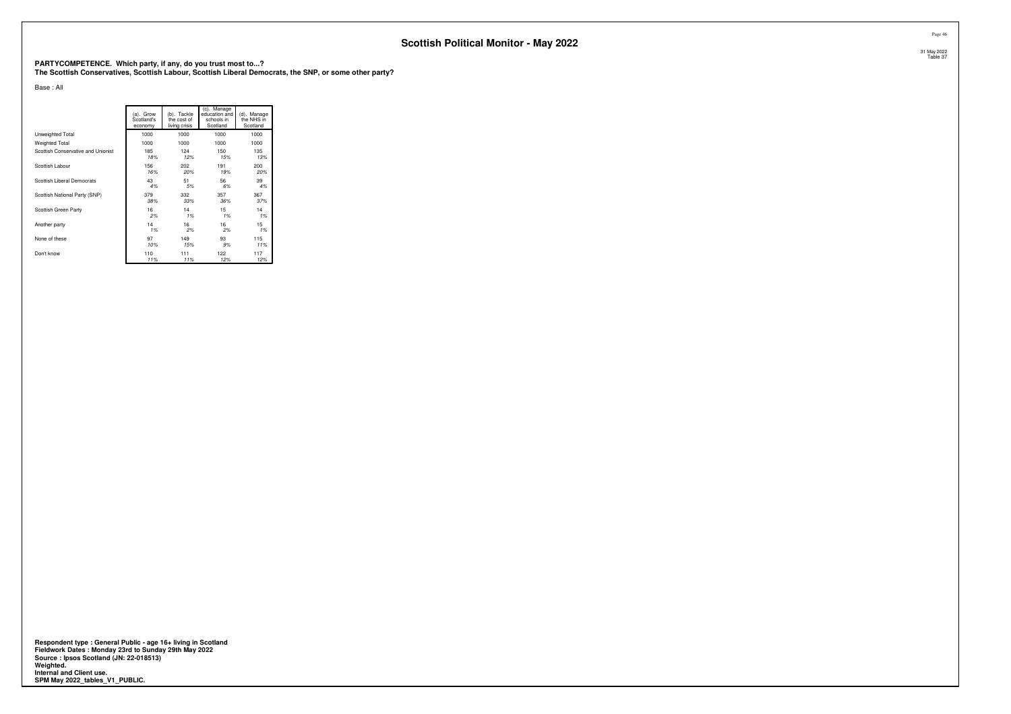**PARTYCOMPETENCE. Which party, if any, do you trust most to...? The Scottish Conservatives, Scottish Labour, Scottish Liberal Democrats, the SNP, or some other party?**

Base : All

|                                    | (a). Grow<br>Scotland's<br>economy | (b). Tackle<br>the cost of<br>living crisis | (c). Manage<br>education and<br>schools in<br>Scotland | (d). Manage<br>the NHS in<br>Scotland |
|------------------------------------|------------------------------------|---------------------------------------------|--------------------------------------------------------|---------------------------------------|
| Unweighted Total                   | 1000                               | 1000                                        | 1000                                                   | 1000                                  |
| <b>Weighted Total</b>              | 1000                               | 1000                                        | 1000                                                   | 1000                                  |
| Scottish Conservative and Unionist | 185                                | 124                                         | 150                                                    | 135                                   |
|                                    | 18%                                | 12%                                         | 15%                                                    | 13%                                   |
| Scottish Labour                    | 156                                | 202                                         | 191                                                    | 200                                   |
|                                    | 16%                                | 20%                                         | 19%                                                    | 20%                                   |
| Scottish Liberal Democrats         | 43                                 | 51                                          | 56                                                     | 39                                    |
|                                    | 4%                                 | 5%                                          | 6%                                                     | 4%                                    |
| Scottish National Party (SNP)      | 379                                | 332                                         | 357                                                    | 367                                   |
|                                    | 38%                                | 33%                                         | 36%                                                    | 37%                                   |
| Scottish Green Party               | 16                                 | 14                                          | 15                                                     | 14                                    |
|                                    | 2%                                 | 1%                                          | 1%                                                     | 1%                                    |
| Another party                      | 14                                 | 16                                          | 16                                                     | 15                                    |
|                                    | 1%                                 | 2%                                          | 2%                                                     | 1%                                    |
| None of these                      | 97                                 | 149                                         | 93                                                     | 115                                   |
|                                    | 10%                                | 15%                                         | 9%                                                     | 11%                                   |
| Don't know                         | 110                                | 111                                         | 122                                                    | 117                                   |
|                                    | 11%                                | 11%                                         | 12%                                                    | 12%                                   |

**Respondent type : General Public - age 16+ living in Scotland Fieldwork Dates : Monday 23rd to Sunday 29th May 2022 Source : Ipsos Scotland (JN: 22-018513) Weighted. Internal and Client use. SPM May 2022\_tables\_V1\_PUBLIC.**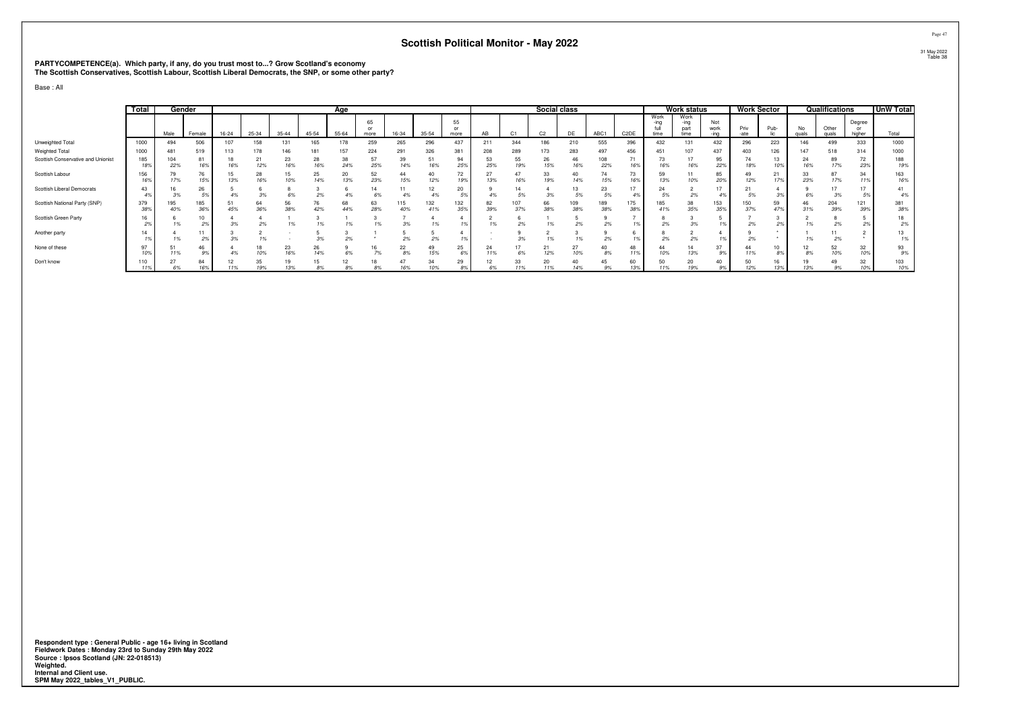# **PARTYCOMPETENCE(a). Which party, if any, do you trust most to...? Grow Scotland's economy The Scottish Conservatives, Scottish Labour, Scottish Liberal Democrats, the SNP, or some other party?**

Base : All

|                                    | Total      | Gender     |            |           |           |                |           | Age       |                         |            |            |            |           |            | Social class   |            |            |                   |                      | <b>Work status</b>           |                     | <b>Work Sector</b> |           |             | Qualifications |                        | <b>UnW Total</b> |
|------------------------------------|------------|------------|------------|-----------|-----------|----------------|-----------|-----------|-------------------------|------------|------------|------------|-----------|------------|----------------|------------|------------|-------------------|----------------------|------------------------------|---------------------|--------------------|-----------|-------------|----------------|------------------------|------------------|
|                                    |            | Male       | Female     | $16 - 24$ | 25-34     | $35 - 44$      | $45 - 54$ | $55 - 64$ | 65<br><b>OI</b><br>more | 16-34      | $35 - 54$  | 55<br>more | AR        |            | C <sub>2</sub> | DF         | ABC1       | C <sub>2</sub> DE | Work<br>-ina<br>time | Work<br>-ına<br>part<br>time | Not<br>work<br>-ina | Priv<br>-ate       | Pub-      | No<br>quals | Other<br>quals | Degree<br>or<br>higher | Total            |
| Unweighted Total                   | 1000       | 494        | 506        |           | 158       |                | 165       |           | 259                     | 265        | 296        | 437        | 21'       | 344        | 186            | 210        | 555        | 396               | 432                  | 131                          | 432                 | 296                | 223       | 146         | 499            | 333                    | 1000             |
| Weighted Total                     | 1000       | 481        | 519        |           | 178       | 146            | 181       | 157       | 224                     | 291        | 326        | 381        |           | 289        | 173            | 283        | 497        | 456               | 451                  | 107                          | 437                 | 403                | 126       | 147         | 518            | 314                    | 1000             |
| Scottish Conservative and Unionist | 185<br>18% | 104<br>22% | 81<br>16%  | 18<br>16% | 21<br>12% | 23<br>16%      | 28<br>16% | 38<br>24% | 57<br>25%               | 39<br>14%  | 51<br>16%  | 94<br>259  | 53<br>25% | 55<br>19%  | 26<br>15%      | 46<br>16%  | 108<br>22% | 71<br>16%         | 73<br>16%            | 17<br>16%                    | 95<br>22%           | 18%                | 13<br>10% | 24<br>16%   | 89<br>17%      | 72<br>23%              | 188<br>19%       |
| Scottish Labour                    | 156<br>16% | 17%        | 76<br>15%  | 15<br>13% | 28<br>16% | 10%            | 25<br>14% | 20<br>13% | 52<br>23%               | 44<br>15%  | 40<br>12%  | 72<br>19%  | 13%       | 47<br>16%  | 33<br>19%      | 40<br>14%  | 74<br>15%  | 73<br>16%         | 59<br>13%            | 10%                          | 85<br>20%           | 12%                | 21<br>17% | J.<br>23%   | 17%            | 34<br>119              | 163<br>16%       |
| Scottish Liberal Democrats         | 43         | 3%         | 26         |           |           | 6%             | 2%        | 4%        | 14                      | 4%         | 12         | 20<br>F0   |           |            |                | 13<br>5%   | 23<br>5%   |                   | 24<br>5%             | 2%                           |                     | 21                 |           |             | 3%             |                        | 41<br>4%         |
| Scottish National Party (SNP)      | 379<br>38% | 195<br>40% | 185<br>36% | 45%       | 64<br>36% | 56<br>38%      | 76<br>42% | 68<br>44% | 63<br>28%               | 115<br>40% | 132<br>41% | 132<br>35% | 82<br>39% | 107<br>37% | 66<br>38%      | 109<br>38% | 189<br>38% | 175<br>389        | 85<br>41%            | 38<br>35%                    | 153<br>35%          | 150<br>37%         | 59<br>47% | 46<br>31%   | 204<br>39%     | 121<br>399             | 381<br>38%       |
| Scottish Green Party               |            | 1%         | 10<br>2%   | 3%        | 2%        | $\overline{a}$ |           |           |                         | 3%         |            |            | 1%        | 2%         |                | 2%         | 2%         |                   | 2%                   | 3%                           |                     | 2%                 | 2%        |             | 2%             |                        | 18<br>2%         |
| Another party                      |            |            | 11<br>2%   |           |           |                | 3%        |           |                         |            |            |            |           |            |                |            |            |                   |                      | 2%                           |                     |                    |           |             | 2%             |                        | 13               |
| None of these                      | 10%        | 51<br>11%  | 46         |           | 18        | 23<br>16%      | 26<br>14% |           | 16                      | 22<br>8%   | 49<br>15%  | 25<br>69   | 24<br>11% |            | 21<br>12%      | 27<br>10%  | 40<br>8%   | 48<br>11%         | 44<br>10%            | 14<br>13%                    | 37<br>9%            | 11%                | 10<br>8%  |             | 52<br>10%      | 32<br>10%              | 93<br>9%         |
| Don't know                         | 110        | 27         | 84         | ız<br>11% | 35        | 13%            | 15<br>oo. | 12        |                         | 47         | 54         | 29         |           | 33         | 20             | 40         | 45<br>9%   | 60<br>13%         | 50                   | 20<br>19%                    |                     | 50<br>12%          | 13%       |             | 9%             | 32<br>10%              | 103<br>10%       |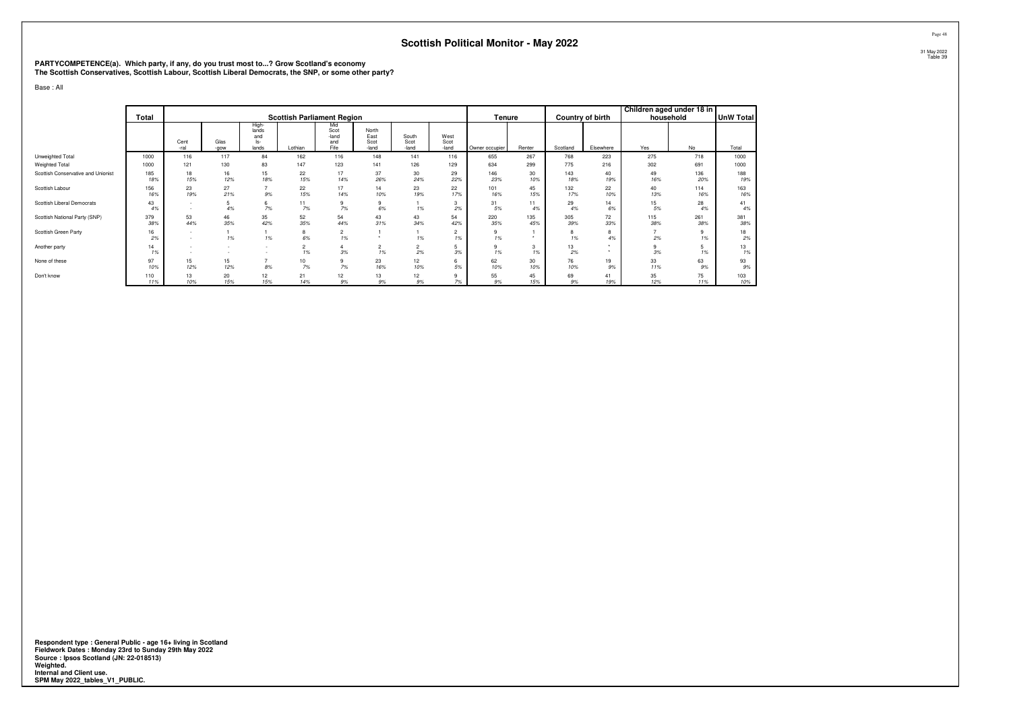# **PARTYCOMPETENCE(a). Which party, if any, do you trust most to...? Grow Scotland's economy The Scottish Conservatives, Scottish Labour, Scottish Liberal Democrats, the SNP, or some other party?**

Base : All

|                                    | Total      |                  |              |                                         | <b>Scottish Parliament Region</b> |                                     |                                |                        |                       | Tenure         |                      |            | Country of birth | Children aged under 18 in<br>household |            | <b>UnW Total</b> |
|------------------------------------|------------|------------------|--------------|-----------------------------------------|-----------------------------------|-------------------------------------|--------------------------------|------------------------|-----------------------|----------------|----------------------|------------|------------------|----------------------------------------|------------|------------------|
|                                    |            | Cent<br>-ral     | Glas<br>-gow | High-<br>lands<br>and<br>$ s-$<br>lands | Lothian                           | Mid<br>Scot<br>-land<br>and<br>Fife | North<br>East<br>Scot<br>-land | South<br>Scot<br>-land | West<br>Scot<br>-land | Owner occupier | Renter               | Scotland   | Elsewhere        | Yes                                    | No         | Total            |
| Unweighted Total                   | 1000       | 116              | 117          | 84                                      | 162                               | 116                                 | 148                            | 141                    | 116                   | 655            | 267                  | 768        | 223              | 275                                    | 718        | 1000             |
| Weighted Total                     | 1000       | 121              | 130          | 83                                      | 147                               | 123                                 | 141                            | 126                    | 129                   | 634            | 299                  | 775        | 216              | 302                                    | 691        | 1000             |
| Scottish Conservative and Unionist | 185<br>18% | 18<br>15%        | 16<br>12%    | 15<br>18%                               | 22<br>15%                         | 17<br>14%                           | 37<br>26%                      | 30<br>24%              | 29<br>22%             | 146<br>23%     | 30<br>10%            | 143<br>18% | 40<br>19%        | 49<br>16%                              | 136<br>20% | 188<br>19%       |
| Scottish Labour                    | 156<br>16% | 23<br>19%        | 27<br>21%    | $\rightarrow$<br>9%                     | 22<br>15%                         | 17<br>14%                           | 14<br>10%                      | 23<br>19%              | 22<br>17%             | 101<br>16%     | 45<br>15%            | 132<br>17% | 22<br>10%        | 40<br>13%                              | 114<br>16% | 163<br>16%       |
| Scottish Liberal Democrats         | 43<br>4%   | $\sim$<br>$\sim$ | 4%           | 6<br>7%                                 | 11<br>7%                          | 9<br>$7\%$                          | 6%                             | 1%                     | 3<br>2%               | 31<br>5%       | 11<br>4%             | 29<br>4%   | 14<br>6%         | 15<br>5%                               | 28<br>4%   | 41<br>4%         |
| Scottish National Party (SNP)      | 379<br>38% | 53<br>44%        | 46<br>35%    | 35<br>42%                               | 52<br>35%                         | 54<br>44%                           | 43<br>31%                      | 43<br>34%              | 54<br>42%             | 220<br>35%     | 135<br>45%           | 305<br>39% | 72<br>33%        | 115<br>38%                             | 261<br>38% | 381<br>38%       |
| Scottish Green Party               | 16<br>2%   | $\sim$<br>$\sim$ | 1%           | 1%                                      | 8<br>6%                           | $\overline{2}$<br>1%                |                                | 1%                     | $\overline{2}$<br>1%  | 9<br>1%        | $\ddot{\phantom{1}}$ | 8<br>1%    | 8<br>4%          | $\rightarrow$<br>2%                    | 9<br>1%    | 18<br>2%         |
| Another party                      | 14<br>1%   | -<br>$\sim$      |              |                                         | $\overline{c}$<br>1%              | 3%                                  | 2<br>1%                        | $\overline{2}$<br>2%   | 3%                    | 9<br>1%        | 3<br>1%              | 13<br>2%   | ٠                | 3%                                     | 5<br>1%    | 13<br>1%         |
| None of these                      | 97<br>10%  | 15<br>12%        | 15<br>12%    | $\overline{z}$<br>8%                    | 10<br>7%                          | 9<br>7%                             | 23<br>16%                      | 12<br>10%              | 6<br>5%               | 62<br>10%      | 30<br>10%            | 76<br>10%  | 19<br>9%         | 33<br>11%                              | 63<br>9%   | 93<br>9%         |
| Don't know                         | 110<br>11% | 13<br>10%        | 20<br>15%    | 12<br>15%                               | 21<br>14%                         | 12<br>9%                            | 13<br>9%                       | 12<br>9%               | 9<br>7%               | 55<br>9%       | 45<br>15%            | 69<br>9%   | 41<br>19%        | 35<br>12%                              | 75<br>11%  | 103<br>10%       |

**Respondent type : General Public - age 16+ living in Scotland Fieldwork Dates : Monday 23rd to Sunday 29th May 2022 Source : Ipsos Scotland (JN: 22-018513) Weighted. Internal and Client use. SPM May 2022\_tables\_V1\_PUBLIC.**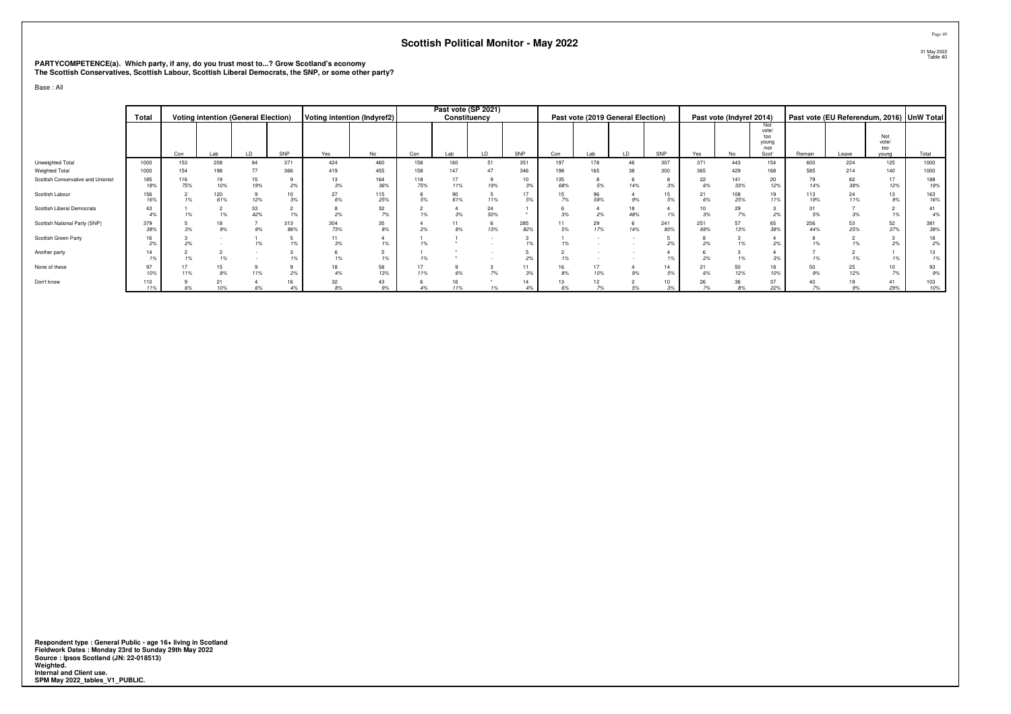# **PARTYCOMPETENCE(a). Which party, if any, do you trust most to...? Grow Scotland's economy The Scottish Conservatives, Scottish Labour, Scottish Liberal Democrats, the SNP, or some other party?**

Base : All

|                                    | Total      |            |            | <b>Voting intention (General Election)</b> |            | Voting intention (Indyref2) |            |            | Past vote (SP 2021)<br>Constituency |           |            |            |           | Past vote (2019 General Election) |            |            | Past vote (Indyref 2014) |                                               | Past vote (EU Referendum, 2016) UnW Total |           |                              |            |
|------------------------------------|------------|------------|------------|--------------------------------------------|------------|-----------------------------|------------|------------|-------------------------------------|-----------|------------|------------|-----------|-----------------------------------|------------|------------|--------------------------|-----------------------------------------------|-------------------------------------------|-----------|------------------------------|------------|
|                                    |            | Con        | Lab        | LD                                         | SNP        | Yes                         | No         | Con        | Lab                                 | LD        | SNP        | Con        | Lab       | LD                                | SNP        | Yes        | No                       | Not<br>vote/<br>too<br>young<br>/not<br>Scot' | Remain                                    | Leave     | Not<br>vote/<br>too<br>vouna | Total      |
| Unweighted Total                   | 1000       | 153        | 208        | 84                                         | 371        | 424                         | 460        | 158        | 160                                 | 51        | 351        | 197        | 178       |                                   | 307        | 371        | 443                      | 154                                           | 600                                       | 224       | 125                          | 1000       |
| Weighted Total                     | 1000       | 154        | 198        | 77                                         | 366        | 419                         | 455        | 158        | 147                                 | 47        | 346        | 198        | 165       | 38                                | 300        | 365        | 429                      | 168                                           | 585                                       | 214       | 140                          | 1000       |
| Scottish Conservative and Unionist | 185<br>18% | 116<br>75% | 19<br>10%  | 15<br>19%                                  | 2%         | 13<br>3%                    | 164<br>36% | 118<br>75% | 17<br>11%                           | 19%       | 10<br>3%   | 135<br>68% | 5%        | 14%                               | 3%         | 22<br>6%   | 141<br>33%               | 20<br>12%                                     | 79<br>14%                                 | 82<br>38% | 17<br>12%                    | 188<br>19% |
| Scottish Labour                    | 156<br>16% | 1%         | 120<br>61% | 9<br>12%                                   | 10<br>3%   | 27<br>6%                    | 115<br>25% | 5%         | 90<br>61%                           | 11%       | 17<br>5%   | 7%         | 96<br>58% | 9%                                | 15<br>5%   | 21         | 108<br>25%               | 19<br>11%                                     | 113<br>19%                                | 24<br>11% | 13<br>9%                     | 163<br>16% |
| Scottish Liberal Democrats         | 43         | 1%         | 1%         | 33<br>42%                                  | 1%         | 2%                          | 32<br>7%   | 1%         | 3%                                  | 24<br>50% |            | 3%         | 2%        | 48%                               |            | 10<br>3%   | 29<br>7%                 | 2%                                            | 31<br>5%                                  |           | 1%                           | 41<br>4%   |
| Scottish National Party (SNP)      | 379<br>38% | 3%         | 18<br>9%   | $9\%$                                      | 313<br>86% | 304<br>73%                  | 35<br>8%   | 2%         | $8\%$                               | 13%       | 285<br>82% | 5%         | 29<br>17% | 14%                               | 241<br>80% | 251<br>69% | 57<br>13%                | 65<br>38%                                     | 256<br>44%                                | 53<br>25% | 52<br>37%                    | 381<br>38% |
| Scottish Green Party               | 2%         | 2%         |            | 1%                                         | 1%         | 11<br>3%                    | 1%         | 1%         |                                     |           | 1%         |            |           |                                   |            | 2%         | 1%                       | 2%                                            | 1%                                        |           | 2%                           | 18<br>2%   |
| Another party                      | 14         | 1%         |            |                                            |            | 1%                          | 1%         | 1%         |                                     |           | 2%         |            |           |                                   |            | 2%         | 1%                       | 3%                                            | 1%                                        |           | 1%                           | 13<br>1%   |
| None of these                      | 97<br>10%  | 17<br>11%  | 8%         | 9<br>11%                                   | 2%         | 18                          | 58<br>13%  | 11%        | 6%                                  | 7%        | 11<br>3%   | 8%         | 17<br>10% | 9%                                | 14<br>5%   | 21<br>6%   | 50<br>12%                | 18<br>10%                                     | 50<br>9%                                  | 25<br>12% | 10<br>7%                     | 93<br>9%   |
| Don't know                         | 110<br>11% | 6%         | 21<br>10%  | 6%                                         | 16<br>4%   | 32<br>8%                    | 43<br>9%   |            | 11%                                 | 1%        | 14<br>4%   | 6%         | 12<br>7%  | 5%                                | 3%         | 26<br>7%   | 36<br>8%                 | 37<br>22%                                     | 7%                                        | 9%        | 41<br>29%                    | 103<br>10% |

**Respondent type : General Public - age 16+ living in Scotland Fieldwork Dates : Monday 23rd to Sunday 29th May 2022 Source : Ipsos Scotland (JN: 22-018513) Weighted. Internal and Client use. SPM May 2022\_tables\_V1\_PUBLIC.**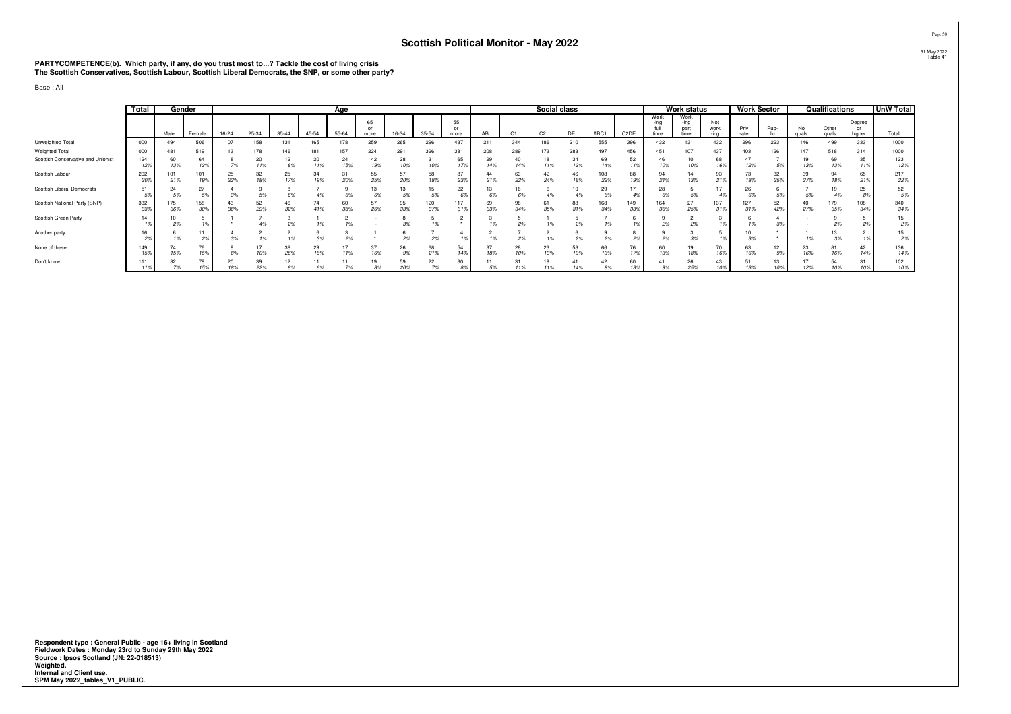# **PARTYCOMPETENCE(b). Which party, if any, do you trust most to...? Tackle the cost of living crisis The Scottish Conservatives, Scottish Labour, Scottish Liberal Democrats, the SNP, or some other party?**

Base : All

|                                    | Total      | Gender     |            |           |           |           |           | Age       |                         |           |            |                |           |           | Social class   |           |            |                   |                      | <b>Work status</b>           |                     | <b>Work Sector</b> |                       |             | Qualifications |                        | <b>UnW Total</b> |
|------------------------------------|------------|------------|------------|-----------|-----------|-----------|-----------|-----------|-------------------------|-----------|------------|----------------|-----------|-----------|----------------|-----------|------------|-------------------|----------------------|------------------------------|---------------------|--------------------|-----------------------|-------------|----------------|------------------------|------------------|
|                                    |            | Male       | Female     | $16 - 24$ | 25-34     | $35 - 44$ | $45 - 54$ | $55 - 64$ | 65<br><b>OI</b><br>more | 16-34     | $35 - 54$  | 55<br>more     | AR        |           | C <sub>2</sub> | DF        | ABC1       | C <sub>2</sub> DE | Work<br>-ina<br>time | Work<br>-ına<br>part<br>time | Not<br>work<br>-ina | Priv<br>-ate       | Pub-                  | No<br>quals | Other<br>quals | Degree<br>or<br>higher | Total            |
| Unweighted Total                   | 1000       | 494        | 506        |           | 158       |           | 165       | 178       | 259                     | 265       | 296        | 437            | 21'       | 344       | 186            | 210       | 555        | 396               | 432                  | 131                          | 432                 | 296                | 223                   | 146         | 499            | 333                    | 1000             |
| Weighted Total                     | 1000       | 481        | 519        |           | 178       | 146       | 181       | 157       | 224                     | 291       | 326        | 381            |           | 289       | 173            | 283       | 497        | 456               | 451                  | 107                          | 437                 | 403                | 126                   | 147         | 518            | 314                    | 1000             |
| Scottish Conservative and Unionist | 124<br>12% | 60<br>13%  | 64<br>12%  | 7%        | 20<br>11% | 8%        | 20<br>11% | 24<br>15% | 42<br>19%               | 28<br>10% | 31<br>10%  | 65<br>17%      | 29<br>14% | 40<br>14% | 18             | 34<br>12% | 69<br>14%  | 52<br>11%         | 46<br>10%            | 10<br>10%                    | 68<br>16%           | 12%                |                       |             | 69<br>13%      | 35<br>119              | 123<br>12%       |
| Scottish Labour                    | 202<br>20% | 101<br>21% | 101<br>19% | 25<br>22% | 32<br>18% | 25<br>17% | 34<br>19% | 20%       | 55<br>25%               | 57<br>20% | 58<br>18%  | 87<br>239      | 21%       | 63<br>22% | 42<br>24%      | 46<br>16% | 108<br>22% | 88<br>19%         | 94<br>21%            | 14<br>13%                    | 93<br>219           | 18%                | 32<br>25%             | 27%         | 94<br>18%      | 65<br>21 <sup>°</sup>  | 217<br>22%       |
| Scottish Liberal Democrats         |            | 24<br>5%   | 27         |           |           | 69        |           |           | 13                      | 5%        | 15<br>5%   | 22             | ю         |           |                | 10<br>4%  | 29         |                   | 28<br>6%             | 5%                           |                     | 26                 |                       |             | 4%             | 25                     | 52<br>5%         |
| Scottish National Party (SNP)      | 332<br>33% | 175<br>36% | 158<br>30% | 43<br>38% | 52<br>29% | 46<br>32% | 74<br>41% | 60<br>38% | 57<br>26%               | 95<br>33% | 120<br>37% | 117<br>$0 + 0$ | 69<br>33% | 98<br>34% | 61<br>35%      | 88<br>31% | 168<br>34% | 149<br>339        | 64<br>36%            | 27<br>25%                    | 137<br>31%          | 127<br>31%         | 52<br>42%             | 40<br>27%   | 179<br>35%     | 108<br>349             | 340<br>34%       |
| Scottish Green Party               | 14         | 2%         |            |           |           | 2%        |           |           |                         | 3%        | 1%         |                |           | 2%        |                | 2%        | 1%         |                   | 2%                   | 2%                           |                     | 1%                 | 3%                    |             | 2%             |                        | 15<br>2%         |
| Another party                      |            |            | 11<br>2%   |           |           |           |           |           |                         |           |            |                |           |           |                | 2%        |            |                   | 2%                   | 3%                           |                     |                    |                       |             | 3%             |                        | 15<br>2%         |
| None of these                      | 149<br>15% | 74<br>15%  | 76         |           | 17        | 38<br>26% | 29<br>16% | 17<br>11% | 37<br>16%               | 26<br>9%  | 68<br>21%  | 54<br>14%      | 18%       | 28<br>10% | 23<br>13%      | 53<br>19% | 66<br>13%  | 76<br>17%         | 60<br>13%            | 19<br>18%                    | 70<br>16%           | 63<br>16%          | 12 <sup>2</sup><br>9% | 23<br>16%   | 16%            | 42<br>14%              | 136<br>14%       |
| Don't know                         | 111        | 32         | 70<br>101  | 20<br>18% | 39<br>22% |           | 6%        |           | 19                      | 59<br>200 | 22         | 30             | 5%        | 3.        |                | 41        | 8%         | 60<br>13%         | 9%                   | 26<br>25%                    |                     | 51<br>13%          |                       |             | 54<br>10%      | 10%                    | 102<br>10%       |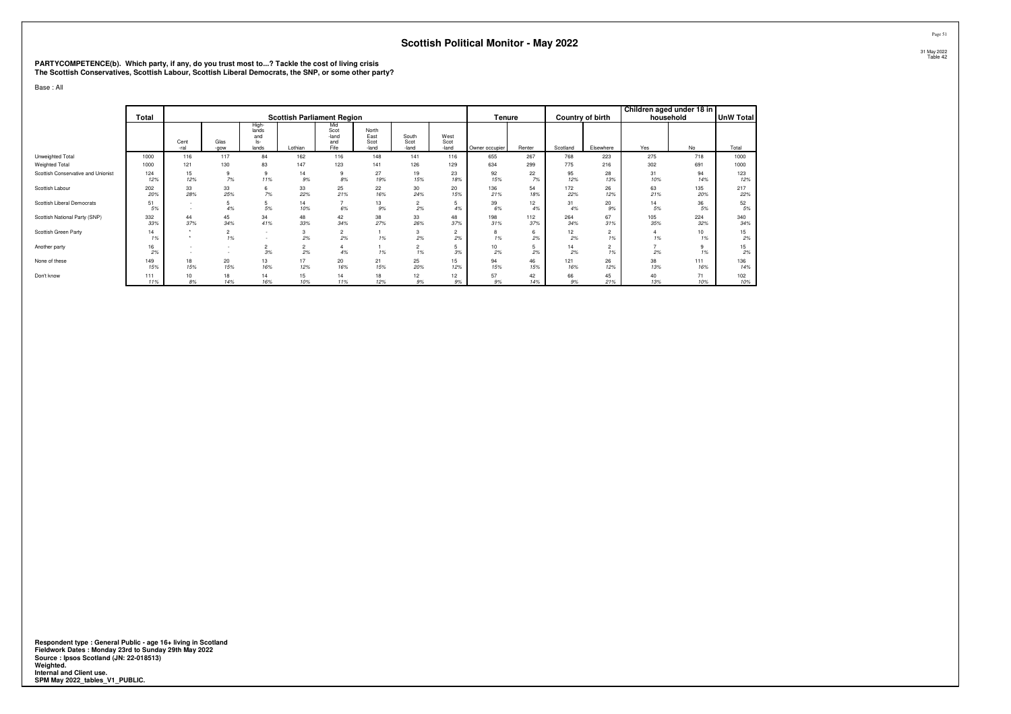# **PARTYCOMPETENCE(b). Which party, if any, do you trust most to...? Tackle the cost of living crisis The Scottish Conservatives, Scottish Labour, Scottish Liberal Democrats, the SNP, or some other party?**

Base : All

|                                    | Total      |                                              |                      |                                         | <b>Scottish Parliament Region</b> |                                     |                                |                               |                       | Tenure         |            |            | Country of birth     | Children aged under 18 in<br>household |                        | <b>UnW Total</b> |
|------------------------------------|------------|----------------------------------------------|----------------------|-----------------------------------------|-----------------------------------|-------------------------------------|--------------------------------|-------------------------------|-----------------------|----------------|------------|------------|----------------------|----------------------------------------|------------------------|------------------|
|                                    |            | Cent<br>-ral                                 | Glas<br>-gow         | High-<br>lands<br>and<br>$ s-$<br>lands | Lothian                           | Mid<br>Scot<br>-land<br>and<br>Fife | North<br>East<br>Scot<br>-land | South<br>Scot<br>-land        | West<br>Scot<br>-land | Owner occupier | Renter     | Scotland   | Elsewhere            | Yes                                    | No                     | Total            |
| Unweighted Total                   | 1000       | 116                                          | 117                  | 84                                      | 162                               | 116                                 | 148                            | 141                           | 116                   | 655            | 267        | 768        | 223                  | 275                                    | 718                    | 1000             |
| Weighted Total                     | 1000       | 121                                          | 130                  | 83                                      | 147                               | 123                                 | 141                            | 126                           | 129                   | 634            | 299        | 775        | 216                  | 302                                    | 691                    | 1000             |
| Scottish Conservative and Unionist | 124<br>12% | 15<br>12%                                    | 9<br>7%              | 9<br>11%                                | 14<br>9%                          | 9<br>$8\%$                          | 27<br>19%                      | 19<br>15%                     | 23<br>18%             | 92<br>15%      | 22<br>7%   | 95<br>12%  | 28<br>13%            | 31<br>10%                              | 94<br>14%              | 123<br>12%       |
| Scottish Labour                    | 202<br>20% | 33<br>28%                                    | 33<br>25%            | 6<br>7%                                 | 33<br>22%                         | 25<br>21%                           | 22<br>16%                      | 30<br>24%                     | 20<br>15%             | 136<br>21%     | 54<br>18%  | 172<br>22% | 26<br>12%            | 63<br>21%                              | 135<br>20%             | 217<br>22%       |
| Scottish Liberal Democrats         | 51<br>5%   | $\sim$<br>$\sim$                             | 4%                   | 5<br>5%                                 | 14<br>10%                         | 6%                                  | 13<br>9%                       | $\overline{\mathbf{c}}$<br>2% | 4%                    | 39<br>6%       | 12<br>4%   | 31<br>4%   | 20<br>9%             | 14<br>5%                               | 36<br>5%               | 52<br>5%         |
| Scottish National Party (SNP)      | 332<br>33% | 44<br>37%                                    | 45<br>34%            | 34<br>41%                               | 48<br>33%                         | 42<br>34%                           | 38<br>27%                      | 33<br>26%                     | 48<br>37%             | 198<br>31%     | 112<br>37% | 264<br>34% | 67<br>31%            | 105<br>35%                             | 224<br>32%             | 340<br>34%       |
| Scottish Green Party               | 14<br>1%   | $\ddot{\phantom{1}}$<br>$\ddot{\phantom{1}}$ | $\overline{2}$<br>1% | $\sim$<br>$\sim$                        | 3<br>2%                           | $\overline{2}$<br>2%                | 1%                             | 3<br>2%                       | $\overline{2}$<br>2%  | 8<br>1%        | 6<br>2%    | 12<br>2%   | $\overline{2}$<br>1% | 1%                                     | 10 <sup>10</sup><br>1% | 15<br>2%         |
| Another party                      | 16<br>2%   | -<br>$\sim$                                  | $\sim$               | $\overline{2}$<br>3%                    | $\overline{2}$<br>2%              | 4%                                  | 1%                             | $\overline{2}$<br>1%          | 3%                    | 10<br>2%       | 2%         | 14<br>2%   | $\overline{2}$<br>1% | 2%                                     | 9<br>1%                | 15<br>2%         |
| None of these                      | 149<br>15% | 18<br>15%                                    | 20<br>15%            | 13<br>16%                               | 17<br>12%                         | 20<br>16%                           | 21<br>15%                      | 25<br>20%                     | 15<br>12%             | 94<br>15%      | 46<br>15%  | 121<br>16% | 26<br>12%            | 38<br>13%                              | 111<br>16%             | 136<br>14%       |
| Don't know                         | 111<br>11% | 10<br>8%                                     | 18<br>14%            | 14<br>16%                               | 15<br>10%                         | 14<br>11%                           | 18<br>12%                      | 12<br>9%                      | 12<br>9%              | 57<br>9%       | 42<br>14%  | 66<br>9%   | 45<br>21%            | 40<br>13%                              | 71<br>10%              | 102<br>10%       |

**Respondent type : General Public - age 16+ living in Scotland Fieldwork Dates : Monday 23rd to Sunday 29th May 2022 Source : Ipsos Scotland (JN: 22-018513) Weighted. Internal and Client use. SPM May 2022\_tables\_V1\_PUBLIC.**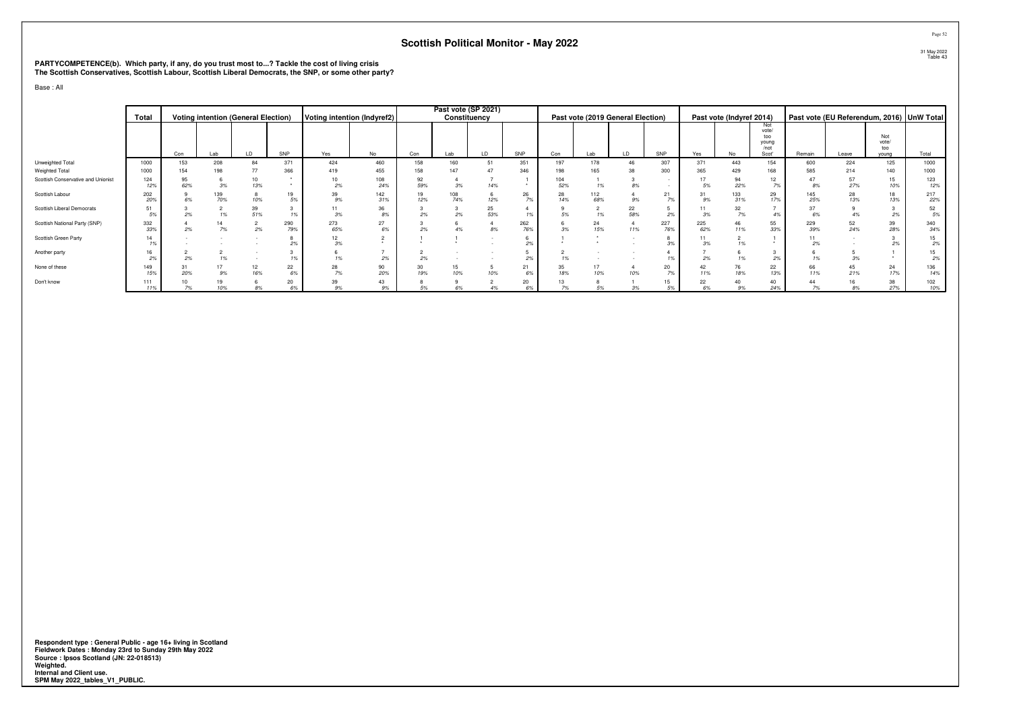# **PARTYCOMPETENCE(b). Which party, if any, do you trust most to...? Tackle the cost of living crisis The Scottish Conservatives, Scottish Labour, Scottish Liberal Democrats, the SNP, or some other party?**

Base : All

|                                    | Total      |           |            | <b>Voting intention (General Election)</b> |            | Voting intention (Indyref2) |            |           | Past vote (SP 2021)<br>Constituency |                   |            |           | Past vote (2019 General Election) |           |            |            | Past vote (Indyref 2014) |                                               |            | Past vote (EU Referendum, 2016) UnW Total |                              |            |
|------------------------------------|------------|-----------|------------|--------------------------------------------|------------|-----------------------------|------------|-----------|-------------------------------------|-------------------|------------|-----------|-----------------------------------|-----------|------------|------------|--------------------------|-----------------------------------------------|------------|-------------------------------------------|------------------------------|------------|
|                                    |            | Con       | Lab        | LD.                                        | SNP        | Yes                         | No         | Con       | Lab                                 | LD                | SNP        | Con       | Lab                               | LD        | SNP        | Yes        | No                       | Not<br>vote/<br>too<br>young<br>/not<br>Scot' | Remain     | Leave                                     | Not<br>vote/<br>too<br>vouna | Total      |
| Unweighted Total                   | 1000       | 153       | 208        | 84                                         | 371        | 424                         | 460        | 158       | 160                                 | 51                | 351        | 197       | 178                               |           | 307        | 371        | 443                      | 154                                           | 600        | 224                                       | 125                          | 1000       |
| Weighted Total                     | 1000       | 154       | 198        | 77                                         | 366        | 419                         | 455        | 158       | 147                                 | 47                | 346        | 198       | 165                               | 38        | 300        | 365        | 429                      | 168                                           | 585        | 214                                       | 140                          | 1000       |
| Scottish Conservative and Unionist | 124<br>12% | 95<br>62% | 3%         | 10<br>13%                                  |            | 10<br>2%                    | 108<br>24% | 92<br>59% | 3%                                  | 14%               |            | 52%       | 1%                                | 8%        |            | 5%         | 94<br>22%                | 12<br>7%                                      | 8%         | 57<br>27%                                 | 15<br>10%                    | 123<br>12% |
| Scottish Labour                    | 202<br>20% | 6%        | 139<br>70% | 10%                                        | 19<br>5%   | 39<br>9%                    | 142<br>31% | 19<br>12% | 108<br>74%                          | 12%               | 26<br>7%   | 28<br>14% | 112<br>68%                        | 9%        | 21<br>7%   | 31<br>9%   | 133<br>31%               | 29<br>17%                                     | 145<br>25% | 28<br>13%                                 | 18<br>13%                    | 217<br>22% |
| Scottish Liberal Democrats         | 51<br>5%   | 2%        | 1%         | $39$<br>$51%$                              | 1%         | 11<br>3%                    | 36<br>8%   | 2%        | 2%                                  | $\frac{25}{53\%}$ | 19         | 5%        | $\sim$<br>1%                      | 22<br>58% | 2%         | 3%         | 32<br>7%                 | 4%                                            | 37<br>6%   |                                           | 2%                           | 52<br>5%   |
| Scottish National Party (SNP)      | 332<br>33% | 2%        | 7%         | 2%                                         | 290<br>79% | 273<br>65%                  | 27<br>6%   | 2%        | 4%                                  | 8%                | 262<br>76% |           | 24<br>15%                         | 11%       | 227<br>76% | 225<br>62% | 46<br>11%                | 55<br>33%                                     | 229<br>39% | 52<br>24%                                 | 39<br>28%                    | 340<br>34% |
| Scottish Green Party               | 14<br>1%   |           |            |                                            |            | 12<br>3%                    |            |           |                                     |                   | 2%         |           |                                   |           |            | 3%         | 1%                       |                                               | 2%         |                                           | 2%                           | 15<br>2%   |
| Another party                      | 16<br>2%   | 2%        |            |                                            | 1%         |                             | 2%         | 2%        |                                     |                   | 2%         |           |                                   |           |            | 2%         | 1%                       | 2%                                            |            |                                           |                              | 15<br>2%   |
| None of these                      | 149<br>15% | 31<br>20% | 9%         | 12<br>16%                                  | 22<br>6%   | 28<br>7%                    | 90<br>20%  | 30<br>19% | 15<br>10%                           | 10%               | 21<br>6%   | 18%       | 17<br>10%                         | 10%       | 20<br>7%   | 42<br>11%  | 76<br>18%                | 22<br>13%                                     | 66<br>11%  | 21%                                       | 24<br>17%                    | 136<br>14% |
| Don't know                         | 111<br>11% | 10<br>7%  | 10%        | 8%                                         | 20<br>6%   | 39<br>q%                    | 43<br>9%   | 5%        |                                     |                   | 20         |           | 5%                                | 3%        | 15<br>5%   | 22<br>6%   | 40<br>9%                 | 40<br>24%                                     | 44<br>7%   | 8%                                        | 38<br>27%                    | 102<br>10% |

**Respondent type : General Public - age 16+ living in Scotland Fieldwork Dates : Monday 23rd to Sunday 29th May 2022 Source : Ipsos Scotland (JN: 22-018513) Weighted. Internal and Client use. SPM May 2022\_tables\_V1\_PUBLIC.**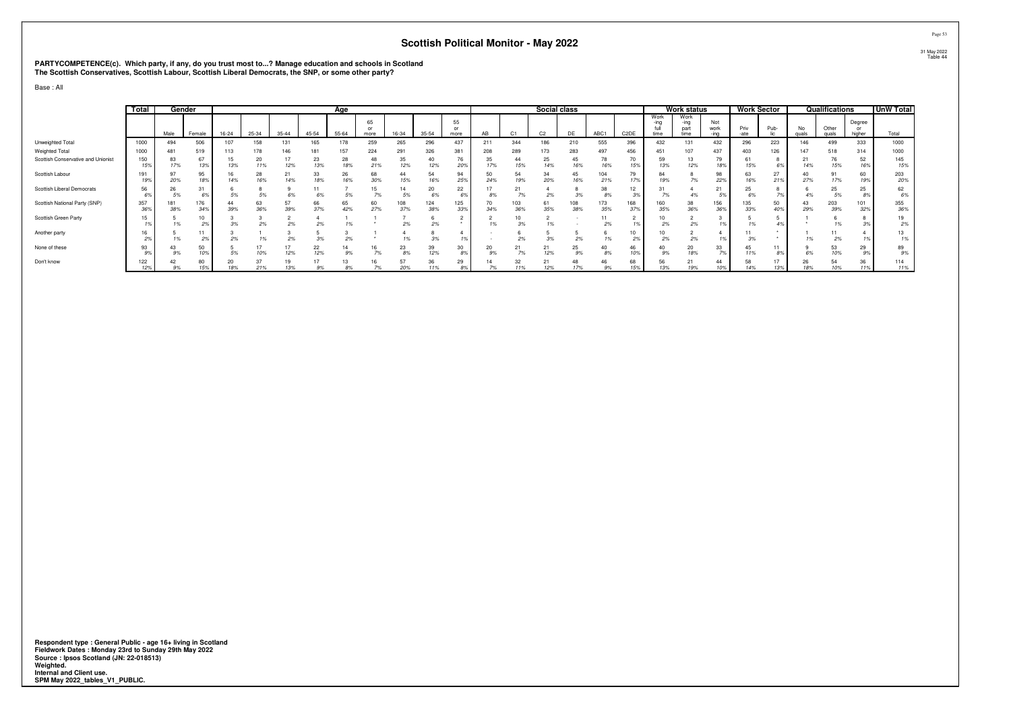# **PARTYCOMPETENCE(c). Which party, if any, do you trust most to...? Manage education and schools in Scotland The Scottish Conservatives, Scottish Labour, Scottish Liberal Democrats, the SNP, or some other party?**

Base : All

|                                    | Total      | Gender     |            |           |           |                     |           | Age       |                  |            |            |                  |           |            | Social class   |            |            |                   |                      | <b>Work status</b>          |                     | <b>Work Sector</b> |           |             | Qualifications      |                        | <b>UnW Total</b> |
|------------------------------------|------------|------------|------------|-----------|-----------|---------------------|-----------|-----------|------------------|------------|------------|------------------|-----------|------------|----------------|------------|------------|-------------------|----------------------|-----------------------------|---------------------|--------------------|-----------|-------------|---------------------|------------------------|------------------|
|                                    |            | Male       | Female     | $16 - 24$ | 25-34     | $35 - 44$           | $45 - 54$ | $55 - 64$ | 65<br>or<br>more | 16-34      | $35 - 54$  | 55<br>or<br>more | AB        |            | C <sub>2</sub> | DE         | ABC1       | C <sub>2</sub> DE | Work<br>-ina<br>time | Work<br>-ına<br>pan<br>time | Not<br>work<br>-ina | Priv<br>-ate       | Pub-      | No<br>quals | Other<br>quals      | Degree<br>or<br>higher | Total            |
| Unweighted Total                   | 1000       | 494        | 506        | 107       | 158       |                     | 165       | 178       | 259              | 265        | 296        | 437              | 211       | 344        | 186            | 210        | 555        | 396               | 432                  | 131                         | 432                 | 296                | 223       | 146         | 499                 | 333                    | 1000             |
| Weighted Total                     | 1000       | 481        | 519        | 113       | 178       | 146                 | 181       | 157       | 224              | 291        | 326        | 381              | 000       | 289        | 173            | 283        | 497        | 456               | 451                  | 107                         | 437                 | 403                | 126       | 147         | 518                 | 314                    | 1000             |
| Scottish Conservative and Unionist | 150<br>15% | 83<br>17%  | 67<br>13%  | 15<br>13% | 20<br>11% | $\mathbf{1}$<br>12% | 23<br>13% | 28<br>18% | 48<br>21%        | 35<br>12%  | 40<br>12%  | 76<br>20%        | 35<br>17% | 44<br>15%  | 25<br>14%      | 45<br>16%  | 78<br>16%  | 70<br>15%         | 59<br>13%            | 13<br>12%                   | 79<br>18%           | 61<br>15%          | 6%        | 21<br>14%   | $\sim$<br>76<br>15% | 52<br>16%              | 145<br>15%       |
| Scottish Labour                    | 191<br>19% | 97<br>20%  | 95<br>18%  | 16<br>14% | 28<br>16% | 21<br>14%           | 33<br>18% | 26<br>16% | 68<br>30%        | 44<br>15%  | 54<br>16%  | 94<br>259        | 24%       | 54<br>19%  | 34<br>20%      | 45<br>16%  | 104<br>21% | 79<br>17%         | 84<br>19%            | 7%                          | 98<br>22%           | 63<br>16%          | 27<br>21% | 27%         | 17%                 | 60<br>19%              | 203<br>20%       |
| Scottish Liberal Democrats         | 56         | 26<br>5%   | 31         | 5%        |           | 69                  | 11<br>6%  | 5%        | 15<br>7%         | 5%         | 20<br>6%   | 22               |           | 21         | 2%             | 3%         | 38         | 12                |                      |                             | 21                  | 25                 |           |             | 25<br>5%            | 25                     | 62<br>6%         |
| Scottish National Party (SNP)      | 357<br>36% | 181<br>38% | 176<br>34% | 44<br>39% | 63<br>36% | 57<br>39%           | 66<br>37% | 65<br>42% | 60<br>27%        | 108<br>37% | 124<br>38% | 125<br>339       | 70        | 103<br>36% | 61<br>35%      | 108<br>38% | 173<br>35% | 168<br>37%        | 60<br>35%            | 38<br>36%                   | 156<br>369          | 135<br>33%         | 50<br>40% | 43<br>29%   | 203<br>39%          | 101<br>32%             | 355<br>36%       |
| Scottish Green Party               | 15         | 1%         | 10<br>2%   | 3%        | 2%        | 2%                  | 2%        | 1%        |                  | 2%         | 2%         |                  |           | 3%         |                |            | 2%         |                   | 2%                   | 2%                          |                     | 1%                 |           |             | 1%                  |                        | 19<br>2%         |
| Another party                      |            |            | 11<br>2%   |           |           | c.                  | 3%        | 2%        |                  |            |            |                  |           | 2%         |                | 2%         |            |                   | 27                   | 2%                          |                     |                    |           |             | 2%                  |                        | 13<br>1%         |
| None of these                      | 93         | 43<br>9%   | 50         |           | 17<br>10% | $\mathbf{1}$<br>12% | 22<br>12% | 14<br>9%  | 16               | 23<br>8%   | 39<br>12%  | 30<br>8%         | 20        | 21         | 21<br>12%      | 25<br>9%   | 40<br>8%   | 46<br>10%         | 40<br>9%             | 20<br>18%                   | 33                  | 45<br>11%          | 8%        |             | 53<br>10%           | 29                     | 89<br>9%         |
| Don't know                         | 122<br>127 |            | 80         | 18%       | 217       | 13%                 |           | 13        |                  | 57<br>000  | 36         | 29               |           | 32         |                | 48         | 46<br>9%   | 68<br>15%         | 56<br>13%            | 19%                         | 44                  | 58<br>14%          | 13%       | zt          | 54<br>10%           | 36<br>11%              | 114<br>11%       |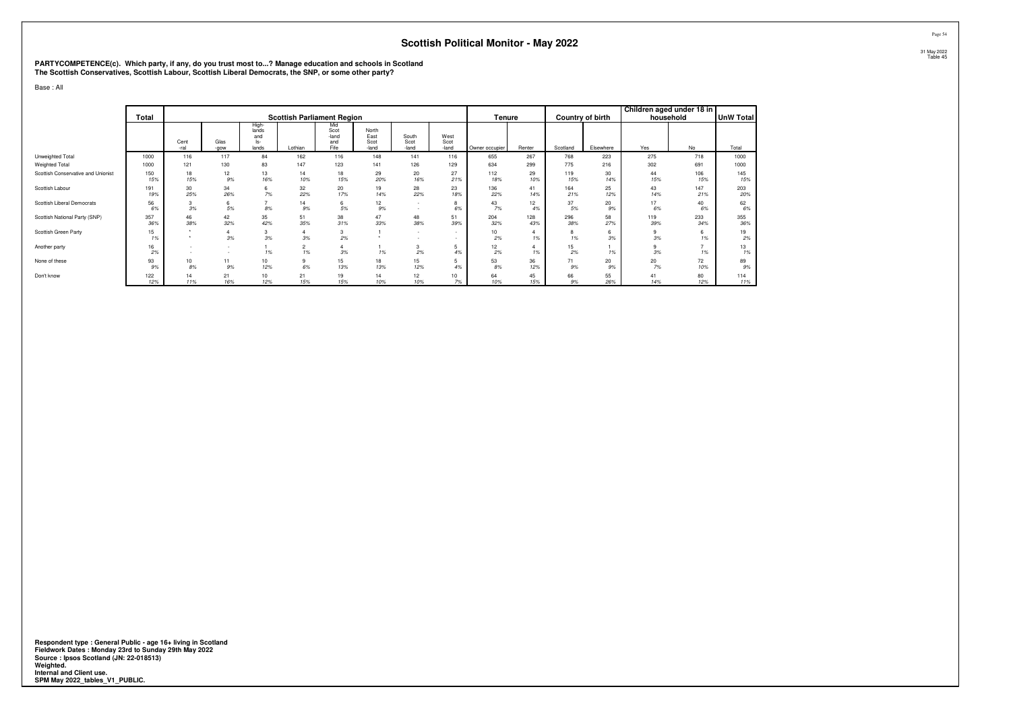# **PARTYCOMPETENCE(c). Which party, if any, do you trust most to...? Manage education and schools in Scotland The Scottish Conservatives, Scottish Labour, Scottish Liberal Democrats, the SNP, or some other party?**

Base : All

|                                    | Total      |                      |              |                                              | <b>Scottish Parliament Region</b> |                                     |                                |                        |                       | Tenure         |            |            | Country of birth | Children aged under 18 in<br>household |            | UnW Total  |
|------------------------------------|------------|----------------------|--------------|----------------------------------------------|-----------------------------------|-------------------------------------|--------------------------------|------------------------|-----------------------|----------------|------------|------------|------------------|----------------------------------------|------------|------------|
|                                    |            | Cent<br>-ral         | Glas<br>-gow | <b>High-</b><br>lands<br>and<br>ls-<br>lands | Lothian                           | Mid<br>Scot<br>-land<br>and<br>Fife | North<br>East<br>Scot<br>-land | South<br>Scot<br>-land | West<br>Scot<br>-land | Owner occupier | Renter     | Scotland   | Elsewhere        | Yes                                    | No         | Total      |
| Unweighted Total                   | 1000       | 116                  | 117          | 84                                           | 162                               | 116                                 | 148                            | 141                    | 116                   | 655            | 267        | 768        | 223              | 275                                    | 718        | 1000       |
| Weighted Total                     | 1000       | 121                  | 130          | 83                                           | 147                               | 123                                 | 141                            | 126                    | 129                   | 634            | 299        | 775        | 216              | 302                                    | 691        | 1000       |
| Scottish Conservative and Unionist | 150<br>15% | 18<br>15%            | 12<br>9%     | 13<br>16%                                    | 14<br>10%                         | 18<br>15%                           | 29<br>20%                      | 20<br>16%              | 27<br>21%             | 112<br>18%     | 29<br>10%  | 119<br>15% | 30<br>14%        | 44<br>15%                              | 106<br>15% | 145<br>15% |
| Scottish Labour                    | 191<br>19% | 30<br>25%            | 34<br>26%    | 6<br>7%                                      | 32<br>22%                         | 20<br>17%                           | 19<br>14%                      | 28<br>22%              | 23<br>18%             | 136<br>22%     | 41<br>14%  | 164<br>21% | 25<br>12%        | 43<br>14%                              | 147<br>21% | 203<br>20% |
| Scottish Liberal Democrats         | 56<br>6%   | 3<br>3%              | 6<br>5%      | 8%                                           | 14<br>$9\%$                       | 6<br>5%                             | 12<br>9%                       | $\sim$<br>$\sim$       | 8<br>6%               | 43<br>7%       | 12<br>4%   | 37<br>5%   | 20<br>9%         | 17<br>6%                               | 40<br>6%   | 62<br>6%   |
| Scottish National Party (SNP)      | 357<br>36% | 46<br>38%            | 42<br>32%    | 35<br>42%                                    | 51<br>35%                         | 38<br>31%                           | 47<br>33%                      | 48<br>38%              | 51<br>39%             | 204<br>32%     | 128<br>43% | 296<br>38% | 58<br>27%        | 119<br>39%                             | 233<br>34% | 355<br>36% |
| Scottish Green Party               | 15<br>1%   | $\ddot{\phantom{1}}$ | 3%           | 3<br>3%                                      | $3\%$                             | 3<br>2%                             |                                | ٠                      |                       | 10<br>2%       | 1%         | 8<br>1%    | 6<br>3%          | 9<br>3%                                | -6<br>1%   | 19<br>2%   |
| Another party                      | 16<br>2%   | $\sim$               |              | 1%                                           | $\overline{2}$<br>1%              | 4<br>3%                             | 1%                             | 3<br>2%                | 5<br>4%               | 12<br>2%       | 1%         | 15<br>2%   | 1%               | 9<br>3%                                | 1%         | 13<br>1%   |
| None of these                      | 93<br>9%   | 10<br>8%             | 11<br>9%     | 10<br>12%                                    | 9<br>6%                           | 15<br>13%                           | 18<br>13%                      | 15<br>12%              | 5<br>4%               | 53<br>8%       | 36<br>12%  | 71<br>9%   | 20<br>9%         | 20<br>7%                               | 72<br>10%  | 89<br>9%   |
| Don't know                         | 122<br>12% | 14<br>11%            | 21<br>16%    | 10<br>12%                                    | 21<br>15%                         | 19<br>15%                           | 14<br>10%                      | 12<br>10%              | 10<br>7%              | 64<br>10%      | 45<br>15%  | 66<br>9%   | 55<br>26%        | 41<br>14%                              | 80<br>12%  | 114<br>11% |

**Respondent type : General Public - age 16+ living in Scotland Fieldwork Dates : Monday 23rd to Sunday 29th May 2022 Source : Ipsos Scotland (JN: 22-018513) Weighted. Internal and Client use. SPM May 2022\_tables\_V1\_PUBLIC.**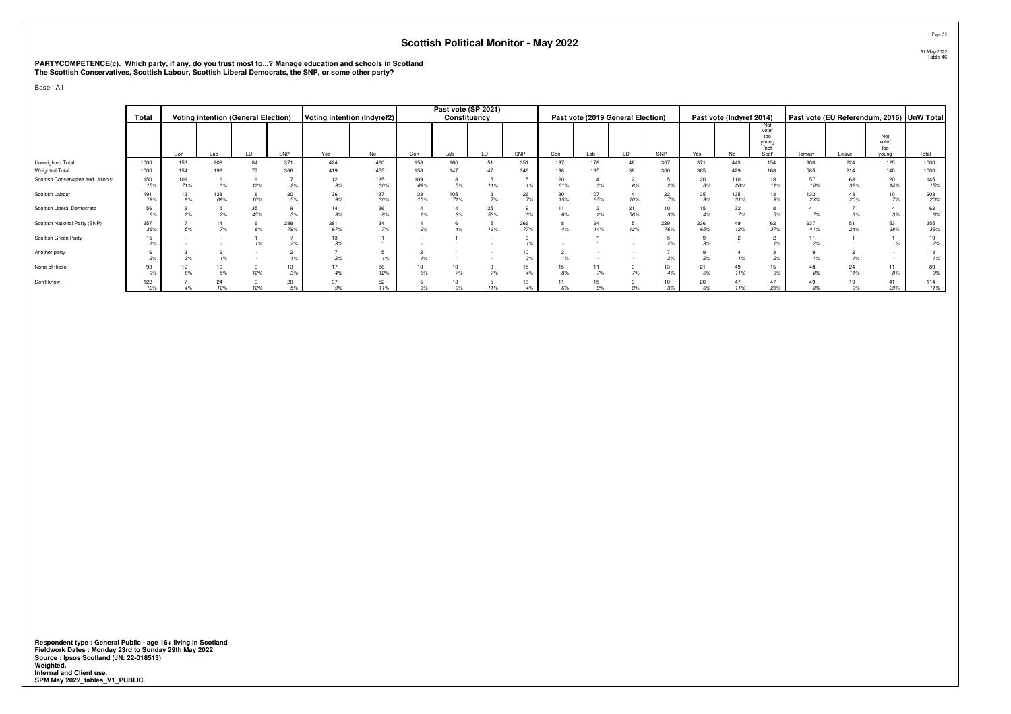# **PARTYCOMPETENCE(c). Which party, if any, do you trust most to...? Manage education and schools in Scotland The Scottish Conservatives, Scottish Labour, Scottish Liberal Democrats, the SNP, or some other party?**

Base : All

|                                    | Total      |                 |            | <b>Voting intention (General Election)</b> |            | Voting intention (Indyref2) |            |            | Past vote (SP 2021)<br>Constituency |                   |            |           | Past vote (2019 General Election) |           |               |            | Past vote (Indyref 2014) |                                               |            | Past vote (EU Referendum, 2016) UnW Total |                              |            |
|------------------------------------|------------|-----------------|------------|--------------------------------------------|------------|-----------------------------|------------|------------|-------------------------------------|-------------------|------------|-----------|-----------------------------------|-----------|---------------|------------|--------------------------|-----------------------------------------------|------------|-------------------------------------------|------------------------------|------------|
|                                    |            | Con             | Lab        | LD                                         | SNP        | Yes                         | No         | Con        | Lab                                 | LD                | SNP        | Con       | Lab                               | LD        | SNP           | Yes        | No                       | Not<br>vote/<br>too<br>young<br>/not<br>Scot' | Remain     | Leave                                     | Not<br>vote/<br>too<br>vouna | Total      |
| Unweighted Total                   | 1000       | 153             | 208        | 84                                         | 371        | 424                         | 460        | 158        | 160                                 | 51                | 351        | 197       | 178                               |           | 307           | 371        | 443                      | 154                                           | 600        | 224                                       | 125                          | 1000       |
| Weighted Total                     | 1000       | 154             | 198        | 77                                         | 366        | 419                         | 455        | 158        | 147                                 | 47                | 346        |           | 165                               | 38        | 300           | 365        | 429                      | 168                                           | 585        | 214                                       | 140                          | 1000       |
| Scottish Conservative and Unionist | 150<br>15% | $^{109}_{71\%}$ | 3%         | 12%                                        | 2%         | 12<br>3%                    | 135<br>30% | 109<br>69% | 5%                                  | 11%               | 1%         | 61%       | 3%                                | 6%        | 2%            | 20<br>6%   | 110<br>26%               | 18<br>11%                                     | 57<br>10%  | 68<br>32%                                 | 20<br>14%                    | 145<br>15% |
| Scottish Labour                    | 191<br>19% | 13<br>8%        | 138<br>69% | 10%                                        | 20<br>5%   | 36<br>9%                    | 137<br>30% | 23<br>15%  | 105<br>71%                          | 7%                | 26<br>7%   | 30<br>15% | 107<br>65%                        | 10%       | 22<br>7%      | 35<br>9%   | 135<br>31%               | 13<br>8%                                      | 132<br>23% | 43<br>20%                                 | 10<br>7%                     | 203<br>20% |
| Scottish Liberal Democrats         | 56<br>6%   | 2%              | 2%         | $\frac{35}{45\%}$                          | 3%         | 14<br>3%                    | 36<br>8%   | 2%         | 3%                                  | $\frac{25}{53\%}$ | 3%         | 6%        | 2%                                | 21<br>56% | $10-10$<br>3% | 15         | 32<br>7%                 | 5%                                            | 7%         |                                           | 3%                           | 62<br>6%   |
| Scottish National Party (SNP)      | 357<br>36% | 5%              | 7%         | 8%                                         | 288<br>79% | 281<br>67%                  | 34<br>7%   | 2%         | 4%                                  | 12%               | 266<br>77% |           | 24<br>14%                         | 12%       | 229<br>76%    | 236<br>65% | 49<br>12%                | 62<br>37%                                     | 237<br>41% | 51<br>24%                                 | 53<br>38%                    | 355<br>36% |
| Scottish Green Party               | 15<br>1%   |                 |            | 1%                                         | 2%         | 13<br>3%                    |            |            |                                     |                   | 19         |           |                                   |           | 2%            | 20         |                          | 1%                                            | 2%         |                                           | 10                           | 19<br>2%   |
| Another party                      | 16<br>2%   | 2%              |            |                                            |            | 2%                          | 1%         |            |                                     |                   | 10<br>.3%  |           |                                   |           | 2%            | 2%         | 1%                       | 2%                                            |            |                                           |                              | 13<br>1%   |
| None of these                      | 93<br>9%   | 12<br>8%        | 5%         | 12%                                        | 13<br>3%   |                             | 56<br>12%  | 10<br>6%   | $^{10}_{7\%}$                       | 7%                | 15<br>4%   |           | 7%                                | 7%        | 13<br>4%      | 6%         | 49<br>11%                | 15<br>9%                                      | 8%         | 24<br>11%                                 | 11<br>8%                     | 89<br>9%   |
| Don't know                         | 122<br>12% |                 | 24<br>12%  | 12%                                        | 20<br>5%   | 37<br>q%                    | 52<br>11%  | 3%         | 13<br>9%                            | 11%               | 13         | 6%        | 15<br>9%                          | 9%        | 10<br>3%      | 20<br>6%   | 47<br>11%                | 47<br>28%                                     | 49<br>8%   | .9%                                       | 41<br>29%                    | 114<br>11% |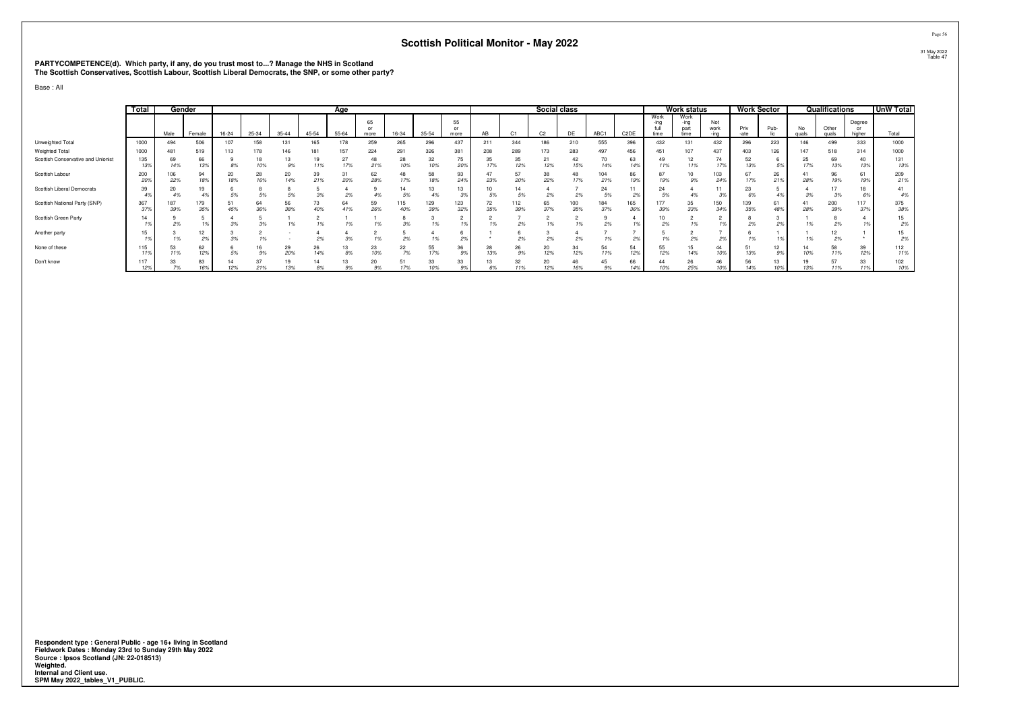# **PARTYCOMPETENCE(d). Which party, if any, do you trust most to...? Manage the NHS in Scotland The Scottish Conservatives, Scottish Labour, Scottish Liberal Democrats, the SNP, or some other party?**

Base : All

|                                    | Total      | Gender     |            |           |           |                |           | Age       |                  |            |            |            |           |            | Social class   |            |            |                   |                      | Work status         |                     | <b>Work Sector</b> |           |             | Qualifications |                        | <b>UnW Total</b> |
|------------------------------------|------------|------------|------------|-----------|-----------|----------------|-----------|-----------|------------------|------------|------------|------------|-----------|------------|----------------|------------|------------|-------------------|----------------------|---------------------|---------------------|--------------------|-----------|-------------|----------------|------------------------|------------------|
|                                    |            | Male       | Female     | $16 - 24$ | 25-34     | $35 - 44$      | $45 - 54$ | $55 - 64$ | 65<br>or<br>more | 16-34      | $35 - 54$  | 55<br>more |           |            | C <sub>2</sub> | DE         | ABC1       | C <sub>2</sub> DE | Work<br>-ina<br>time | Work<br>-ına<br>par | Not<br>work<br>-ina | Priv<br>-ate       | Pub-      | No<br>quals | Other<br>quals | Degree<br>or<br>higher | Total            |
| Unweighted Total                   | 1000       | 494        | 506        |           | 158       |                | 165       |           | 259              | 265        | 296        | 437        |           | 344        | 186            | 210        | 555        | 396               | 432                  | 131                 | 432                 | 296                | 223       | 146         | 499            | 333                    | 1000             |
| Weighted Total                     | 1000       | 481        | 519        |           | 178       | 146            | 181       | 157       | 224              | 291        | 326        | 381        | 208       | 289        | 173            | 283        | 497        | 456               | 451                  | 107                 | 437                 | 403                | 126       | 147         | 518            | 314                    | 1000             |
| Scottish Conservative and Unionist | 135<br>13% | 69<br>14%  | 66         | 8%        | 18<br>10% | 13<br>9%       | 19<br>11% | 27<br>17% | 48<br>21%        | 28<br>10%  | 32<br>10%  | 75<br>20%  | 35<br>17% | 35<br>12%  | 21<br>12%      | 42<br>15%  | 70<br>14%  | 63<br>14%         | 49<br>11%            | 12<br>11%           | 74<br>17%           | 52<br>13%          | 5%        | 25          | 69<br>13%      | 40<br>13%              | 131<br>13%       |
| Scottish Labour                    | 200<br>20% | 106<br>22% | 94         | 20<br>18% | 28<br>16% | 20<br>14%      | 39<br>21% | 31<br>20% | 62<br>28%        | 48<br>17%  | 58<br>18%  | 93<br>24%  | 23%       | 57<br>20%  | 38<br>22%      | 48<br>17%  | 104<br>21% | 86<br>19%         | 87<br>19%            | 10<br>9%            | 103<br>249          | 17%                | 26<br>21% | 28%         | 96<br>19%      | 61<br>19%              | 209<br>21%       |
| Scottish Liberal Democrats         | 39         | 20<br>4%   | 19         |           |           |                |           | 2%        |                  | 5%         | 13         | 13         | 5%        | 5%         | 2%             | 2%         | 24<br>5%   |                   | 24<br>5%             | 4%                  |                     | 23                 |           |             | 3%             | 18                     | 41<br>4%         |
| Scottish National Party (SNP)      | 367<br>37% | 187<br>39% | 179<br>35% | 45%       | 64<br>36% | 56<br>38%      | 73<br>40% | 64<br>41% | 59<br>26%        | 115<br>40% | 129<br>39% | 123<br>32% | 72<br>35% | 112<br>39% | 65<br>37%      | 100<br>35% | 184<br>37% | 165<br>369        | 177<br>39%           | 35<br>33%           | 150<br>349          | 139<br>35%         | 61<br>48% | 28%         | 200<br>39%     | 117<br>379             | 375<br>38%       |
| Scottish Green Party               | 14         | 2%         |            | 3%        |           | $\overline{a}$ |           |           |                  | 3%         |            |            | 1%        | 2%         |                | 1%         | 2%         |                   | 2%                   | 1%                  |                     | 2%                 | 2%        |             | 2%             |                        | 15<br>2%         |
| Another party                      |            | 1%         | 12<br>2%   |           |           |                | 2%        |           |                  |            |            | 29         |           |            | 2%             | 2%         |            |                   |                      | 2%                  |                     |                    |           |             | 12<br>2%       |                        | 15<br>2%         |
| None of these                      | 115        | 53<br>11%  | 62<br>12%  | 5%        | 16        | 29<br>20%      | 26<br>14% | 13<br>8%  | 23<br>10%        | 22<br>7%   | 55<br>17%  | 36         | 28<br>13% | 26<br>9%   | 20<br>12%      | 34<br>12%  | 54<br>11%  | 54<br>12%         | 55<br>12%            | 15<br>14%           | 44<br>10%           | 51<br>13%          | 12<br>9%  | 10%         | 58<br>11%      | 39<br>12%              | 112<br>11%       |
| Don't know                         | 117<br>12% | 33         | 83         | 14<br>12% | 212       | 13%            | 14<br>R9  | 13        | 20               | 51         | 33<br>10%  | 33         |           | 32         | 20<br>12%      | 46         | 45<br>9%   | 66<br>14%         | 44<br>100            | 26<br>25%           | 46                  | 56<br>14%          |           |             | 11%            | 33<br>11%              | 102<br>10%       |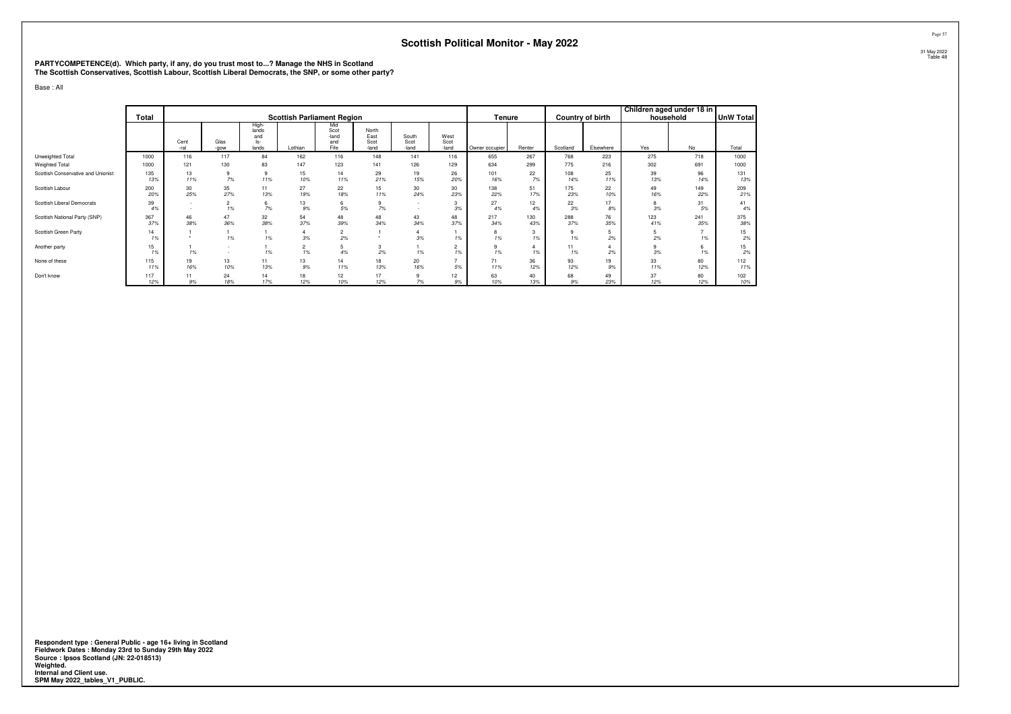# **PARTYCOMPETENCE(d). Which party, if any, do you trust most to...? Manage the NHS in Scotland The Scottish Conservatives, Scottish Labour, Scottish Liberal Democrats, the SNP, or some other party?**

Base : All

|                                    | Total      |                  |                      |                                         | <b>Scottish Parliament Region</b> |                                     |                                |                        |                       | Tenure         |            |            | Country of birth | Children aged under 18 in<br>household |            | <b>UnW Total</b> |
|------------------------------------|------------|------------------|----------------------|-----------------------------------------|-----------------------------------|-------------------------------------|--------------------------------|------------------------|-----------------------|----------------|------------|------------|------------------|----------------------------------------|------------|------------------|
|                                    |            | Cent<br>-ral     | Glas<br>-gow         | High-<br>lands<br>and<br>$ s-$<br>lands | Lothian                           | Mid<br>Scot<br>-land<br>and<br>Fife | North<br>East<br>Scot<br>-land | South<br>Scot<br>-land | West<br>Scot<br>-land | Owner occupier | Renter     | Scotland   | Elsewhere        | Yes                                    | No         | Total            |
| Unweighted Total                   | 1000       | 116              | 117                  | 84                                      | 162                               | 116                                 | 148                            | 141                    | 116                   | 655            | 267        | 768        | 223              | 275                                    | 718        | 1000             |
| Weighted Total                     | 1000       | 121              | 130                  | 83                                      | 147                               | 123                                 | 141                            | 126                    | 129                   | 634            | 299        | 775        | 216              | 302                                    | 691        | 1000             |
| Scottish Conservative and Unionist | 135<br>13% | 13<br>11%        | 9<br>7%              | 9<br>11%                                | 15<br>10%                         | 14<br>11%                           | 29<br>21%                      | 19<br>15%              | 26<br>20%             | 101<br>16%     | 22<br>7%   | 108<br>14% | 25<br>11%        | 39<br>13%                              | 96<br>14%  | 131<br>13%       |
| Scottish Labour                    | 200<br>20% | 30<br>25%        | 35<br>27%            | 11<br>13%                               | 27<br>19%                         | 22<br>18%                           | 15<br>11%                      | 30<br>24%              | 30<br>23%             | 138<br>22%     | 51<br>17%  | 175<br>23% | 22<br>10%        | 49<br>16%                              | 149<br>22% | 209<br>21%       |
| Scottish Liberal Democrats         | 39<br>4%   | $\sim$<br>$\sim$ | $\overline{2}$<br>1% | 6<br>7%                                 | 13<br>9%                          | 6<br>$5\%$                          | 7%                             | $\sim$<br>$\sim$       | 3<br>3%               | 27<br>4%       | 12<br>4%   | 22<br>3%   | 17<br>8%         | 8<br>3%                                | 31<br>5%   | 41<br>4%         |
| Scottish National Party (SNP)      | 367<br>37% | 46<br>38%        | 47<br>36%            | 32<br>38%                               | 54<br>37%                         | 48<br>39%                           | 48<br>34%                      | 43<br>34%              | 48<br>37%             | 217<br>34%     | 130<br>43% | 288<br>37% | 76<br>35%        | 123<br>41%                             | 241<br>35% | 375<br>38%       |
| Scottish Green Party               | 14<br>1%   |                  | 1%                   | 1%                                      | $\overline{4}$<br>3%              | $\overline{c}$<br>2%                |                                | 4<br>3%                | 1%                    | 8<br>1%        | 3<br>1%    | 9<br>1%    | 5<br>2%          | 5<br>2%                                | 1%         | 15<br>2%         |
| Another party                      | 15<br>1%   | 1%               | $\sim$               | 1%                                      | $\overline{c}$<br>1%              | 5<br>4%                             | 3<br>2%                        | 1%                     | $\overline{2}$<br>1%  | 9<br>1%        | 1%         | 11<br>1%   | 2%               | 9<br>3%                                | 6<br>1%    | 15<br>2%         |
| None of these                      | 115<br>11% | 19<br>16%        | 13<br>10%            | 11<br>13%                               | 13<br>9%                          | 14<br>11%                           | 18<br>13%                      | 20<br>16%              | 5%                    | 71<br>11%      | 36<br>12%  | 93<br>12%  | 19<br>9%         | 33<br>11%                              | 80<br>12%  | 112<br>11%       |
| Don't know                         | 117<br>12% | 11<br>9%         | 24<br>18%            | 14<br>17%                               | 18<br>12%                         | 12<br>10%                           | 17<br>12%                      | 9<br>7%                | 12<br>9%              | 63<br>10%      | 40<br>13%  | 68<br>9%   | 49<br>23%        | 37<br>12%                              | 80<br>12%  | 102<br>10%       |

**Respondent type : General Public - age 16+ living in Scotland Fieldwork Dates : Monday 23rd to Sunday 29th May 2022 Source : Ipsos Scotland (JN: 22-018513) Weighted. Internal and Client use. SPM May 2022\_tables\_V1\_PUBLIC.**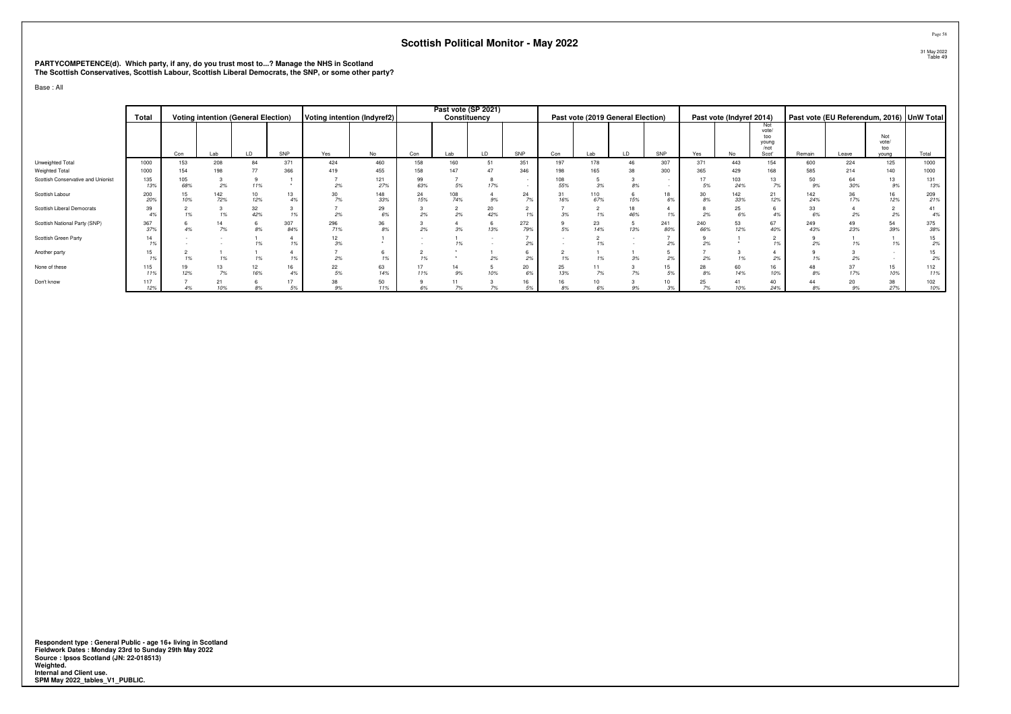# **PARTYCOMPETENCE(d). Which party, if any, do you trust most to...? Manage the NHS in Scotland The Scottish Conservatives, Scottish Labour, Scottish Liberal Democrats, the SNP, or some other party?**

Base : All

|                                    | Total      |            |            | <b>Voting intention (General Election)</b> |            | Voting intention (Indyref2) |            |           | Past vote (SP 2021)<br>Constituency |           |            |           | Past vote (2019 General Election) |     |            |            | Past vote (Indyref 2014) |                                               |            | Past vote (EU Referendum, 2016) UnW Total |                     |            |
|------------------------------------|------------|------------|------------|--------------------------------------------|------------|-----------------------------|------------|-----------|-------------------------------------|-----------|------------|-----------|-----------------------------------|-----|------------|------------|--------------------------|-----------------------------------------------|------------|-------------------------------------------|---------------------|------------|
|                                    |            | Con        |            | LD                                         | SNP        | Yes                         | No         | Con       |                                     | LD        | SNP        | Con       | Lab                               | LD  | SNP        | Yes        | No                       | Not<br>vote/<br>too<br>young<br>/not<br>Scot' | Remain     |                                           | Not<br>vote/<br>too | Total      |
| Unweighted Total                   | 1000       | 153        | Lab<br>208 | 84                                         | 371        | 424                         | 460        | 158       | Lab<br>160                          | 51        | 351        | 197       | 178                               |     | 307        | 371        | 443                      | 154                                           | 600        | Leave<br>224                              | vouna<br>125        | 1000       |
| Weighted Total                     | 1000       | 154        | 198        | 77                                         | 366        | 419                         | 455        | 158       | 147                                 |           | 346        |           | 165                               | 38  | 300        | 365        | 429                      | 168                                           | 585        | 214                                       | 140                 | 1000       |
| Scottish Conservative and Unionist | 135<br>13% | 105<br>68% | 2%         | 11%                                        |            | 2%                          | 121<br>27% | 99<br>63% | $5\%$                               | 17%       | $\sim$     | 55%       | 3%                                | 8%  |            | 5%         | $\frac{103}{24\%}$       | 13<br>7%                                      | 50<br>9%   | 64<br>30%                                 | 13<br>9%            | 131<br>13% |
| Scottish Labour                    | 200<br>20% | 15<br>10%  | 142<br>72% | 10<br>12%                                  | 13<br>4%   | 30<br>70                    | 148<br>33% | 24<br>15% | 108<br>74%                          | 9%        | 24<br>7%   | 31<br>16% | 110<br>67%                        | 15% | 18<br>6%   | 30<br>8%   | 142<br>33%               | 21<br>12%                                     | 142<br>24% | 36<br>17%                                 | 16<br>12%           | 209<br>21% |
| Scottish Liberal Democrats         | 39<br>4%   | 1%         |            | $\frac{32}{42\%}$                          | 10/        | 2%                          | 29<br>6%   | 2%        | 2%                                  | 20<br>42% | 1%         |           | 1%                                |     |            | 2%         | 25<br>$6\%$              | 4%                                            | 33<br>6%   |                                           | ╯<br>2%             | 41<br>4%   |
| Scottish National Party (SNP)      | 367<br>37% | 4%         | 7%         | 8%                                         | 307<br>84% | 296<br>71%                  | 36<br>8%   | 2%        | 3%                                  | 13%       | 272<br>79% | 5%        | $^{23}_{14\%}$                    | 13% | 241<br>80% | 240<br>66% | 53<br>12%                | 67<br>40%                                     | 249<br>43% | 23%                                       | 54<br>39%           | 375<br>38% |
| Scottish Green Party               | 14<br>1%   |            |            | 1%                                         | 1%         | 12<br>3%                    |            |           | 1%                                  |           | 2%         |           | 1%                                |     | 29         | 2%         |                          | 1%                                            | 2%         |                                           | 1%                  | 15<br>2%   |
| Another party                      | 15<br>1%   | 1%         | 1%         | 1%                                         | 1%         | 2%                          | 1%         | 1%        |                                     | 2%        | 2%         |           | 1%                                |     | 29         | 2%         | 1%                       | 2%                                            |            |                                           |                     | 15<br>2%   |
| None of these                      | 115<br>11% | 19<br>12%  | 7%         | $^{12}_{16\%}$                             | 16<br>4%   | 22<br>5%                    | 63<br>14%  | 17<br>11% | 14<br>9%                            | 10%       | 20<br>6%   | 25<br>13% | 7%                                | 7%  | 15<br>5%   | 28<br>8%   | 60<br>14%                | 16<br>10%                                     | 8%         |                                           | 15<br>10%           | 112<br>11% |
| Don't know                         | 117<br>12% |            | 10%        | 8%                                         | 17<br>5%   | 38<br>q%                    | 50<br>11%  | 6%        | 11                                  | 7%        | 16<br>.5%  |           | 10<br>6%                          | 9%  | 10<br>3%   | 25<br>7%   | 41<br>10%                | 40<br>24%                                     | 8%         | 20<br>9%                                  | 38<br>27%           | 102<br>10% |

**Respondent type : General Public - age 16+ living in Scotland Fieldwork Dates : Monday 23rd to Sunday 29th May 2022 Source : Ipsos Scotland (JN: 22-018513) Weighted. Internal and Client use. SPM May 2022\_tables\_V1\_PUBLIC.**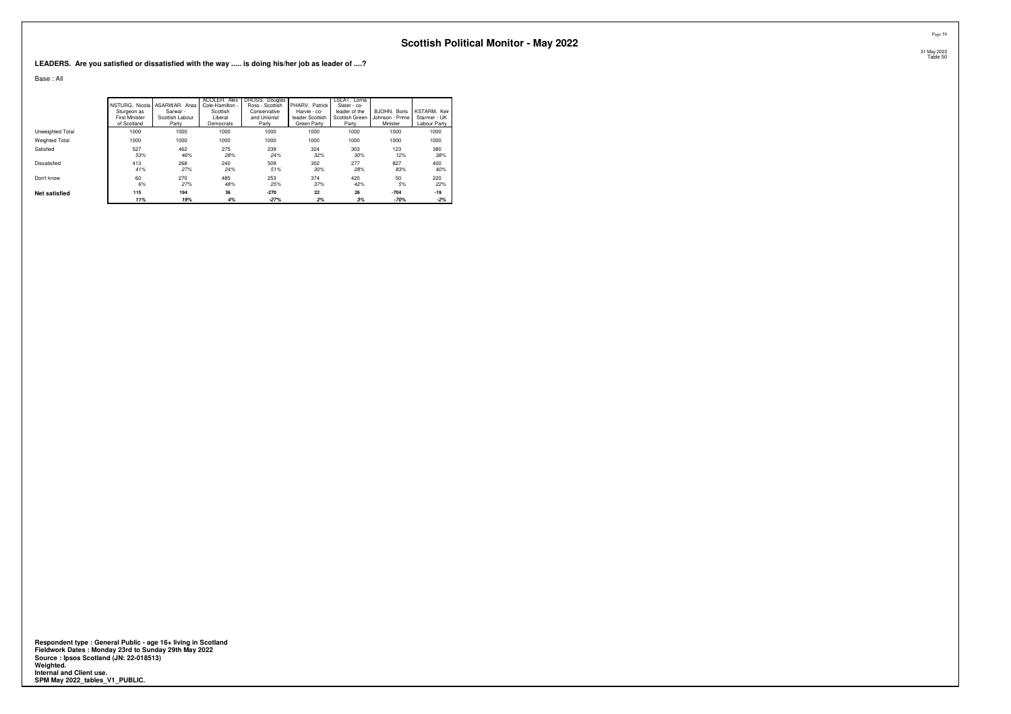**LEADERS. Are you satisfied or dissatisfied with the way ..... is doing his/her job as leader of ....?**

Base : All

|                      |                                      | INSTURG. Nicola I ASARWAR. Anas | ACOLEH. Alex<br>Cole-Hamilton - | DROSS, Douglas<br>Ross - Scottish | PHARV. Patrick                 | LSLAT. Lorna<br>Slater - co- |                             |                              |
|----------------------|--------------------------------------|---------------------------------|---------------------------------|-----------------------------------|--------------------------------|------------------------------|-----------------------------|------------------------------|
|                      | Sturgeon as                          | Sarwar -                        | Scottish                        | Conservative                      | Harvie - co-                   | leader of the                | BJOHN, Boris                | KSTARM, Keir                 |
|                      | <b>First Minister</b><br>of Scotland | Scottish Labour<br>Party        | Liberal<br>Democrats            | and Unionist<br>Party             | leader Scottish<br>Green Party | Scottish Green<br>Party      | Johnson - Prime<br>Minister | Starmer - UK<br>Labour Party |
|                      |                                      |                                 |                                 |                                   |                                |                              |                             |                              |
| Unweighted Total     | 1000                                 | 1000                            | 1000                            | 1000                              | 1000                           | 1000                         | 1000                        | 1000                         |
| Weighted Total       | 1000                                 | 1000                            | 1000                            | 1000                              | 1000                           | 1000                         | 1000                        | 1000                         |
| Satisfied            | 527                                  | 462                             | 275                             | 239                               | 324                            | 303                          | 123                         | 380                          |
|                      | 53%                                  | 46%                             | 28%                             | 24%                               | 32%                            | 30%                          | 12%                         | 38%                          |
| Dissatisfied         | 413                                  | 268                             | 240                             | 509                               | 302                            | 277                          | 827                         | 400                          |
|                      | 41%                                  | 27%                             | 24%                             | 51%                               | 30%                            | 28%                          | 83%                         | 40%                          |
| Don't know           | 60                                   | 270                             | 485                             | 253                               | 374                            | 420                          | 50                          | 220                          |
|                      | 6%                                   | 27%                             | 48%                             | 25%                               | 37%                            | 42%                          | 5%                          | 22%                          |
| <b>Net satisfied</b> | 115                                  | 194                             | 36                              | $-270$                            | 22                             | 26                           | $-704$                      | $-19$                        |
|                      | 11%                                  | 19%                             | 4%                              | $-27%$                            | 2%                             | 3%                           | $-70%$                      | $-2%$                        |

Respondent type : General Public - age 16+ living in Scotland<br>Fieldwork Dates : Monday 23rd to Sunday 29th May 2022<br>Source : Ipsos Scotland (JN: 22-018513)<br>Weighted.<br>Internal and Client use.<br>SPM May 2022\_tables\_V1\_PUBLIC.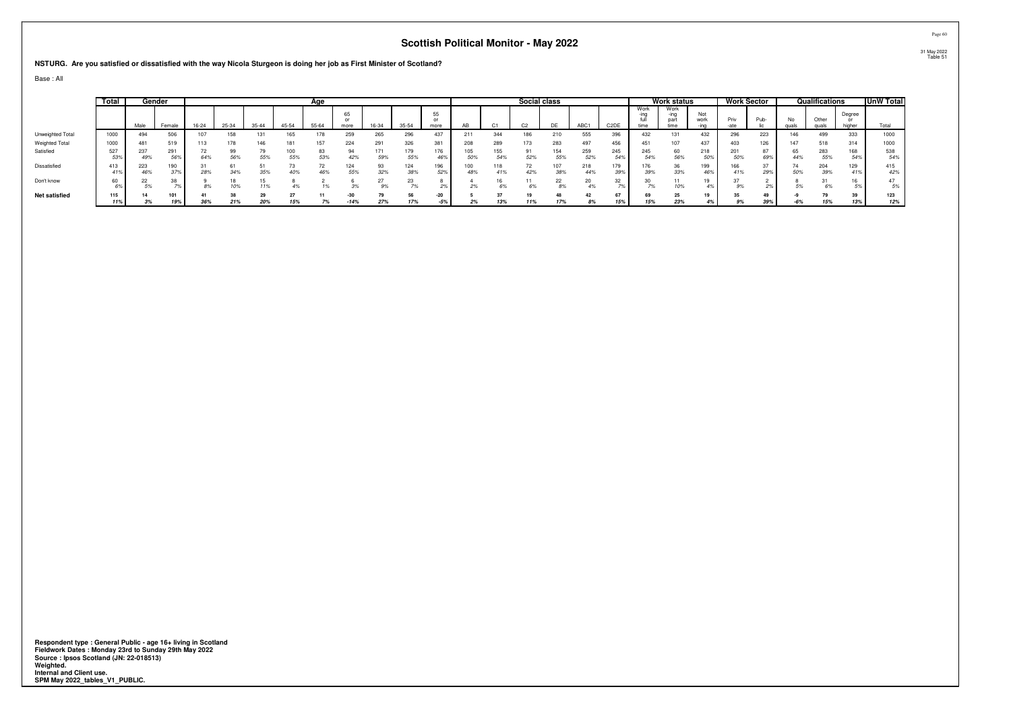#### **NSTURG. Are you satisfied or dissatisfied with the way Nicola Sturgeon is doing her job as First Minister of Scotland?**

Base : All

|                       | Total |            | Gender     |           |       |           |            | Age       |            |            |            |            |            |            | Social class   |            |                  |                   |                      | Work status          |             |            | Work Sector |     | Qualifications |                  | UnW Total  |
|-----------------------|-------|------------|------------|-----------|-------|-----------|------------|-----------|------------|------------|------------|------------|------------|------------|----------------|------------|------------------|-------------------|----------------------|----------------------|-------------|------------|-------------|-----|----------------|------------------|------------|
|                       |       | Male       | Female     | $16 - 24$ | 25-34 | $35 - 44$ | 45-54      | 55-64     | 65<br>more | 16-34      | 35-54      | 55<br>more |            |            | C <sub>2</sub> | DF         | ABC <sub>1</sub> | C <sub>2</sub> DE | Work<br>-ınq<br>time | Work<br>part<br>time | Not<br>work | Priv       | Pub-        | No  | Other<br>qual  | Degree<br>higher | Total      |
| Unweighted Total      | 1000  | 494        | 506        | 107       | 158   | 131       | 165        | 178       | 259        | 265        | 296        | 437        | 211        | 344        | 186            | 210        | 555              | 396               | 432                  | 131                  | 432         | 296        | 223         | 146 | 499            | 333              | 1000       |
| <b>Weighted Total</b> | 1000  | 481        | 519        | 113       | 178   | 146       | 18         | 157       | 224        | 291        | 326        | 381        | 208        | 289        |                | 283        | 497              | 456               | 451                  | 107                  | 437         | 403        | 126         | 147 | 518            | 314              | 1000       |
| Satisfied             | 527   | 49%        | 56%        | 64%       | 56%   | 55%       | 100<br>55% | 83<br>53% | 94<br>42%  | 171<br>59% | 79<br>55%  | 176<br>46% | 50%        | 155<br>54% | 52%            | 154<br>55% | 259<br>52%       | 245<br>54%        | 245<br>54%           | 60<br>56%            | 218         | 201<br>50% | 69%         | 44% | 283<br>55%     | 168<br>54%       | 538<br>54% |
| Dissatisfied          | 413   | 223<br>46% | 190<br>37% | 28%       | 34%   | 35%       | 40%        | 46%       | 124<br>55% | 93<br>32%  | 124<br>38% | 196<br>52% | 100<br>48% | 41%        | 42%            | 38%        | 218<br>44%       | 179<br>39%        | 176<br>39%           | 36<br>33%            | 199<br>469  | 66<br>41%  | 29%         |     | 204<br>39%     | 129              | 415<br>42% |
| Don't know            | 60    |            |            |           | 10%   | 11%       |            |           |            | 9%         |            | 2%         |            | 6%         |                |            |                  | 32                |                      | 10%                  |             |            |             |     | 6%             |                  |            |
| <b>Net satisfied</b>  | 115   |            | 101        |           |       |           |            |           | $-30$      |            |            | $-20$      |            |            |                |            |                  |                   |                      | 25                   |             |            |             |     |                |                  | 123        |
|                       |       | 3%         | 19%        | 36%       | 21%   | 20%       | 15%        | 7%        | $-14%$     | 27%        | 17%        | $-5%$      | 2%         | 13%        | 11%            | 17%        | 8%               | 15%               | 15%                  | 23%                  |             | 9%         | 39%         | -6% | 15%            | 13%              | 12%        |

Respondent type : General Public - age 16+ living in Scotland<br>Fieldwork Dates : Monday 23rd to Sunday 29th May 2022<br>Source : Ipsos Scotland (JN: 22-018513)<br>Weighted.<br>Internal and Client use.<br>SPM May 2022\_tables\_V1\_PUBLIC.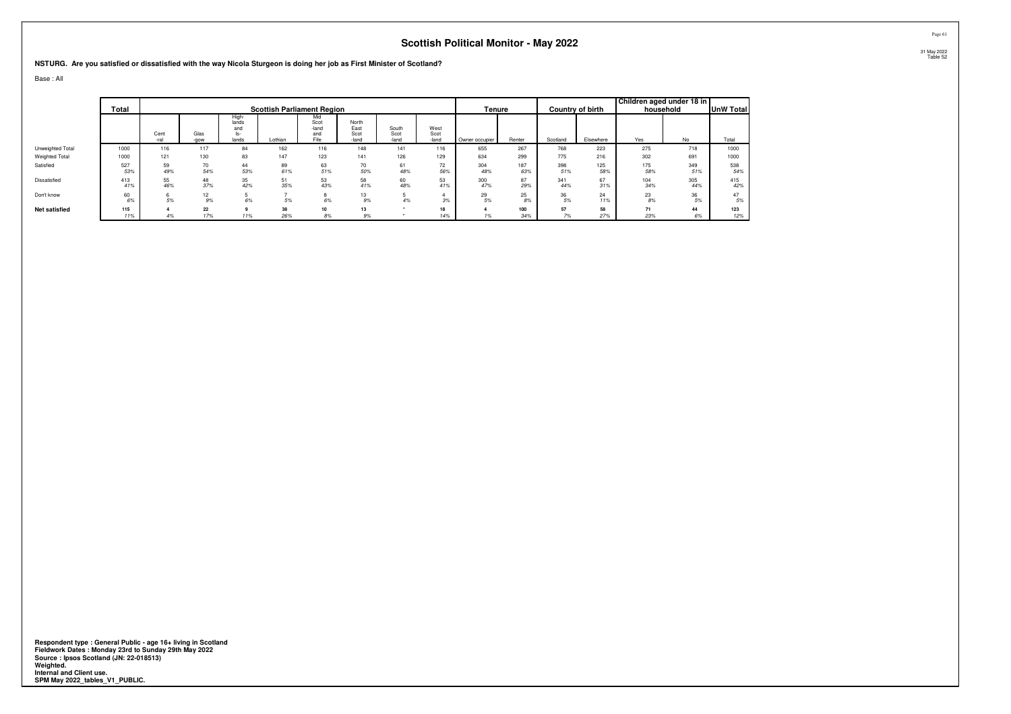#### **NSTURG. Are you satisfied or dissatisfied with the way Nicola Sturgeon is doing her job as First Minister of Scotland?**

Base : All

|                      |            |              |              |                                      |                                   |                                     |                                |                        |                       |                |            |            |                         | Children aged under 18 in |            |                  |
|----------------------|------------|--------------|--------------|--------------------------------------|-----------------------------------|-------------------------------------|--------------------------------|------------------------|-----------------------|----------------|------------|------------|-------------------------|---------------------------|------------|------------------|
|                      | Total      |              |              |                                      | <b>Scottish Parliament Region</b> |                                     |                                |                        |                       | Tenure         |            |            | <b>Country of birth</b> |                           | household  | <b>UnW Total</b> |
|                      |            | Cent<br>-ral | Glas<br>-gow | High<br>lands<br>and<br>ls-<br>lands | Lothian                           | Mid<br>Scot<br>-land<br>and<br>Fife | North<br>East<br>Scot<br>-land | South<br>Scot<br>-land | West<br>Scot<br>-land | Owner occupier | Renter     | Scotland   | Elsewhere               | Yes                       | No         | Total            |
| Unweighted Total     | 1000       | 116          | 117          | 84                                   | 162                               | 116                                 | 148                            | 141                    | 116                   | 655            | 267        | 768        | 223                     | 275                       | 718        | 1000             |
| Weighted Total       | 1000       | 121          | 130          | 83                                   | 147                               | 123                                 | 141                            | 126                    | 129                   | 634            | 299        | 775        | 216                     | 302                       | 691        | 1000             |
| Satisfied            | 527<br>53% | 59<br>49%    | 70<br>54%    | 44<br>53%                            | 89<br>61%                         | 63<br>51%                           | 70<br>50%                      | 61<br>48%              | 72<br>56%             | 304<br>48%     | 187<br>63% | 398<br>51% | 125<br>58%              | 175<br>58%                | 349<br>51% | 538<br>54%       |
| Dissatisfied         | 413<br>41% | 55<br>46%    | 48<br>37%    | 35<br>42%                            | 51<br>35%                         | 53<br>43%                           | 58<br>41%                      | 60<br>48%              | 53<br>41%             | 300<br>47%     | 87<br>29%  | 341<br>44% | 67<br>31%               | 104<br>34%                | 305<br>44% | 415<br>42%       |
| Don't know           | 60<br>6%   | 5%           | 12<br>9%     | 6%                                   | 5%                                | 6%                                  | 13<br>9%                       | 4%                     | 3%                    | 29<br>5%       | 25<br>8%   | 36<br>5%   | 24<br>11%               | 23<br>8%                  | 36<br>5%   | 47<br>5%         |
| <b>Net satisfied</b> | 115<br>11% | 4%           | 22<br>17%    | 11%                                  | 38<br>26%                         | 10<br>8%                            | 13<br>9%                       |                        | 18<br>14%             |                | 100<br>34% | 57<br>7%   | 58<br>27%               | 71<br>23%                 | 44<br>6%   | 123<br>12%       |
|                      |            |              |              |                                      |                                   |                                     |                                |                        |                       |                |            |            |                         |                           |            |                  |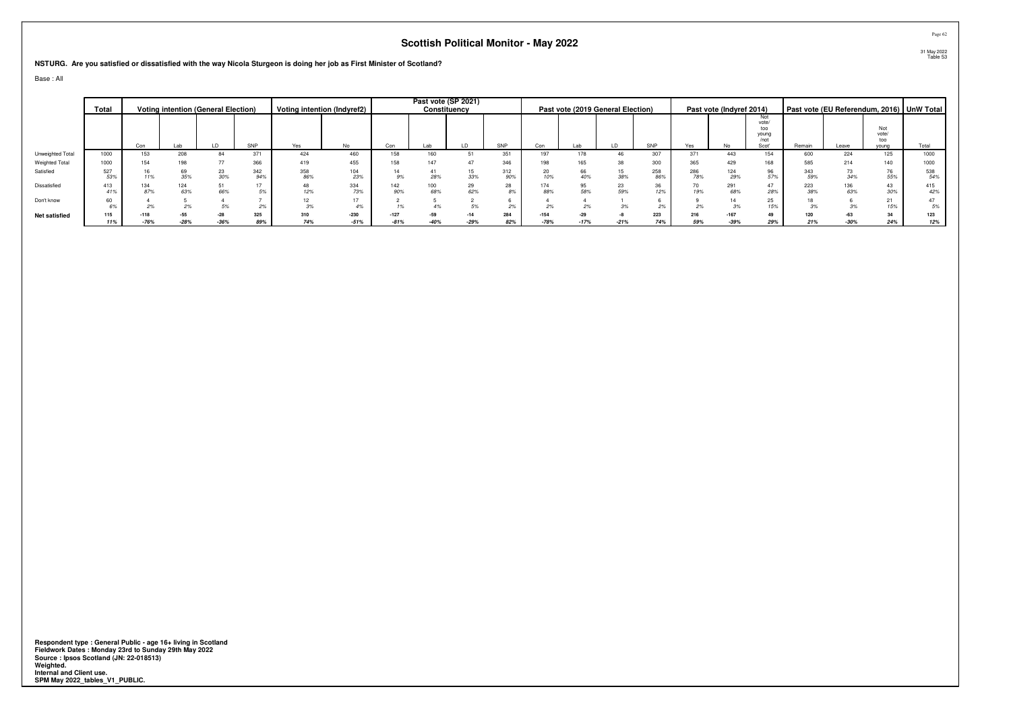**NSTURG. Are you satisfied or dissatisfied with the way Nicola Sturgeon is doing her job as First Minister of Scotland?**

Base : All

|                      | Total      |                  |                 | <b>Voting intention (General Election)</b> |            |            | Voting intention (Indyref2) |                  |     | Past vote (SP 2021)<br>Constituency |              |                  |        | Past vote (2019 General Election) |            |            | Past vote (Indyref 2014) |                                      |            |       |                     | Past vote (EU Referendum, 2016) UnW Total |
|----------------------|------------|------------------|-----------------|--------------------------------------------|------------|------------|-----------------------------|------------------|-----|-------------------------------------|--------------|------------------|--------|-----------------------------------|------------|------------|--------------------------|--------------------------------------|------------|-------|---------------------|-------------------------------------------|
|                      |            |                  |                 |                                            |            |            |                             |                  |     |                                     |              |                  |        |                                   |            |            |                          | Not<br>vote/<br>too<br>young<br>/not |            |       | Not<br>vote/<br>too |                                           |
|                      |            | Con              |                 |                                            | SNP        | Yes        | No                          | Con              | Lab |                                     | SNP          |                  |        | LD                                | SNP        | Yes        |                          | Scot'                                | Remain     | Leave | young               | Total                                     |
| Unweighted Total     | 1000       | 153              | 208             | 84                                         | 371        | 424        | 460                         | 158              |     |                                     | 351          | 197              |        | 46                                | 207        | 371        | 443                      | 154                                  | 600        | 224   | 125                 | 1000                                      |
| Weighted Total       | 1000       | 154              | 198             |                                            | 366        | 419        | 455                         |                  |     |                                     | 346          | 198              |        | 38                                | 300        | 365        | 429                      | 168                                  | 585        | 214   | 140                 | 1000                                      |
| Satisfied            | 527<br>53% |                  | 69<br>35%       | 30%                                        | 342<br>94% | 358<br>86% | 104<br>23%                  | 9%               | 28% | 15<br>33%                           | 312<br>90%   | 20<br>10%        | 40%    | 15<br>38%                         | 258<br>86% | 286<br>78% | 29%                      | 96<br>57%                            | 343<br>59% |       | 76<br>55%           | 538<br>54%                                |
| Dissatisfied         | 413<br>41% | 87%              | 124<br>63%      | 51<br>66%                                  |            | 12%        | 334<br>73%                  | 90%              | 68% | 29<br>62%                           | $\sim$<br>8% | 174<br>88%       | 58%    | 23<br>59%                         | 36<br>12%  | 70<br>19%  | 291<br>68%               | 47<br>28%                            | 223<br>38% | 63%   | 43<br>30%           | 415<br>42%                                |
| Don't know           | 60<br>6%   |                  |                 |                                            |            | 3%         | 17<br>4%                    |                  |     |                                     |              |                  |        |                                   |            |            |                          | 25<br>15%                            |            |       | 21<br>15%           | 47<br>5%                                  |
| <b>Net satisfied</b> | 115<br>11% | $-118$<br>$-76%$ | $-55$<br>$-28%$ |                                            | 325<br>89% | 310<br>74% | $-230$<br>$-51%$            | $-127$<br>$-81%$ |     | $-14$<br>$-29%$                     | 284<br>82%   | $-154$<br>$-78%$ | $-17%$ | $-21%$                            | 223<br>74% | 216<br>59% | $-167$<br>$-39%$         | 49<br>29%                            | 120<br>21% |       | 34<br>24%           | 123<br>12%                                |

**Respondent type : General Public - age 16+ living in Scotland Fieldwork Dates : Monday 23rd to Sunday 29th May 2022 Source : Ipsos Scotland (JN: 22-018513) Weighted. Internal and Client use. SPM May 2022\_tables\_V1\_PUBLIC.**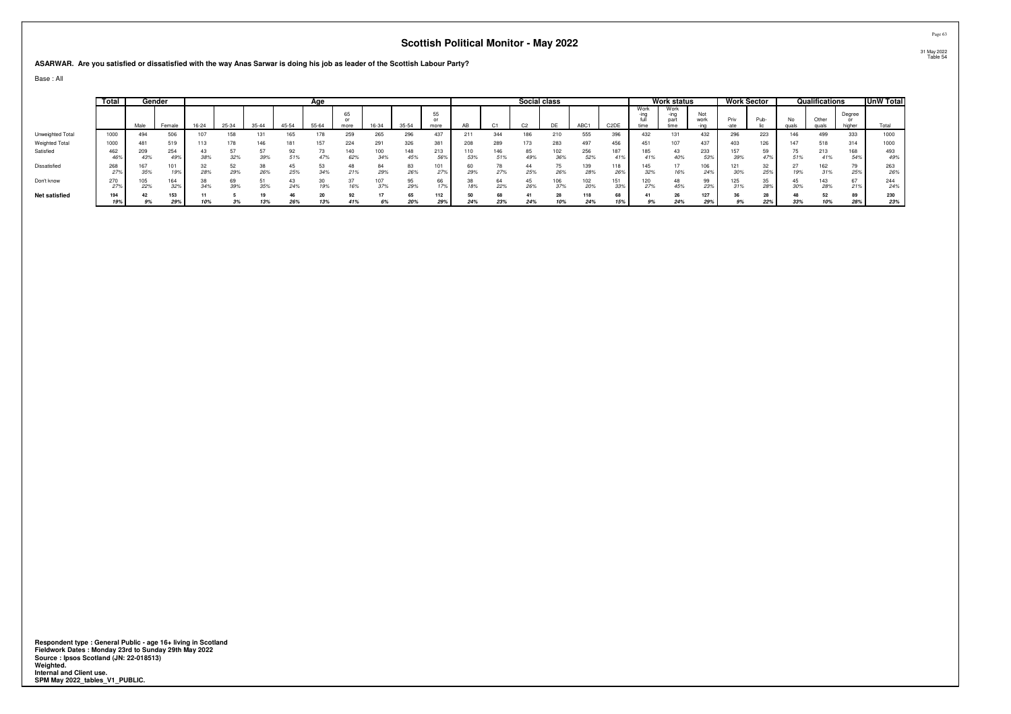**ASARWAR. Are you satisfied or dissatisfied with the way Anas Sarwar is doing his job as leader of the Scottish Labour Party?**

Base : All

|                      | Total      |            | Gender     |       |       |           |           | Age   |            |            |            |                          |            |            | Social class   |            |            |                   |                      | <b>Work status</b>   |             |            | Work Sector |     | Qualifications |                  | UnW Total  |
|----------------------|------------|------------|------------|-------|-------|-----------|-----------|-------|------------|------------|------------|--------------------------|------------|------------|----------------|------------|------------|-------------------|----------------------|----------------------|-------------|------------|-------------|-----|----------------|------------------|------------|
|                      |            | Male       | Female     | 16-24 | 25-34 | $35 - 44$ | 45-54     | 55-64 | 65<br>more | 16-34      | $35 - 54$  | 55<br>$^{\circ}$<br>more | AB         |            | C <sub>2</sub> | DE         | ABC1       | C <sub>2</sub> DE | Work<br>-ıng<br>time | Work<br>-ing<br>time | Not<br>work | Priv       | Pub-        | No  | Other<br>guals | Degree<br>higher | Total      |
| Unweighted Total     | 1000       | 494        | 506        |       | 158   | 131       | 165       | 178   | 259        | 265        | 296        | 437                      | 211        | 344        | 186            | 210        | 555        | 396               | 432                  | 131                  | 432         | 296        | 223         | 146 | 499            | 333              | 1000       |
| Weighted Total       | 1000       | 481        | 519        | 113   | 178   | 146       | 181       | 157   | 224        | 291        | 326        | 381                      | 208        | 289        | 173            | 283        | 497        | 456               | 451                  | 107                  | 437         | 403        | 126         | 147 | 518            | 314              | 1000       |
| Satisfied            | 462<br>46% | 209<br>43% | 254<br>49% | 38%   | 32%   | 39%       | 92<br>51% | 73    | 140<br>62% | 100<br>34% | 148<br>45% | 213<br>56%               | 110<br>53% | 146<br>51% | 49%            | 102<br>36% | 256<br>52% | 187               | 185<br>41%           | 43<br>40%            | 233<br>539  | 39%        | 47%         |     | 213<br>41%     | 168<br>54%       | 493<br>49% |
| Dissatisfied         | 268<br>27% | 35%        | 101<br>19% | 28%   | 29%   | 26%       | 25%       | 34%   | 21%        | 84<br>29%  | 26%        | 27%                      | 29%        | 27%        | 25%            | 26%        | 139<br>28% | 118<br>26%        | 32%                  | 16%                  | 106<br>249  | 30%        | 32<br>25%   |     | 162<br>31%     | 25%              | 263<br>26% |
| Don't know           | 270<br>27% | 22%        | 164<br>32% |       | 39%   | 35%       | 24%       | 19%   | 16%        | 37%        | 29%        | 17%                      | 18%        | 64<br>22%  | 26%            | 06<br>37%  | 102<br>20% | 151<br>33%        | 120<br>27%           | 48<br>45%            | 99<br>239   | 125<br>31% | 35<br>28%   |     | 143<br>28%     | 21%              | 244<br>24% |
| <b>Net satisfied</b> | 194<br>19% | 42<br>9%   | 153<br>29% | 10%   | 3%    | 19<br>13% | 26%       | 13%   | 92<br>41%  | 6%         | 65<br>20%  | 112<br>29%               | 24%        | 68<br>23%  | 24%            | 28<br>10%  | 118<br>24% | 68<br>15%         | 9%                   | 26<br>24%            | 29%         | 9%         | 22%         | 33% | 10%            | 89<br>28%        | 230<br>23% |
|                      |            |            |            |       |       |           |           |       |            |            |            |                          |            |            |                |            |            |                   |                      |                      |             |            |             |     |                |                  |            |

Respondent type : General Public - age 16+ living in Scotland<br>Fieldwork Dates : Monday 23rd to Sunday 29th May 2022<br>Source : Ipsos Scotland (JN: 22-018513)<br>Weighted.<br>Internal and Client use.<br>SPM May 2022\_tables\_V1\_PUBLIC.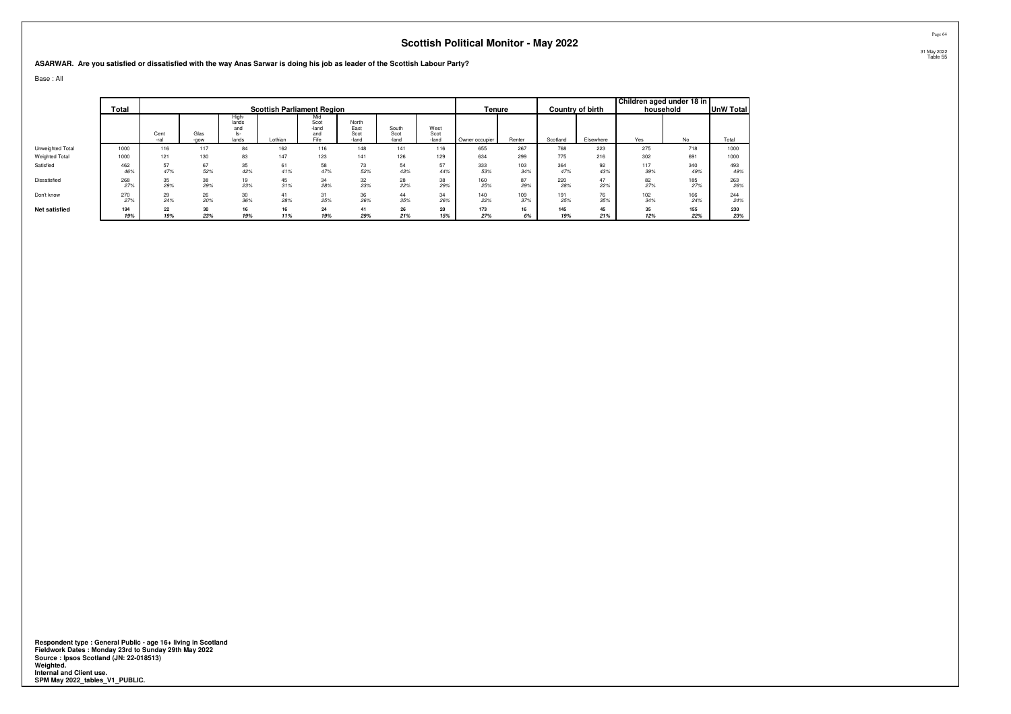**ASARWAR. Are you satisfied or dissatisfied with the way Anas Sarwar is doing his job as leader of the Scottish Labour Party?**

Base : All

|                      |            |              |              |                                       |                                   |                                     |                                |                        |                       |                |            |            |                         | Children aged under 18 in |            |                  |
|----------------------|------------|--------------|--------------|---------------------------------------|-----------------------------------|-------------------------------------|--------------------------------|------------------------|-----------------------|----------------|------------|------------|-------------------------|---------------------------|------------|------------------|
|                      | Total      |              |              |                                       | <b>Scottish Parliament Region</b> |                                     |                                |                        |                       | Tenure         |            |            | <b>Country of birth</b> |                           | household  | <b>UnW Total</b> |
|                      |            | Cent<br>-ral | Glas<br>-gow | High-<br>lands<br>and<br>ls-<br>lands | Lothian                           | Mid<br>Scot<br>-land<br>and<br>Fife | North<br>East<br>Scot<br>-land | South<br>Scot<br>-land | West<br>Scot<br>-land | Owner occupier | Renter     | Scotland   | Elsewhere               | Yes                       | No         | Total            |
| Unweighted Total     | 1000       | 116          | 117          | 84                                    | 162                               | 116                                 | 148                            | 141                    | 116                   | 655            | 267        | 768        | 223                     | 275                       | 718        | 1000             |
| Weighted Total       | 1000       | 121          | 130          | 83                                    | 147                               | 123                                 | 141                            | 126                    | 129                   | 634            | 299        | 775        | 216                     | 302                       | 691        | 1000             |
| Satisfied            | 462<br>46% | 57<br>47%    | 67<br>52%    | 35<br>42%                             | 61<br>41%                         | 58<br>47%                           | 73<br>52%                      | 54<br>43%              | 57<br>44%             | 333<br>53%     | 103<br>34% | 364<br>47% | 92<br>43%               | 117<br>39%                | 340<br>49% | 493<br>49%       |
| Dissatisfied         | 268<br>27% | 35<br>29%    | 38<br>29%    | 19<br>23%                             | 45<br>31%                         | 34<br>28%                           | 32<br>23%                      | 28<br>22%              | 38<br>29%             | 160<br>25%     | 87<br>29%  | 220<br>28% | 47<br>22%               | 82<br>27%                 | 185<br>27% | 263<br>26%       |
| Don't know           | 270<br>27% | 29<br>24%    | 26<br>20%    | 30<br>36%                             | 41<br>28%                         | 31<br>25%                           | 36<br>26%                      | 44<br>35%              | 34<br>26%             | 140<br>22%     | 109<br>37% | 191<br>25% | 76<br>35%               | 102<br>34%                | 166<br>24% | 244<br>24%       |
| <b>Net satisfied</b> | 194<br>19% | 22<br>19%    | 30<br>23%    | 16<br>19%                             | 16<br>11%                         | 24<br>19%                           | 41<br>29%                      | 26<br>21%              | 20<br>15%             | 173<br>27%     | 16<br>6%   | 145<br>19% | 45<br>21%               | 35<br>12%                 | 155<br>22% | 230<br>23%       |

**Respondent type : General Public - age 16+ living in Scotland Fieldwork Dates : Monday 23rd to Sunday 29th May 2022 Source : Ipsos Scotland (JN: 22-018513) Weighted. Internal and Client use. SPM May 2022\_tables\_V1\_PUBLIC.**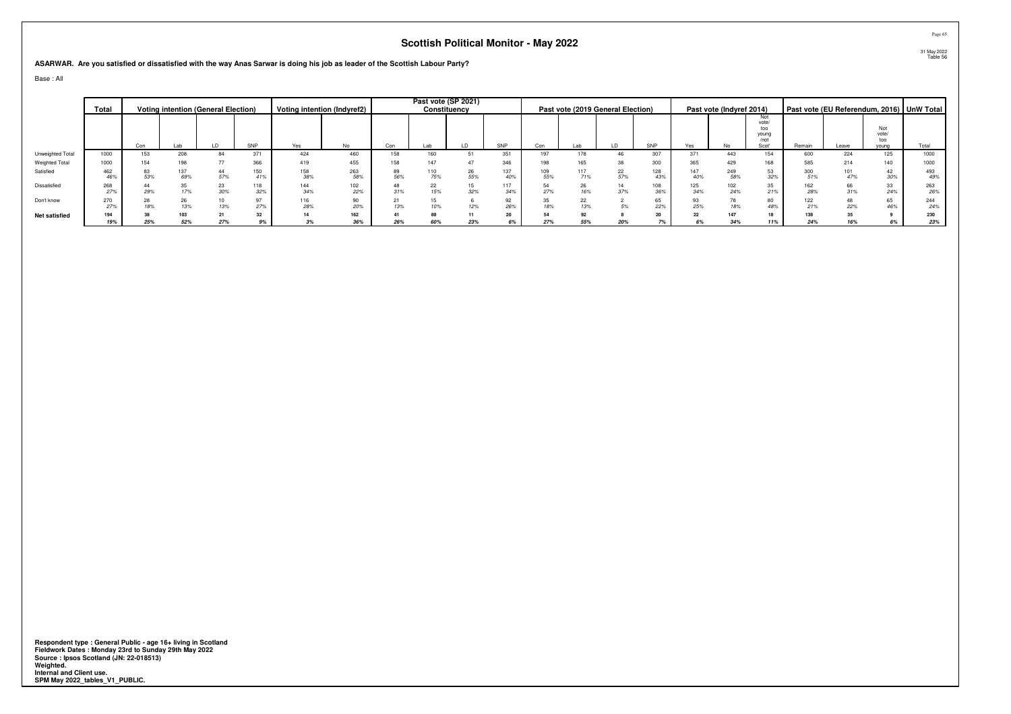**ASARWAR. Are you satisfied or dissatisfied with the way Anas Sarwar is doing his job as leader of the Scottish Labour Party?**

Base : All

|                      | Total      |     |            | <b>Voting intention (General Election)</b> |            |            | Voting intention (Indyref2) |     |           | Past vote (SP 2021)<br>Constituency |            |            |           | Past vote (2019 General Election) |            |            | Past vote (Indyref 2014) |                                               |            |       |                              | Past vote (EU Referendum, 2016) UnW Total |
|----------------------|------------|-----|------------|--------------------------------------------|------------|------------|-----------------------------|-----|-----------|-------------------------------------|------------|------------|-----------|-----------------------------------|------------|------------|--------------------------|-----------------------------------------------|------------|-------|------------------------------|-------------------------------------------|
|                      |            | Con |            |                                            | SNP        | Yes        | No                          | Con | Lab       |                                     | SNP        | Con        |           | LD                                | SNP        | Yes        | No                       | Not<br>vote/<br>too<br>young<br>/not<br>Scot' | Remain     | Leave | Not<br>vote/<br>too<br>vouna | Total                                     |
| Unweighted Total     | 1000       | 153 | 208        | 84                                         | 371        | 424        | 460                         | 158 | 160       |                                     | 351        | 197        |           | 46                                | 307        | 371        | 443                      | 154                                           | 600        | 224   | 125                          | 1000                                      |
| Weighted Total       | 1000       | 154 | 198        |                                            | 366        | 419        | 455                         |     |           |                                     | 346        |            |           |                                   | 300        | 365        |                          | 168                                           | 585        |       | 140                          | 1000                                      |
| Satisfied            | 462<br>46% | 53% | 137<br>69% | 57%                                        | 150<br>41% | 158<br>38% | 263<br>58%                  | 56% | 75%       | 26<br>55%                           | 137<br>40% | 109<br>55% | 71%       | 22<br>57%                         | 128        | 147<br>40% | 249<br>58%               | 53<br>32%                                     | 300<br>51% |       | 42<br>30%                    | 493<br>49%                                |
| Dissatisfied         | 268<br>27% | 29% | 17%        | 23<br>30%                                  | 118<br>32% | 144<br>34% | 102<br>22%                  | 31% | 22<br>15% | 15<br>32%                           | 117<br>34% | 54<br>27%  | 16%       | 14<br>37%                         | 108<br>36% | 125<br>34% | 102<br>24%               | 35<br>21%                                     | 162<br>28% |       | 33<br>24%                    | 263<br>26%                                |
| Don't know           | 270<br>27% | 18% | 26<br>13%  | 13%                                        | 97<br>27%  | 116<br>28% | 90<br>20%                   | 13% |           | 12%                                 | 92<br>26%  | 35<br>18%  | 13%       |                                   | 65         | 25%        | 78                       | 80<br>48%                                     | 122<br>21% |       | 65<br>46%                    | 244<br>24%                                |
| <b>Net satisfied</b> | 194        | 25% | 103<br>52% | 27%                                        | 32         | 14         | 162                         | 26% |           |                                     | 20<br>6%   | 54<br>27%  | 92<br>55% | 20%                               | 20         | 22         | 147<br>34%               | 18                                            | 138<br>24% |       |                              | 230                                       |
|                      | 19%        |     |            |                                            | 9%         | 3%         | 36%                         |     | 60%       | 23%                                 |            |            |           |                                   |            | 6%         |                          | 11%                                           |            |       | 6%                           | 23%                                       |

**Respondent type : General Public - age 16+ living in Scotland Fieldwork Dates : Monday 23rd to Sunday 29th May 2022 Source : Ipsos Scotland (JN: 22-018513) Weighted. Internal and Client use. SPM May 2022\_tables\_V1\_PUBLIC.**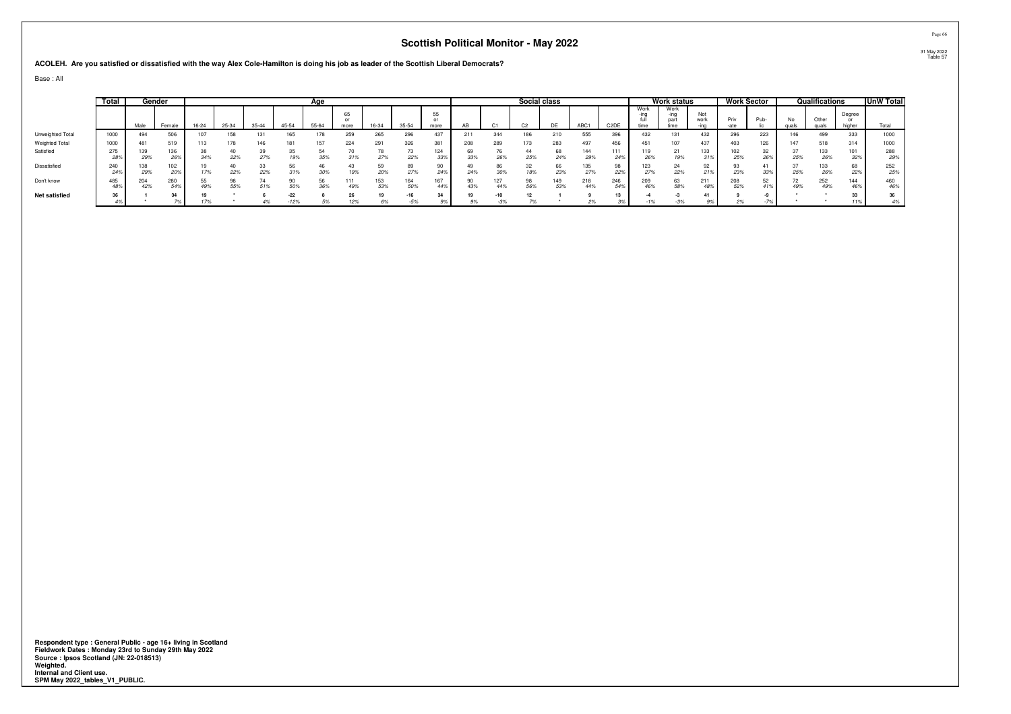**ACOLEH. Are you satisfied or dissatisfied with the way Alex Cole-Hamilton is doing his job as leader of the Scottish Liberal Democrats?**

Base : All

|                       | Total      |            | Gender     |       |       |           |                 | Age       |            |            |              |                          |     |            | Social class   |           |            |                   |                      | <b>Work status</b>           |             |            | Work Sector |             | Qualifications |                  | UnW Total  |
|-----------------------|------------|------------|------------|-------|-------|-----------|-----------------|-----------|------------|------------|--------------|--------------------------|-----|------------|----------------|-----------|------------|-------------------|----------------------|------------------------------|-------------|------------|-------------|-------------|----------------|------------------|------------|
|                       |            | Male       | Female     | 16-24 | 25-34 | $35 - 44$ | 45-54           | 55-64     | 65<br>more | 16-34      | $35 - 54$    | 55<br>$^{\circ}$<br>more | AB  |            | C <sub>2</sub> | <b>DE</b> | ABC1       | C <sub>2</sub> DE | Work<br>-ina<br>time | Work<br>-ing<br>part<br>time | Not<br>work | Priv       | Pub-        | No<br>quals | <b>GULA</b>    | Degree<br>higher | Total      |
| Unweighted Total      | 1000       | 494        | 506        |       | 158   | 131       | 165             |           | 259        | 265        | 296          | 437                      | 211 | 344        | 186            | 210       | 555        | 396               | 432                  | 131                          | 432         | 296        | 223         | 146         | 499            | 333              | 1000       |
| <b>Weighted Total</b> | 1000       | 481        | 519        |       |       | 146       | 181             | 157       | 224        | 291        | 326          | 381                      | 208 | 289        | 173            | 283       | 497        | 456               | 451                  | 107                          | 437         | 403        | 126         | 147         | 518            | 314              | 1000       |
| Satisfied             | 275<br>28% | 139<br>29% | 136<br>26% |       | 22%   | 39<br>27% | 19%             | 35%       | 31%        | 27%        | 22%          | 124<br>33%               | 33% | 26%        | 25%            | 68<br>24% | 144<br>29% | 111<br>24%        | 26%                  | 21<br>19%                    | 133         | 02<br>25%  | 26%         | 25%         | 133<br>26%     | 101<br>32%       | 288<br>29% |
| Dissatisfied          | 240<br>24% | 29%        | 102<br>20% | 17%   | 22%   | 33<br>22% | 31%             | 30%       | 19%        | 20%        | 27%          | 24%                      | 24% | 30%        | 18%            | 66<br>23% | 27%        | 98<br>229         | 123<br>27%           | 22%                          |             | 23%        | 33%         | 25%         | 133<br>26%     | 22%              | 252<br>25% |
| Don't know            | 485<br>48% | 204<br>42% | 280<br>54% |       | 55%   | 51%       | 50%             | 56<br>36% | 111<br>49% | 153<br>53% | 164<br>50%   | 44%                      | 43% | 127<br>44% | 98<br>56%      | 53%       | 218<br>44% | 246<br>54%        | 209<br>46%           | 63<br>58%                    | 211<br>48%  | 208<br>52% | 52<br>41%   | 49%         | 252<br>49%     | 144<br>46%       | 460<br>46% |
| <b>Net satisfied</b>  | 36<br>49   |            | 24         | 17%   |       | 4%        | $-22$<br>$-12%$ | 5%        | 12%        | 6%         | -16<br>$-5%$ | 2 <sub>A</sub><br>9%     | 9%  | $-3%$      |                |           | 2%         |                   | $-1%$                | $-3%$                        |             | 2%         | $-7%$       |             |                | 11%              | 36         |

Respondent type : General Public - age 16+ living in Scotland<br>Fieldwork Dates : Monday 23rd to Sunday 29th May 2022<br>Source : Ipsos Scotland (JN: 22-018513)<br>Weighted.<br>Internal and Client use.<br>SPM May 2022\_tables\_V1\_PUBLIC.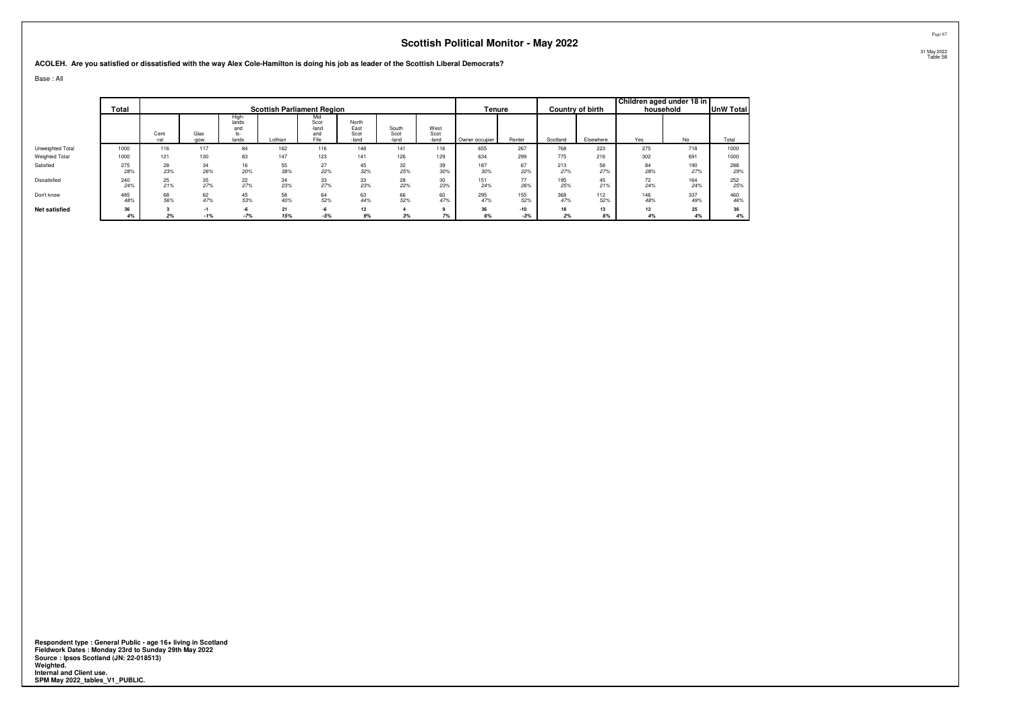#### **ACOLEH. Are you satisfied or dissatisfied with the way Alex Cole-Hamilton is doing his job as leader of the Scottish Liberal Democrats?**

Base : All

|                      | Total      |              |              |                                       | <b>Scottish Parliament Region</b> |                                     |                                |                        |                       | Tenure         |            |            | <b>Country of birth</b> | Children aged under 18 in | household  | <b>UnW Total</b> |
|----------------------|------------|--------------|--------------|---------------------------------------|-----------------------------------|-------------------------------------|--------------------------------|------------------------|-----------------------|----------------|------------|------------|-------------------------|---------------------------|------------|------------------|
|                      |            | Cent<br>-ral | Glas<br>-gow | High-<br>lands<br>and<br>ls-<br>lands | Lothian                           | Mid<br>Scot<br>-land<br>and<br>Fife | North<br>East<br>Scot<br>-land | South<br>Scot<br>-land | West<br>Scot<br>-land | Owner occupier | Renter     | Scotland   | Elsewhere               | Yes                       | No         | Total            |
| Unweighted Total     | 1000       | 116          | 117          | 84                                    | 162                               | 116                                 | 148                            | 141                    | 116                   | 655            | 267        | 768        | 223                     | 275                       | 718        | 1000             |
| Weighted Total       | 1000       | 121          | 130          | 83                                    | 147                               | 123                                 | 141                            | 126                    | 129                   | 634            | 299        | 775        | 216                     | 302                       | 691        | 1000             |
| Satisfied            | 275<br>28% | 28<br>23%    | 34<br>26%    | 16<br>20%                             | 55<br>38%                         | 27<br>22%                           | 45<br>32%                      | 32<br>25%              | 39<br>30%             | 187<br>30%     | 67<br>22%  | 213<br>27% | 58<br>27%               | 84<br>28%                 | 190<br>27% | 288<br>29%       |
| Dissatisfied         | 240<br>24% | 25<br>21%    | 35<br>27%    | 22<br>27%                             | 34<br>23%                         | 33<br>27%                           | 33<br>23%                      | 28<br>22%              | 30<br>23%             | 151<br>24%     | 77<br>26%  | 195<br>25% | 45<br>21%               | 72<br>24%                 | 164<br>24% | 252<br>25%       |
| Don't know           | 485<br>48% | 68<br>56%    | 62<br>47%    | 45<br>53%                             | 58<br>40%                         | 64<br>52%                           | 63<br>44%                      | 66<br>52%              | 60<br>47%             | 295<br>47%     | 155<br>52% | 368<br>47% | 112<br>52%              | 146<br>48%                | 337<br>49% | 460<br>46%       |
| <b>Net satisfied</b> | 36         |              |              | -6                                    | 21                                | -6                                  | 12                             |                        |                       | 36             | $-10$      | 18         | 13                      | 12                        | 25         | 36               |
|                      | 4%         | 2%           | $-1%$        | $-7%$                                 | 15%                               | $-5%$                               | 9%                             | 3%                     | 7%                    | 6%             | $-3%$      | 2%         | 6%                      | 4%                        | 4%         | 4%               |

Respondent type : General Public - age 16+ living in Scotland<br>Fieldwork Dates : Monday 23rd to Sunday 29th May 2022<br>Source : Ipsos Scotland (JN: 22-018513)<br>Weighted.<br>Internal and Client use.<br>SPM May 2022\_tables\_V1\_PUBLIC.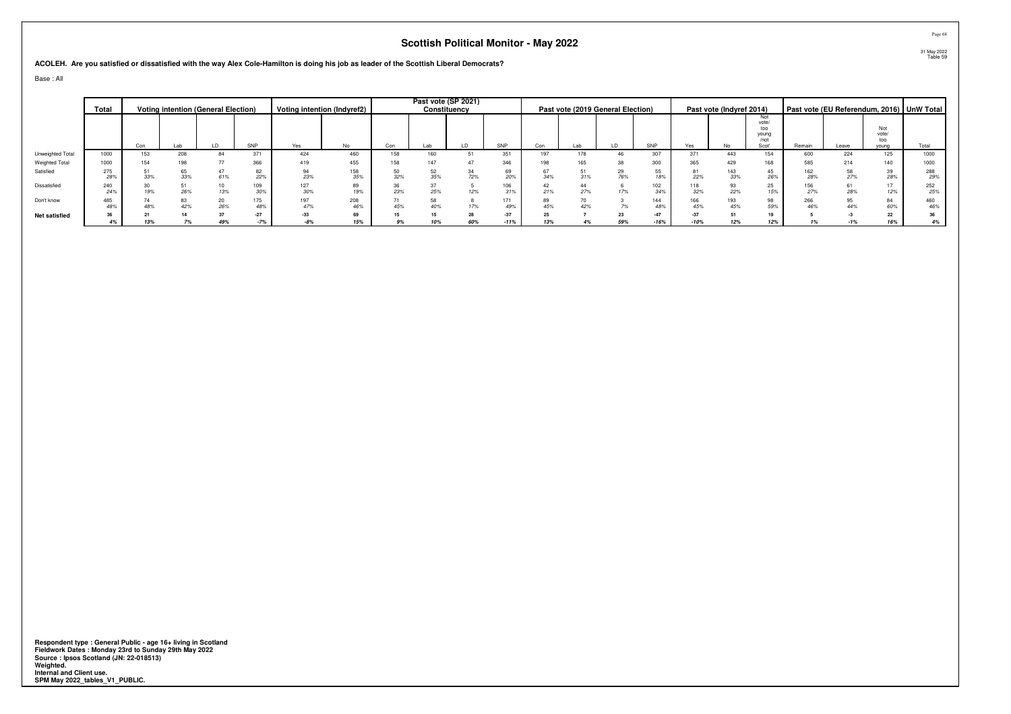**ACOLEH. Are you satisfied or dissatisfied with the way Alex Cole-Hamilton is doing his job as leader of the Scottish Liberal Democrats?**

Base : All

|                  | Total      |     |     | <b>Voting intention (General Election)</b> |            |            | Voting intention (Indyref2) |     |     | Past vote (SP 2021)<br>Constituency |                 |           |     | Past vote (2019 General Election) |                 |                 | Past vote (Indyref 2014) |                                      |            |       |                     | Past vote (EU Referendum, 2016) UnW Total |
|------------------|------------|-----|-----|--------------------------------------------|------------|------------|-----------------------------|-----|-----|-------------------------------------|-----------------|-----------|-----|-----------------------------------|-----------------|-----------------|--------------------------|--------------------------------------|------------|-------|---------------------|-------------------------------------------|
|                  |            |     |     |                                            |            |            |                             |     |     |                                     |                 |           |     |                                   |                 |                 |                          | Not<br>vote/<br>too<br>vouna<br>/not |            |       | Not<br>vote/<br>too |                                           |
|                  |            | Con | Lab | LD                                         | SNP        | Yes        | No.                         | Con | Lab |                                     | SNP             | Con       |     |                                   | SNP             | Yes             | No                       | Scot'                                | Remain     | Leave | young               | Total                                     |
| Unweighted Total | 1000       | 153 | 208 | 84                                         | 371        | 424        | 460                         | 158 | 160 |                                     | 351             |           |     | 46                                | 307             | 371             | 443                      | 154                                  | 600        | 224   | 125                 | 1000                                      |
| Weighted Total   | 1000       | 154 | 198 |                                            | 366        | 419        | 455                         | 158 | 147 |                                     | 346             |           |     | 38                                | 300             | 365             | 429                      | 168                                  | 585        | 214   | 140                 | 1000                                      |
| Satisfied        | 275<br>28% | 33% | 33% | 61%                                        | 82<br>22%  | 94<br>23%  | 158<br>35%                  | 32% |     | 72%                                 | 69<br>20%       | 34%       | 31% | 29<br>76%                         | 55<br>18%       | 81<br>22%       | 143<br>33%               | 45<br>26%                            | 162<br>28% |       | 39<br>28%           | 288<br>29%                                |
| Dissatisfied     | 240<br>24% | 19% | 26% | 13%                                        | 109<br>30% | 127<br>30% | 89<br>19%                   | 23% |     | 12%                                 | 106<br>31%      | 21%       | 27% | 17%                               | 102<br>34%      | 118<br>32%      | 22%                      | 25<br>15%                            | 156<br>27% |       | 17<br>12%           | 252<br>25%                                |
| Don't know       | 485<br>48% | 48% | 42% | 20<br>26%                                  | 175<br>48% | 197<br>47% | 208<br>46%                  | 45% |     |                                     | 171<br>49%      | 89<br>45% |     |                                   | 144             | 166<br>45%      | 193<br>45%               | 98<br>59%                            | 266<br>46% |       | 84<br>60%           | 460<br>46%                                |
| Net satisfied    | 36<br>4%   | 13% |     | 49%                                        | $-27$      | $-33$      | 69<br>15%                   | 9%  | 10% | 60%                                 | $-37$<br>$-11%$ | 25<br>13% |     | 59%                               | $-47$<br>$-16%$ | $-37$<br>$-10%$ |                          | 19<br>12%                            |            |       | 22<br>16%           | 36<br>4%                                  |

**Respondent type : General Public - age 16+ living in Scotland Fieldwork Dates : Monday 23rd to Sunday 29th May 2022 Source : Ipsos Scotland (JN: 22-018513) Weighted. Internal and Client use. SPM May 2022\_tables\_V1\_PUBLIC.**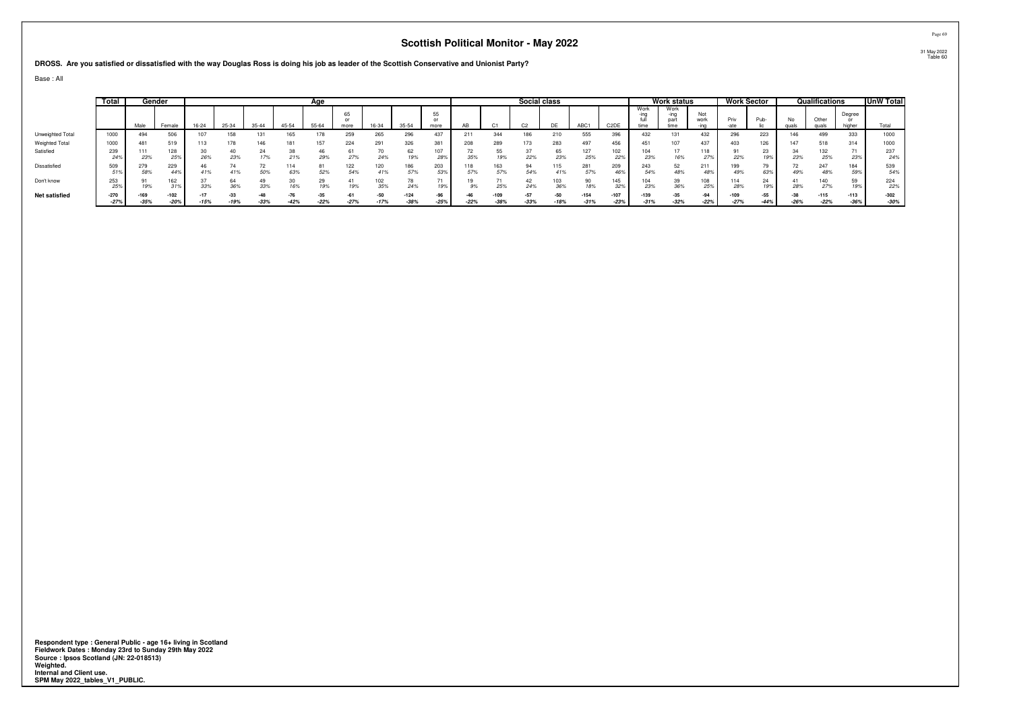**DROSS. Are you satisfied or dissatisfied with the way Douglas Ross is doing his job as leader of the Scottish Conservative and Unionist Party?**

Base : All

|                       | Total      |            | Gender           |           |        |           |            | Age             |            |                 |                  |                 |        |                  | Social class   |                 |                  |                   |                      | Work status     |               | Work Sector      |                 |               | Qualifications       |                  | UnW Total        |
|-----------------------|------------|------------|------------------|-----------|--------|-----------|------------|-----------------|------------|-----------------|------------------|-----------------|--------|------------------|----------------|-----------------|------------------|-------------------|----------------------|-----------------|---------------|------------------|-----------------|---------------|----------------------|------------------|------------------|
|                       |            | Male       | Female           | $16 - 24$ | 25-34  | $35 - 44$ | 45-54      | 55-64           | 65<br>more | 16-34           | 35-54            | 55<br>more      |        |                  | C <sub>2</sub> | DE              | ABC <sub>1</sub> | C <sub>2</sub> DE | Work<br>-ınq<br>time | Work<br>part    | Not<br>work   | Priv             | Pub-            | No            | Other<br><b>CLID</b> | Degree<br>higher | Total            |
| Unweighted Total      | 1000       | 494        | 506              | 107       | 158    | 131       | 165        | 78              | 259        | 265             | 296              | 437             | 211    | 344              |                | 210             | 555              | 396               | 432                  | 131             | 432           | 296              | 223             | 146           | 499                  | 333              | 1000             |
| <b>Weighted Total</b> | 1000       | 481        | 519              | 113       | 178    | 146       | 18         | 157             | 224        | 291             | 326              | 381             | 208    | 289              |                | 283             | 497              | 456               | 451                  | 107             | 437           | 403              | 126             | 147           | 518                  | 314              | 1000             |
| Satisfied             | 239<br>24% | 23%        | 128<br>25%       | 26%       | 23%    | 17%       | 21%        | 29%             | 27%        | 24%             | 19%              | 28%             | 35%    | 19%              | 22%            | 65<br>23%       | 127<br>25%       | 102<br>22%        | 104<br>23%           | 16%             | 118           | 22%              | 23<br>19%       | 23%           | 132<br>25%           | 23%              | 237<br>24%       |
| Dissatisfied          | 509        | 279<br>58% | 229<br>44%       | 41%       |        | 72<br>50% | 114<br>63% | 81<br>52%       | 122<br>54% | 120<br>41%      | 186<br>57%       | 203<br>53%      |        | 163<br>57%       | 54%            | 115<br>41%      | 281<br>57%       | 209<br>46%        | 243<br>54%           | 52<br>48%       | 211<br>487    | 49%              | 63%             |               | 247<br>48%           | 184<br>59%       | 539<br>54%       |
| Don't know            | 253<br>25% | 19%        | 162<br>31%       | 33%       | 36%    | 33%       | 16%        | 29<br>19%       | 19%        | 102<br>35%      | 24%              | 19%             |        | 25%              | 24%            | 36%             | 18%              | 145<br>32%        | 104<br>23%           | 39<br>36%       |               | 28%              | $\Omega$<br>19% | 28%           | 140<br>27%           | 19%              | 224<br>22%       |
| <b>Net satisfied</b>  | $-270$     | $-35%$     | $-102$<br>$-20%$ | $-15%$    | $-19%$ | $-33%$    | $-42%$     | $-35$<br>$-22%$ | $-27%$     | $-50$<br>$-17%$ | $-124$<br>$-38%$ | $-96$<br>$-25%$ | $-22%$ | $-109$<br>$-38%$ | $-33%$         | $-50$<br>$-18%$ | $-154$<br>$-31%$ | $-107$            | $-139$<br>$-31%$     | $-35$<br>$-32%$ | -94<br>$-229$ | $-109$<br>$-27%$ | $-55$<br>$-44%$ | -38<br>$-26%$ | $-115$<br>$-22%$     | $-113$<br>$-36%$ | $-302$<br>$-30%$ |
|                       |            |            |                  |           |        |           |            |                 |            |                 |                  |                 |        |                  |                |                 |                  | $-23%$            |                      |                 |               |                  |                 |               |                      |                  |                  |

Respondent type : General Public - age 16+ living in Scotland<br>Fieldwork Dates : Monday 23rd to Sunday 29th May 2022<br>Source : Ipsos Scotland (JN: 22-018513)<br>Weighted.<br>Internal and Client use.<br>SPM May 2022\_tables\_V1\_PUBLIC.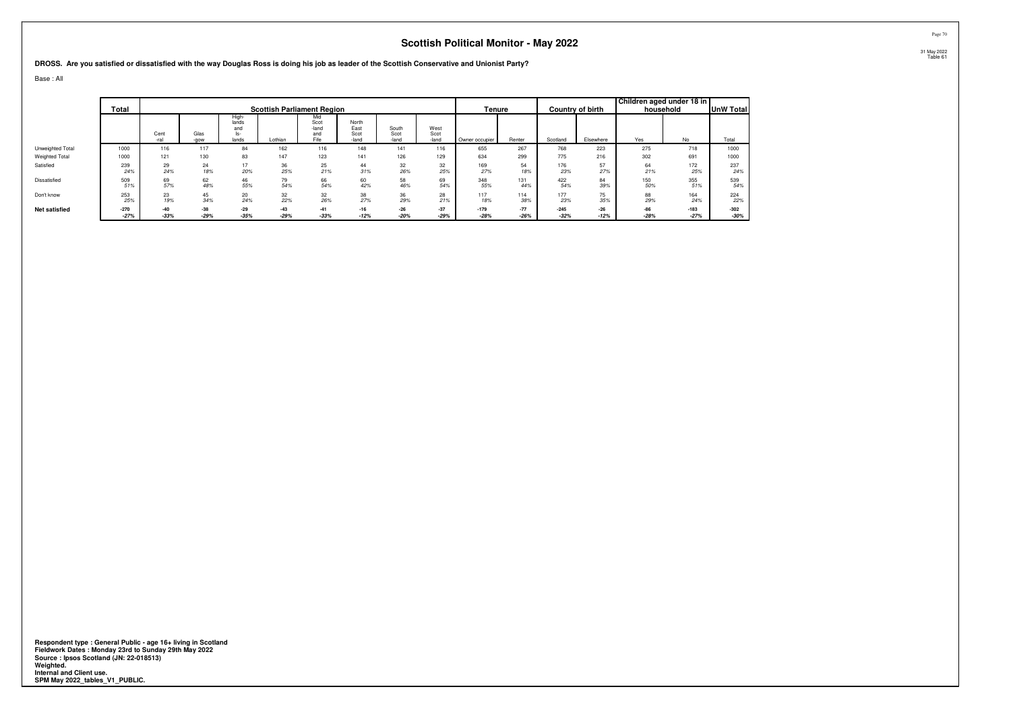**DROSS. Are you satisfied or dissatisfied with the way Douglas Ross is doing his job as leader of the Scottish Conservative and Unionist Party?**

Base : All

|                      | <b>Total</b> |              |              |                                       | <b>Scottish Parliament Region</b> |                                     |                                |                        |                       | Tenure         |        |          | Country of birth | Children aged under 18 in | household | <b>UnW Total</b> |
|----------------------|--------------|--------------|--------------|---------------------------------------|-----------------------------------|-------------------------------------|--------------------------------|------------------------|-----------------------|----------------|--------|----------|------------------|---------------------------|-----------|------------------|
|                      |              | Cent<br>-ral | Glas<br>-gow | High-<br>lands<br>and<br>ls-<br>lands | Lothian                           | Mid<br>Scot<br>-land<br>and<br>Fife | North<br>East<br>Scot<br>-land | South<br>Scot<br>-land | West<br>Scot<br>-land | Owner occupier | Renter | Scotland | Elsewhere        | Yes                       | No        | Total            |
| Unweighted Total     | 1000         | 116          | 117          | 84                                    | 162                               | 116                                 | 148                            | 141                    | 116                   | 655            | 267    | 768      | 223              | 275                       | 718       | 1000             |
| Weighted Total       | 1000         | 121          | 130          | 83                                    | 147                               | 123                                 | 141                            | 126                    | 129                   | 634            | 299    | 775      | 216              | 302                       | 691       | 1000             |
| Satisfied            | 239          | 29           | 24           | 17                                    | 36                                | 25                                  | 44                             | 32                     | 32                    | 169            | 54     | 176      | 57               | 64                        | 172       | 237              |
|                      | 24%          | 24%          | 18%          | 20%                                   | 25%                               | 21%                                 | 31%                            | 26%                    | 25%                   | 27%            | 18%    | 23%      | 27%              | 21%                       | 25%       | 24%              |
| Dissatisfied         | 509          | 69           | 62           | 46                                    | 79                                | 66                                  | 60                             | 58                     | 69                    | 348            | 131    | 422      | 84               | 150                       | 355       | 539              |
|                      | 51%          | 57%          | 48%          | 55%                                   | 54%                               | 54%                                 | 42%                            | 46%                    | 54%                   | 55%            | 44%    | 54%      | 39%              | 50%                       | 51%       | 54%              |
| Don't know           | 253          | 23           | 45           | 20                                    | 32                                | 32                                  | 38                             | 36                     | 28                    | 117            | 114    | 177      | 75               | 88                        | 164       | 224              |
|                      | 25%          | 19%          | 34%          | 24%                                   | 22%                               | 26%                                 | 27%                            | 29%                    | 21%                   | 18%            | 38%    | 23%      | 35%              | 29%                       | 24%       | 22%              |
| <b>Net satisfied</b> | $-270$       | $-40$        | $-38$        | $-29$                                 | $-43$                             | $-41$                               | $-16$                          | $-26$                  | $-37$                 | $-179$         | $-77$  | $-245$   | $-26$            | $-86$                     | $-183$    | $-302$           |
|                      | $-27%$       | $-33%$       | $-29%$       | $-35%$                                | $-29%$                            | $-33%$                              | $-12%$                         | $-20%$                 | $-29%$                | $-28%$         | $-26%$ | $-32%$   | $-12%$           | $-28%$                    | $-27%$    | $-30%$           |

**Respondent type : General Public - age 16+ living in Scotland Fieldwork Dates : Monday 23rd to Sunday 29th May 2022 Source : Ipsos Scotland (JN: 22-018513) Weighted. Internal and Client use. SPM May 2022\_tables\_V1\_PUBLIC.**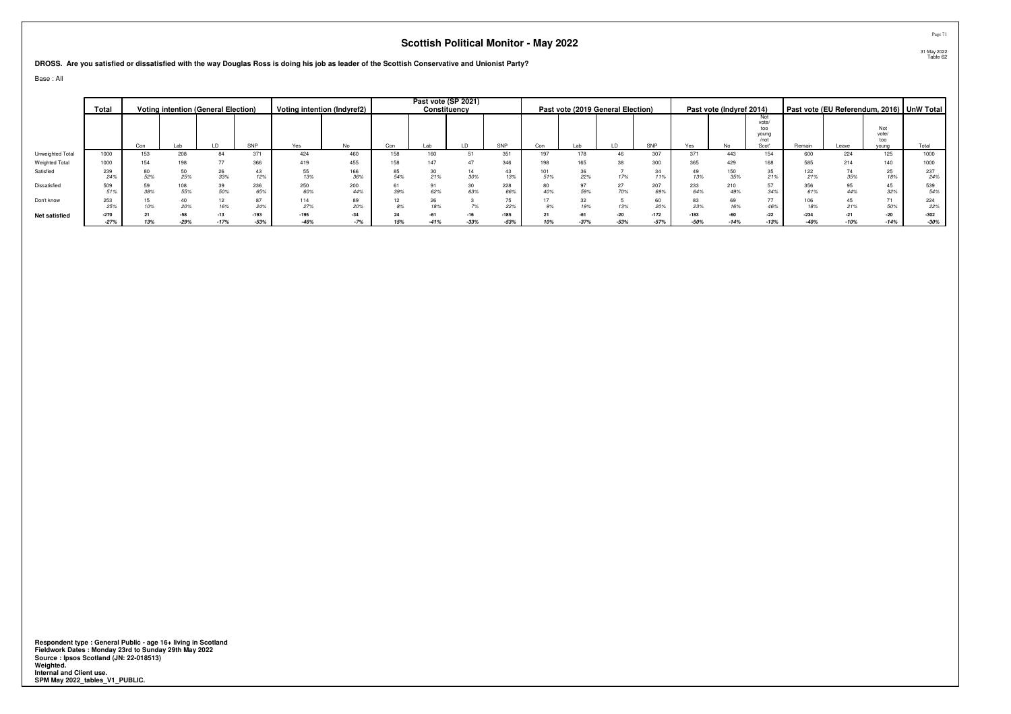**DROSS. Are you satisfied or dissatisfied with the way Douglas Ross is doing his job as leader of the Scottish Conservative and Unionist Party?**

Base : All

|                      | Total            |     |           | <b>Voting intention (General Election)</b> |                  |                  | Voting intention (Indyref2) |          |     | Past vote (SP 2021)<br>Constituency |                |            | Past vote (2019 General Election) |                 |                  |                  | Past vote (Indyref 2014) |                                               |                  |       |                       | Past vote (EU Referendum, 2016)   UnW Total |
|----------------------|------------------|-----|-----------|--------------------------------------------|------------------|------------------|-----------------------------|----------|-----|-------------------------------------|----------------|------------|-----------------------------------|-----------------|------------------|------------------|--------------------------|-----------------------------------------------|------------------|-------|-----------------------|---------------------------------------------|
|                      |                  | Con | Lab       |                                            | SNP              | Yes              | No                          | Con      | Lab |                                     | SNP            | Con        | Lab                               |                 | SNP              | Yes              |                          | Not<br>vote/<br>too<br>young<br>/not<br>Scot' | Remain           | Leave | vote/<br>too<br>young | Total                                       |
| Unweighted Total     | 1000             | 153 | 208       | 84                                         | 371              | 424              | 460                         | 158      | 160 |                                     | 351            | 197        | 178                               |                 | 307              | 371              | 443                      | 154                                           | 600              | 224   | 125                   | 1000                                        |
| Weighted Total       | 1000             | 154 | 198       |                                            | 366              | 419              | 455                         | 158      |     |                                     | 346            | 198        |                                   |                 | 300              | 365              | 429                      | 168                                           | 585              | 214   | 140                   | 1000                                        |
| Satisfied            | 239<br>24%       |     | 25%       | 26<br>33%                                  |                  | 55<br>13%        | 166<br>36%                  | 54%      |     | 30%                                 |                | 101<br>51% | 22%                               | 17%             | 34<br>11%        | 49<br>13%        | 150<br>35%               | 35<br>21%                                     | 122<br>21%       |       | 25<br>18%             | 237<br>24%                                  |
| Dissatisfied         | 509<br>51%       | 38% | 08<br>55% | 50%                                        | 236<br>65%       | 250<br>60%       | 200<br>44%                  | 39%      | 62% | 63%                                 | 228<br>66%     | 40%        | 59%                               | 27<br>70%       | 207<br>69%       | 233<br>64%       | 210<br>49%               | 57<br>34%                                     | 356<br>61%       |       | 45<br>32%             | 539<br>54%                                  |
| Don't know           | 253<br>25%       |     | 20%       | 16%                                        | 24%              | 114<br>27%       | 89<br>20%                   | 12<br>8% |     |                                     | 22%            | 9%         | 19%                               | 13%             | 60               | 23%              | 69<br>16%                | 77<br>46%                                     | 106<br>18%       |       | 71<br>50%             | 224<br>22%                                  |
| <b>Net satisfied</b> | $-270$<br>$-27%$ | 13% | $-29%$    | $-13$<br>$-17%$                            | $-193$<br>$-53%$ | $-195$<br>$-46%$ | $-34$<br>$-7%$              | 15%      |     | $-16$<br>$-33%$                     | -185<br>$-53%$ | 10%        | $-37%$                            | $-20$<br>$-53%$ | $-172$<br>$-57%$ | $-183$<br>$-50%$ | -60<br>14%               | $-22$<br>$-13%$                               | $-234$<br>$-40%$ |       | $-20$<br>$-14%$       | $-302$<br>$-30%$                            |

**Respondent type : General Public - age 16+ living in Scotland Fieldwork Dates : Monday 23rd to Sunday 29th May 2022 Source : Ipsos Scotland (JN: 22-018513) Weighted. Internal and Client use. SPM May 2022\_tables\_V1\_PUBLIC.**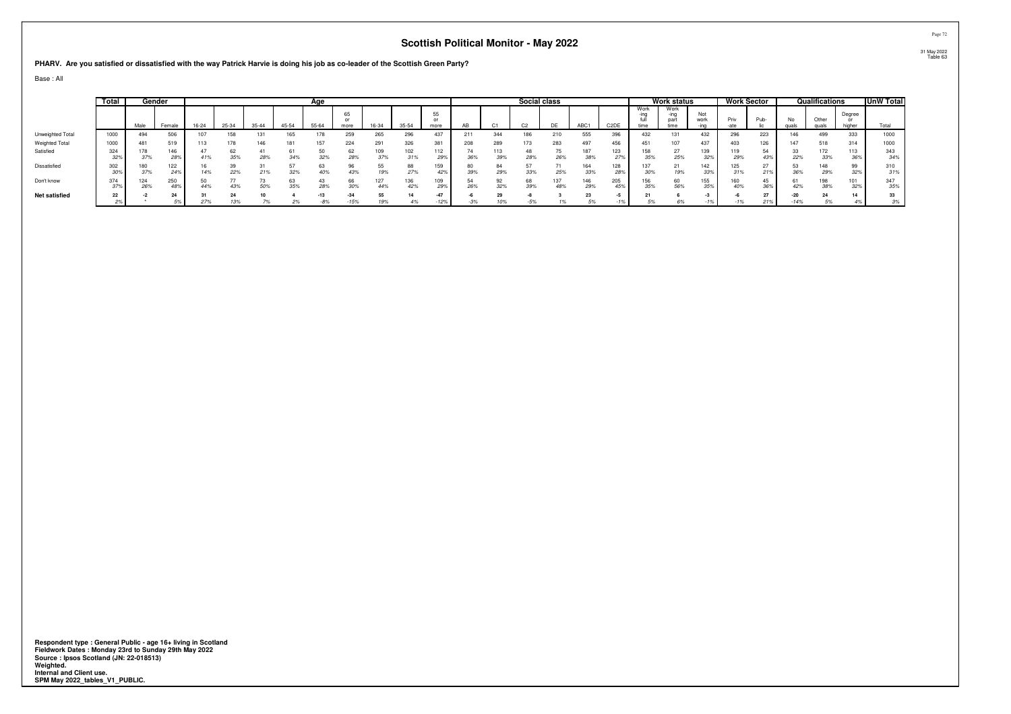**PHARV. Are you satisfied or dissatisfied with the way Patrick Harvie is doing his job as co-leader of the Scottish Green Party?**

Base : All

|                      | Total      |             | Gender            |       |       |           |       | Age       |                 |            |            |                          |       |            | Social class   |           |            |                   |                      | <b>Work status</b>           |             |            | Work Sector |               | Qualifications |                  | UnW Total  |
|----------------------|------------|-------------|-------------------|-------|-------|-----------|-------|-----------|-----------------|------------|------------|--------------------------|-------|------------|----------------|-----------|------------|-------------------|----------------------|------------------------------|-------------|------------|-------------|---------------|----------------|------------------|------------|
|                      |            | Male        | Female            | 16-24 | 25-34 | $35 - 44$ | 45-54 | 55-64     | 65<br>more      | 16-34      | $35 - 54$  | 55<br>$^{\circ}$<br>more | AB    |            | C <sub>2</sub> | <b>DE</b> | ABC1       | C <sub>2</sub> DE | Work<br>-ina<br>time | Work<br>-ing<br>part<br>time | Not<br>work | Priv       | Pub-        | No<br>quals   | <b>GULA</b>    | Degree<br>higher | Total      |
| Unweighted Total     | 1000       | 494         | 506               |       | 158   | 131       | 165   |           | 259             | 265        | 296        | 437                      | 211   | 344        | 186            | 210       | 555        | 396               | 432                  | 131                          | 432         | 296        | 223         | 146           | 499            | 333              | 1000       |
| Weighted Total       | 1000       | 481         | 519               |       |       | 146       | 181   | 157       | 224             | 291        | 326        | 381                      | 208   | 289        | 173            | 283       | 497        | 456               | 451                  | 107                          | 437         | 403        | 126         | 147           | 518            | 314              | 1000       |
| Satisfied            | 324<br>32% | 37%         | 146<br>28%        | 41%   | 35%   | 28%       | 34%   | 32%       | 62<br>28%       | 109<br>37% | 102        | 112<br>29%               | 36%   | 113<br>39% | 28%            | 26%       | 38%        | 123<br>27%        | 158<br>35%           | 27<br>25%                    | 139<br>32%  | 29%        | 43%         | 22%           | 172<br>33%     | 113<br>36%       | 343<br>34% |
| Dissatisfied         | 302<br>30% | 37%         | 122<br><b>24%</b> |       | 22%   | 21%       | 32%   | 40%       | 43%             | 19%        | 27%        | 59<br>42%                | 39%   | 29%        | 33%            | 25%       | 33%        | 128               | 30%                  | 21<br>19%                    | 142<br>33%  | 31%        | 21%         | 36%           | 148<br>29%     | 32%              | 310<br>31% |
| Don't know           | 374<br>37% | 124.<br>26% | 250<br>48%        |       | 43%   | 50%       | 35%   | 43<br>28% | 66<br>30%       | 27<br>44%  | 136<br>42% | 29%                      | 26%   | 32%        | 68<br>39%      | 48%       | 146<br>29% | 205<br>45%        | 156<br>35%           | 60<br>56%                    | 155<br>35%  | 160<br>40% | 36%         | 42%           | 198<br>38%     | 101<br>32%       | 347<br>35% |
| <b>Net satisfied</b> | 22<br>2%   |             | 24                | 27%   | 13%   | 7%        | 2%    | $-8%$     | $-34$<br>$-15%$ | 55<br>19%  | 4%         | $-47$<br>$-12%$          | $-3%$ | 29<br>10%  | $-5%$          |           | J 70       |                   | 5%                   |                              |             |            | 27<br>21%   | -20<br>$-14%$ | 5%             | 14<br>4%         | 33<br>3%   |

Respondent type : General Public - age 16+ living in Scotland<br>Fieldwork Dates : Monday 23rd to Sunday 29th May 2022<br>Source : Ipsos Scotland (JN: 22-018513)<br>Weighted.<br>Internal and Client use.<br>SPM May 2022\_tables\_V1\_PUBLIC.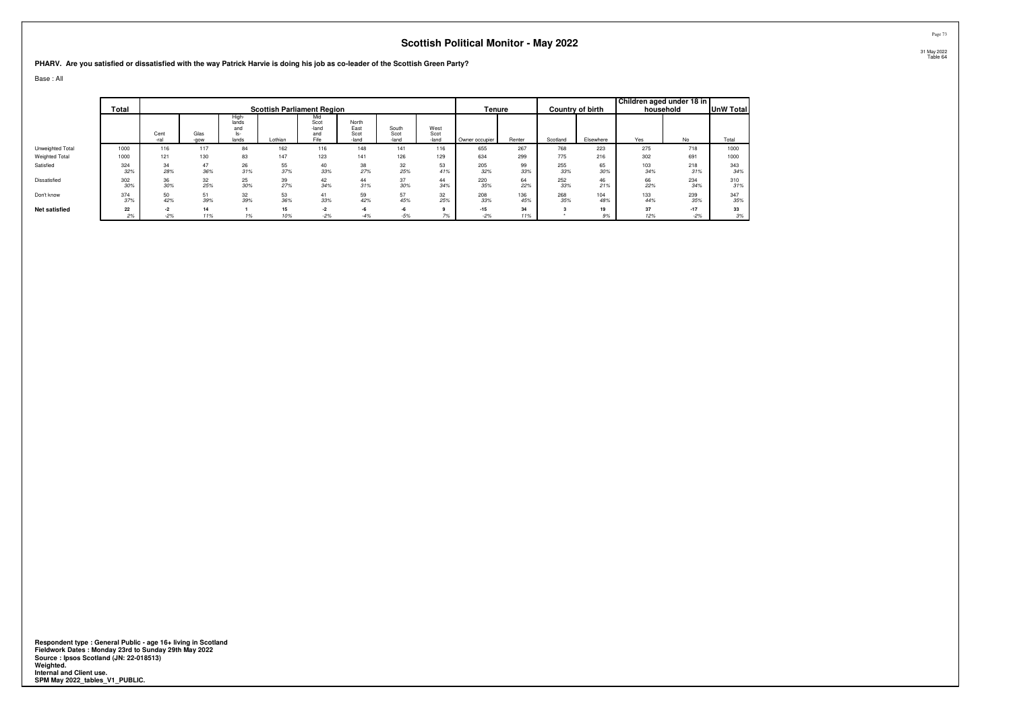#### **PHARV. Are you satisfied or dissatisfied with the way Patrick Harvie is doing his job as co-leader of the Scottish Green Party?**

Base : All

|                      | Total      |              |              |                                      | <b>Scottish Parliament Region</b> |                                     |                                |                        |                       | Tenure         |            |            | Country of birth | Children aged under 18 in | household  | <b>UnW Total</b> |
|----------------------|------------|--------------|--------------|--------------------------------------|-----------------------------------|-------------------------------------|--------------------------------|------------------------|-----------------------|----------------|------------|------------|------------------|---------------------------|------------|------------------|
|                      |            | Cent<br>-ral | Glas<br>-gow | High<br>lands<br>and<br>ls-<br>lands | Lothian                           | Mid<br>Scot<br>-land<br>and<br>Fife | North<br>East<br>Scot<br>-land | South<br>Scot<br>-land | West<br>Scot<br>-land | Owner occupier | Renter     | Scotland   | Elsewhere        | Yes                       | No         | Total            |
| Unweighted Total     | 1000       | 116          | 117          | 84                                   | 162                               | 116                                 | 148                            | 141                    | 116                   | 655            | 267        | 768        | 223              | 275                       | 718        | 1000             |
| Weighted Total       | 1000       | 121          | 130          | 83                                   | 147                               | 123                                 | 141                            | 126                    | 129                   | 634            | 299        | 775        | 216              | 302                       | 691        | 1000             |
| Satisfied            | 324<br>32% | 34<br>28%    | 47<br>36%    | 26<br>31%                            | 55<br>37%                         | 40<br>33%                           | 38<br>27%                      | 32<br>25%              | 53<br>41%             | 205<br>32%     | 99<br>33%  | 255<br>33% | 65<br>30%        | 103<br>34%                | 218<br>31% | 343<br>34%       |
| Dissatisfied         | 302<br>30% | 36<br>30%    | 32<br>25%    | 25<br>30%                            | 39<br>27%                         | 42<br>34%                           | 44<br>31%                      | 37<br>30%              | 44<br>34%             | 220<br>35%     | 64<br>22%  | 252<br>33% | 46<br>21%        | 66<br>22%                 | 234<br>34% | 310<br>31%       |
| Don't know           | 374<br>37% | 50<br>42%    | 51<br>39%    | 32<br>39%                            | 53<br>36%                         | 41<br>33%                           | 59<br>42%                      | 57<br>45%              | 32<br>25%             | 208<br>33%     | 136<br>45% | 268<br>35% | 104<br>48%       | 133<br>44%                | 239<br>35% | 347<br>35%       |
| <b>Net satisfied</b> | 22         | $-2$         | 14           |                                      | 15                                | $-2$                                | $-6$                           |                        |                       | $-15$          | 34         |            | 19               | 37                        | $-17$      | 33               |
|                      | 2%         | $-2%$        | 11%          |                                      | 10%                               | $-2%$                               | $-4%$                          | $-5%$                  |                       | $-2%$          | 11%        |            | 9%               | 12%                       | $-2%$      | 3%               |

Respondent type : General Public - age 16+ living in Scotland<br>Fieldwork Dates : Monday 23rd to Sunday 29th May 2022<br>Source : Ipsos Scotland (JN: 22-018513)<br>Weighted.<br>Internal and Client use.<br>SPM May 2022\_tables\_V1\_PUBLIC.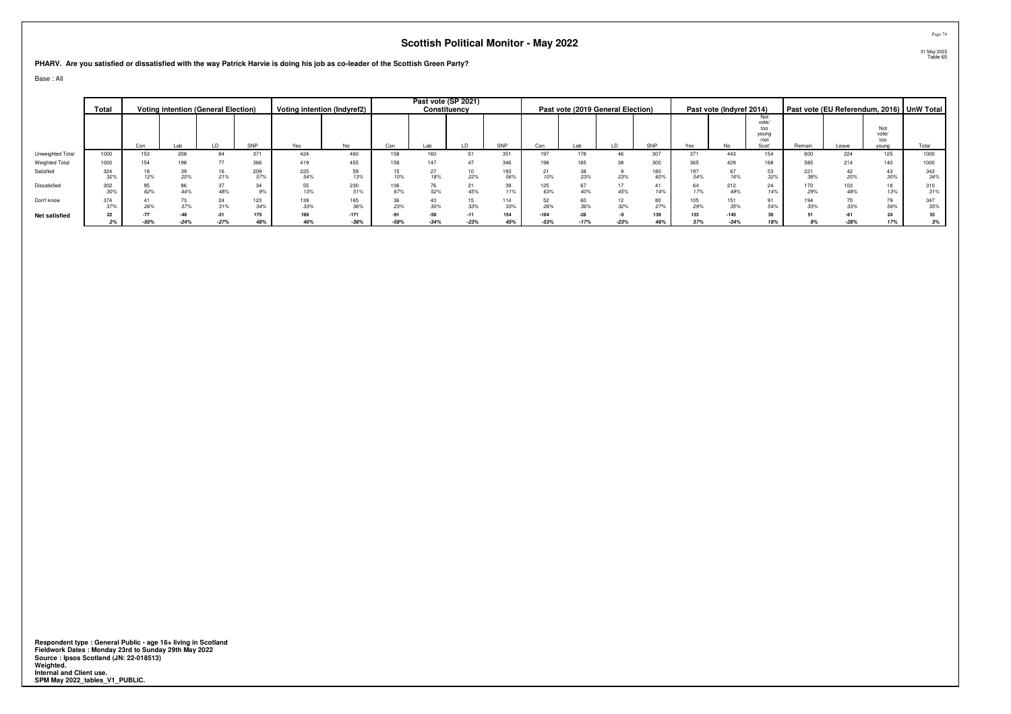**PHARV. Are you satisfied or dissatisfied with the way Patrick Harvie is doing his job as co-leader of the Scottish Green Party?**

Base : All

|                      | Total      |        | <b>Voting intention (General Election)</b> |                 |            |            | Voting intention (Indyref2) |            |       | Past vote (SP 2021)<br>Constituency |            |                  |           | Past vote (2019 General Election) |            |            | Past vote (Indyref 2014) |                                               |            |       |                              | Past vote (EU Referendum, 2016)   UnW Total |
|----------------------|------------|--------|--------------------------------------------|-----------------|------------|------------|-----------------------------|------------|-------|-------------------------------------|------------|------------------|-----------|-----------------------------------|------------|------------|--------------------------|-----------------------------------------------|------------|-------|------------------------------|---------------------------------------------|
|                      |            | Con    | Lab                                        | LD.             | SNP        | Yes        | No                          | Con        | Lab   |                                     | SNP        | Con              |           |                                   | SNP        | Yes        | No.                      | Not<br>vote/<br>too<br>vouna<br>/not<br>Scot' | Remain     | Leave | Not<br>vote/<br>too<br>young | Total                                       |
| Unweighted Total     | 1000       | 153    | 208                                        | 84              | 371        | 424        | 460                         | 158        | 160   |                                     | 351        |                  |           | 46                                | 307        | 371        | 443                      | 154                                           | 600        | 224   | 125                          | 1000                                        |
| Weighted Total       | 1000       | 154    | 198                                        |                 | 366        | 419        | 455                         |            |       |                                     | 346        |                  |           |                                   | 300        | 365        | 429                      | 168                                           |            |       | 140                          | 1000                                        |
| Satisfied            | 324<br>32% |        | 20%                                        | 21%             | 209        | 225<br>54% | 59<br>13%                   | 10%        |       | 22%                                 | 193<br>56% | 10%              | 23%       | 23%                               | 180<br>60% | 197<br>54% |                          | 53<br>32%                                     | 221<br>38% |       | 43<br>30%                    | 343<br>34%                                  |
| Dissatisfied         | 302<br>30% | 62%    | 86<br>44%                                  | 48%             | 34         | 55<br>13%  | 230<br>51%                  | 106<br>67% | 52%   | 45%                                 | 39<br>11%  | 63%              | 40%       | 17<br>45%                         | 14%        | 64<br>17%  | 212<br>49%               | 24<br>14%                                     | 170<br>29% |       | 18<br>13%                    | 310<br>31%                                  |
| Don't know           | 374<br>37% | 26%    |                                            | 24<br>31%       | 123<br>34% | 139<br>33% | 165<br>36%                  | 23%        |       | 15<br>33%                           | 114<br>33% | 26%              | 60<br>36% | 12<br>32%                         | 80<br>27%  | 105<br>29% | 35%                      | 91<br>54%                                     | 194<br>33% |       | 79<br>56%                    | 347<br>35%                                  |
| <b>Net satisfied</b> | 22<br>2%   | $-50%$ | $-24%$                                     | $-21$<br>$-27%$ | 175<br>48% | 169<br>40% | $-171$<br>$-38%$            | $-58%$     | $-50$ | $-23%$                              | 154<br>45% | $-104$<br>$-53%$ | $-17%$    | $-23%$                            | 139<br>46% | 133<br>37% | $-145$<br>$-34%$         | 30<br>18%                                     |            |       | 24<br>17%                    | 33<br>3%                                    |

Respondent type : General Public - age 16+ living in Scotland<br>Fieldwork Dates : Monday 23rd to Sunday 29th May 2022<br>Source : Ipsos Scotland (JN: 22-018513)<br>Weighted.<br>Internal and Client use.<br>SPM May 2022\_tables\_V1\_PUBLIC.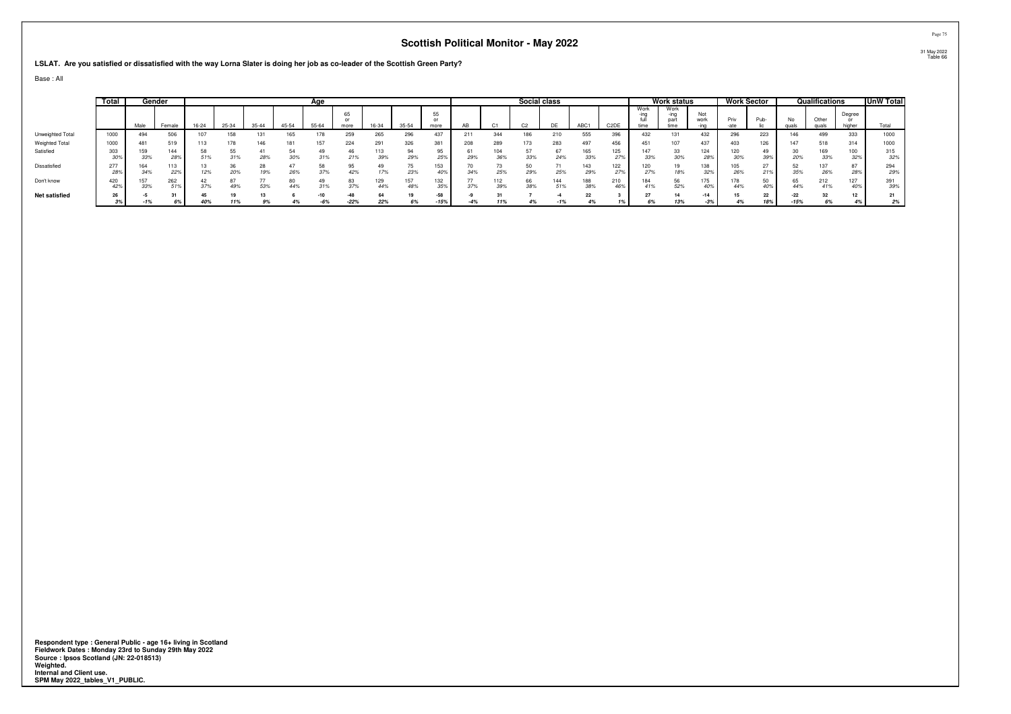**LSLAT. Are you satisfied or dissatisfied with the way Lorna Slater is doing her job as co-leader of the Scottish Green Party?**

Base : All

|                       | Total      |            | Gender     |       |       |           |       | Age          |               |            |            |               |       |            | Social class   |            |                  |                   |                      | <b>Work status</b> |              |          | Work Sector |             | Qualifications         |                  | UnW Total  |
|-----------------------|------------|------------|------------|-------|-------|-----------|-------|--------------|---------------|------------|------------|---------------|-------|------------|----------------|------------|------------------|-------------------|----------------------|--------------------|--------------|----------|-------------|-------------|------------------------|------------------|------------|
|                       |            | Male       | Female     | 16-24 | 25-34 | $35 - 44$ | 45-54 | 55-64        | 65<br>more    | 16-34      | 35-54      | 55<br>more    |       |            | C <sub>2</sub> | DF         | ABC <sup>+</sup> | C <sub>2</sub> DE | Work<br>-ıng<br>time | Work<br>part       | Not<br>work  | Priv     | Pub-        | No<br>qua   | Other<br><b>PHILAR</b> | Degree<br>higher | Total      |
| Unweighted Total      | 1000       | 494        | 506        |       | 158   | 131       | 165   |              | 259           | 265        | 296        | 437           | 211   | 344        |                | 210        | 555              | 396               | 432                  | 131                | 432          | 296      | 223         | 146         | 499                    | 333              | 1000       |
| <b>Weighted Total</b> | 1000       | 481        | 519        |       |       | 146       | 181   |              | 224           | 291        | 326        | 381           | 208   | 289        |                | 283        | 497              | 456               | 451                  | 107                | 437          | 403      | 126         | 147         | 518                    | 314              | 1000       |
| Satisfied             | 303<br>30% | 159<br>33% | 144<br>28% |       | 31%   | 28%       | 30%   | 31%          | 46<br>21%     | 113<br>39% | 29%        | 25%           | 29%   | 104<br>36% | 33%            | 67<br>24%  | 165<br>33%       | 125<br>27%        | 147<br>33%           | 33<br>30%          | 124<br>28%   | 309      | 49<br>39%   | 20%         | 169<br>33%             | 100<br>32%       | 315<br>32% |
| Dissatisfied          | 277<br>28% | 34%        | 113<br>22% | 12%   | 20%   | 28<br>19% | 26%   | 37%          | 95<br>42%     | 17%        | 23%        | 153<br>40%    | 347c  | 25%        | 29%            | 25%        | 143<br>29%       | 122<br>27%        | 120<br>27%           | 19<br>18%          | 138<br>329   | 26%      | 21%         | 35%         | 26%                    | 28%              | 294<br>29% |
| Don't know            | 420<br>42% | 33%        | 262<br>51% | 37%   | 49%   | 53%       | 44%   | 31%          | 83<br>37%     | 129<br>44% | 157<br>48% | 132<br>35%    | 37%   | 112<br>39% | 38%            | 144<br>51% | 188<br>38%       | 210<br>46%        | 184<br>41%           | 56<br>52%          | 175.<br>40%  | 44%      | 50<br>40%   |             | 212<br>41%             | 127<br>40%       | 391<br>39% |
| <b>Net satisfied</b>  | 26<br>3%   | -1%        |            | 40%   | 11%   | 9%        |       | -10<br>$-6%$ | -48<br>$-22%$ | 22%        | 6%         | -58<br>$-15%$ | $-4%$ |            | 4%             | $-1%$      | 4%               |                   | 6%                   | 14<br>13%          | -14<br>$-3%$ | 15<br>4% | 22<br>18%   | -22<br>-15% | 6%                     | 12<br>4%         | 2%         |
|                       |            |            |            |       |       |           |       |              |               |            |            |               |       |            |                |            |                  |                   |                      |                    |              |          |             |             |                        |                  |            |

Respondent type : General Public - age 16+ living in Scotland<br>Fieldwork Dates : Monday 23rd to Sunday 29th May 2022<br>Source : Ipsos Scotland (JN: 22-018513)<br>Weighted.<br>Internal and Client use.<br>SPM May 2022\_tables\_V1\_PUBLIC.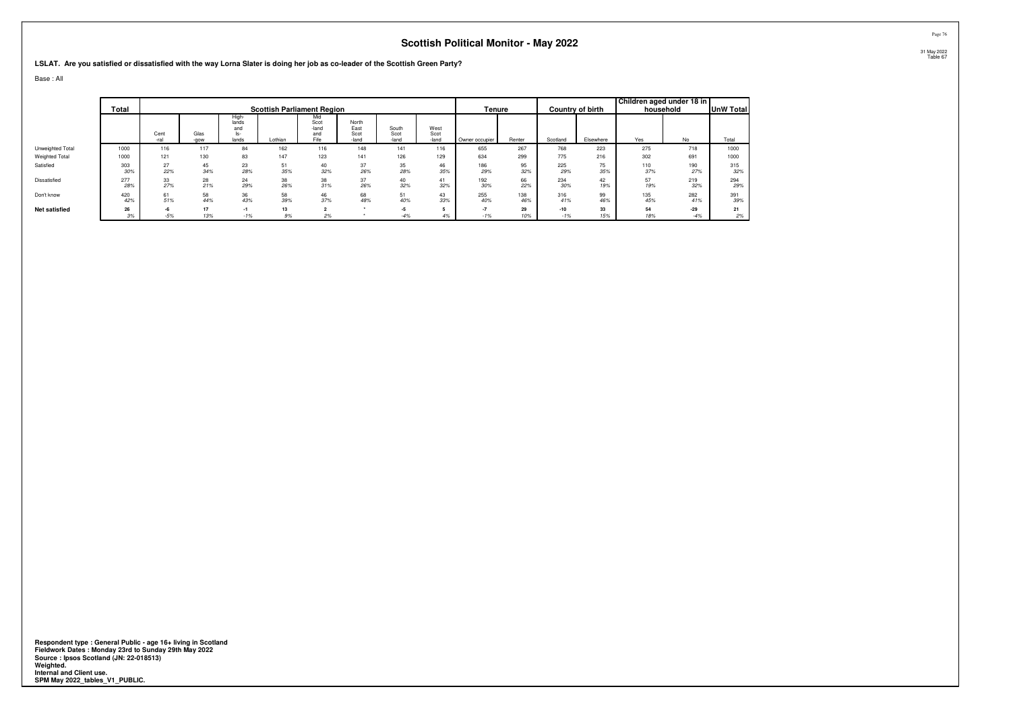**LSLAT. Are you satisfied or dissatisfied with the way Lorna Slater is doing her job as co-leader of the Scottish Green Party?**

Base : All

|                      |            |           |           |                                       |                                   |                                     |                       |                        |                       |                |            |            |                         | Children aged under 18 in |            |                  |
|----------------------|------------|-----------|-----------|---------------------------------------|-----------------------------------|-------------------------------------|-----------------------|------------------------|-----------------------|----------------|------------|------------|-------------------------|---------------------------|------------|------------------|
|                      | Total      |           |           |                                       | <b>Scottish Parliament Region</b> |                                     |                       |                        |                       | Tenure         |            |            | <b>Country of birth</b> |                           | household  | <b>UnW Total</b> |
|                      |            | Cent      | Glas      | High-<br>lands<br>and<br>ls-<br>lands |                                   | Mid<br>Scot<br>-land<br>and<br>Fife | North<br>East<br>Scot | South<br>Scot<br>-land | West<br>Scot<br>-land |                | Renter     |            |                         | Yes                       | <b>No</b>  | Total            |
|                      |            | -ral      | -gow      |                                       | Lothian                           |                                     | -land                 |                        |                       | Owner occupier |            | Scotland   | Elsewhere               |                           |            |                  |
| Unweighted Total     | 1000       | 116       | 117       | 84                                    | 162                               | 116                                 | 148                   | 141                    | 116                   | 655            | 267        | 768        | 223                     | 275                       | 718        | 1000             |
| Weighted Total       | 1000       | 121       | 130       | 83                                    | 147                               | 123                                 | 141                   | 126                    | 129                   | 634            | 299        | 775        | 216                     | 302                       | 691        | 1000             |
| Satisfied            | 303<br>30% | 27<br>22% | 45<br>34% | 23<br>28%                             | 51<br>35%                         | 40<br>32%                           | 37<br>26%             | 35<br>28%              | 46<br>35%             | 186<br>29%     | 95<br>32%  | 225<br>29% | 75<br>35%               | 110<br>37%                | 190<br>27% | 315<br>32%       |
| Dissatisfied         | 277<br>28% | 33<br>27% | 28<br>21% | 24<br>29%                             | 38<br>26%                         | 38<br>31%                           | 37<br>26%             | 40<br>32%              | 41<br>32%             | 192<br>30%     | 66<br>22%  | 234<br>30% | 42<br>19%               | 57<br>19%                 | 219<br>32% | 294<br>29%       |
| Don't know           | 420<br>42% | 61<br>51% | 58<br>44% | 36<br>43%                             | 58<br>39%                         | 46<br>37%                           | 68<br>48%             | 51<br>40%              | 43<br>33%             | 255<br>40%     | 138<br>46% | 316<br>41% | 99<br>46%               | 135<br>45%                | 282<br>41% | 391<br>39%       |
| <b>Net satisfied</b> | 26         | -6        | 17        | $-1$                                  | 13                                | $\sim$                              |                       | $-5$                   |                       | $-7$           | 29         | $-10$      | 33                      | 54                        | $-29$      | 21               |
|                      | 3%         | $-5%$     | 13%       | $-1%$                                 | 9%                                | 2%                                  |                       | $-4%$                  | 4%                    | $-1%$          | 10%        | $-1%$      | 15%                     | 18%                       | $-4%$      | 2%               |

Respondent type : General Public - age 16+ living in Scotland<br>Fieldwork Dates : Monday 23rd to Sunday 29th May 2022<br>Source : Ipsos Scotland (JN: 22-018513)<br>Weighted.<br>Internal and Client use.<br>SPM May 2022\_tables\_V1\_PUBLIC.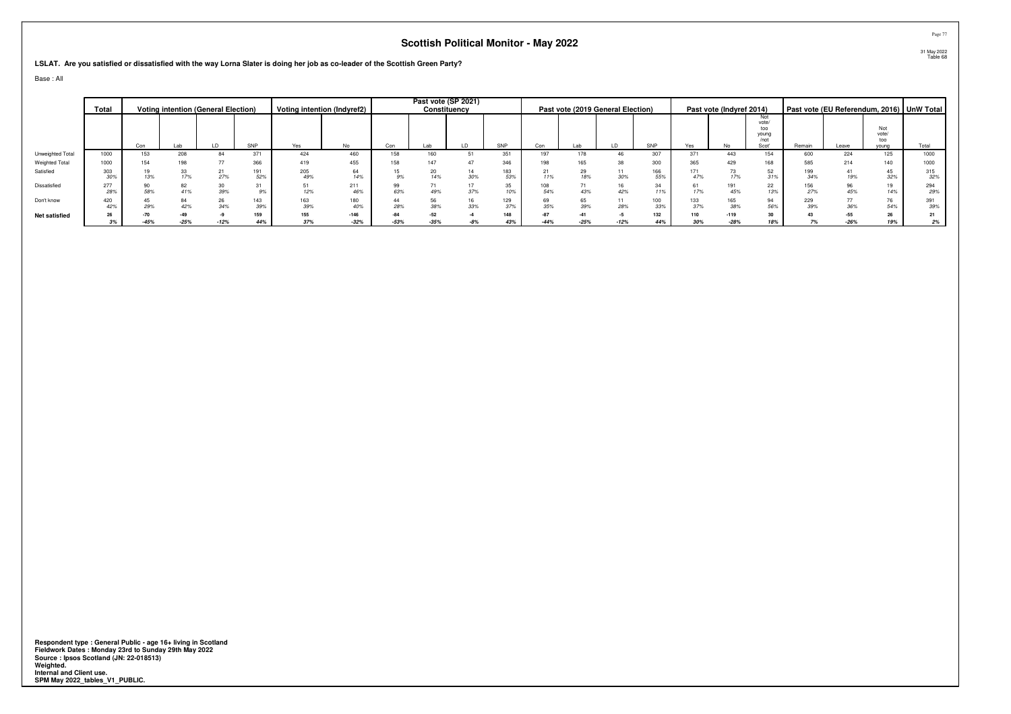**LSLAT. Are you satisfied or dissatisfied with the way Lorna Slater is doing her job as co-leader of the Scottish Green Party?**

Base : All

|                  | Total      |        | <b>Voting intention (General Election)</b> |           |            |            | Voting intention (Indyref2) |           |     | Past vote (SP 2021)<br>Constituency |            |            |                 | Past vote (2019 General Election) |            |            | Past vote (Indyref 2014) |                                               |            |       |                              | Past vote (EU Referendum, 2016) UnW Total |
|------------------|------------|--------|--------------------------------------------|-----------|------------|------------|-----------------------------|-----------|-----|-------------------------------------|------------|------------|-----------------|-----------------------------------|------------|------------|--------------------------|-----------------------------------------------|------------|-------|------------------------------|-------------------------------------------|
|                  |            | Con    | Lab                                        | LD        | SNP        | Yes        | No                          | Con       | Lab |                                     | SNP        | Con        | Lab             | LD                                | SNP        | Yes        | No                       | Not<br>vote/<br>too<br>young<br>/not<br>Scot' | Remain     | Leave | Not<br>vote/<br>too<br>vouna | Total                                     |
| Unweighted Total | 1000       | 153    | 208                                        | 84        | 371        | 424        | 460                         | 158       | 160 |                                     | 351        | 197        |                 | 46                                | 307        | 371        | 443                      | 154                                           | 600        | 224   | 125                          | 1000                                      |
| Weighted Total   | 1000       | 154    | 198                                        |           | 366        | 419        | 455                         |           | 147 |                                     | 346        |            |                 | 38                                | 300        | 365        |                          | 168                                           | 585        |       | 140                          | 1000                                      |
| Satisfied        | 303<br>30% | 13%    |                                            | 27%       | 191<br>52% | 205<br>49% | 64<br>14%                   | 9%        | 14% | 30%                                 | 183<br>53% | 11%        | 18%             | 30%                               | 166<br>55% | 171<br>47% | 17%                      | 52<br>31%                                     | 199<br>34% |       | 45<br>32%                    | 315<br>32%                                |
| Dissatisfied     | 277<br>28% | 58%    | 41%                                        | 39%       |            | 51<br>12%  | 211<br>46%                  | 99<br>63% | 49% | 37%                                 | 35<br>10%  | 108<br>54% | 43%             | 16<br>42%                         | 11%        | 61<br>17%  | 45%                      | 22<br>13%                                     | 156<br>27% | 45%   | 19<br>14%                    | 294<br>29%                                |
| Don't know       | 420<br>42% | 29%    | 84<br>42%                                  | 26<br>34% | 143<br>39% | 163<br>39% | 180<br>40%                  | 28%       |     | 33%                                 | 129<br>37% | 69<br>35%  | 65<br>39%       | 11<br>28%                         | 100<br>33% | 133<br>37% | 165<br>38%               | 94<br>56%                                     | 229<br>39% |       | 76<br>54%                    | 391<br>39%                                |
| Net satisfied    | 26<br>3%   | $-45%$ | $-25%$                                     | $-12%$    | 159<br>44% | 155<br>37% | $-146$<br>$-32%$            | $-53%$    |     |                                     | 148<br>43% | $-44%$     | $-41$<br>$-25%$ | $-12%$                            | 132<br>44% | 110<br>30% | $-119$<br>$-28%$         | 30<br>18%                                     |            |       | 26<br>19%                    | 21<br>2%                                  |

Respondent type : General Public - age 16+ living in Scotland<br>Fieldwork Dates : Monday 23rd to Sunday 29th May 2022<br>Source : Ipsos Scotland (JN: 22-018513)<br>Weighted.<br>Internal and Client use.<br>SPM May 2022\_tables\_V1\_PUBLIC.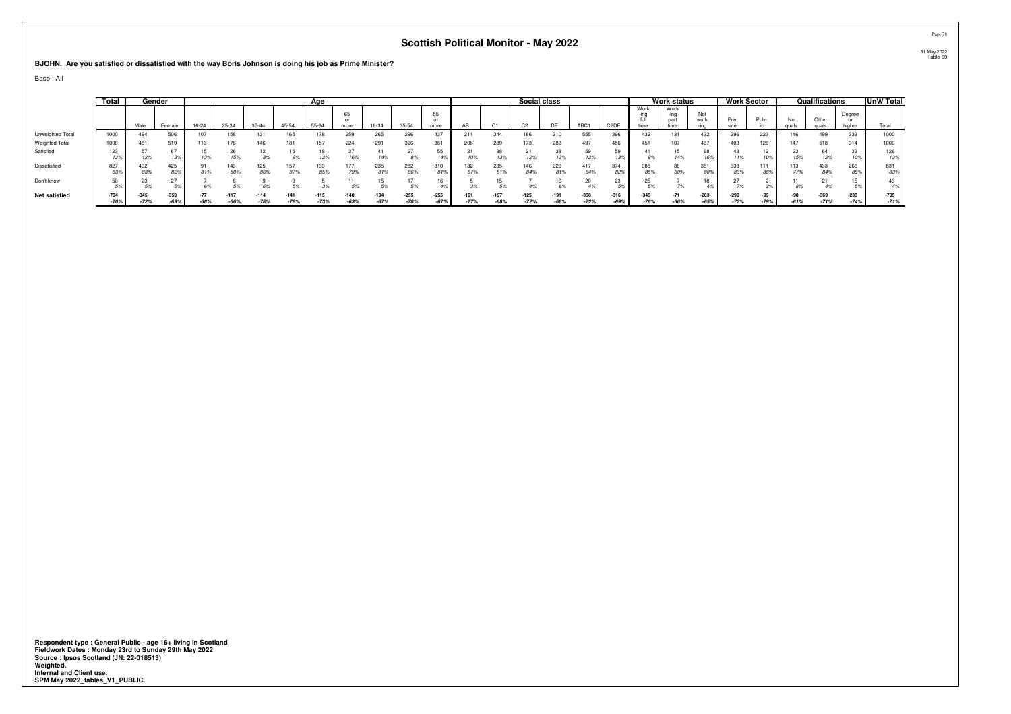**BJOHN. Are you satisfied or dissatisfied with the way Boris Johnson is doing his job as Prime Minister?**

Base : All

|                      | Total            |                  | Gender         |        |                  |                  |                  | Age              |                |                  |                  |                          |                  |                  | Social class   |                |                  |                   |                | <b>Work status</b>   |                  |                            | Work Sector   |               | Qualifications   |                  | UnW Total        |
|----------------------|------------------|------------------|----------------|--------|------------------|------------------|------------------|------------------|----------------|------------------|------------------|--------------------------|------------------|------------------|----------------|----------------|------------------|-------------------|----------------|----------------------|------------------|----------------------------|---------------|---------------|------------------|------------------|------------------|
|                      |                  | Male             | Female         | 16-24  | 25-34            | $35 - 44$        | 45-54            | 55-64            | 65<br>more     | 16-34            | 35-54            | 55<br>$^{\circ}$<br>more | AR               |                  |                | <b>DF</b>      | ABC <sub>1</sub> | C <sub>2</sub> DE | Work<br>time   | Work<br>part<br>time | Not<br>work      | Priv                       | Pub-          | No            | Other            | Degree<br>higher | Total            |
| Unweighted Total     | 1000             | 494              | 506            |        | 158              | 131              | 165              | 178              | 259            | 265              | 296              | 437                      | 211              | 344              | 186            | 210            | 555              | 396               | 432            | 131                  | 432              | 296                        | 223           | 146           | 499              | 333              | 1000             |
| Weighted Total       | 1000             | 481              | 519            |        |                  | 146              | 181              | 157              | 224            | 291              | 326              |                          | 208              | 289              | 173            | 283            | 497              | 456               |                | 107                  | 437              | 403                        | 126           | 147           | 518              | 314              | 1000             |
| Satisfied            | 23<br>12%        | 12%              | 67<br>13%      | 13%    | 15%              | 8%               | 15               | 12%              | 16%            | 14%              | 8%               | 14%                      |                  | 38<br>13%        | 12%            | 13%            | 12%              | 59<br>139         | .9%            | 14%                  | 68<br>16%        | 11%                        |               | 23<br>15%     | 64<br>12%        | აა               | 126<br>13%       |
| Dissatisfied         | 827<br>83%       | 402<br>83%       | 425<br>82%     |        | 143<br>80%       | 125<br>86%       | 157<br>87%       | 133<br>85%       | 177<br>79%     | 235<br>81%       | 282<br>86%       | 310<br>81%               | 182<br>87%       | 235<br>81%       | 146<br>84%     | 229<br>81%     | 417<br>84%       | 374<br>82%        | 85%            | 86<br>80%            | 351<br>80%       | 333<br>83%                 | .<br>889      | 113<br>17%    | 433<br>84%       | 266<br>85%       | 831<br>83%       |
| Don't know           | 50<br>59         |                  | 27             |        |                  |                  |                  |                  |                |                  | 5%               |                          |                  |                  |                | 6%             | 4%               | 23                |                |                      |                  |                            |               |               |                  |                  | 43<br>4%         |
| <b>Net satisfied</b> | $-704$<br>$-70%$ | $-345$<br>$-72%$ | $-359$<br>-69% | $-68%$ | $-117$<br>$-66%$ | $-114$<br>$-78%$ | $-141$<br>$-78%$ | $-115$<br>$-73%$ | -140<br>$-63%$ | $-194$<br>$-67%$ | $-255$<br>$-78%$ | $-255$<br>$-67%$         | $-161$<br>$-77%$ | $-197$<br>$-68%$ | -125<br>$-72%$ | -191<br>$-68%$ | $-358$<br>$-72%$ | $-316$<br>$-69%$  | $-345$<br>-76% | $-71$<br>$-66%$      | $-283$<br>$-65%$ | $-290$<br>$\sim$<br>$-12%$ | -99<br>$-79%$ | -90<br>$-61%$ | $-369$<br>$-71%$ | $-233$<br>$-74%$ | $-705$<br>$-71%$ |

Respondent type : General Public - age 16+ living in Scotland<br>Fieldwork Dates : Monday 23rd to Sunday 29th May 2022<br>Source : Ipsos Scotland (JN: 22-018513)<br>Weighted.<br>Internal and Client use.<br>SPM May 2022\_tables\_V1\_PUBLIC.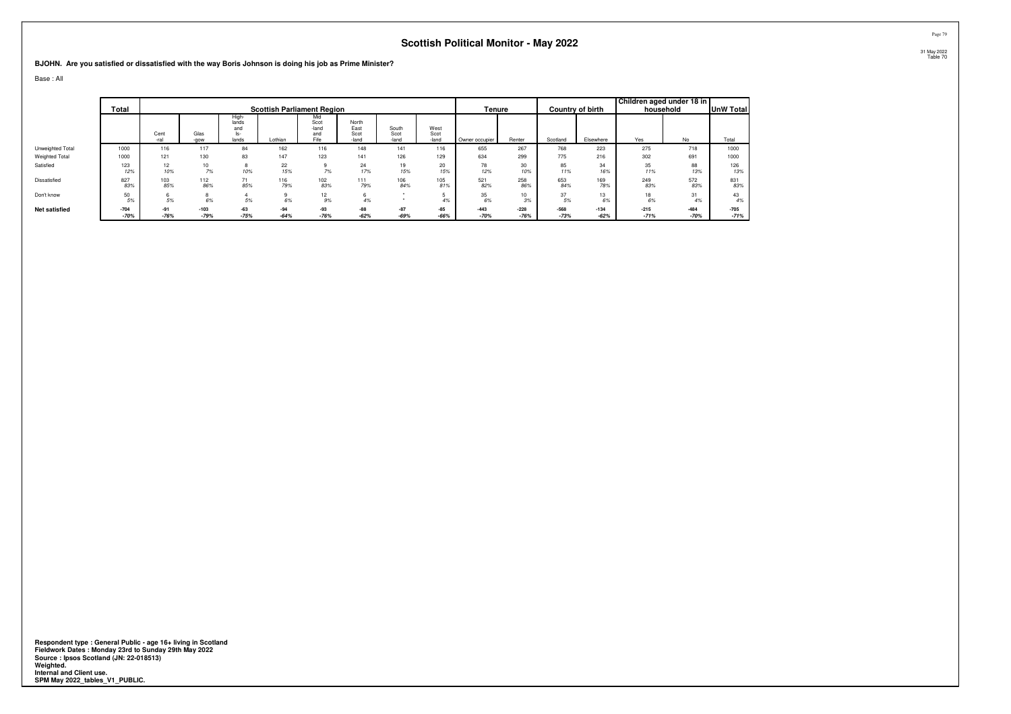**BJOHN. Are you satisfied or dissatisfied with the way Boris Johnson is doing his job as Prime Minister?**

Base : All

|                      | Total            |                 |                  |                                       | <b>Scottish Parliament Region</b> |                                     |                                |                        |                       | Tenure           |                  |                  | Country of birth | Children aged under 18 in | household        | UnW Total        |
|----------------------|------------------|-----------------|------------------|---------------------------------------|-----------------------------------|-------------------------------------|--------------------------------|------------------------|-----------------------|------------------|------------------|------------------|------------------|---------------------------|------------------|------------------|
|                      |                  | Cent<br>-ral    | Glas<br>-gow     | High-<br>lands<br>and<br>ls-<br>lands | Lothian                           | Mid<br>Scot<br>-land<br>and<br>Fife | North<br>East<br>Scot<br>-land | South<br>Scot<br>-land | West<br>Scot<br>-land | Owner occupier   | Renter           | Scotland         | Elsewhere        | Yes                       | No               | Total            |
| Unweighted Total     | 1000             | 116             | 117              | 84                                    | 162                               | 116                                 | 148                            | 141                    | 116                   | 655              | 267              | 768              | 223              | 275                       | 718              | 1000             |
| Weighted Total       | 1000             | 121             | 130              | 83                                    | 147                               | 123                                 | 141                            | 126                    | 129                   | 634              | 299              | 775              | 216              | 302                       | 691              | 1000             |
| Satisfied            | 123<br>12%       | 12<br>10%       | 10<br>7%         | $\sim$<br>ö<br>10%                    | 22<br>15%                         | 7%                                  | 24<br>17%                      | 19<br>15%              | 20<br>15%             | 78<br>12%        | 30<br>10%        | 85<br>11%        | 34<br>16%        | 35<br>11%                 | 88<br>13%        | 126<br>13%       |
| Dissatisfied         | 827<br>83%       | 103<br>85%      | 112<br>86%       | 71<br>85%                             | 116<br>79%                        | 102<br>83%                          | 111<br>79%                     | 106<br>84%             | 105<br>81%            | 521<br>82%       | 258<br>86%       | 653<br>84%       | 169<br>78%       | 249<br>83%                | 572<br>83%       | 831<br>83%       |
| Don't know           | 50<br>5%         | 6<br>5%         | 8<br>6%          | 5%                                    | 6%                                | 12<br>9%                            | 4%                             |                        | 4%                    | 35<br>6%         | 10<br>3%         | 37<br>5%         | 13<br>6%         | 18<br>6%                  | 31<br>4%         | 43<br>4%         |
| <b>Net satisfied</b> | $-704$<br>$-70%$ | $-91$<br>$-76%$ | $-103$<br>$-79%$ | $-63$<br>$-75%$                       | $-94$<br>$-64%$                   | $-93$<br>$-76%$                     | $-88$<br>$-62%$                | $-87$<br>$-69%$        | $-85$<br>$-66%$       | $-443$<br>$-70%$ | $-228$<br>$-76%$ | $-568$<br>$-73%$ | $-134$<br>$-62%$ | $-215$<br>$-71%$          | $-484$<br>$-70%$ | $-705$<br>$-71%$ |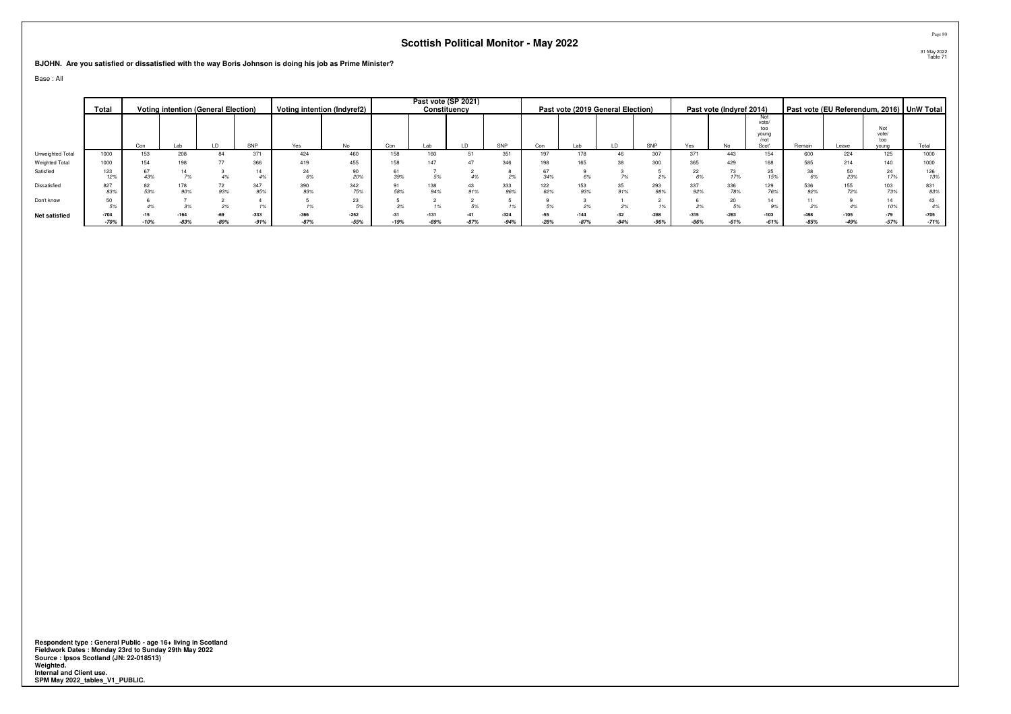**BJOHN. Are you satisfied or dissatisfied with the way Boris Johnson is doing his job as Prime Minister?**

Base : All

|                  | Total            |        | <b>Voting intention (General Election)</b> |        |                  |                  | Voting intention (Indyref2) |        |            | Past vote (SP 2021)<br>Constituency |                  |                 |                  | Past vote (2019 General Election) |                  |                  | Past vote (Indyref 2014) |                                               |                  |       |                              | Past vote (EU Referendum, 2016) UnW Total |
|------------------|------------------|--------|--------------------------------------------|--------|------------------|------------------|-----------------------------|--------|------------|-------------------------------------|------------------|-----------------|------------------|-----------------------------------|------------------|------------------|--------------------------|-----------------------------------------------|------------------|-------|------------------------------|-------------------------------------------|
|                  |                  | Con    | Lab                                        |        | SNP              | Yes              | No.                         | Con    | Lab        |                                     | SNP              | Con             |                  |                                   | SNP              | Yes              | No.                      | Not<br>vote/<br>too<br>young<br>/not<br>Scot' | Remain           | Leave | Not<br>vote/<br>too<br>young | Total                                     |
| Unweighted Total | 1000             | 153    | 208                                        | 84     | 371              | 424              | 460                         | 158    | 160        |                                     | 351              | 197             | 178              | 46                                | 307              | 371              | 443                      | 154                                           | 600              | 224   | 125                          | 1000                                      |
| Weighted Total   | 1000             | 154    | 198                                        |        | 366              | 419              | 455                         |        |            |                                     | 346              |                 |                  |                                   | 300              | 365              | 429                      | 168                                           | 585              | 214   | 140                          | 1000                                      |
| Satisfied        | 123<br>12%       | 43%    |                                            |        |                  | 24               | 90<br>20%                   | 39%    |            |                                     |                  | 34%             |                  |                                   |                  | 22               |                          | 25<br>15%                                     |                  |       | 24<br>17%                    | 126<br>13%                                |
| Dissatisfied     | 827<br>83%       | 53%    | 178<br>90%                                 | 93%    | 347<br>95%       | 390<br>93%       | 342<br>75%                  | 58%    | 138<br>94% | 91%                                 | 333<br>96%       | 122<br>62%      | 153<br>93%       | 35<br>91%                         | 293<br>98%       | 337<br>92%       | 336<br>78%               | 129<br>76%                                    | 536<br>92%       |       | 103<br>73%                   | 831<br>83%                                |
| Don't know       | 50               |        |                                            |        |                  |                  | 23<br>5%                    | 3%     |            |                                     |                  |                 |                  |                                   |                  |                  | 20                       |                                               |                  |       | 14<br>10%                    | 43<br>4%                                  |
| Net satisfied    | $-704$<br>$-70%$ | $-10%$ | $-164$<br>$-83%$                           | $-89%$ | $-333$<br>$-91%$ | $-366$<br>$-87%$ | $-252$<br>$-55%$            | $-19%$ | -89%       | $-87%$                              | $-324$<br>$-94%$ | $-55$<br>$-28%$ | $-144$<br>$-87%$ | $-32$<br>$-84%$                   | $-288$<br>$-96%$ | $-315$<br>$-86%$ | $-263$<br>$-61%$         | $-103$<br>$-61%$                              | $-498$<br>$-85%$ |       | $-79$<br>$-57%$              | $-705$<br>$-71%$                          |

Respondent type : General Public - age 16+ living in Scotland<br>Fieldwork Dates : Monday 23rd to Sunday 29th May 2022<br>Source : Ipsos Scotland (JN: 22-018513)<br>Weighted.<br>Internal and Client use.<br>SPM May 2022\_tables\_V1\_PUBLIC.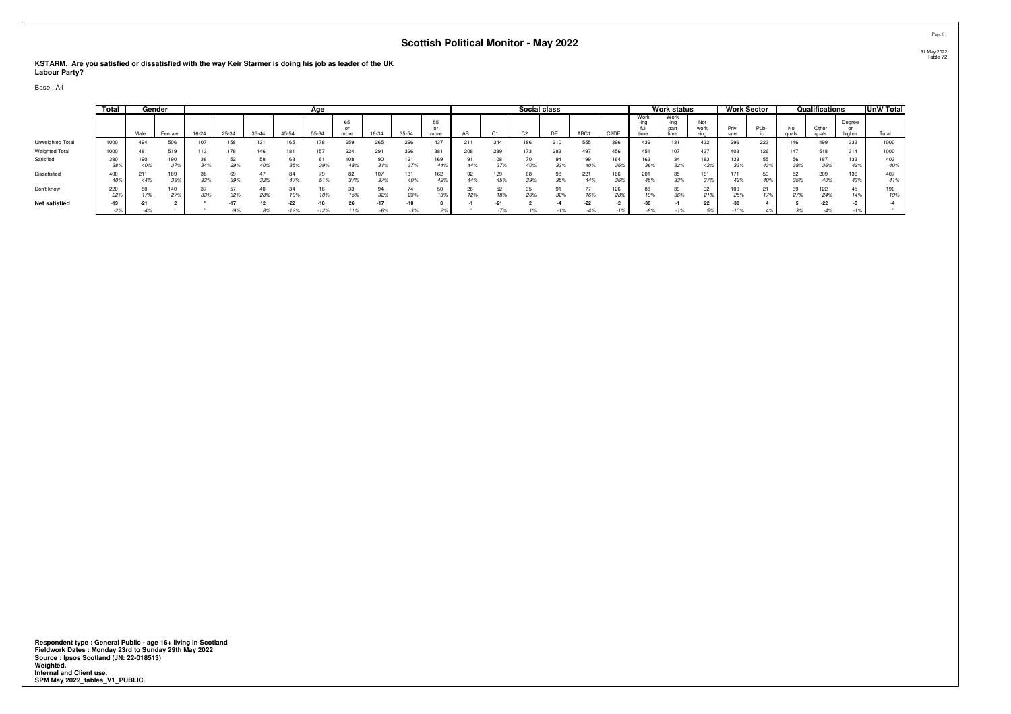**KSTARM. Are you satisfied or dissatisfied with the way Keir Starmer is doing his job as leader of the UK Labour Party?**

Base : All

|                       | Total      |            | Gender     |       |           |           |                 | Age    |            |                |            |                          |     |            | Social class |           |                |                   |                      | Work status          |             |            | <b>Work Sector</b> |     | Qualifications |                  | <b>UnW Total</b> |
|-----------------------|------------|------------|------------|-------|-----------|-----------|-----------------|--------|------------|----------------|------------|--------------------------|-----|------------|--------------|-----------|----------------|-------------------|----------------------|----------------------|-------------|------------|--------------------|-----|----------------|------------------|------------------|
|                       |            | Male       | Female     | 16-24 | 25-34     | $35 - 44$ | 45-54           | 55-64  | 65<br>more |                | $35 - 54$  | E.<br>$^{\circ}$<br>more | ΑВ  | $\sim$     | $\sim$       | DE        | ABC1           | C <sub>2</sub> DE | Work<br>-ina<br>time | Work<br>-ina<br>time | Not<br>work | Priv       | Pub-               | No. | Other          | Degree<br>higher |                  |
| Unweighted Total      | 1000       | 494        | 506        |       | 158       | 13        | 165             |        | 259        | 265            | 296        |                          | 211 | 344        | 186          | 21C       | 555            | 396               | 432                  | 131                  | 432         | 296        | 223                | 146 | 499            | 333              | 1000             |
| <b>Weighted Total</b> | 1000       | 481        | 519        | 113   | 178       | 146       | 181             |        | 224        | 291            | 326        | 001                      | 208 | 289        | 173          | 283       | 497            | 456               | 451                  | 107                  | 437         | 403        | 126                |     | 518            | 314              | 1000             |
| Satisfied             | 380<br>oo. | 190        | 190        | 34%   | 52<br>29% | 58<br>40% | 35%             | 39%    | 108<br>48% | 90<br>31%      | 121<br>37% | 169<br>44%               | 44% | 108<br>37% | 40%          | 94<br>33% | 40%            | 164<br>36%        |                      | 34<br>32%            | 42%         | 133<br>33% | 55                 | 56  | 36%            | 133<br>42%       | 403<br>40%       |
| Dissatisfied          | 400        | 211<br>44% | 189        | 33%   | 69<br>39% | 32%       |                 | 51%    | 82<br>37%  | 37%            | 131        | 162                      | 44% | 129<br>45% | 68<br>39%    | 98<br>35% | 221<br>44%     | 166<br>36%        | 201<br>45%           | 35<br>33%            | 161         | 171<br>42% |                    | 35% | 209            | 136<br>43%       | 407<br>41%       |
| Don't know            | 220<br>22  | 17%        | 140<br>279 | 33%   | 32%       | 28%       | 19%             | 10%    | 33<br>15%  | 94<br>32%      | 23%        | 13%                      | 12% | 52<br>18%  | 20%          | 32%       | 16%            | 126<br>28%        | 19%                  | 39<br>36%            | 92<br>21%   | 100<br>25% |                    | 27% | 122<br>24%     | 45.<br>14%       | 190<br>19%       |
| <b>Net satisfied</b>  | $-19$      | -4%        |            |       | -9%       | 8%        | $-22$<br>$-12%$ | $-12%$ | 11%        | $-17$<br>$-6%$ | -3%        | 2%                       |     | $-7%$      | 1%           | -1%       | $-22$<br>$-4%$ | -1%               |                      |                      | 5%          | 10%        |                    | 3%  | $-4\%$         | $-1%$            |                  |

**Respondent type : General Public - age 16+ living in Scotland Fieldwork Dates : Monday 23rd to Sunday 29th May 2022 Source : Ipsos Scotland (JN: 22-018513) Weighted. Internal and Client use. SPM May 2022\_tables\_V1\_PUBLIC.**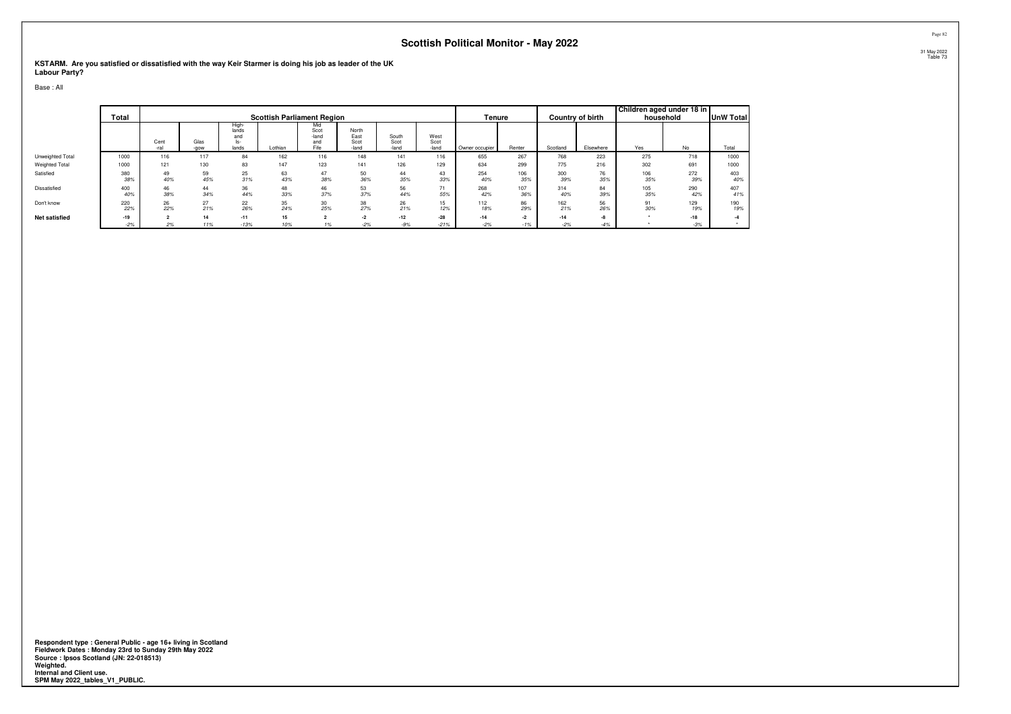**KSTARM. Are you satisfied or dissatisfied with the way Keir Starmer is doing his job as leader of the UK Labour Party?**

Base : All

|                      | <b>Total</b>   |              |              |                                       | <b>Scottish Parliament Region</b> |                                     |                                |                        |                       | Tenure         |               |                | Country of birth | Children aged under 18 in | household      | <b>UnW Total</b> |
|----------------------|----------------|--------------|--------------|---------------------------------------|-----------------------------------|-------------------------------------|--------------------------------|------------------------|-----------------------|----------------|---------------|----------------|------------------|---------------------------|----------------|------------------|
|                      |                | Cent<br>-ral | Glas<br>-gow | High-<br>lands<br>and<br>ls-<br>lands | Lothian                           | Mid<br>Scot<br>-land<br>and<br>Fife | North<br>East<br>Scot<br>-land | South<br>Scot<br>-land | West<br>Scot<br>-land | Owner occupier | Renter        | Scotland       | Elsewhere        | Yes                       | <b>No</b>      | Total            |
| Unweighted Total     | 1000           | 116          | 117          | 84                                    | 162                               | 116                                 | 148                            | 141                    | 116                   | 655            | 267           | 768            | 223              | 275                       | 718            | 1000             |
| Weighted Total       | 1000           | 121          | 130          | 83                                    | 147                               | 123                                 | 141                            | 126                    | 129                   | 634            | 299           | 775            | 216              | 302                       | 691            | 1000             |
| Satisfied            | 380<br>38%     | 49<br>40%    | 59<br>45%    | 25<br>31%                             | 63<br>43%                         | 47<br>38%                           | 50<br>36%                      | 44<br>35%              | 43<br>33%             | 254<br>40%     | 106<br>35%    | 300<br>39%     | 76<br>35%        | 106<br>35%                | 272<br>39%     | 403<br>40%       |
| Dissatisfied         | 400<br>40%     | 46<br>38%    | 44<br>34%    | 36<br>44%                             | 48<br>33%                         | 46<br>37%                           | 53<br>37%                      | 56<br>44%              | 55%                   | 268<br>42%     | 107<br>36%    | 314<br>40%     | 84<br>39%        | 105<br>35%                | 290<br>42%     | 407<br>41%       |
| Don't know           | 220<br>22%     | 26<br>22%    | 27<br>21%    | 22<br>26%                             | 35<br>24%                         | 30<br>25%                           | 38<br>27%                      | 26<br>21%              | 15<br>12%             | 112<br>18%     | 86<br>29%     | 162<br>21%     | 56<br>26%        | 91<br>30%                 | 129<br>19%     | 190<br>19%       |
| <b>Net satisfied</b> | $-19$<br>$-2%$ | 2%           | 14<br>11%    | $-11$<br>$-13%$                       | 15<br>10%                         | $\sim$                              | $-2$<br>$-2%$                  | $-12$<br>$-9%$         | $-28$<br>$-21%$       | $-14$<br>$-2%$ | $-2$<br>$-1%$ | $-14$<br>$-2%$ | $-8$<br>$-4%$    |                           | $-18$<br>$-3%$ |                  |

**Respondent type : General Public - age 16+ living in Scotland Fieldwork Dates : Monday 23rd to Sunday 29th May 2022 Source : Ipsos Scotland (JN: 22-018513) Weighted. Internal and Client use. SPM May 2022\_tables\_V1\_PUBLIC.**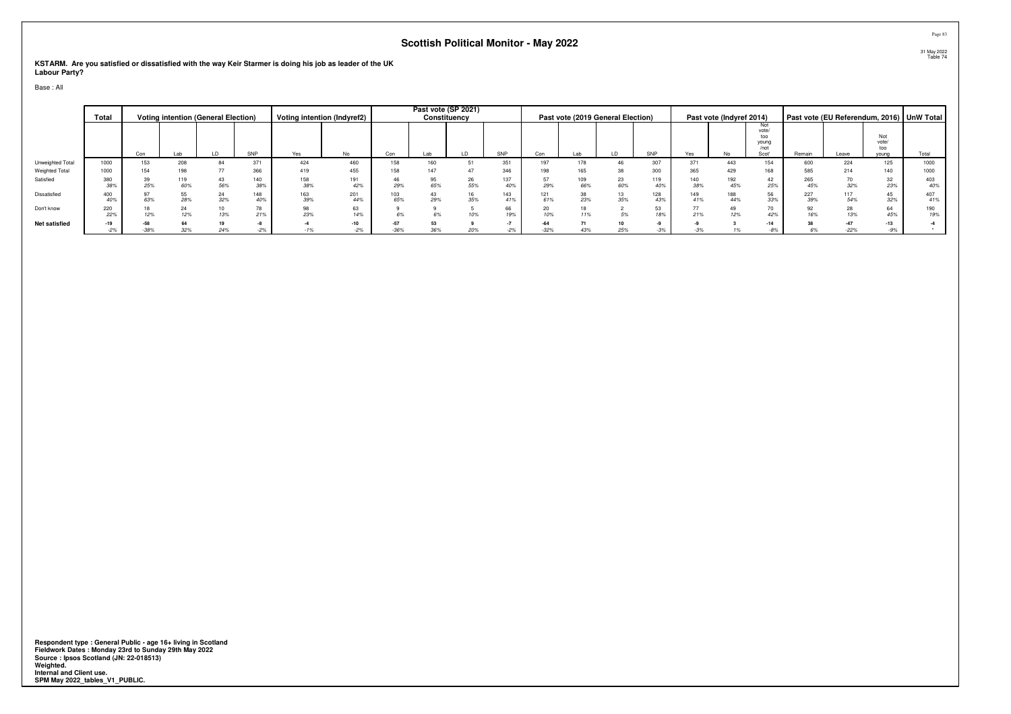**KSTARM. Are you satisfied or dissatisfied with the way Keir Starmer is doing his job as leader of the UK Labour Party?**

Base : All

|                       | Total      |               |            | <b>Voting intention (General Election)</b> |            |            | Voting intention (Indyref2) |            |     | Past vote (SP 2021)<br>Constituency |            |            | Past vote (2019 General Election) |           |            |            | Past vote (Indyref 2014) |                                               |            |            |                              | Past vote (EU Referendum, 2016)   UnW Total |
|-----------------------|------------|---------------|------------|--------------------------------------------|------------|------------|-----------------------------|------------|-----|-------------------------------------|------------|------------|-----------------------------------|-----------|------------|------------|--------------------------|-----------------------------------------------|------------|------------|------------------------------|---------------------------------------------|
|                       |            | Con           | Lab        |                                            | SNP        | Yes        | No                          | Con        | Lab |                                     | SNP        | Con        | Lab                               |           | SNP        | Yes        | No                       | Not<br>vote/<br>too<br>young<br>/not<br>Scot' | Remain     | Leave      | Not<br>vote/<br>too<br>vouna | Total                                       |
| Unweighted Total      | 1000       | 153           | 208        | 84                                         | 371        | 424        | 460                         | 158        | 160 |                                     | 351        | 197        |                                   |           | 307        | 371        | 443                      | 154                                           | 600        | 224        | 125                          | 1000                                        |
| <b>Weighted Total</b> | 1000       | 154           | 198        |                                            | 366        | 419        | 455                         | 158        |     | 47                                  | 346        | 198        | 165                               | 38        | 300        | 365        | 429                      | 168                                           | 585        | 214        | 140                          | 1000                                        |
| Satisfied             | 380<br>38% | 25%           | 119<br>60% | 43<br>56%                                  | 140<br>38% | 158<br>38% | 191<br>42%                  | 29%        | 65% | 26<br>55%                           | 137<br>40% | 57<br>29%  | 109<br>66%                        | 23<br>60% | 119<br>40% | 140<br>38% | 192<br>45%               | 42<br>25%                                     | 265<br>45% | 32%        | $\frac{32}{23\%}$            | 403<br>40%                                  |
| Dissatisfied          | 400<br>40% | 63%           | 55<br>28%  | 24<br>32%                                  | 148        | 163<br>39% | 201<br>44%                  | 103<br>65% | 29% | 35%                                 | 143<br>41% | 121<br>61% | 23%                               | 35%       | 128<br>43% | 149<br>41% | 188<br>44%               | 56<br>33%                                     | 227<br>39% | 117<br>54% | 45<br>32%                    | 407<br>41%                                  |
| Don't know            | 220<br>22% | 12%           | 24<br>12%  | 10<br>13%                                  | 21%        | 98<br>23%  | 63<br>14%                   |            |     | 10%                                 | 66<br>19%  | 20<br>10%  | 11%                               | 5%        | 53<br>18%  | 77<br>21%  | 49<br>12%                | 70<br>42%                                     | 92<br>16%  |            | 64<br>45%                    | 190<br>19%                                  |
| <b>Net satisfied</b>  | $-19$      | $-58$         | 64         | 19                                         |            |            | $-10$                       | $-57$      |     |                                     |            | $-64$      |                                   |           |            |            |                          | $-14$                                         |            |            | $-13$                        |                                             |
|                       | $-2%$      | $-38^{\circ}$ |            |                                            |            |            | $-2%$                       |            |     | 207                                 |            | $-32%$     |                                   | 25%       |            |            |                          |                                               |            |            | $-9%$                        |                                             |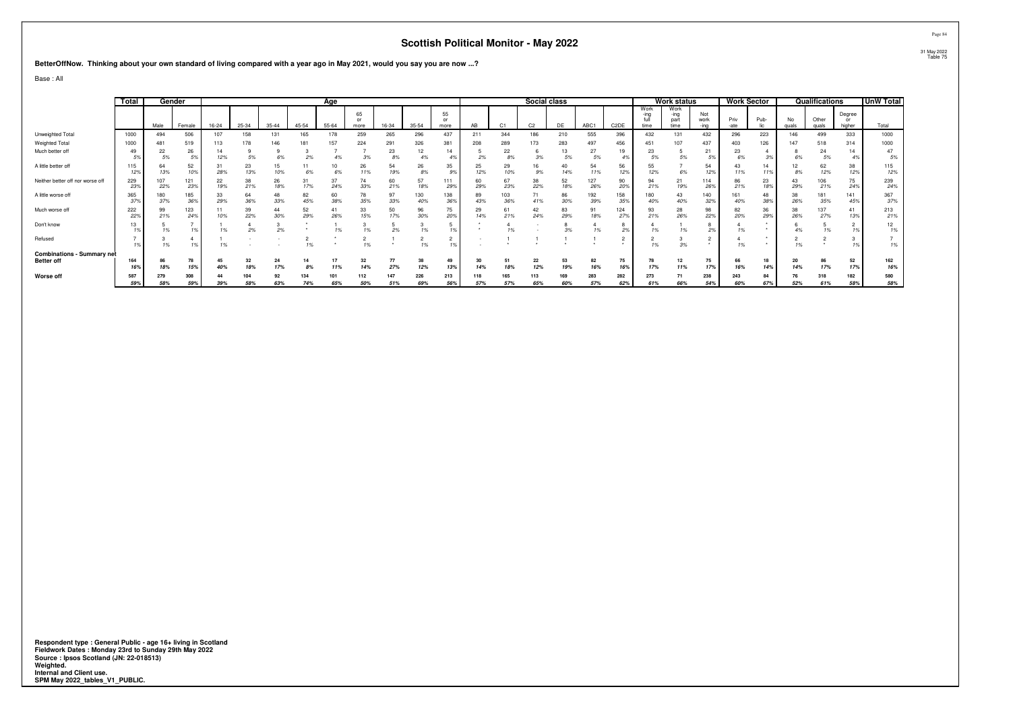**BetterOffNow. Thinking about your own standard of living compared with a year ago in May 2021, would you say you are now ...?**

Base : All

|                                                        | Total      |            | Gender     |           |           |           |           | Age        |                  |            |            |            |            |                | Social class   |            |            |                   |                      | Work status                  |                     |              | <b>Work Sector</b> |             | Qualifications |                        | UnW Total  |
|--------------------------------------------------------|------------|------------|------------|-----------|-----------|-----------|-----------|------------|------------------|------------|------------|------------|------------|----------------|----------------|------------|------------|-------------------|----------------------|------------------------------|---------------------|--------------|--------------------|-------------|----------------|------------------------|------------|
|                                                        |            | Male       | Female     | $16 - 24$ | 25-34     | $35 - 44$ | $45 - 54$ | 55-64      | 65<br>or<br>more | 16-34      | $35 - 54$  | 55<br>more | AB         | C <sub>1</sub> | C <sub>2</sub> | DE         | ABC1       | C <sub>2</sub> DE | Work<br>-ina<br>time | Work<br>-ing<br>part<br>time | Not<br>work<br>-ina | Priv<br>-ate | Pub-               | No<br>quals | Other<br>quals | Degree<br>or<br>higher | Total      |
| Unweighted Total                                       | 1000       | 494        | 506        | 107       | 158       | 131       | 165       | 178        | 259              | 265        | 296        | 437        | 211        | 344            | 186            | 210        | 555        | 396               | 432                  | 131                          | 432                 | 296          | 223                | 146         | 499            | 333                    | 1000       |
| Weighted Total                                         | 1000       | 481        | 519        | 113       | 178       | 146       | 181       |            | 224              | 291        | 326        | 381        | 208        | 289            | 173            | 283        | 497        | 456               | 451                  | 107                          | 437                 | 403          | 126                | 147         | 518            | 314                    | 1000       |
| Much better off                                        |            | 22<br>5%   | 26<br>5%   | 14<br>12% | 5%        | 6%        | 2%        | 4%         | 3%               | 23<br>8%   | 12<br>4%   | 14<br>4%   | 2%         | 22<br>8%       | 3%             | 13<br>5%   | 27<br>5%   | 19                | 23<br>5%             | 5%                           | 21<br>5%            | 23<br>6%     | 3%                 |             | 24<br>5%       | 14                     | 47<br>5%   |
| A little better off                                    | 129        | 13%        | 52<br>10%  | 31<br>28% | 23<br>13% | 15<br>10% | 6%        | 6%         | 26<br>11%        | 54<br>19%  | 26<br>8%   | 35<br>.9%  | 25<br>12%  | 29<br>10%      | 16<br>9%       | 14%        | 54<br>11%  | 56<br>12%         | 55<br>12%            | 6%                           | 54<br>12%           | 11%          | 14<br>11%          | 8%          | 62<br>12%      | 38<br>12%              | 115<br>12% |
| Neither better off nor worse off                       | 229<br>239 | 107<br>22% | 121<br>23% | 22<br>19% | 38<br>21% | 26<br>18% | 31<br>17% | 37<br>24%  | 74<br>33%        | 60<br>21%  | 57<br>18%  | 111<br>29% | 60<br>29%  | 67<br>23%      | 38<br>22%      | 52<br>18%  | 127<br>26% | 90<br>20%         | 94<br>21%            | 21<br>19%                    | 114<br>26%          | 86<br>21%    | 23<br>18%          | 43<br>29%   | 106<br>21%     | 75<br>24%              | 239<br>24% |
| A little worse off                                     | 365        | 180<br>37% | 185<br>36% | 33<br>29% | 64<br>36% | 48<br>33% | 82<br>45% | 60<br>38%  | 78<br>35%        | 97<br>33%  | 130<br>40% | 138<br>369 | 89<br>43%  | 103<br>36%     | 71<br>41%      | 86<br>30%  | 192<br>39% | 158<br>359        | 180<br>40%           | 43<br>40%                    | 140<br>32%          | 161<br>40%   | 48<br>38%          | 38<br>26%   | 181<br>35%     | 141<br>45%             | 367<br>37% |
| Much worse off                                         | 222<br>22% | 99<br>21%  | 123<br>24% | 11<br>10% | 39<br>22% | 44<br>30% | 52<br>29% | 41<br>26%  | 33<br>15%        | 50<br>17%  | 96<br>30%  | 75<br>20%  | 29<br>14%  | 61<br>21%      | 42<br>24%      | 83<br>29%  | 91<br>18%  | 124<br>27%        | 93<br>21%            | 28<br>26%                    | 98<br>22%           | 82<br>20%    | 36<br>29%          | 38<br>26%   | 137<br>27%     | 41<br>13%              | 213<br>21% |
| Don't know                                             |            |            | 1%         |           | 2%        | 2%        |           | 1%         |                  | 2%         | 1%         |            |            |                |                | 3%         |            |                   |                      |                              | 2%                  |              |                    |             | 1%             |                        | 12<br>1%   |
| Refused                                                |            | 1%         | 1%         |           |           |           | 1%        |            | 101              |            | 1%         |            |            |                |                |            |            |                   | 101                  | 3%                           |                     |              |                    | 1%          |                |                        | 1%         |
| <b>Combinations - Summary net</b><br><b>Better off</b> | 164<br>16% | 18%        | 78<br>15%  | 45<br>40% | 32<br>18% | 24<br>17% | 8%        | 11%        | 32<br>14%        | 77<br>27%  | 38<br>12%  | 49<br>13%  | 30<br>14%  | 51<br>18%      | 22<br>12%      | 19%        | 82<br>16%  | 75<br>16%         | 17%                  | 11%                          | 75<br>17%           | 66<br>16%    | 18<br>14%          | 20<br>14%   | 86<br>17%      | 52<br>17%              | 162<br>16% |
| Worse off                                              | 587<br>59% | 279<br>58% | 308<br>59% | 39%       | 58%       | 92<br>63% | 74%       | 101<br>65% | 112<br>50%       | 147<br>51% | 226<br>69% | 213<br>56% | 118<br>57% | 165<br>57%     | 113<br>65%     | 169<br>60% | 283<br>57% | 282<br>62%        | 273<br>61%           | 66%                          | 238<br>54%          | 243<br>60%   | 84<br>67%          | 52%         | 318<br>61%     | 182<br>58%             | 580<br>58% |

Respondent type : General Public - age 16+ living in Scotland<br>Fieldwork Dates : Monday 23rd to Sunday 29th May 2022<br>Source : Ipsos Scotland (JN: 22-018513)<br>Weighted.<br>Internal and Client use.<br>SPM May 2022\_tables\_V1\_PUBLIC.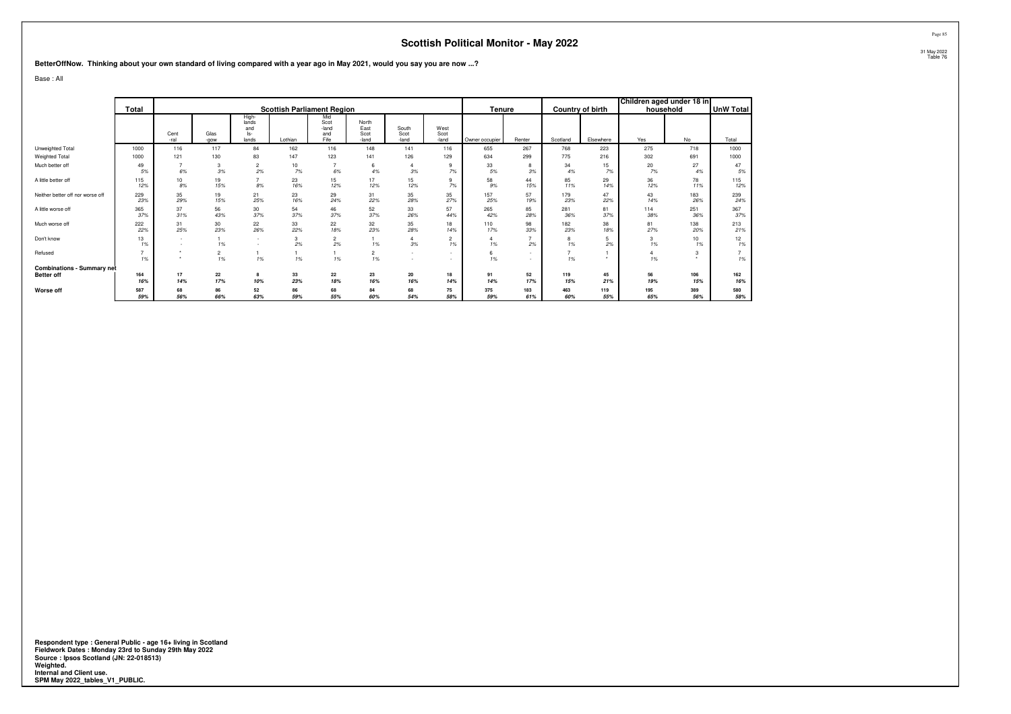**BetterOffNow. Thinking about your own standard of living compared with a year ago in May 2021, would you say you are now ...?**

Base : All

|                                   |            |                          |              |                                       |           |                                     |                                |                        |                                                      |                |                     |                     |                  | Children aged under 18 in |            |                  |
|-----------------------------------|------------|--------------------------|--------------|---------------------------------------|-----------|-------------------------------------|--------------------------------|------------------------|------------------------------------------------------|----------------|---------------------|---------------------|------------------|---------------------------|------------|------------------|
|                                   | Total      |                          |              |                                       |           | <b>Scottish Parliament Region</b>   |                                |                        |                                                      | Tenure         |                     |                     | Country of birth | household                 |            | <b>UnW Total</b> |
|                                   |            | Cent<br>-ral             | Glas<br>-gow | High-<br>lands<br>and<br>ls-<br>lands | Lothian   | Mid<br>Scot<br>-land<br>and<br>Fife | North<br>East<br>Scot<br>-land | South<br>Scot<br>-land | West<br>Scot<br>-land                                | Owner occupier | Renter              | Scotland            | Elsewhere        | Yes                       | No         | Total            |
| Unweighted Total                  | 1000       | 116                      | 117          | 84                                    | 162       | 116                                 | 148                            | 141                    | 116                                                  | 655            | 267                 | 768                 | 223              | 275                       | 718        | 1000             |
| Weighted Total                    | 1000       | 121                      | 130          | 83                                    | 147       | 123                                 | 141                            | 126                    | 129                                                  | 634            | 299                 | 775                 | 216              | 302                       | 691        | 1000             |
| Much better off                   | 49<br>5%   | 6%                       | 3<br>3%      | 2<br>2%                               | 10<br>7%  | 6%                                  | 6<br>4%                        | 3%                     | 9<br>7%                                              | 33<br>5%       | 8<br>3%             | 34<br>4%            | 15<br>7%         | 20<br>7%                  | 27<br>4%   | 47<br>5%         |
| A little better off               | 115<br>12% | 10<br>8%                 | 19<br>15%    | 8%                                    | 23<br>16% | 15<br>12%                           | 17<br>12%                      | 15<br>12%              | 9<br>7%                                              | 58<br>9%       | 44<br>15%           | 85<br>11%           | 29<br>14%        | 36<br>12%                 | 78<br>11%  | 115<br>12%       |
| Neither better off nor worse off  | 229<br>23% | 35<br>29%                | 19<br>15%    | 21<br>25%                             | 23<br>16% | 29<br>24%                           | 31<br>22%                      | 35<br>28%              | 35<br>27%                                            | 157<br>25%     | 57<br>19%           | 179<br>23%          | 47<br>22%        | 43<br>14%                 | 183<br>26% | 239<br>24%       |
| A little worse off                | 365<br>37% | 37<br>31%                | 56<br>43%    | 30<br>37%                             | 54<br>37% | 46<br>37%                           | 52<br>37%                      | 33<br>26%              | 57<br>44%                                            | 265<br>42%     | 85<br>28%           | 281<br>36%          | 81<br>37%        | 114<br>38%                | 251<br>36% | 367<br>37%       |
| Much worse off                    | 222<br>22% | 31<br>25%                | 30<br>23%    | 22<br>26%                             | 33<br>22% | 22<br>18%                           | 32<br>23%                      | 35<br>28%              | 18<br>14%                                            | 110<br>17%     | 98<br>33%           | 182<br>23%          | 38<br>18%        | 81<br>27%                 | 138<br>20% | 213<br>21%       |
| Don't know                        | 13<br>1%   | $\overline{\phantom{a}}$ | 1%           | $\sim$                                | 3<br>2%   | $\overline{c}$<br>2%                | 1%                             | 3%                     | $\overline{2}$<br>1%                                 | 1%             | $\rightarrow$<br>2% | 8<br>1%             | 5<br>2%          | 3<br>1%                   | 10<br>1%   | 12<br>1%         |
| Refused                           | 1%         | $\ddot{}$                | 2<br>1%      | 1%                                    | 1%        | 1%                                  | 2<br>1%                        | $\sim$<br>$\sim$       | $\overline{\phantom{a}}$<br>$\overline{\phantom{a}}$ | 6<br>1%        | ٠<br>٠              | $\rightarrow$<br>1% |                  | 1%                        | 3          | 1%               |
| <b>Combinations - Summary net</b> |            |                          |              |                                       |           |                                     |                                |                        |                                                      |                |                     |                     |                  |                           |            |                  |
| <b>Better off</b>                 | 164        | 17                       | 22           | 8                                     | 33        | 22                                  | 23                             | 20                     | 18                                                   | 91             | 52                  | 119                 | 45               | 56                        | 106        | 162              |
|                                   | 16%        | 14%                      | 17%          | 10%                                   | 23%       | 18%                                 | 16%                            | 16%                    | 14%                                                  | 14%            | 17%                 | 15%                 | 21%              | 19%                       | 15%        | 16%              |
| Worse off                         | 587<br>59% | 68<br>56%                | 86<br>66%    | 52<br>63%                             | 86<br>59% | 68<br>55%                           | 84<br>60%                      | 68<br>54%              | 75<br>58%                                            | 375<br>59%     | 183<br>61%          | 463<br>60%          | 119<br>55%       | 195<br>65%                | 389<br>56% | 580<br>58%       |

**Respondent type : General Public - age 16+ living in Scotland Fieldwork Dates : Monday 23rd to Sunday 29th May 2022 Source : Ipsos Scotland (JN: 22-018513) Weighted. Internal and Client use. SPM May 2022\_tables\_V1\_PUBLIC.**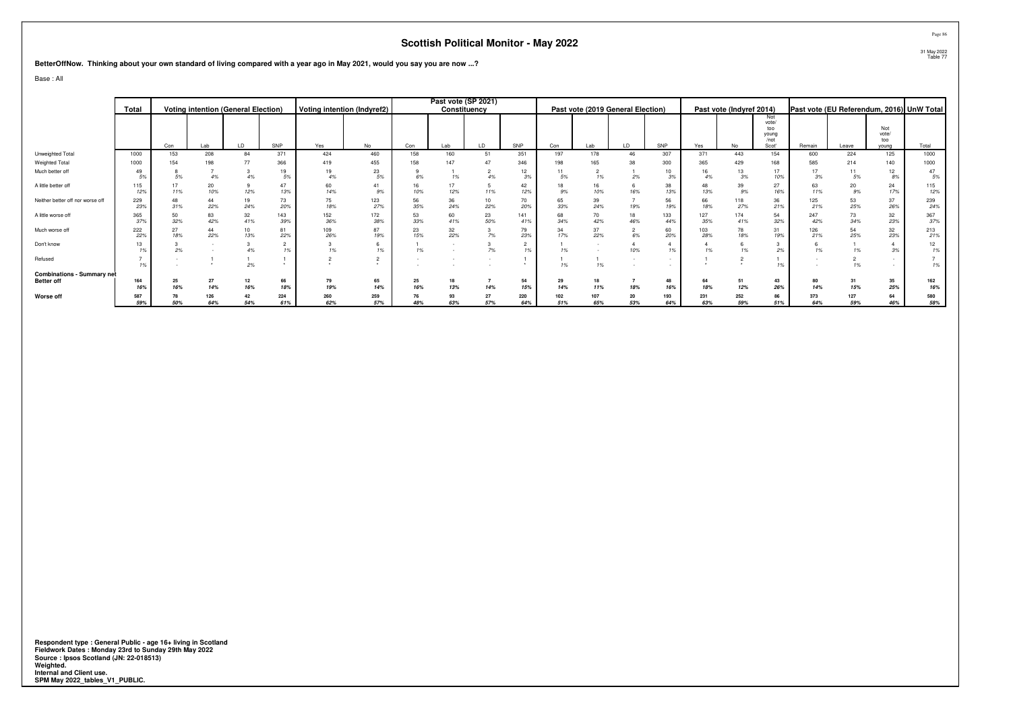**BetterOffNow. Thinking about your own standard of living compared with a year ago in May 2021, would you say you are now ...?**

Base : All

|                                   |            |     |           |                                            |           |            |                             |           |           | Past vote (SP 2021) |                      |     |            |                                   |           |           |                          |               |           |            |              |                                           |
|-----------------------------------|------------|-----|-----------|--------------------------------------------|-----------|------------|-----------------------------|-----------|-----------|---------------------|----------------------|-----|------------|-----------------------------------|-----------|-----------|--------------------------|---------------|-----------|------------|--------------|-------------------------------------------|
|                                   | Total      |     |           | <b>Voting intention (General Election)</b> |           |            | Voting intention (Indyref2) |           |           | Constituency        |                      |     |            | Past vote (2019 General Election) |           |           | Past vote (Indyref 2014) |               |           |            |              | Past vote (EU Referendum, 2016) UnW Total |
|                                   |            |     |           |                                            |           |            |                             |           |           |                     |                      |     |            |                                   |           |           |                          | Not<br>vote/  |           |            |              |                                           |
|                                   |            |     |           |                                            |           |            |                             |           |           |                     |                      |     |            |                                   |           |           |                          | too           |           |            | Not          |                                           |
|                                   |            |     |           |                                            |           |            |                             |           |           |                     |                      |     |            |                                   |           |           |                          | young<br>/not |           |            | vote/<br>too |                                           |
|                                   |            | Con | Lab       | LD                                         | SNP       | Yes        | No                          | Con       | Lab       | LD                  | SNP                  | Con | Lab        | LD                                | SNP       | Yes       | No                       | Scot'         | Remain    | Leave      | young        | Total                                     |
| Unweighted Total                  | 1000       | 153 | 208       | 84                                         | 371       | 424        | 460                         | 158       | 160       | 51                  | 351                  | 197 | 178        | 46                                | 307       | 371       | 443                      | 154           | 600       | 224        | 125          | 1000                                      |
| Weighted Total                    | 1000       | 154 | 198       | 77                                         | 366       | 419        | 455                         | 158       | 147       | 47                  | 346                  | 198 | 165        | 38                                | 300       | 365       | 429                      | 168           | 585       | 214        | 140          | 1000                                      |
| Much better off                   | 49         |     |           |                                            | 19        | 19         | 23                          |           |           |                     | 12                   |     |            |                                   | 10        | 16        | 13                       |               | 17        |            | 12           | 47                                        |
|                                   |            |     | 4%        |                                            | 5%        | 4%         | 5%                          | 6%        | 1%        |                     | 3%                   | .5% | 1%         | 2%                                | 3%        | 4%        | $3\%$                    | 10%           | 3%        |            | 8%           | 5%                                        |
| A little better off               | 115<br>12% | 11% | 20<br>10% | 12%                                        | 47<br>13% | 60<br>14%  | 41<br>9%                    | 16<br>10% | 17<br>12% | 11%                 | 42<br>12%            | .9% | 16<br>10%  | 16%                               | 38<br>13% | 48<br>13% | 39<br>9%                 | 27<br>16%     | 63<br>11% | 20<br>9%   | 24<br>17%    | 115<br>12%                                |
| Neither better off nor worse off  | 229        |     |           | 19                                         | 73        | 75         | 123                         | 56        | 36        | 10                  | 70                   | 65  | 39         |                                   | 56        | 66        |                          | 36            | 125       | 53         | 37           | 239                                       |
|                                   | 23%        | 31% | 22%       | 24%                                        | 20%       | 18%        | 27%                         | 35%       | 24%       | 22%                 | 20%                  | 33% | 24%        | 19%                               | 19%       | 18%       | 118<br>27%               | 21%           | 21%       | 25%        | 26%          | 24%                                       |
| A little worse off                | 365        | 50  | 83        | 32                                         | 143       | 152        | 172                         | 53        | 60        | 23                  | 141                  | 68  | 70         | 18                                | 133       | 127       | 174                      | 54            | 247       |            | 32           | 367                                       |
|                                   | 37%        | 32% | 42%       | 41%                                        | 39%       | 36%        | 38%                         | 33%       | 41%       | 50%                 | 41%                  | 34% | 42%        | 46%                               | 44%       | 35%       | 41%                      | 32%           | 42%       | 34%        | 23%          | 37%                                       |
| Much worse off                    | 222        |     | 44        | 10                                         | 81        | 109        | 87                          | 23        | 32<br>22% |                     | 79                   |     | 37         |                                   | 60        | 103       | 78                       | 31            | 126       |            | 32           | 213                                       |
|                                   | 22%        | 18% | 22%       | 13%                                        | 22%       | 26%        | 19%                         | 15%       |           | 7%                  | 23%                  | 17% | 22%        | 6%                                | 20%       | 28%       | 18%                      | 19%           | 21%       | 25%        | 23%          | 21%                                       |
| Don't know                        |            | 2%  |           |                                            |           | 1%         | 1%                          | 1%        |           | 7%                  | $\overline{2}$<br>1% |     |            | 10%                               | 1%        | 1%        |                          | 2%            | 1%        |            | 3%           | 12<br>1%                                  |
| Refused                           |            |     |           |                                            |           |            |                             |           |           |                     |                      |     |            |                                   | $\sim$    |           |                          |               |           |            |              |                                           |
|                                   |            |     |           | 2%                                         |           |            | $\ddot{\phantom{1}}$        |           |           |                     |                      | 1%  | 1%         |                                   |           |           |                          | 1%            |           | 1%         |              | 1%                                        |
| <b>Combinations - Summary net</b> |            |     |           |                                            |           |            |                             |           |           |                     |                      |     |            |                                   |           |           |                          |               |           |            |              |                                           |
| <b>Better off</b>                 | 164        | 25  | 27        |                                            | 66        | 79         | 65                          | 25        | 18        |                     | 54                   | 29  | 18         |                                   | 48        | 64        | 51                       | 43            | 80        | 31         | 35           | 162                                       |
|                                   | 16%        | 16% | 14%       | 16%                                        | 18%       | 19%        | 14%                         | 16%       | 13%       | 14%                 | 15%                  | 14% | 11%        | 18%                               | 16%       | 18%       | 12%                      | 26%           | 14%       | 15%        | 25%          | 16%                                       |
| Worse off                         | 587        |     | 126       |                                            | 224       | 260<br>62% | 259<br>57%                  | 76        | 93        | 27                  | 220                  | 102 | 107<br>65% | 20                                | 193       | 231       | 252<br>59%               | 86            | 373       | 127<br>59% | 64           | 580                                       |
|                                   | 59%        | 50% | 64%       | 54%                                        | 61%       |            |                             | 48%       | 63%       | 57%                 | 64%                  | 51% |            | 53%                               | 64%       | 63%       |                          | 51%           | 64%       |            | 46%          | 58%                                       |

**Respondent type : General Public - age 16+ living in Scotland Fieldwork Dates : Monday 23rd to Sunday 29th May 2022 Source : Ipsos Scotland (JN: 22-018513) Weighted. Internal and Client use. SPM May 2022\_tables\_V1\_PUBLIC.**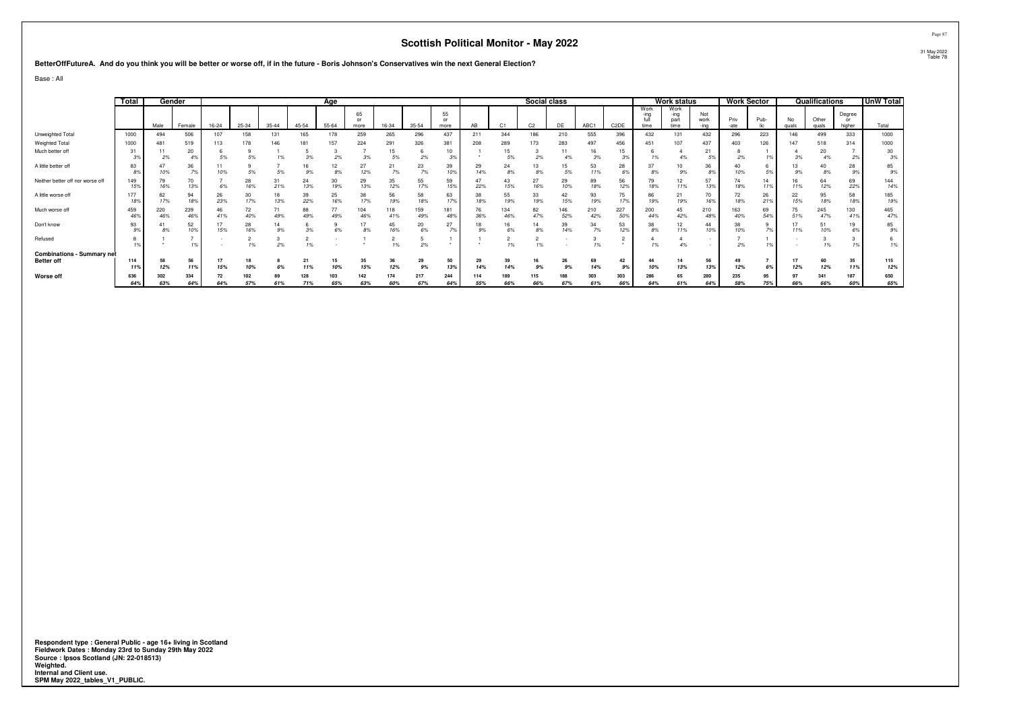#### **BetterOffFutureA. And do you think you will be better or worse off, if in the future - Boris Johnson's Conservatives win the next General Election?**

Base : All

|                                                        | Total |            | Gender     |           |           |           |            | Age        |                  |            |            |                          |            |                | Social class   |            |            |                   |                      | Work status                  |                     | <b>Work Sector</b> |           |             | Qualifications |                        | <b>UnW Total</b> |
|--------------------------------------------------------|-------|------------|------------|-----------|-----------|-----------|------------|------------|------------------|------------|------------|--------------------------|------------|----------------|----------------|------------|------------|-------------------|----------------------|------------------------------|---------------------|--------------------|-----------|-------------|----------------|------------------------|------------------|
|                                                        |       | Male       | Female     | $16 - 24$ | 25-34     | $35 - 44$ | 45-54      | $55 - 64$  | 65<br>or<br>more | 16-34      | 35-54      | 55<br>$^{\circ}$<br>more | AB         | C <sub>1</sub> | C <sub>2</sub> | DE         | ABC1       | C <sub>2</sub> DE | Work<br>-ina<br>time | Work<br>-ina<br>part<br>time | Not<br>work<br>-ina | Priv<br>-ate       | Pub-      | No<br>quals | Other<br>quals | Degree<br>or<br>higher | Total            |
| Unweighted Total                                       | 1000  | 494        | 506        | 107       | 158       | 131       | 165        | 178        | 259              | 265        | 296        | 437                      | 211        | 344            | 186            | 210        | 555        | 396               | 432                  | 131                          | 432                 | 296                | 223       | 146         | 499            | 333                    | 1000             |
| Weighted Total                                         | 1000  | 481        | 519        | 113       | 178       | 146       | 181        |            | 224              | 291        | 326        | 381                      | 208        | 289            | 173            | 283        | 497        | 456               | 451                  | 107                          | 437                 | 403                | 126       |             | 518            | 314                    | 1000             |
| Much better off                                        | 31    | 2%         | 20<br>4%   | 5%        | 5%        | 1%        | 3%         | 2%         | 3%               | 15<br>5%   | 2%         | 10<br>3%                 |            | 15<br>5%       | 2%             | 4%         | 16<br>3%   | 15                | 1%                   |                              | 21<br>5%            | 2%                 |           | 3%          | 20<br>4%       | 2%                     | 30<br>3%         |
| A little better off                                    | 83    | 10%        | 36<br>7%   | 10%       | 5%        | 5%        | 16<br>9%   | 8%         | 27<br>12%        | 21<br>7%   | 23<br>7%   | 39<br>10%                | 29<br>14%  | 24<br>8%       | 13<br>8%       | 15<br>5%   | 53<br>11%  | 28                | 8%                   | 9%                           | 36<br>8%            | 10%                | 5%        | 9%          | 40<br>8%       | 28<br>9%               | 85<br>9%         |
| Neither better off nor worse off                       | 149   | 79<br>16%  | 70<br>13%  | 6%        | 28<br>16% | 31<br>21% | 24<br>13%  | 30<br>19%  | 29<br>13%        | 35<br>12%  | 55<br>17%  | 59<br>15%                | 47<br>22%  | 43<br>15%      | 16%            | 29<br>10%  | 89<br>18%  | 56<br>129         | 18%                  | 12<br>11%                    | 57<br>13%           | 74<br>18%          | 14<br>11% |             | 64<br>12%      | 69<br>22%              | 144<br>14%       |
| A little worse off                                     | 177   | 82<br>17%  | 94<br>18%  | 26<br>23% | 30<br>17% | 18<br>13% | 39<br>22%  | 25<br>16%  | 38<br>17%        | 56<br>19%  | 58<br>18%  | 63<br>17%                | 38<br>18%  | 55<br>19%      | 33<br>19%      | 42<br>15%  | 93<br>19%  | 75                | 86<br>19%            | 21<br>19%                    | 70<br>16%           | 72<br>18%          | 26<br>21% | 22<br>15%   | 95<br>18%      | 58<br>18%              | 185<br>19%       |
| Much worse off                                         | 459   | 220<br>46% | 239<br>46% | 46<br>41% | 72<br>40% | 71<br>49% | 88<br>49%  | 77<br>49%  | 104<br>46%       | 118<br>41% | 159<br>49% | 181<br>48%               | 76<br>36%  | 134<br>46%     | 82<br>47%      | 146<br>52% | 210<br>42% | 227<br>50         | 200<br>44%           | 42%                          | 210<br>48%          | 163<br>40%         | 69<br>54% |             | 245<br>47%     | 130<br>419             | 465<br>47%       |
| Don't know                                             | 93    |            | 52<br>10%  | 15%       | 28<br>16% | 14<br>9%  | 3%         |            |                  | 45<br>16%  | 20<br>6%   | 27<br>7%                 |            | 16<br>6%       | 14<br>8%       | 39<br>14%  | 34<br>7%   | 53<br>12%         | 8%                   | 12<br>11%                    | 44<br>10%           | 38<br>10%          | 7%        |             | 51<br>10%      | 19                     | 85<br>9%         |
| Refused                                                |       |            | 1%         |           | 10/       | 2%        | 1%         |            |                  | 101        | 2%         |                          |            | 1%             | 1%             |            | 1%         |                   |                      | 4%                           |                     | 2%                 |           |             | 1%             |                        | 1%               |
| <b>Combinations - Summary net</b><br><b>Better off</b> | 114   | 58<br>12%  | 56<br>11%  | 17<br>15% | 10%       | 6%        | 11%        | 15<br>10%  | 35<br>15%        | 36<br>12%  | 29<br>9%   | 50<br>13%                | 29<br>14%  | 39<br>14%      | 16<br>9%       | 26<br>9%   | 69<br>14%  | 42<br>9%          | 10%                  | 13%                          | 56<br>13%           | 12%                | 6%        | 12%         | 60<br>12%      | 35<br>11%              | 115<br>12%       |
| Worse off                                              | 636   | 302<br>63% | 334<br>64% | 64%       | 57%       | 61%       | 128<br>71% | 103<br>65% | 142<br>63%       | 174<br>60% | 217<br>67% | 244<br>64%               | 114<br>55% | 189<br>66%     | 115<br>66%     | 67%        | 303<br>61% | 303<br>66%        | 286<br>64%           | 61%                          | 280<br>64%          | 235<br>58%         | 95<br>75% | 66%         | 341<br>66%     | 187<br>60%             | 650<br>65%       |

**Respondent type : General Public - age 16+ living in Scotland Fieldwork Dates : Monday 23rd to Sunday 29th May 2022 Source : Ipsos Scotland (JN: 22-018513) Weighted. Internal and Client use. SPM May 2022\_tables\_V1\_PUBLIC.**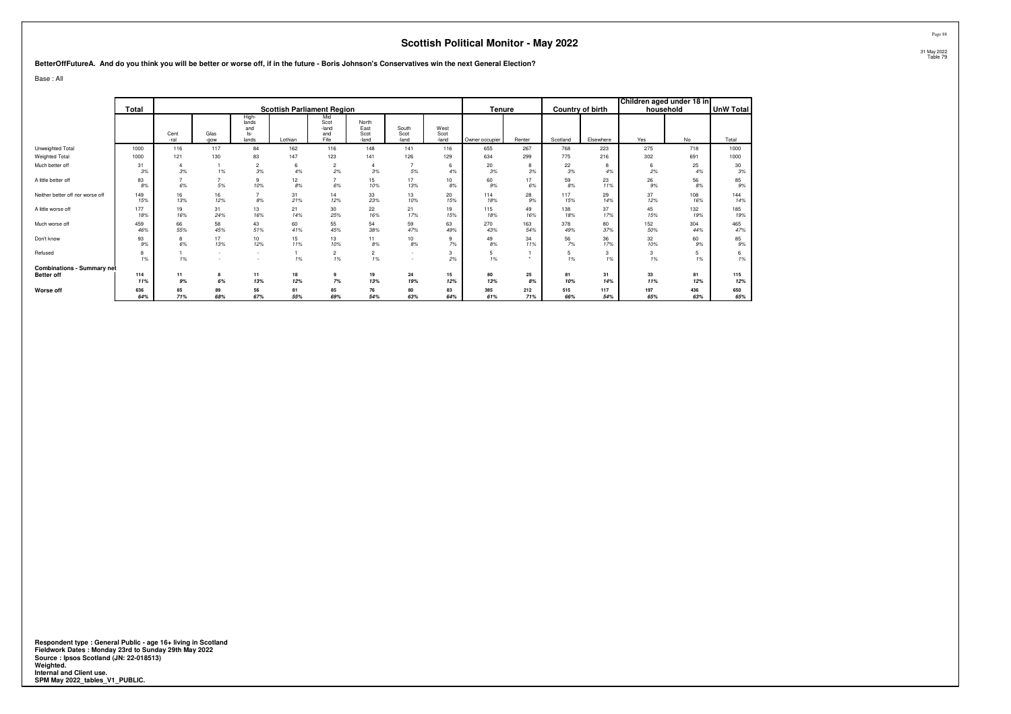**BetterOffFutureA. And do you think you will be better or worse off, if in the future - Boris Johnson's Conservatives win the next General Election?**

Base : All

|                                   |            |              |              |                                       |           |                                     |                                |                                    |                       |                |            |            |                         | Children aged under 18 in |            |            |
|-----------------------------------|------------|--------------|--------------|---------------------------------------|-----------|-------------------------------------|--------------------------------|------------------------------------|-----------------------|----------------|------------|------------|-------------------------|---------------------------|------------|------------|
|                                   | Total      |              |              |                                       |           | <b>Scottish Parliament Region</b>   |                                |                                    |                       | Tenure         |            |            | <b>Country of birth</b> | household                 |            | UnW Total  |
|                                   |            | Cent<br>-ral | Glas<br>-gow | High-<br>lands<br>and<br>ls-<br>lands | Lothian   | Mid<br>Scot<br>-land<br>and<br>Fife | North<br>East<br>Scot<br>-land | South<br>Scot<br>-land             | West<br>Scot<br>-land | Owner occupier | Renter     | Scotland   | Elsewhere               | Yes                       | No         | Total      |
| Unweighted Total                  | 1000       | 116          | 117          | 84                                    | 162       | 116                                 | 148                            | 141                                | 116                   | 655            | 267        | 768        | 223                     | 275                       | 718        | 1000       |
| Weighted Total                    | 1000       | 121          | 130          | 83                                    | 147       | 123                                 | 141                            | 126                                | 129                   | 634            | 299        | 775        | 216                     | 302                       | 691        | 1000       |
| Much better off                   | 31<br>3%   | 3%           | 1%           | $\overline{c}$<br>3%                  | 6<br>4%   | $\overline{\mathbf{c}}$<br>2%       | 3%                             | 5%                                 | 6<br>4%               | 20<br>3%       | 8<br>3%    | 22<br>3%   | 8<br>4%                 | 6<br>2%                   | 25<br>4%   | 30<br>3%   |
| A little better off               | 83<br>8%   | 6%           | ٠,<br>5%     | 9<br>10%                              | 12<br>8%  | 6%                                  | 15<br>10%                      | 17<br>13%                          | 10<br>8%              | 60<br>9%       | 17<br>6%   | 59<br>8%   | 23<br>11%               | 26<br>9%                  | 56<br>8%   | 85<br>9%   |
| Neither better off nor worse off  | 149<br>15% | 16<br>13%    | 16<br>12%    | 8%                                    | 31<br>21% | 14<br>12%                           | 33<br>23%                      | 13<br>10%                          | 20<br>15%             | 114<br>18%     | 28<br>9%   | 117<br>15% | 29<br>14%               | 37<br>12%                 | 108<br>16% | 144<br>14% |
| A little worse off                | 177<br>18% | 19<br>16%    | 31<br>24%    | 13<br>16%                             | 21<br>14% | 30<br>25%                           | 22<br>16%                      | 21<br>17%                          | 19<br>15%             | 115<br>18%     | 49<br>16%  | 138<br>18% | 37<br>17%               | 45<br>15%                 | 132<br>19% | 185<br>19% |
| Much worse off                    | 459<br>46% | 66<br>55%    | 58<br>45%    | 43<br>51%                             | 60<br>41% | 55<br>45%                           | 54<br>38%                      | 59<br>47%                          | 63<br>49%             | 270<br>43%     | 163<br>54% | 378<br>49% | 80<br>37%               | 152<br>50%                | 304<br>44% | 465<br>47% |
| Don't know                        | 93<br>9%   | 8<br>6%      | 17<br>13%    | 10 <sup>10</sup><br>12%               | 15<br>11% | 13<br>10%                           | 11<br>8%                       | 10 <sup>10</sup><br>8%             | 9<br>7%               | 49<br>8%       | 34<br>11%  | 56<br>7%   | 36<br>17%               | 32<br>10%                 | 60<br>9%   | 85<br>9%   |
| Refused                           | 8<br>1%    | 1%           | . .          | $\sim$<br>$\overline{\phantom{a}}$    | 1%        | $\overline{c}$<br>1%                | $\overline{\mathbf{c}}$<br>1%  | $\sim$<br>$\overline{\phantom{a}}$ | 3<br>2%               | 5<br>1%        |            | 5<br>1%    | 3<br>1%                 | 3<br>1%                   | 1%         | 1%         |
| <b>Combinations - Summary net</b> |            |              |              |                                       |           |                                     |                                |                                    |                       |                |            |            |                         |                           |            |            |
| <b>Better off</b>                 | 114        | 11           | 8            | 11                                    | 18        |                                     | 19                             | 24                                 | 15                    | 80             | 25         | 81         | 31                      | 33                        | 81         | 115        |
|                                   | 11%        | 9%           | 6%           | 13%                                   | 12%       | 7%                                  | 13%                            | 19%                                | 12%                   | 13%            | 8%         | 10%        | 14%                     | 11%                       | 12%        | 12%        |
| Worse off                         | 636<br>64% | 85<br>71%    | 89<br>68%    | 56<br>67%                             | 81<br>55% | 85<br>69%                           | 76<br>54%                      | 80<br>63%                          | 83<br>64%             | 385<br>61%     | 212<br>71% | 515<br>66% | 117<br>54%              | 197<br>65%                | 436<br>63% | 650<br>65% |

**Respondent type : General Public - age 16+ living in Scotland Fieldwork Dates : Monday 23rd to Sunday 29th May 2022 Source : Ipsos Scotland (JN: 22-018513) Weighted. Internal and Client use. SPM May 2022\_tables\_V1\_PUBLIC.**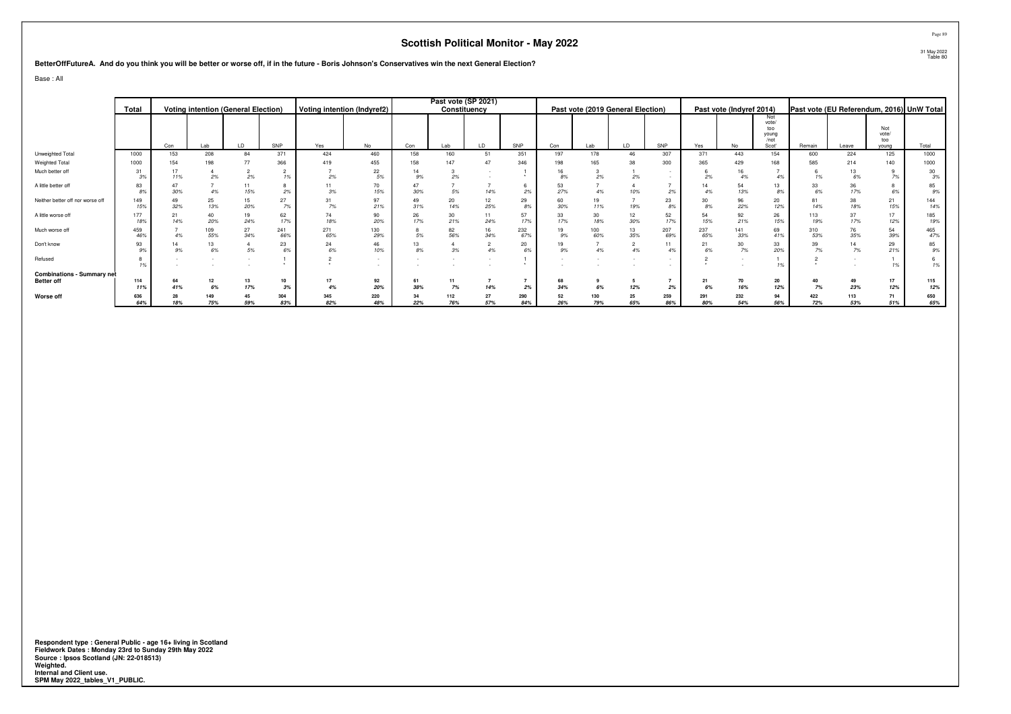#### **BetterOffFutureA. And do you think you will be better or worse off, if in the future - Boris Johnson's Conservatives win the next General Election?**

Base : All

|                                   |            |           |            |                                            |            |            |                             |           |            | Past vote (SP 2021) |                      |           |            |                                   |             |            |                          |               |            |            |              |                                           |
|-----------------------------------|------------|-----------|------------|--------------------------------------------|------------|------------|-----------------------------|-----------|------------|---------------------|----------------------|-----------|------------|-----------------------------------|-------------|------------|--------------------------|---------------|------------|------------|--------------|-------------------------------------------|
|                                   | Total      |           |            | <b>Voting intention (General Election)</b> |            |            | Voting intention (Indyref2) |           |            | Constituency        |                      |           |            | Past vote (2019 General Election) |             |            | Past vote (Indyref 2014) |               |            |            |              | Past vote (EU Referendum, 2016) UnW Total |
|                                   |            |           |            |                                            |            |            |                             |           |            |                     |                      |           |            |                                   |             |            |                          | Not<br>vote/  |            |            |              |                                           |
|                                   |            |           |            |                                            |            |            |                             |           |            |                     |                      |           |            |                                   |             |            |                          | too           |            |            | Not          |                                           |
|                                   |            |           |            |                                            |            |            |                             |           |            |                     |                      |           |            |                                   |             |            |                          | young<br>/not |            |            | vote/<br>too |                                           |
|                                   |            | Con       | Lab        | LD                                         | SNP        | Yes        | <b>No</b>                   | Con       | Lab        | LD                  | SNP                  | Con       | Lab        | LD.                               | SNP         | Yes        |                          | Scot'         | Remain     | Leave      | young        | Total                                     |
| Unweighted Total                  | 1000       | 153       | 208        | 84                                         | 371        | 424        | 460                         | 158       | 160        | 51                  | 351                  | 197       | 178        | 46                                | 307         | 371        | 443                      | 154           | 600        | 224        | 125          | 1000                                      |
| Weighted Total                    | 1000       | 154       | 198        |                                            | 366        | 419        | 455                         | 158       | 147        | 47                  | 346                  | 198       | 165        | 38                                | 300         | 365        | 429                      | 168           | 585        | 214        | 140          | 1000                                      |
| Much better off                   | .3%        | 11%       | 2%         | 2%                                         | 1%         | 2%         | 22<br>5%                    | 9%        | 2%         |                     |                      |           | 2%         | 2%                                |             | 2%         | 16<br>4%                 | 4%            | 1%         |            | 7%           | 30<br>3%                                  |
| A little better off               | 83         | 30%       |            | 15%                                        | 2%         | 3%         | 70<br>15%                   | 30%       | 5%         | 14%                 | 2%                   | 27%       | 4%         | 10%                               | 2%          |            | 54<br>13%                | 13<br>8%      | 33<br>6%   | 17%        | 8<br>6%      | 85<br>9%                                  |
| Neither better off nor worse off  | 149        | 32%       | 25<br>13%  | 15<br>20%                                  | 27<br>7%   | 31<br>7%   | 97<br>21%                   | 49<br>31% | 20<br>14%  | 12<br>25%           | 29<br>8%             | 60<br>30% | 11%        | 19%                               | 23<br>$8\%$ | 8%         | 96<br>22%                | 20<br>12%     | 81<br>14%  | 18%        | 21<br>15%    | 144<br>14%                                |
| A little worse off                | 177<br>18% | 21<br>14% | 40<br>20%  | 19<br>24%                                  | 62<br>17%  | 74<br>18%  | 90<br>20%                   | 26<br>17% | 30<br>21%  | 11<br>24%           | 57<br>17%            | 17%       | 30<br>18%  | 12<br>30%                         | 52<br>17%   | 54<br>15%  | 92<br>21%                | 26<br>15%     | 113<br>19% | 37<br>17%  | 17<br>12%    | 185<br>19%                                |
| Much worse off                    |            | 4%        | 109<br>55% | 27<br>34%                                  | 241<br>66% | 271<br>65% | 130<br>29%                  | 5%        | 82<br>56%  | 16<br>34%           | 232<br>67%           | 19<br>9%  | 100<br>60% | 13<br>35%                         | 207<br>69%  | 237<br>65% | 141<br>33%               | 69<br>41%     | 310<br>53% | 35%        | 54<br>39%    | 465<br>47%                                |
| Don't know                        |            | 9%        | 6%         | 5%                                         | 23<br>6%   | 24<br>6%   | 46<br>10%                   | 13<br>8%  | $3\%$      | 4%                  | 20<br>6%             | 9%        | 4%         | 4%                                | 11<br>4%    | 21<br>6%   | $rac{30}{7%}$            | 33<br>20%     | 39<br>7%   |            | 29<br>21%    | 85<br>9%                                  |
| Refused                           |            |           |            |                                            |            |            | $\sim$<br>$\sim$            |           |            |                     | $\ddot{\phantom{1}}$ |           |            |                                   |             |            |                          | 1%            |            |            | 1%           | 1%                                        |
| <b>Combinations - Summary net</b> |            |           |            |                                            |            |            |                             |           |            |                     |                      |           |            |                                   |             |            |                          |               |            |            |              |                                           |
| <b>Better off</b>                 | 114        |           | 12         | 13                                         | 10         | 17         | 92                          | 61        | 11         |                     |                      | 68        |            |                                   |             | 21         | 70                       | 20            |            |            | 17           | 115                                       |
|                                   |            | 41%       | 6%         | 17%                                        | 3%         | 4%         | 20%                         | 38%       | 7%         | 14%                 | 2%                   | 34%       | 6%         | 12%                               | 2%          | 6%         | 16%                      | 12%           | 7%         | 23%        | 12%          | 12%                                       |
| Worse off                         | 636<br>64% | 18%       | 149<br>75% | 45<br>59%                                  | 304<br>83% | 345<br>82% | 220<br>48%                  | 34<br>22% | 112<br>76% | 27<br>57%           | 290<br>84%           | 52<br>26% | 130<br>79% | 25<br>65%                         | 259<br>86%  | 291<br>80% | 232<br>54%               | 94<br>56%     | 422<br>72% | 113<br>53% | 71<br>51%    | 650<br>65%                                |

**Respondent type : General Public - age 16+ living in Scotland Fieldwork Dates : Monday 23rd to Sunday 29th May 2022 Source : Ipsos Scotland (JN: 22-018513) Weighted. Internal and Client use. SPM May 2022\_tables\_V1\_PUBLIC.**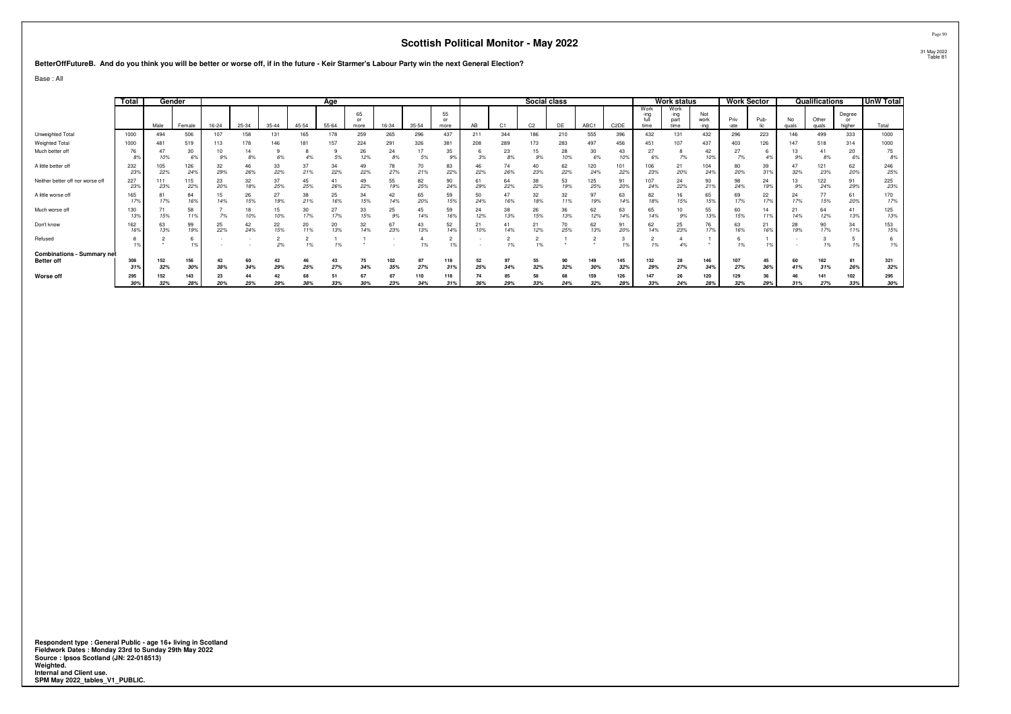#### **BetterOffFutureB. And do you think you will be better or worse off, if in the future - Keir Starmer's Labour Party win the next General Election?**

Base : All

|                                                        | Total      |            | Gender     |           | Age       |           |           |           |                        |             |            |                        |           |                | Social class   |           |            |                   |                      | Work status                  |                     | <b>Work Sector</b> |           |             | Qualifications |                        | <b>UnW Tota</b> |
|--------------------------------------------------------|------------|------------|------------|-----------|-----------|-----------|-----------|-----------|------------------------|-------------|------------|------------------------|-----------|----------------|----------------|-----------|------------|-------------------|----------------------|------------------------------|---------------------|--------------------|-----------|-------------|----------------|------------------------|-----------------|
|                                                        |            | Male       | Female     | $16 - 24$ | 25-34     | $35 - 44$ | 45-54     | $55 - 64$ | 65<br>$\alpha$<br>more | 16-34       | $35 - 54$  | 55<br>$\alpha$<br>more | AB        | C <sub>1</sub> | C <sub>2</sub> | DF        | ABC1       | C <sub>2</sub> DE | Work<br>-ina<br>time | Work<br>-ing<br>part<br>time | Not<br>work<br>-ina | Priv<br>-ate       | Pub-      | No<br>quals | Other<br>quals | Degree<br>or<br>higher | Total           |
| Unweighted Total                                       | 1000       | 494        | 506        | 107       | 158       | 131       | 165       | 178       | 259                    | 265         | 296        | 437                    | 211       | 344            | 186            | 210       | 555        | 396               | 432                  | 131                          | 432                 | 296                | 223       | 146         | 499            | 333                    | 1000            |
| Weighted Total                                         | 1000       | 481        | 519        | 113       |           | 146       | 181       | 157       | 224                    | 291         | 326        | 381                    | 208       | 289            | 173            | 283       | 497        | 456               | 451                  | 107                          | 437                 | 403                | 126       | 147         | 518            | 314                    | 1000            |
| Much better off                                        | 76         | 10%        | 30<br>69   | 10<br>9%  | 8%        | 6%        | 4%        | 5%        | 26<br>12%              | 24<br>$8\%$ | 17<br>5%   | 35<br>9%               | 3%        | 23<br>8%       | 15<br>9%       | 28<br>10% | 30<br>6%   | 43<br>10%         | 27<br>6%             | 7%                           | 42<br>10%           |                    | 6<br>4%   | 9%          | 41<br>8%       | 20<br>6%               | 75<br>8%        |
| A little better off                                    | 232<br>23  | 105<br>22% | 126<br>24% | 32<br>29% | 26%       | 33<br>22% | 21%       | 34<br>22% | 49<br>22%              | 78<br>27%   | 21%        | 83<br>22%              | 46<br>22% | 74<br>26%      | 40<br>23%      | 62<br>22% | 120<br>24% | 101<br>22%        | 106<br>23%           | 21<br>20%                    | 104<br>24%          | 80<br>20%          | 39<br>31% | 32%         | 121<br>23%     | 62<br>20%              | 246<br>25%      |
| Neither better off nor worse off                       | 227<br>239 | 111<br>23% | 115<br>22% | 23<br>20% | 32<br>18% | 37<br>25% | 45<br>25% | 41<br>26% | 49<br>22%              | 55<br>19%   | 82<br>25%  | 90<br>24%              | 61<br>29% | 64<br>22%      | 38<br>22%      | 53<br>19% | 125<br>25% | 91<br>20%         | 107<br>24%           | 24<br>22%                    | 93<br>21%           | 98<br>24%          | 24<br>19% | 9%          | 122<br>24%     | 29%                    | 225<br>23%      |
| A little worse off                                     |            | 17%        | 84<br>16%  | 15<br>14% | 26<br>15% | 27<br>19% | 38<br>21% | 25<br>16% | 34<br>15%              | 42<br>14%   | 65<br>20%  | 59<br>15%              | 50<br>24% | 16%            | 32<br>18%      | 32<br>11% | 97<br>19%  | 63<br>14%         | 82<br>18%            | 16<br>15%                    | 65<br>15%           | 69<br>17%          | 22<br>17% | 17%         | 77<br>15%      | 61<br>20%              | 170<br>17%      |
| Much worse off                                         | 130        | 15%        | 58<br>11%  | 7%        | 10%       | 15<br>10% | 17%       | 27<br>17% | 33<br>15%              | 25<br>9%    | 45<br>14%  | 59<br>16%              | 24<br>12% | 38<br>13%      | 26<br>15%      | 36<br>13% | 62<br>12%  | 63<br>14%         | 65<br>14%            | 9%                           | 55<br>13%           | 60<br>15%          | 14<br>11% | 14%         | 64<br>12%      | 13%                    | 125<br>13%      |
| Don't know                                             |            | 63<br>13%  | 99<br>19%  | 25<br>22% | 42<br>24% | 22<br>15% | 20<br>11% | 20<br>13% | 32<br>14%              | 67<br>23%   | 43<br>13%  | 52<br>14%              | 21<br>10% | 41<br>14%      | 21<br>12%      | 70<br>25% | 62<br>13%  | 91<br>20%         | 62<br>14%            | 25<br>23%                    | 76<br>17%           | 63<br>16%          | 21<br>16% | 28<br>19%   | 90<br>17%      | 34                     | 153<br>15%      |
| Refused                                                |            |            | 6          |           |           | 2%        | 1%        | 1%        |                        |             | 1%         |                        |           | 1%             | 1%             |           |            | 10                | 1%                   | 4%                           |                     | 1%                 |           |             |                |                        | 1%              |
| <b>Combinations - Summary net</b><br><b>Better off</b> | 308<br>319 | 152<br>32% | 156<br>30% | 42<br>38% | 60<br>34% | 42<br>29% | 25%       | 43<br>27% | 75<br>34%              | 102<br>35%  | 87<br>27%  | 118<br>31%             | 52<br>25% | 97<br>34%      | 55<br>32%      | 90<br>32% | 149<br>30% | 145<br>32%        | 132<br>29%           | 28<br>27%                    | 146<br>34%          | 107<br>27%         | 45<br>36% | 41%         | 162<br>31%     | 81<br>26%              | 321<br>32%      |
| Worse off                                              | 295<br>30% | 152<br>32% | 143<br>28% | 20%       | 25%       | 29%       | 38%       | 51<br>33% | 30%                    | 67<br>23%   | 110<br>34% | 118<br>31%             | 36%       | 85<br>29%      | 33%            | 68<br>24% | 159<br>32% | 126<br>28%        | 147<br>33%           | 24%                          | 120<br>28%          | 129<br>32%         | 29%       | 31%         | 141<br>27%     | 102<br>33%             | 295<br>30%      |

**Respondent type : General Public - age 16+ living in Scotland Fieldwork Dates : Monday 23rd to Sunday 29th May 2022 Source : Ipsos Scotland (JN: 22-018513) Weighted. Internal and Client use. SPM May 2022\_tables\_V1\_PUBLIC.**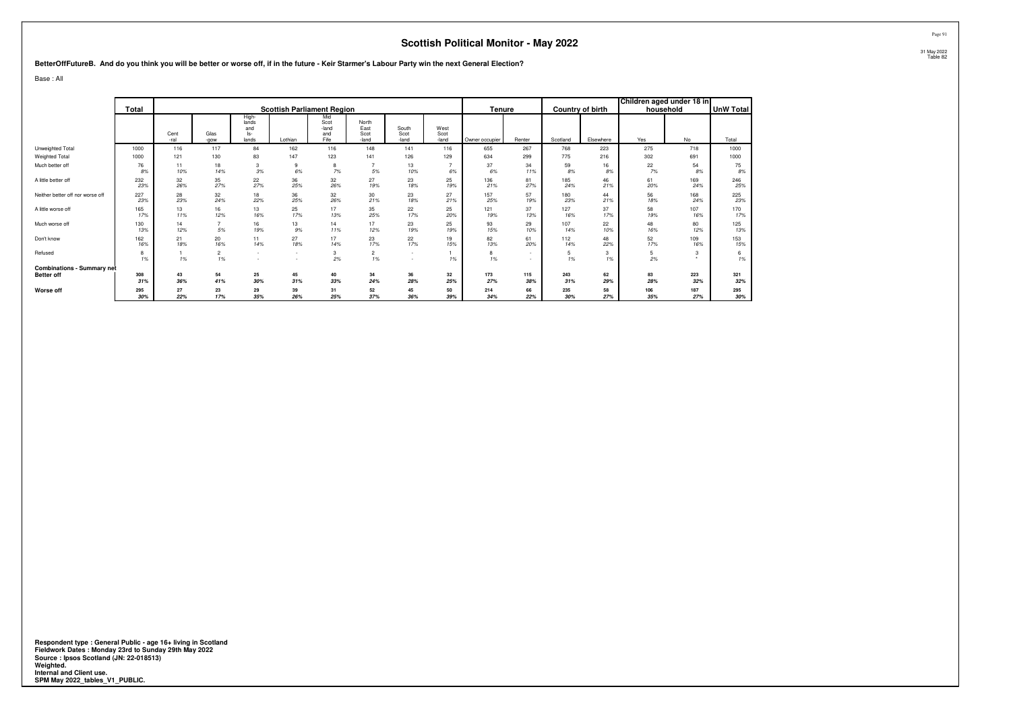**BetterOffFutureB. And do you think you will be better or worse off, if in the future - Keir Starmer's Labour Party win the next General Election?**

Base : All

|                                   |            |              |                      |                                         |               |                                     |                                |                        |                       |                |                |            |                         | Children aged under 18 in |            |                  |
|-----------------------------------|------------|--------------|----------------------|-----------------------------------------|---------------|-------------------------------------|--------------------------------|------------------------|-----------------------|----------------|----------------|------------|-------------------------|---------------------------|------------|------------------|
|                                   | Total      |              |                      |                                         |               | <b>Scottish Parliament Region</b>   |                                |                        |                       | Tenure         |                |            | <b>Country of birth</b> | household                 |            | <b>UnW Total</b> |
|                                   |            | Cent<br>-ral | Glas<br>-aow         | High-<br>lands<br>and<br>$ s-$<br>lands | Lothian       | Mid<br>Scot<br>-land<br>and<br>Fife | North<br>East<br>Scot<br>-land | South<br>Scot<br>-land | West<br>Scot<br>-land | Owner occupier | Renter         | Scotland   | Elsewhere               | Yes                       | No         | Total            |
| Unweighted Total                  | 1000       | 116          | 117                  | 84                                      | 162           | 116                                 | 148                            | 141                    | 116                   | 655            | 267            | 768        | 223                     | 275                       | 718        | 1000             |
| Weighted Total                    | 1000       | 121          | 130                  | 83                                      | 147           | 123                                 | 141                            | 126                    | 129                   | 634            | 299            | 775        | 216                     | 302                       | 691        | 1000             |
| Much better off                   | 76<br>8%   | 11<br>10%    | 18<br>14%            | 3<br>3%                                 | 9<br>6%       | 8<br>7%                             | 5%                             | 13<br>10%              | 6%                    | 37<br>6%       | 34<br>11%      | 59<br>8%   | 16<br>8%                | 22<br>7%                  | 54<br>8%   | 75<br>8%         |
| A little better off               | 232<br>23% | 32<br>26%    | 35<br>27%            | 22<br>27%                               | 36<br>25%     | 32<br>26%                           | 27<br>19%                      | 23<br>18%              | 25<br>19%             | 136<br>21%     | 81<br>27%      | 185<br>24% | 46<br>21%               | 61<br>20%                 | 169<br>24% | 246<br>25%       |
| Neither better off nor worse off  | 227<br>23% | 28<br>23%    | 32<br>24%            | 18<br>22%                               | 36<br>25%     | 32<br>26%                           | 30<br>21%                      | 23<br>18%              | 27<br>21%             | 157<br>25%     | 57<br>19%      | 180<br>23% | 44<br>21%               | 56<br>18%                 | 168<br>24% | 225<br>23%       |
| A little worse off                | 165<br>17% | 13<br>11%    | 16<br>12%            | 13<br>16%                               | 25<br>17%     | 17<br>13%                           | 35<br>25%                      | 22<br>17%              | 25<br>20%             | 121<br>19%     | 37<br>13%      | 127<br>16% | 37<br>17%               | 58<br>19%                 | 107<br>16% | 170<br>17%       |
| Much worse off                    | 130<br>13% | 14<br>12%    | 5%                   | 16<br>19%                               | 13<br>9%      | 14<br>11%                           | 17<br>12%                      | 23<br>19%              | 25<br>19%             | 93<br>15%      | 29<br>10%      | 107<br>14% | 22<br>10%               | 48<br>16%                 | 80<br>12%  | 125<br>13%       |
| Don't know                        | 162<br>16% | 21<br>18%    | 20<br>16%            | 11<br>14%                               | 27<br>18%     | 17<br>14%                           | 23<br>17%                      | 22<br>17%              | 19<br>15%             | 82<br>13%      | 61<br>20%      | 112<br>14% | 48<br>22%               | 52<br>17%                 | 109<br>16% | 153<br>15%       |
| Refused                           | 8<br>1%    | 1%           | $\overline{2}$<br>1% | . .<br>. .                              | $\sim$<br>. . | 3<br>2%                             | $\overline{2}$<br>1%           | $\sim$<br>$\sim$       | 1%                    | 8<br>1%        | ٠<br><b>м.</b> | 5<br>1%    | 3<br>1%                 | 5<br>2%                   |            | 1%               |
| <b>Combinations - Summary net</b> |            |              |                      |                                         |               |                                     |                                |                        |                       |                |                |            |                         |                           |            |                  |
| <b>Better off</b>                 | 308        | 43           | 54                   | 25                                      | 45            | 40                                  | 34                             | 36                     | 32                    | 173            | 115            | 243        | 62                      | 83                        | 223        | 321              |
|                                   | 31%        | 36%          | 41%                  | 30%                                     | 31%           | 33%                                 | 24%                            | 28%                    | 25%                   | 27%            | 38%            | 31%        | 29%                     | 28%                       | 32%        | 32%              |
| Worse off                         | 295<br>30% | 27<br>22%    | 23<br>17%            | 29<br>35%                               | 39<br>26%     | 31<br>25%                           | 52<br>37%                      | 45<br>36%              | 50<br>39%             | 214<br>34%     | 66<br>22%      | 235<br>30% | 58<br>27%               | 106<br>35%                | 187<br>27% | 295<br>30%       |

**Respondent type : General Public - age 16+ living in Scotland Fieldwork Dates : Monday 23rd to Sunday 29th May 2022 Source : Ipsos Scotland (JN: 22-018513) Weighted. Internal and Client use. SPM May 2022\_tables\_V1\_PUBLIC.**